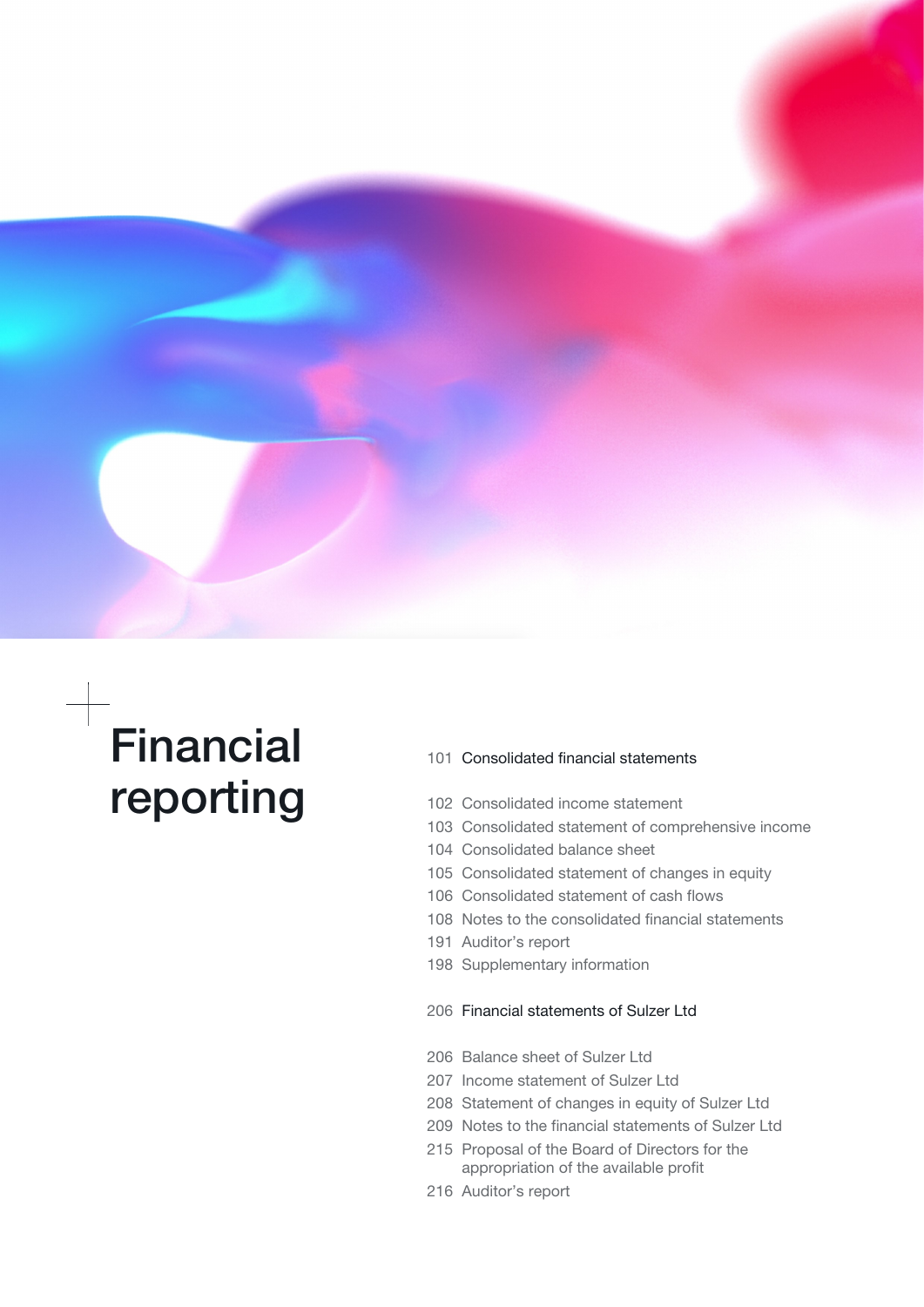

# Financial reporting

- [101](#page-1-0) [Consolidated financial statements](#page-1-0)
- [102 Consolidated income statement](#page-1-0)
- [103 Consolidated statement of comprehensive income](#page-2-0)
- [104 Consolidated balance sheet](#page-3-0)
- [105 Consolidated statement of changes in equity](#page-4-0)
- [106 Consolidated statement of cash flows](#page-5-0)
- 108 Notes to the consolidated financial statements
- [191 Auditor's report](#page-90-0)
- [198 Supplementary information](#page-97-0)

## [206](#page-105-0) [Financial statements of Sulzer Ltd](#page-105-0)

- [206 Balance sheet of Sulzer Ltd](#page-105-0)
- [207 Income statement of Sulzer Ltd](#page-106-0)
- [208 Statement of changes in equity of Sulzer Ltd](#page-107-0)
- [209 Notes to the financial statements of Sulzer Ltd](#page-108-0)
- [215 Proposal of the Board of Directors for the](#page-114-0) [appropriation of the available profit](#page-114-0)
- [216 Auditor's report](#page-115-0)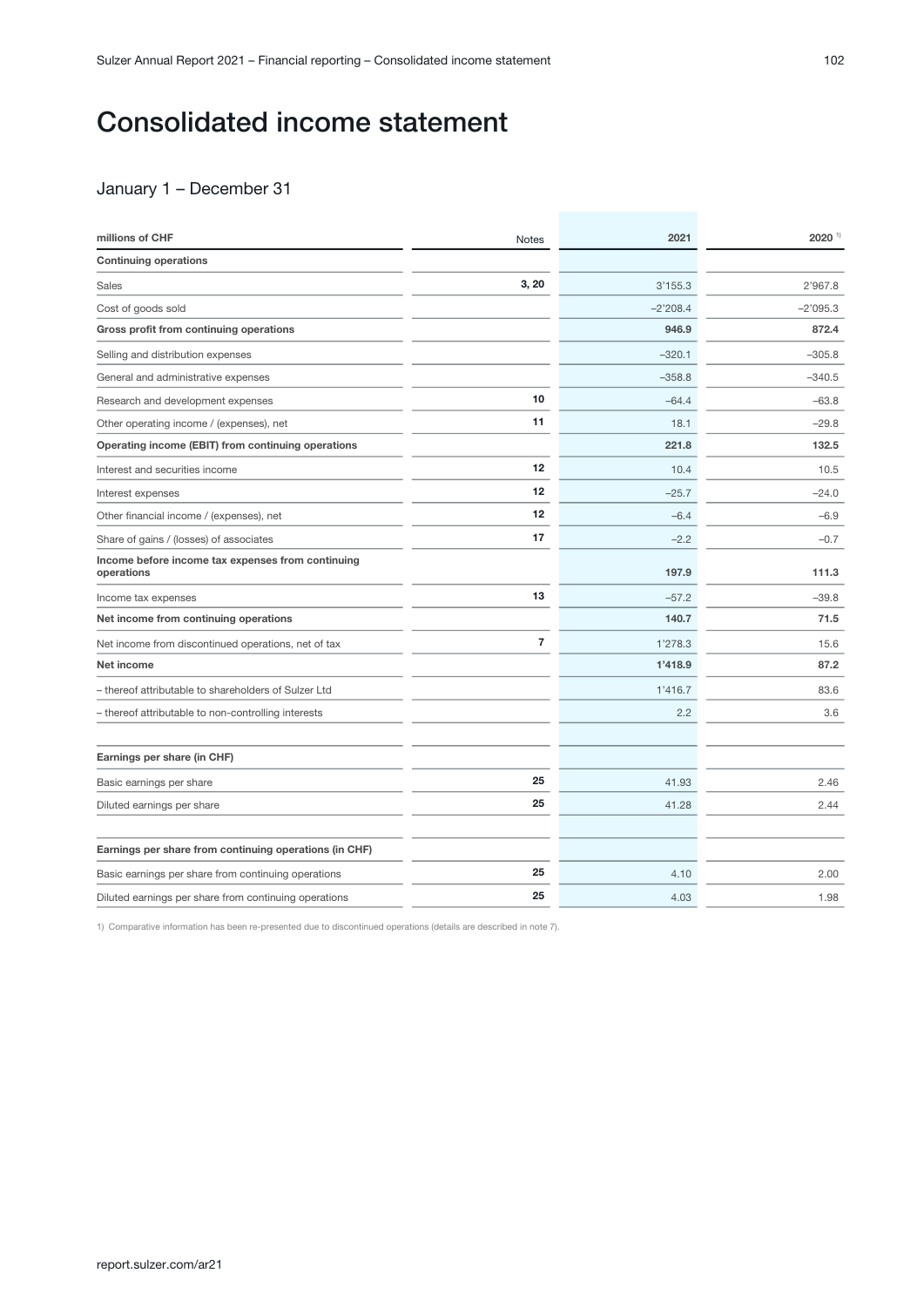## <span id="page-1-0"></span>Consolidated income statement

## January 1 – December 31

| millions of CHF                                                 | <b>Notes</b>   | 2021       | $2020$ <sup>1)</sup> |
|-----------------------------------------------------------------|----------------|------------|----------------------|
| <b>Continuing operations</b>                                    |                |            |                      |
| Sales                                                           | 3, 20          | 3'155.3    | 2'967.8              |
| Cost of goods sold                                              |                | $-2'208.4$ | $-2'095.3$           |
| Gross profit from continuing operations                         |                | 946.9      | 872.4                |
| Selling and distribution expenses                               |                | $-320.1$   | $-305.8$             |
| General and administrative expenses                             |                | $-358.8$   | $-340.5$             |
| Research and development expenses                               | 10             | $-64.4$    | $-63.8$              |
| Other operating income / (expenses), net                        | 11             | 18.1       | $-29.8$              |
| Operating income (EBIT) from continuing operations              |                | 221.8      | 132.5                |
| Interest and securities income                                  | 12             | 10.4       | 10.5                 |
| Interest expenses                                               | 12             | $-25.7$    | $-24.0$              |
| Other financial income / (expenses), net                        | 12             | $-6.4$     | $-6.9$               |
| Share of gains / (losses) of associates                         | 17             | $-2.2$     | $-0.7$               |
| Income before income tax expenses from continuing<br>operations |                | 197.9      | 111.3                |
| Income tax expenses                                             | 13             | $-57.2$    | $-39.8$              |
| Net income from continuing operations                           |                | 140.7      | 71.5                 |
| Net income from discontinued operations, net of tax             | $\overline{7}$ | 1'278.3    | 15.6                 |
| Net income                                                      |                | 1'418.9    | 87.2                 |
| - thereof attributable to shareholders of Sulzer Ltd            |                | 1'416.7    | 83.6                 |
| - thereof attributable to non-controlling interests             |                | 2.2        | 3.6                  |
| Earnings per share (in CHF)                                     |                |            |                      |
| Basic earnings per share                                        | 25             | 41.93      | 2.46                 |
| Diluted earnings per share                                      | 25             | 41.28      | 2.44                 |
| Earnings per share from continuing operations (in CHF)          |                |            |                      |
| Basic earnings per share from continuing operations             | 25             | 4.10       | 2.00                 |
| Diluted earnings per share from continuing operations           | 25             | 4.03       | 1.98                 |

1) Comparative information has been re-presented due to discontinued operations (details are described in note 7).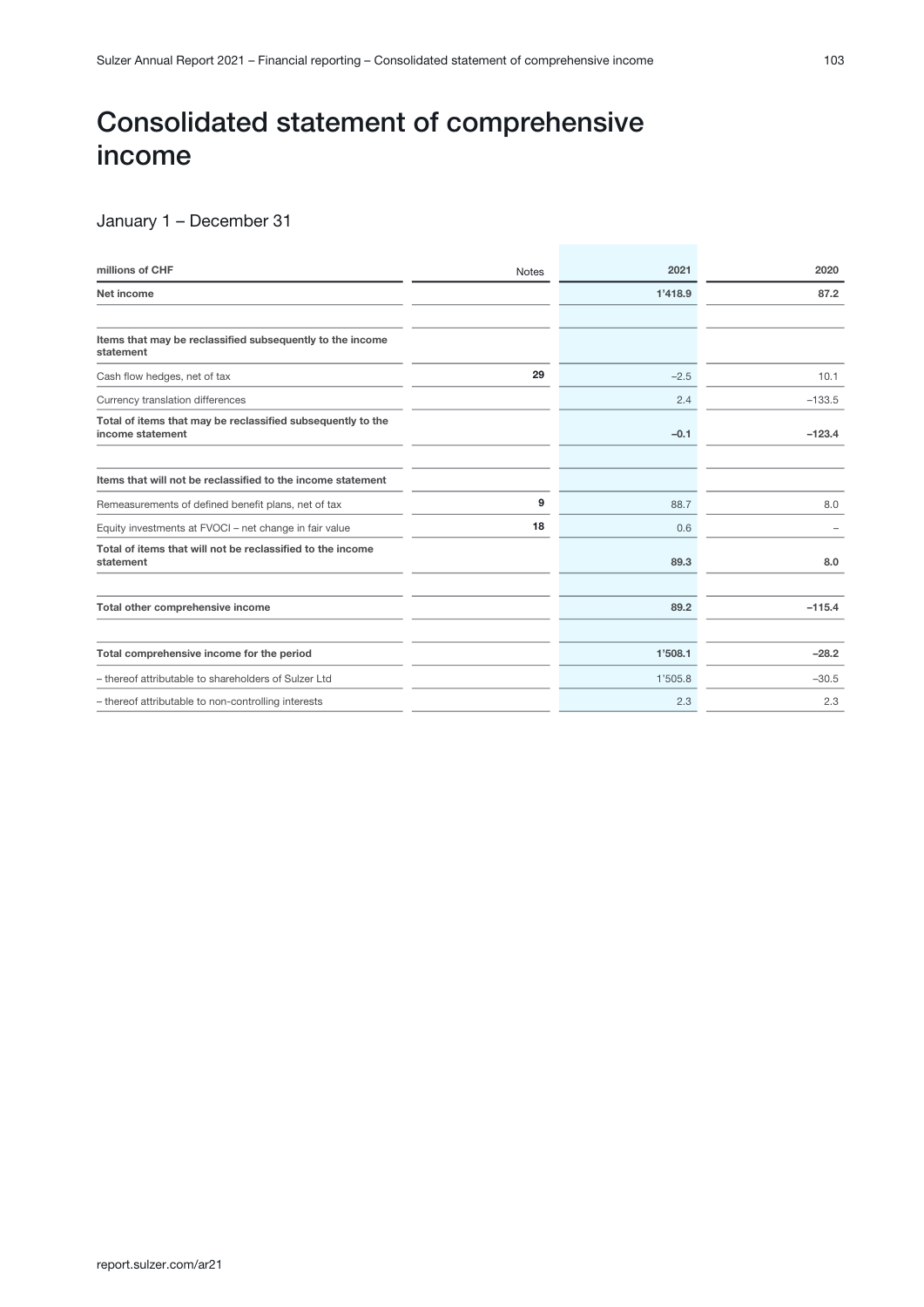## <span id="page-2-0"></span>Consolidated statement of comprehensive income

## January 1 – December 31

| millions of CHF                                                                 | <b>Notes</b> | 2021    | 2020     |
|---------------------------------------------------------------------------------|--------------|---------|----------|
| Net income                                                                      |              | 1'418.9 | 87.2     |
|                                                                                 |              |         |          |
| Items that may be reclassified subsequently to the income<br>statement          |              |         |          |
| Cash flow hedges, net of tax                                                    | 29           | $-2.5$  | 10.1     |
| Currency translation differences                                                |              | 2.4     | $-133.5$ |
| Total of items that may be reclassified subsequently to the<br>income statement |              | $-0.1$  | $-123.4$ |
| Items that will not be reclassified to the income statement                     |              |         |          |
| Remeasurements of defined benefit plans, net of tax                             | 9            | 88.7    | 8.0      |
| Equity investments at FVOCI - net change in fair value                          | 18           | 0.6     |          |
| Total of items that will not be reclassified to the income<br>statement         |              | 89.3    | 8.0      |
| Total other comprehensive income                                                |              | 89.2    | $-115.4$ |
| Total comprehensive income for the period                                       |              | 1'508.1 | $-28.2$  |
| - thereof attributable to shareholders of Sulzer Ltd                            |              | 1'505.8 | $-30.5$  |
| - thereof attributable to non-controlling interests                             |              | 2.3     | 2.3      |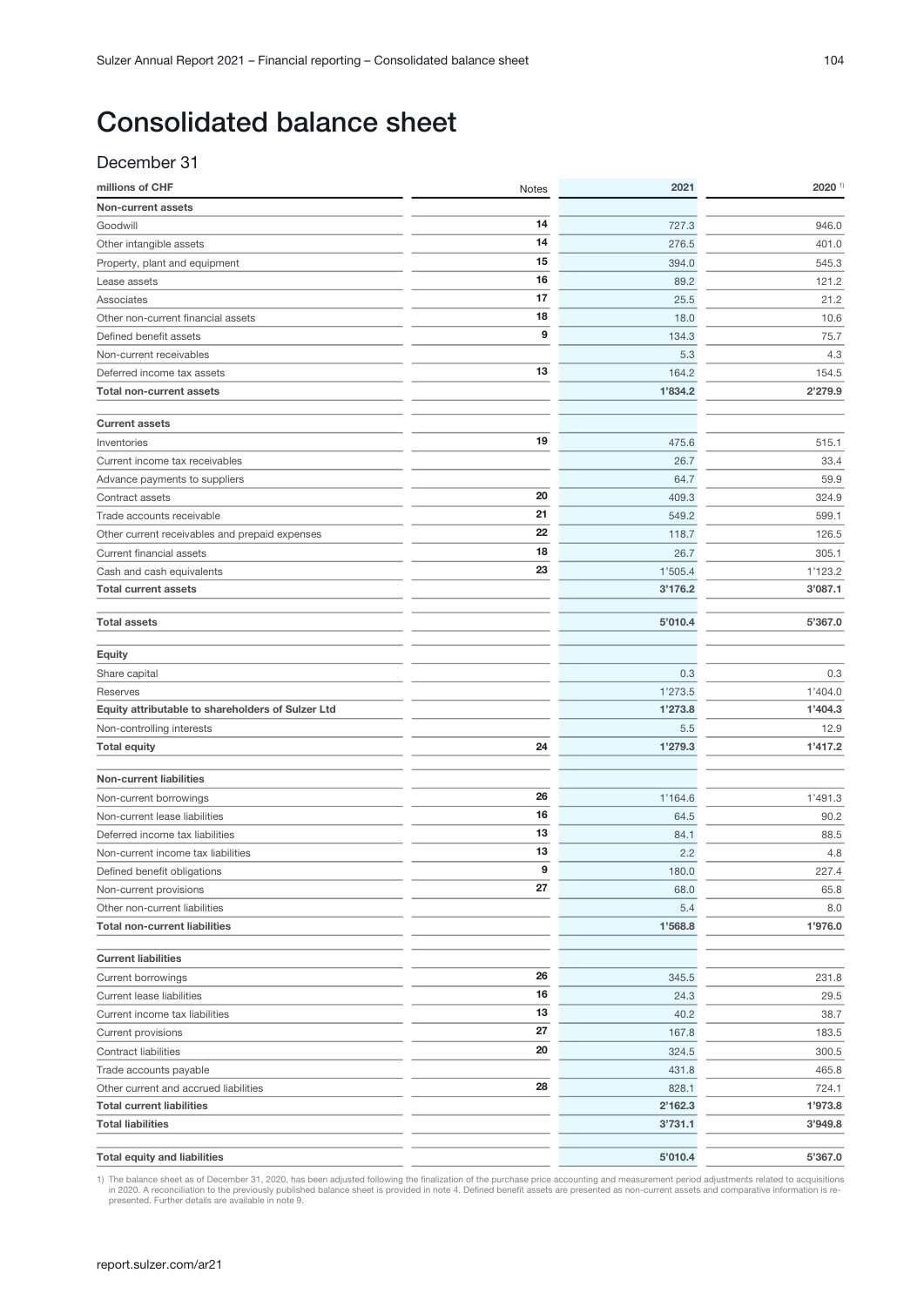## <span id="page-3-0"></span>December 31

| millions of CHF                                   | <b>Notes</b> | 2021    | $2020$ <sup>1)</sup> |
|---------------------------------------------------|--------------|---------|----------------------|
| Non-current assets                                |              |         |                      |
| Goodwill                                          | 14           | 727.3   | 946.0                |
| Other intangible assets                           | 14           | 276.5   | 401.0                |
| Property, plant and equipment                     | 15           | 394.0   | 545.3                |
| Lease assets                                      | 16           | 89.2    | 121.2                |
| Associates                                        | 17           | 25.5    | 21.2                 |
| Other non-current financial assets                | 18           | 18.0    | 10.6                 |
| Defined benefit assets                            | 9            | 134.3   | 75.7                 |
| Non-current receivables                           |              | 5.3     | 4.3                  |
| Deferred income tax assets                        | 13           | 164.2   | 154.5                |
| <b>Total non-current assets</b>                   |              | 1'834.2 | 2'279.9              |
|                                                   |              |         |                      |
| <b>Current assets</b>                             |              |         |                      |
| Inventories                                       | 19           | 475.6   | 515.1                |
| Current income tax receivables                    |              | 26.7    | 33.4                 |
| Advance payments to suppliers                     |              | 64.7    | 59.9                 |
| Contract assets                                   | 20           | 409.3   | 324.9                |
| Trade accounts receivable                         | 21           | 549.2   | 599.1                |
| Other current receivables and prepaid expenses    | 22           | 118.7   | 126.5                |
| Current financial assets                          | 18           | 26.7    | 305.1                |
| Cash and cash equivalents                         | 23           | 1'505.4 | 1'123.2              |
| <b>Total current assets</b>                       |              | 3'176.2 | 3'087.1              |
| <b>Total assets</b>                               |              | 5'010.4 | 5'367.0              |
|                                                   |              |         |                      |
| <b>Equity</b>                                     |              |         |                      |
| Share capital                                     |              | 0.3     | 0.3                  |
| Reserves                                          |              | 1'273.5 | 1'404.0              |
| Equity attributable to shareholders of Sulzer Ltd |              | 1'273.8 | 1'404.3              |
| Non-controlling interests                         |              | 5.5     | 12.9                 |
| <b>Total equity</b>                               | 24           | 1'279.3 | 1'417.2              |
| <b>Non-current liabilities</b>                    |              |         |                      |
| Non-current borrowings                            | 26           | 1'164.6 | 1'491.3              |
| Non-current lease liabilities                     | 16           | 64.5    | 90.2                 |
| Deferred income tax liabilities                   | 13           | 84.1    | 88.5                 |
| Non-current income tax liabilities                | 13           | 2.2     | 4.8                  |
| Defined benefit obligations                       | 9            | 180.0   | 227.4                |
| Non-current provisions                            | 27           | 68.0    | 65.8                 |
| Other non-current liabilities                     |              | 5.4     | 8.0                  |
| <b>Total non-current liabilities</b>              |              | 1'568.8 | 1'976.0              |
| <b>Current liabilities</b>                        |              |         |                      |
| Current borrowings                                | 26           | 345.5   | 231.8                |
| <b>Current lease liabilities</b>                  | 16           | 24.3    | 29.5                 |
| Current income tax liabilities                    | 13           | 40.2    | 38.7                 |
| Current provisions                                | 27           | 167.8   | 183.5                |
| Contract liabilities                              | 20           | 324.5   | 300.5                |
| Trade accounts payable                            |              | 431.8   | 465.8                |
| Other current and accrued liabilities             | 28           | 828.1   | 724.1                |
| <b>Total current liabilities</b>                  |              | 2'162.3 | 1'973.8              |
| <b>Total liabilities</b>                          |              | 3'731.1 | 3'949.8              |
| <b>Total equity and liabilities</b>               |              | 5'010.4 | 5'367.0              |
|                                                   |              |         |                      |

1) The balance sheet as of December 31, 2020, has been adjusted following the finalization of the purchase price accounting and measurement period adjustments related to acquisitions in 2020. A reconciliation to the previo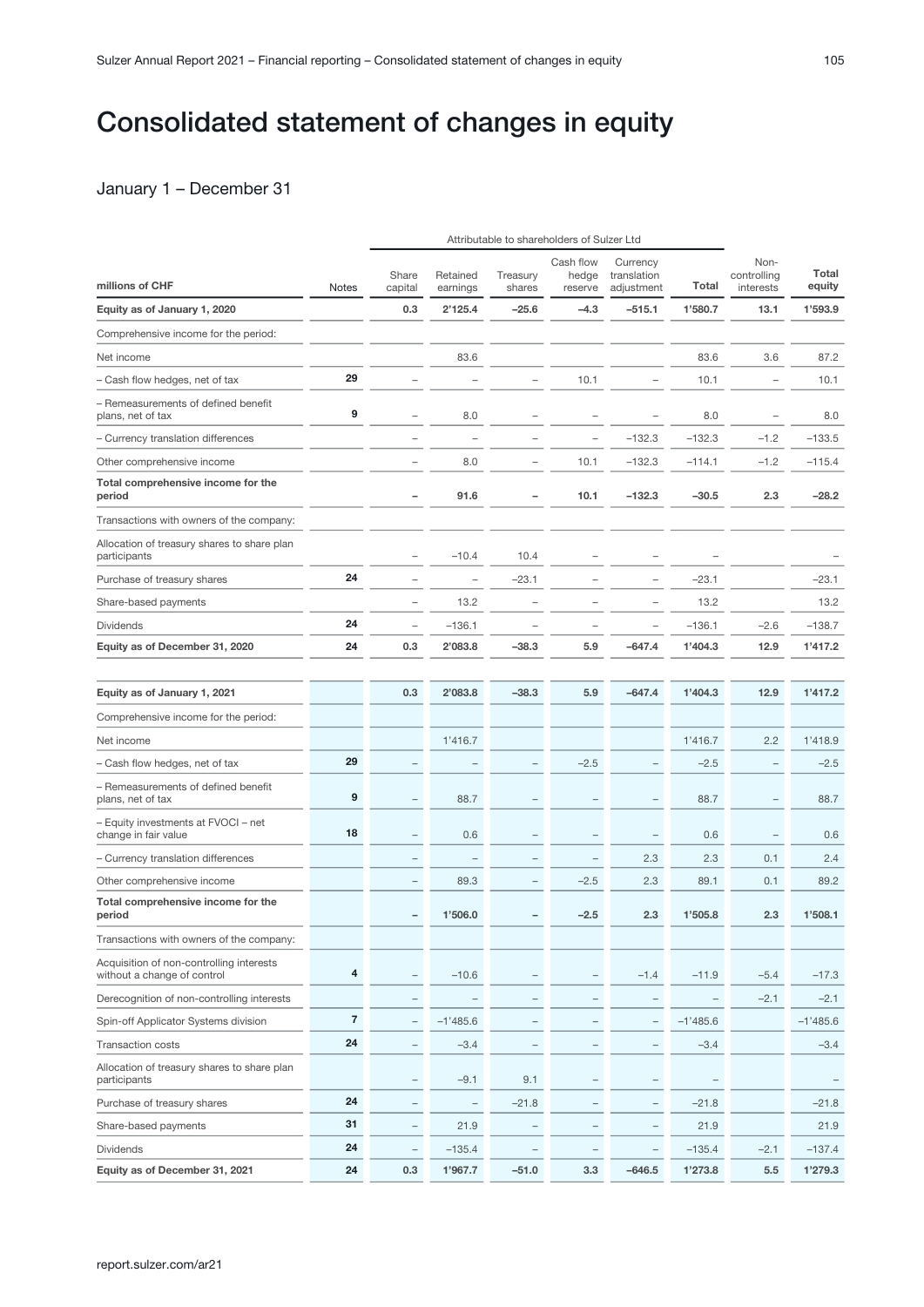## <span id="page-4-0"></span>Consolidated statement of changes in equity

## January 1 – December 31

|                                                                         |                | Attributable to shareholders of Sulzer Ltd |                          |                    |                               |                                       |            |                                  |                 |
|-------------------------------------------------------------------------|----------------|--------------------------------------------|--------------------------|--------------------|-------------------------------|---------------------------------------|------------|----------------------------------|-----------------|
| millions of CHF                                                         | <b>Notes</b>   | Share<br>capital                           | Retained<br>earnings     | Treasury<br>shares | Cash flow<br>hedge<br>reserve | Currency<br>translation<br>adjustment | Total      | Non-<br>controlling<br>interests | Total<br>equity |
| Equity as of January 1, 2020                                            |                | 0.3                                        | 2'125.4                  | $-25.6$            | $-4.3$                        | $-515.1$                              | 1'580.7    | 13.1                             | 1'593.9         |
| Comprehensive income for the period:                                    |                |                                            |                          |                    |                               |                                       |            |                                  |                 |
| Net income                                                              |                |                                            | 83.6                     |                    |                               |                                       | 83.6       | 3.6                              | 87.2            |
| - Cash flow hedges, net of tax                                          | 29             |                                            |                          |                    | 10.1                          |                                       | 10.1       | ۰                                | 10.1            |
| - Remeasurements of defined benefit<br>plans, net of tax                | 9              |                                            | 8.0                      |                    |                               |                                       | 8.0        |                                  | 8.0             |
| - Currency translation differences                                      |                |                                            |                          |                    |                               | $-132.3$                              | $-132.3$   | $-1.2$                           | $-133.5$        |
| Other comprehensive income                                              |                |                                            | 8.0                      |                    | 10.1                          | $-132.3$                              | $-114.1$   | $-1.2$                           | $-115.4$        |
| Total comprehensive income for the<br>period                            |                |                                            | 91.6                     |                    | 10.1                          | $-132.3$                              | $-30.5$    | 2.3                              | $-28.2$         |
| Transactions with owners of the company:                                |                |                                            |                          |                    |                               |                                       |            |                                  |                 |
| Allocation of treasury shares to share plan<br>participants             |                |                                            | $-10.4$                  | 10.4               |                               |                                       |            |                                  |                 |
| Purchase of treasury shares                                             | 24             |                                            | $\overline{\phantom{a}}$ | $-23.1$            |                               |                                       | $-23.1$    |                                  | $-23.1$         |
| Share-based payments                                                    |                | -                                          | 13.2                     |                    |                               |                                       | 13.2       |                                  | 13.2            |
| <b>Dividends</b>                                                        | 24             |                                            | $-136.1$                 |                    |                               |                                       | $-136.1$   | $-2.6$                           | $-138.7$        |
| Equity as of December 31, 2020                                          | 24             | 0.3                                        | 2'083.8                  | $-38.3$            | 5.9                           | $-647.4$                              | 1'404.3    | 12.9                             | 1'417.2         |
|                                                                         |                |                                            |                          |                    |                               |                                       |            |                                  |                 |
| Equity as of January 1, 2021                                            |                | 0.3                                        | 2'083.8                  | $-38.3$            | 5.9                           | $-647.4$                              | 1'404.3    | 12.9                             | 1'417.2         |
| Comprehensive income for the period:                                    |                |                                            |                          |                    |                               |                                       |            |                                  |                 |
| Net income                                                              |                |                                            | 1'416.7                  |                    |                               |                                       | 1'416.7    | 2.2                              | 1'418.9         |
| - Cash flow hedges, net of tax                                          | 29             |                                            |                          |                    | $-2.5$                        |                                       | $-2.5$     | -                                | $-2.5$          |
| - Remeasurements of defined benefit<br>plans, net of tax                | 9              |                                            | 88.7                     |                    |                               |                                       | 88.7       | -                                | 88.7            |
| - Equity investments at FVOCI - net<br>change in fair value             | 18             |                                            | 0.6                      |                    |                               | $\overline{\phantom{0}}$              | 0.6        | $\overline{\phantom{0}}$         | 0.6             |
| - Currency translation differences                                      |                |                                            |                          |                    |                               | 2.3                                   | 2.3        | 0.1                              | 2.4             |
| Other comprehensive income                                              |                |                                            | 89.3                     |                    | $-2.5$                        | 2.3                                   | 89.1       | 0.1                              | 89.2            |
| Total comprehensive income for the<br>period                            |                |                                            | 1'506.0                  |                    | $-2.5$                        | 2.3                                   | 1'505.8    | 2.3                              | 1'508.1         |
| Transactions with owners of the company:                                |                |                                            |                          |                    |                               |                                       |            |                                  |                 |
| Acquisition of non-controlling interests<br>without a change of control | 4              |                                            | $-10.6$                  |                    |                               | $-1.4$                                | $-11.9$    | $-5.4$                           | $-17.3$         |
| Derecognition of non-controlling interests                              |                | $\overline{\phantom{0}}$                   | $\qquad \qquad -$        |                    | $\overline{\phantom{0}}$      | -                                     | -          | $-2.1$                           | $-2.1$          |
| Spin-off Applicator Systems division                                    | $\overline{7}$ | $\overline{\phantom{0}}$                   | $-1'485.6$               |                    |                               | $\overline{\phantom{0}}$              | $-1'485.6$ |                                  | $-1'485.6$      |
| Transaction costs                                                       | 24             | $\overline{\phantom{0}}$                   | $-3.4$                   |                    |                               | -                                     | $-3.4$     |                                  | $-3.4$          |
| Allocation of treasury shares to share plan<br>participants             |                | $\overline{\phantom{0}}$                   | $-9.1$                   | 9.1                |                               | $\overline{\phantom{0}}$              |            |                                  |                 |
| Purchase of treasury shares                                             | 24             | $\overline{\phantom{0}}$                   | $\qquad \qquad -$        | $-21.8$            | $\overline{\phantom{0}}$      | $\qquad \qquad -$                     | $-21.8$    |                                  | $-21.8$         |
| Share-based payments                                                    | 31             | $\qquad \qquad -$                          | 21.9                     | $\qquad \qquad -$  | $\qquad \qquad -$             | $\qquad \qquad -$                     | 21.9       |                                  | 21.9            |
| <b>Dividends</b>                                                        | 24             | $\qquad \qquad -$                          | $-135.4$                 |                    | $\qquad \qquad -$             | $\qquad \qquad -$                     | $-135.4$   | $-2.1$                           | $-137.4$        |
| Equity as of December 31, 2021                                          | 24             | 0.3                                        | 1'967.7                  | $-51.0$            | 3.3                           | $-646.5$                              | 1'273.8    | 5.5                              | 1'279.3         |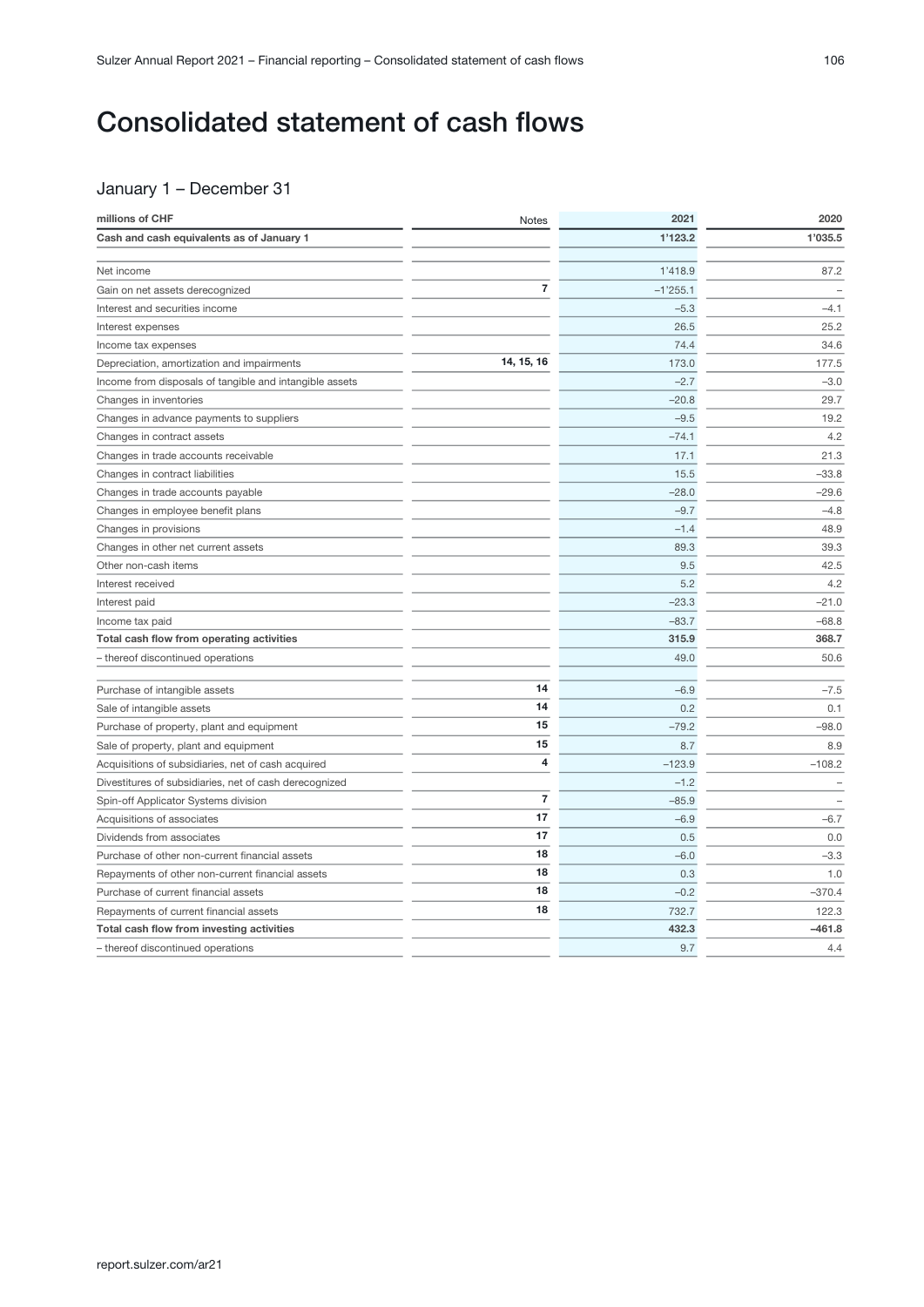## <span id="page-5-0"></span>Consolidated statement of cash flows

## January 1 – December 31

| millions of CHF                                         | Notes          | 2021       | 2020     |
|---------------------------------------------------------|----------------|------------|----------|
| Cash and cash equivalents as of January 1               |                | 1'123.2    | 1'035.5  |
|                                                         |                |            |          |
| Net income                                              |                | 1'418.9    | 87.2     |
| Gain on net assets derecognized                         | $\overline{7}$ | $-1'255.1$ |          |
| Interest and securities income                          |                | $-5.3$     | $-4.1$   |
| Interest expenses                                       |                | 26.5       | 25.2     |
| Income tax expenses                                     |                | 74.4       | 34.6     |
| Depreciation, amortization and impairments              | 14, 15, 16     | 173.0      | 177.5    |
| Income from disposals of tangible and intangible assets |                | $-2.7$     | $-3.0$   |
| Changes in inventories                                  |                | $-20.8$    | 29.7     |
| Changes in advance payments to suppliers                |                | $-9.5$     | 19.2     |
| Changes in contract assets                              |                | $-74.1$    | 4.2      |
| Changes in trade accounts receivable                    |                | 17.1       | 21.3     |
| Changes in contract liabilities                         |                | 15.5       | $-33.8$  |
| Changes in trade accounts payable                       |                | $-28.0$    | $-29.6$  |
| Changes in employee benefit plans                       |                | $-9.7$     | $-4.8$   |
| Changes in provisions                                   |                | $-1.4$     | 48.9     |
| Changes in other net current assets                     |                | 89.3       | 39.3     |
| Other non-cash items                                    |                | 9.5        | 42.5     |
| Interest received                                       |                | 5.2        | 4.2      |
| Interest paid                                           |                | $-23.3$    | $-21.0$  |
| Income tax paid                                         |                | $-83.7$    | $-68.8$  |
| Total cash flow from operating activities               |                | 315.9      | 368.7    |
| - thereof discontinued operations                       |                | 49.0       | 50.6     |
| Purchase of intangible assets                           | 14             | $-6.9$     | $-7.5$   |
| Sale of intangible assets                               | 14             | 0.2        | 0.1      |
| Purchase of property, plant and equipment               | 15             | $-79.2$    | $-98.0$  |
| Sale of property, plant and equipment                   | 15             | 8.7        | 8.9      |
| Acquisitions of subsidiaries, net of cash acquired      | 4              | $-123.9$   | $-108.2$ |
| Divestitures of subsidiaries, net of cash derecognized  |                | $-1.2$     |          |
| Spin-off Applicator Systems division                    | $\overline{7}$ | $-85.9$    |          |
| Acquisitions of associates                              | 17             | $-6.9$     | $-6.7$   |
| Dividends from associates                               | 17             | 0.5        | 0.0      |
| Purchase of other non-current financial assets          | 18             | $-6.0$     | $-3.3$   |
| Repayments of other non-current financial assets        | 18             | 0.3        | 1.0      |
| Purchase of current financial assets                    | 18             | $-0.2$     | $-370.4$ |
| Repayments of current financial assets                  | 18             | 732.7      | 122.3    |
| Total cash flow from investing activities               |                | 432.3      | $-461.8$ |
| - thereof discontinued operations                       |                | 9.7        | 4.4      |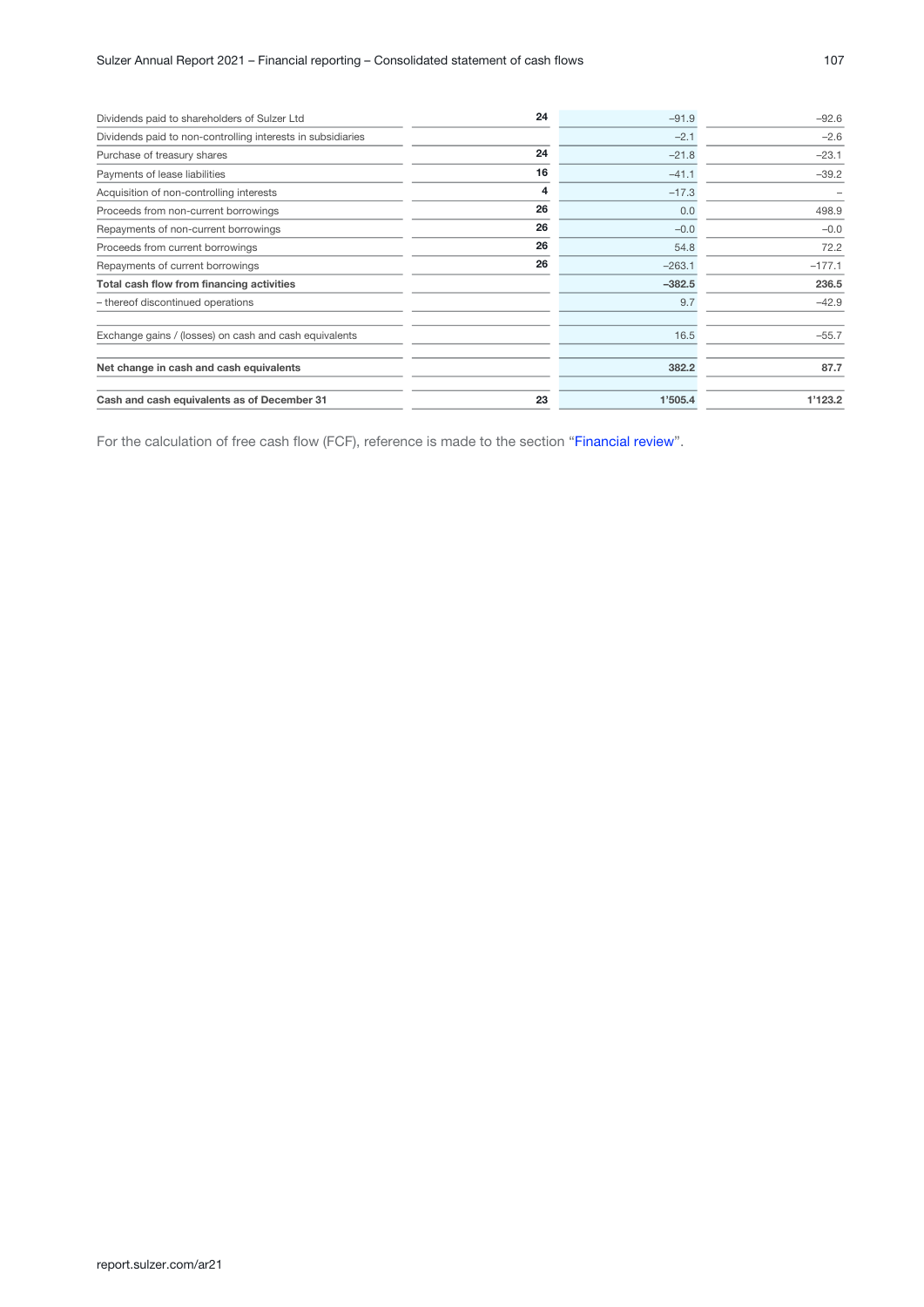| Dividends paid to shareholders of Sulzer Ltd                | 24 | $-91.9$  | $-92.6$  |
|-------------------------------------------------------------|----|----------|----------|
| Dividends paid to non-controlling interests in subsidiaries |    | $-2.1$   | $-2.6$   |
| Purchase of treasury shares                                 | 24 | $-21.8$  | $-23.1$  |
| Payments of lease liabilities                               | 16 | $-41.1$  | $-39.2$  |
| Acquisition of non-controlling interests                    | 4  | $-17.3$  |          |
| Proceeds from non-current borrowings                        | 26 | 0.0      | 498.9    |
| Repayments of non-current borrowings                        | 26 | $-0.0$   | $-0.0$   |
| Proceeds from current borrowings                            | 26 | 54.8     | 72.2     |
| Repayments of current borrowings                            | 26 | $-263.1$ | $-177.1$ |
| Total cash flow from financing activities                   |    | $-382.5$ | 236.5    |
| - thereof discontinued operations                           |    | 9.7      | $-42.9$  |
| Exchange gains / (losses) on cash and cash equivalents      |    | 16.5     | $-55.7$  |
| Net change in cash and cash equivalents                     |    | 382.2    | 87.7     |
| Cash and cash equivalents as of December 31                 | 23 | 1'505.4  | 1'123.2  |

For the calculation of free cash flow (FCF), reference is made to the section "Financial review".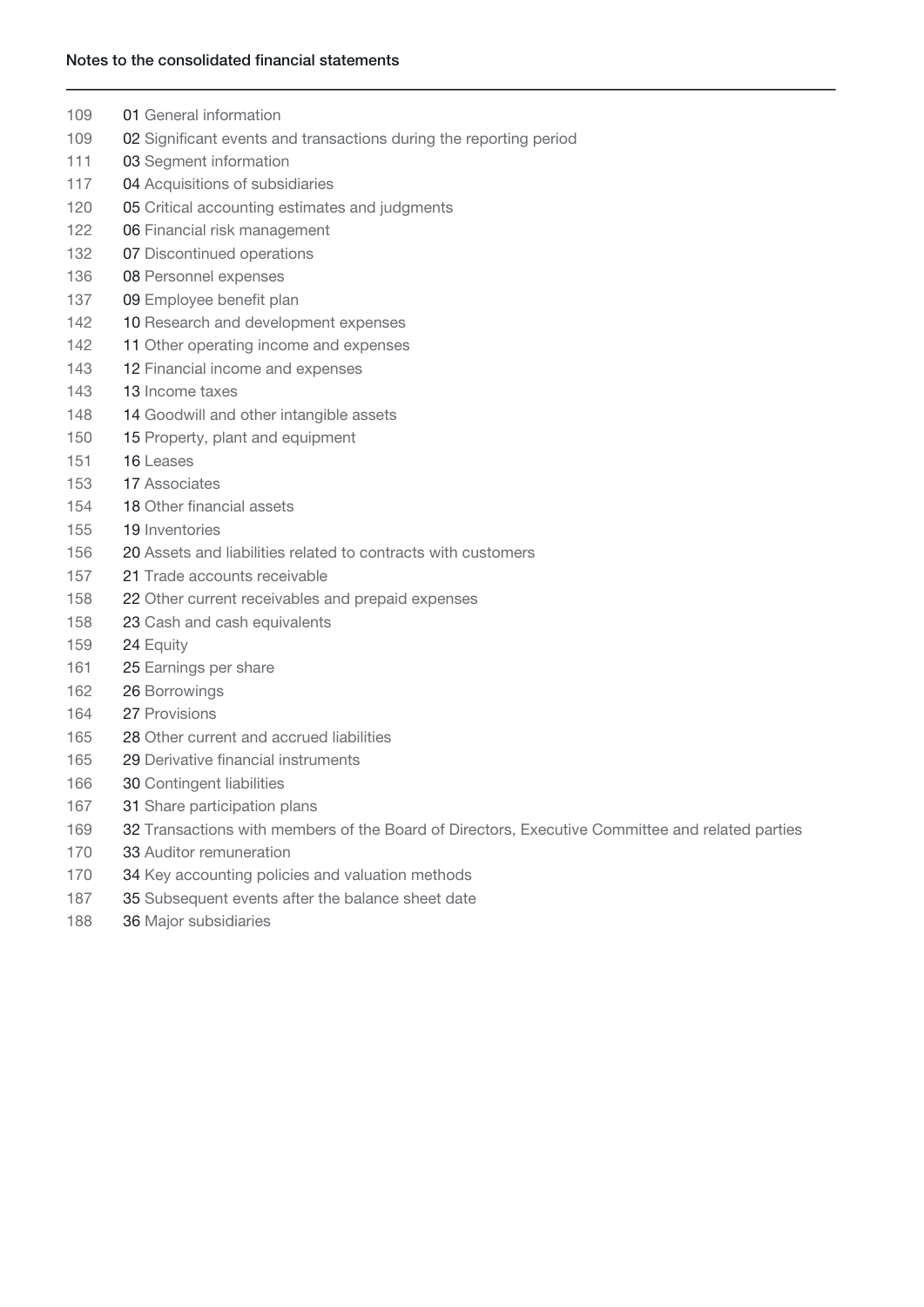### Notes to the consolidated financial statements

- 109 01 General information
- 109 02 Significant events and transactions during the reporting period
- 111 03 Segment information
- 117 04 Acquisitions of subsidiaries
- 120 **05** Critical accounting estimates and judgments
- 122 06 Financial risk management
- 132 07 Discontinued operations
- 136 08 Personnel expenses
- 137 09 Employee benefit plan
- 142 10 Research and development expenses
- 142 11 Other operating income and expenses
- 143 **12 Financial income and expenses**
- 143 13 Income taxes
- 148 14 Goodwill and other intangible assets
- 150 15 Property, plant and equipment
- 151 16 Leases
- 153 17 Associates
- 154 **18 Other financial assets**
- 155 19 Inventories
- 156 20 Assets and liabilities related to contracts with customers
- 157 21 Trade accounts receivable
- 158 22 Other current receivables and prepaid expenses
- 158 23 Cash and cash equivalents
- 159 **24 Equity**
- 161 25 Earnings per share
- 162 26 Borrowings
- 164 27 Provisions
- 165 28 Other current and accrued liabilities
- 165 29 Derivative financial instruments
- 166 30 Contingent liabilities
- 167 31 Share participation plans
- 169 32 Transactions with members of the Board of Directors, Executive Committee and related parties
- 170 33 Auditor remuneration
- 170 **34 Key accounting policies and valuation methods**
- 187 35 Subsequent events after the balance sheet date
- 188 36 Major subsidiaries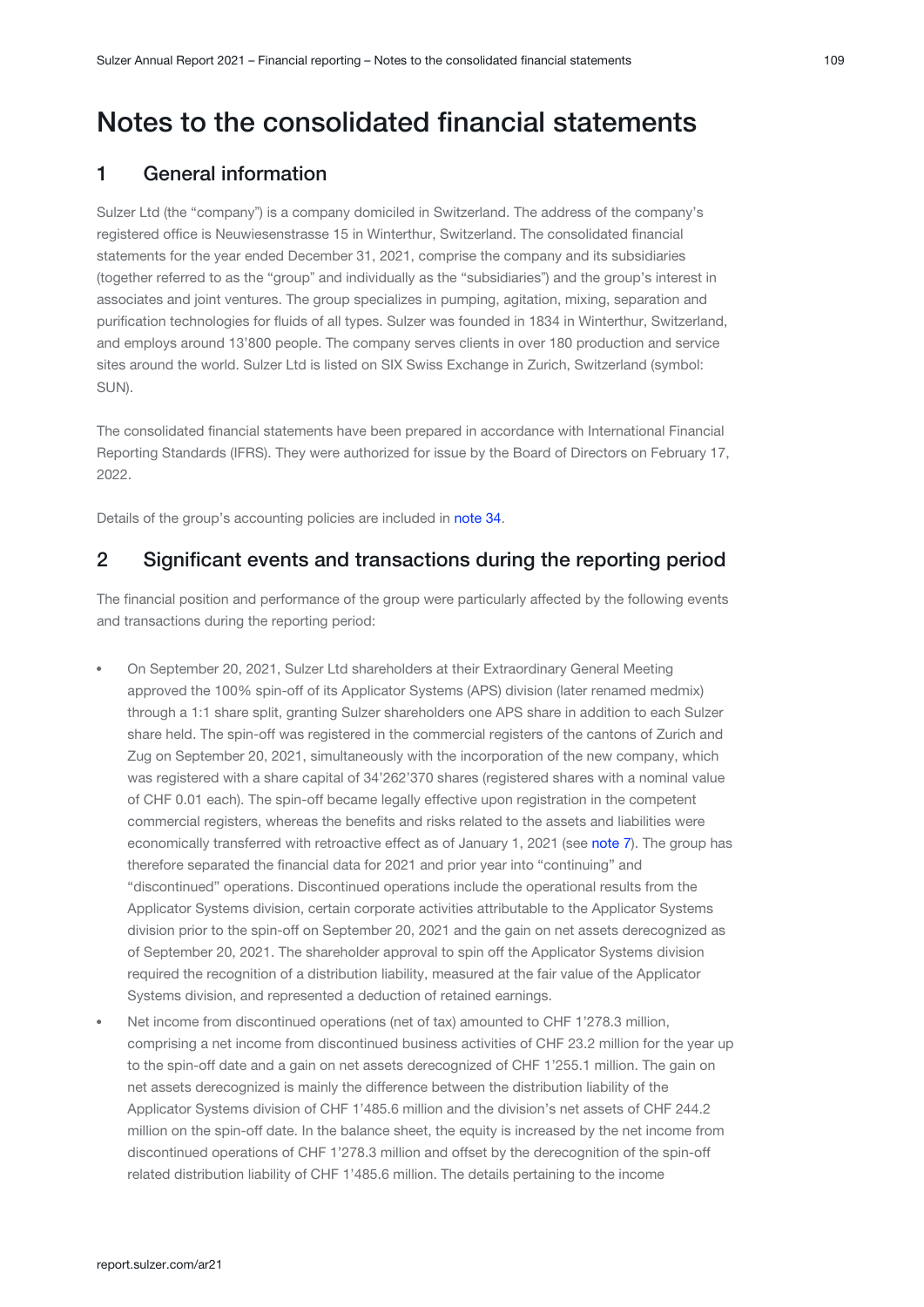## <span id="page-8-0"></span>Notes to the consolidated financial statements

## 1 General information

Sulzer Ltd (the "company") is a company domiciled in Switzerland. The address of the company's registered office is Neuwiesenstrasse 15 in Winterthur, Switzerland. The consolidated financial statements for the year ended December 31, 2021, comprise the company and its subsidiaries (together referred to as the "groupˮ and individually as the "subsidiariesˮ) and the group's interest in associates and joint ventures. The group specializes in pumping, agitation, mixing, separation and purification technologies for fluids of all types. Sulzer was founded in 1834 in Winterthur, Switzerland, and employs around 13'800 people. The company serves clients in over 180 production and service sites around the world. Sulzer Ltd is listed on SIX Swiss Exchange in Zurich, Switzerland (symbol: SUN).

The consolidated financial statements have been prepared in accordance with International Financial Reporting Standards (IFRS). They were authorized for issue by the Board of Directors on February 17, 2022.

Details of the group's accounting policies are included in note 34.

## 2 Significant events and transactions during the reporting period

The financial position and performance of the group were particularly affected by the following events and transactions during the reporting period:

- On September 20, 2021, Sulzer Ltd shareholders at their Extraordinary General Meeting approved the 100% spin-off of its Applicator Systems (APS) division (later renamed medmix) through a 1:1 share split, granting Sulzer shareholders one APS share in addition to each Sulzer share held. The spin-off was registered in the commercial registers of the cantons of Zurich and Zug on September 20, 2021, simultaneously with the incorporation of the new company, which was registered with a share capital of 34'262'370 shares (registered shares with a nominal value of CHF 0.01 each). The spin-off became legally effective upon registration in the competent commercial registers, whereas the benefits and risks related to the assets and liabilities were economically transferred with retroactive effect as of January 1, 2021 (see note 7). The group has therefore separated the financial data for 2021 and prior year into "continuing" and "discontinued" operations. Discontinued operations include the operational results from the Applicator Systems division, certain corporate activities attributable to the Applicator Systems division prior to the spin-off on September 20, 2021 and the gain on net assets derecognized as of September 20, 2021. The shareholder approval to spin off the Applicator Systems division required the recognition of a distribution liability, measured at the fair value of the Applicator Systems division, and represented a deduction of retained earnings.
- Net income from discontinued operations (net of tax) amounted to CHF 1'278.3 million, comprising a net income from discontinued business activities of CHF 23.2 million for the year up to the spin-off date and a gain on net assets derecognized of CHF 1'255.1 million. The gain on net assets derecognized is mainly the difference between the distribution liability of the Applicator Systems division of CHF 1'485.6 million and the division's net assets of CHF 244.2 million on the spin-off date. In the balance sheet, the equity is increased by the net income from discontinued operations of CHF 1'278.3 million and offset by the derecognition of the spin-off related distribution liability of CHF 1'485.6 million. The details pertaining to the income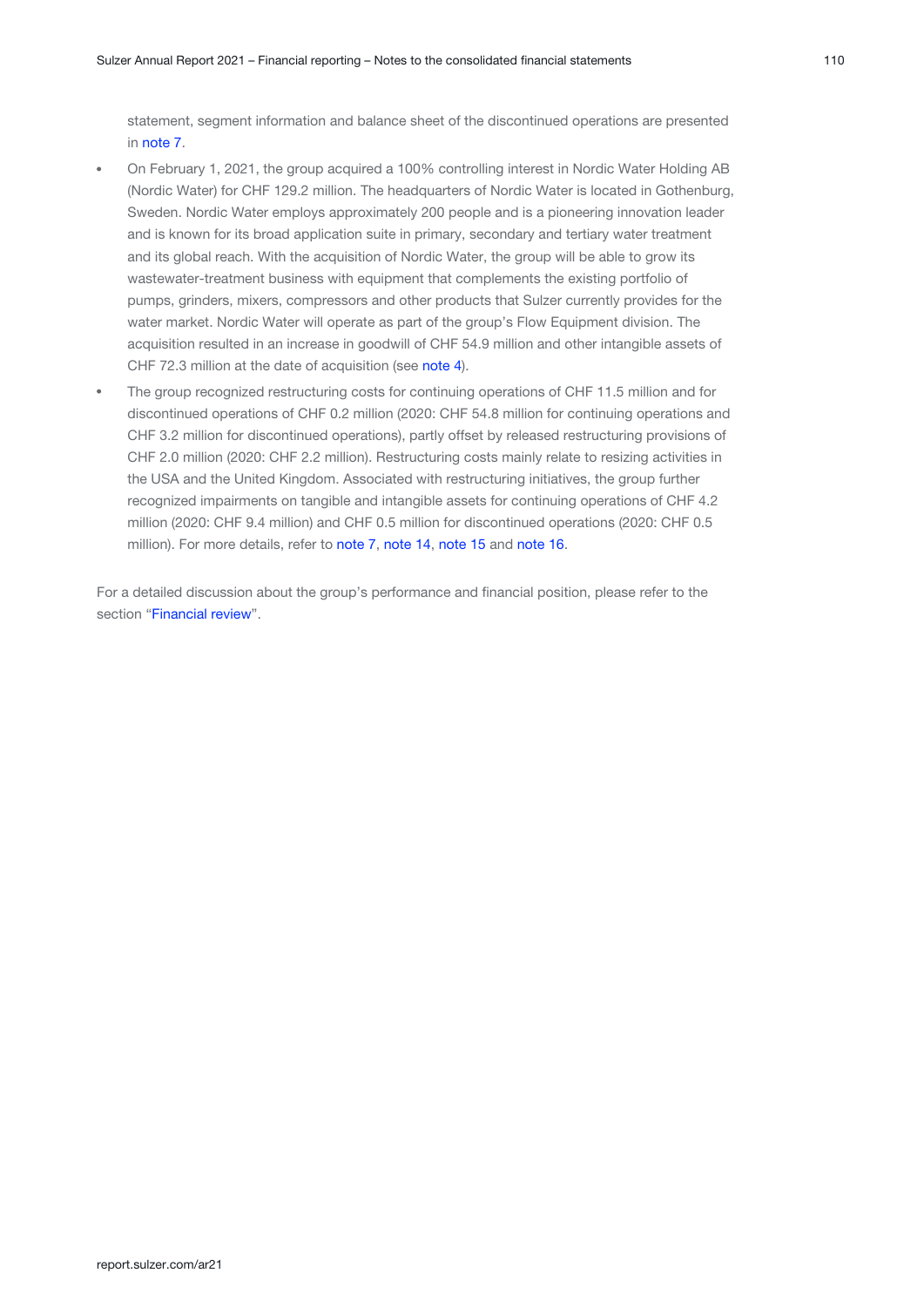statement, segment information and balance sheet of the discontinued operations are presented in note 7.

- On February 1, 2021, the group acquired a 100% controlling interest in Nordic Water Holding AB (Nordic Water) for CHF 129.2 million. The headquarters of Nordic Water is located in Gothenburg, Sweden. Nordic Water employs approximately 200 people and is a pioneering innovation leader and is known for its broad application suite in primary, secondary and tertiary water treatment and its global reach. With the acquisition of Nordic Water, the group will be able to grow its wastewater-treatment business with equipment that complements the existing portfolio of pumps, grinders, mixers, compressors and other products that Sulzer currently provides for the water market. Nordic Water will operate as part of the group's Flow Equipment division. The acquisition resulted in an increase in goodwill of CHF 54.9 million and other intangible assets of CHF 72.3 million at the date of acquisition (see note 4).
- The group recognized restructuring costs for continuing operations of CHF 11.5 million and for discontinued operations of CHF 0.2 million (2020: CHF 54.8 million for continuing operations and CHF 3.2 million for discontinued operations), partly offset by released restructuring provisions of CHF 2.0 million (2020: CHF 2.2 million). Restructuring costs mainly relate to resizing activities in the USA and the United Kingdom. Associated with restructuring initiatives, the group further recognized impairments on tangible and intangible assets for continuing operations of CHF 4.2 million (2020: CHF 9.4 million) and CHF 0.5 million for discontinued operations (2020: CHF 0.5 million). For more details, refer to [note 7](#page-30-0), [note 14](#page-47-0), [note 15](#page-49-0) and [note 16](#page-50-0).

For a detailed discussion about the group's performance and financial position, please refer to the section "Financial review".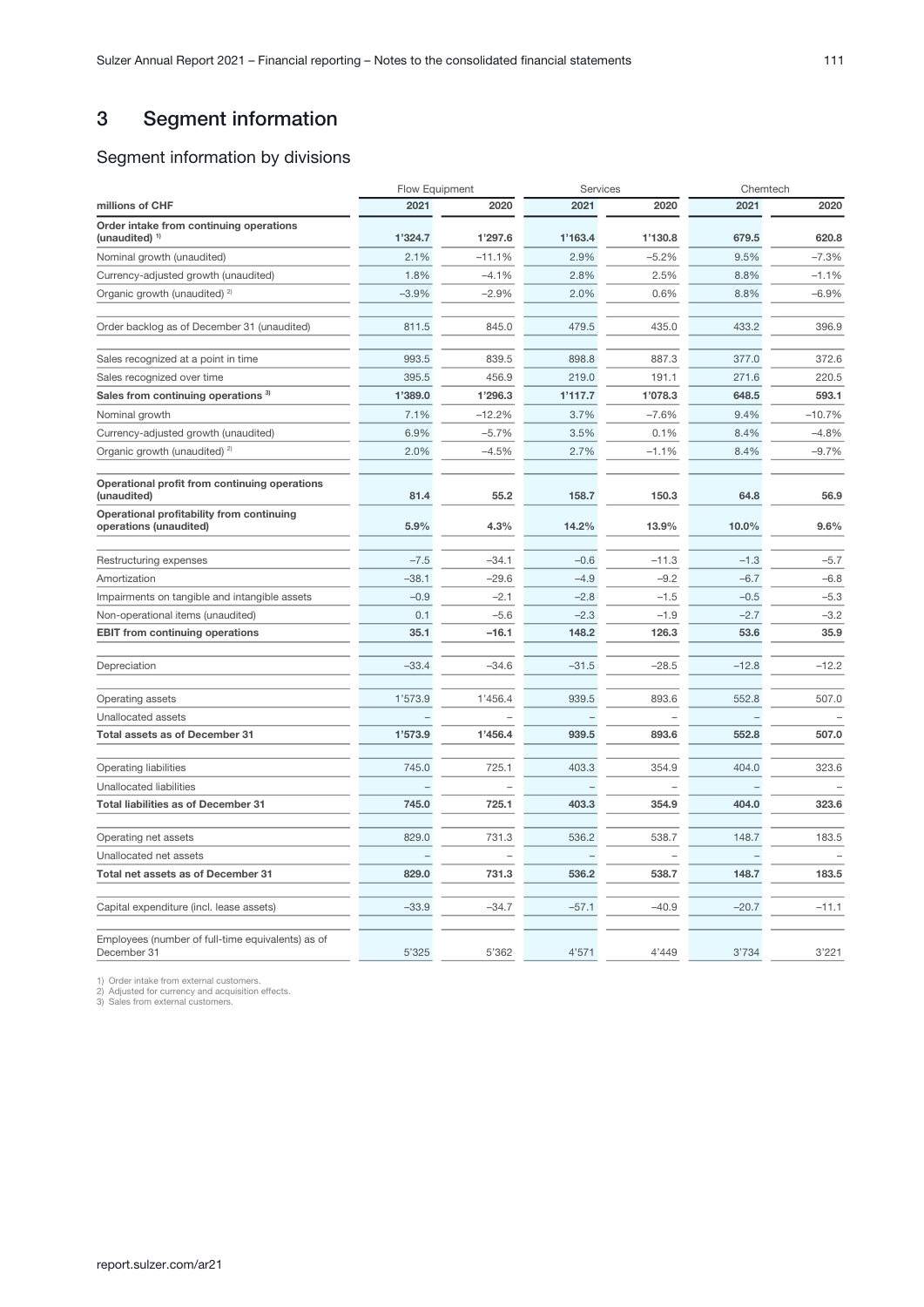## <span id="page-10-0"></span>3 Segment information

## Segment information by divisions

|                                                                      | Flow Equipment |          | Services |         | Chemtech |          |
|----------------------------------------------------------------------|----------------|----------|----------|---------|----------|----------|
| millions of CHF                                                      | 2021           | 2020     | 2021     | 2020    | 2021     | 2020     |
| Order intake from continuing operations<br>(unaudited) <sup>1)</sup> | 1'324.7        | 1'297.6  | 1'163.4  | 1'130.8 | 679.5    | 620.8    |
| Nominal growth (unaudited)                                           | 2.1%           | $-11.1%$ | 2.9%     | $-5.2%$ | 9.5%     | $-7.3%$  |
| Currency-adjusted growth (unaudited)                                 | 1.8%           | $-4.1\%$ | 2.8%     | 2.5%    | 8.8%     | $-1.1%$  |
| Organic growth (unaudited) <sup>2)</sup>                             | $-3.9%$        | $-2.9%$  | 2.0%     | 0.6%    | 8.8%     | $-6.9%$  |
| Order backlog as of December 31 (unaudited)                          | 811.5          | 845.0    | 479.5    | 435.0   | 433.2    | 396.9    |
| Sales recognized at a point in time                                  | 993.5          | 839.5    | 898.8    | 887.3   | 377.0    | 372.6    |
| Sales recognized over time                                           | 395.5          | 456.9    | 219.0    | 191.1   | 271.6    | 220.5    |
| Sales from continuing operations 3)                                  | 1'389.0        | 1'296.3  | 1'117.7  | 1'078.3 | 648.5    | 593.1    |
| Nominal growth                                                       | 7.1%           | $-12.2%$ | 3.7%     | $-7.6%$ | 9.4%     | $-10.7%$ |
| Currency-adjusted growth (unaudited)                                 | 6.9%           | $-5.7%$  | 3.5%     | 0.1%    | 8.4%     | $-4.8%$  |
| Organic growth (unaudited) <sup>2)</sup>                             | 2.0%           | $-4.5%$  | 2.7%     | $-1.1%$ | 8.4%     | $-9.7%$  |
| Operational profit from continuing operations<br>(unaudited)         | 81.4           | 55.2     | 158.7    | 150.3   | 64.8     | 56.9     |
| Operational profitability from continuing<br>operations (unaudited)  | 5.9%           | 4.3%     | 14.2%    | 13.9%   | 10.0%    | 9.6%     |
| Restructuring expenses                                               | $-7.5$         | $-34.1$  | $-0.6$   | $-11.3$ | $-1.3$   | $-5.7$   |
| Amortization                                                         | $-38.1$        | $-29.6$  | $-4.9$   | $-9.2$  | $-6.7$   | $-6.8$   |
| Impairments on tangible and intangible assets                        | $-0.9$         | $-2.1$   | $-2.8$   | $-1.5$  | $-0.5$   | $-5.3$   |
| Non-operational items (unaudited)                                    | 0.1            | $-5.6$   | $-2.3$   | $-1.9$  | $-2.7$   | $-3.2$   |
| <b>EBIT from continuing operations</b>                               | 35.1           | $-16.1$  | 148.2    | 126.3   | 53.6     | 35.9     |
| Depreciation                                                         | $-33.4$        | $-34.6$  | $-31.5$  | $-28.5$ | $-12.8$  | $-12.2$  |
| Operating assets                                                     | 1'573.9        | 1'456.4  | 939.5    | 893.6   | 552.8    | 507.0    |
| Unallocated assets                                                   |                |          |          |         |          |          |
| Total assets as of December 31                                       | 1'573.9        | 1'456.4  | 939.5    | 893.6   | 552.8    | 507.0    |
| <b>Operating liabilities</b>                                         | 745.0          | 725.1    | 403.3    | 354.9   | 404.0    | 323.6    |
| Unallocated liabilities                                              |                |          |          |         |          |          |
| <b>Total liabilities as of December 31</b>                           | 745.0          | 725.1    | 403.3    | 354.9   | 404.0    | 323.6    |
| Operating net assets                                                 | 829.0          | 731.3    | 536.2    | 538.7   | 148.7    | 183.5    |
| Unallocated net assets                                               |                |          |          |         |          |          |
| Total net assets as of December 31                                   | 829.0          | 731.3    | 536.2    | 538.7   | 148.7    | 183.5    |
| Capital expenditure (incl. lease assets)                             | $-33.9$        | $-34.7$  | $-57.1$  | $-40.9$ | $-20.7$  | $-11.1$  |
| Employees (number of full-time equivalents) as of<br>December 31     | 5'325          | 5'362    | 4'571    | 4'449   | 3'734    | 3'221    |

1) Order intake from external customers. 2) Adjusted for currency and acquisition effects. 3) Sales from external customers.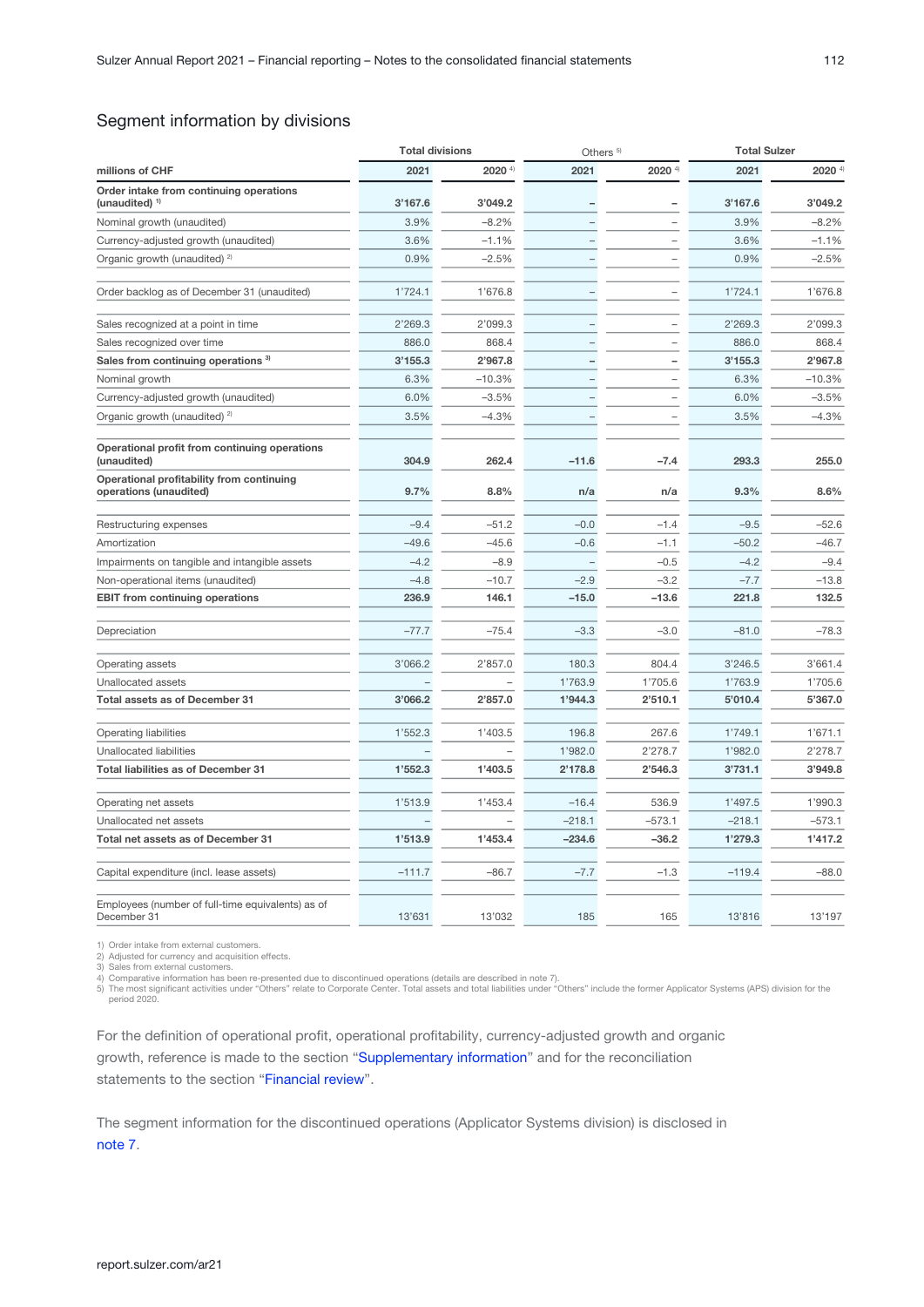## Segment information by divisions

|                                                                      | <b>Total divisions</b> |          | Others <sup>5)</sup> |                      | <b>Total Sulzer</b> |                      |
|----------------------------------------------------------------------|------------------------|----------|----------------------|----------------------|---------------------|----------------------|
| millions of CHF                                                      | 2021                   | 2020 4)  | 2021                 | $2020$ <sup>4)</sup> | 2021                | $2020$ <sup>4)</sup> |
| Order intake from continuing operations<br>(unaudited) <sup>1)</sup> | 3'167.6                | 3'049.2  |                      |                      | 3'167.6             | 3'049.2              |
| Nominal growth (unaudited)                                           | 3.9%                   | $-8.2%$  |                      |                      | 3.9%                | $-8.2%$              |
| Currency-adjusted growth (unaudited)                                 | 3.6%                   | $-1.1%$  |                      |                      | 3.6%                | $-1.1%$              |
| Organic growth (unaudited) <sup>2)</sup>                             | 0.9%                   | $-2.5%$  |                      |                      | 0.9%                | $-2.5%$              |
| Order backlog as of December 31 (unaudited)                          | 1'724.1                | 1'676.8  |                      |                      | 1'724.1             | 1'676.8              |
| Sales recognized at a point in time                                  | 2'269.3                | 2'099.3  |                      |                      | 2'269.3             | 2'099.3              |
| Sales recognized over time                                           | 886.0                  | 868.4    |                      |                      | 886.0               | 868.4                |
| Sales from continuing operations <sup>3)</sup>                       | 3'155.3                | 2'967.8  |                      |                      | 3'155.3             | 2'967.8              |
| Nominal growth                                                       | 6.3%                   | $-10.3%$ |                      |                      | 6.3%                | $-10.3%$             |
| Currency-adjusted growth (unaudited)                                 | 6.0%                   | $-3.5%$  |                      |                      | 6.0%                | $-3.5%$              |
| Organic growth (unaudited) <sup>2)</sup>                             | 3.5%                   | -4.3%    |                      |                      | 3.5%                | $-4.3%$              |
| Operational profit from continuing operations<br>(unaudited)         | 304.9                  | 262.4    | $-11.6$              | $-7.4$               | 293.3               | 255.0                |
| Operational profitability from continuing<br>operations (unaudited)  | 9.7%                   | 8.8%     | n/a                  | n/a                  | 9.3%                | 8.6%                 |
| Restructuring expenses                                               | $-9.4$                 | $-51.2$  | $-0.0$               | $-1.4$               | $-9.5$              | $-52.6$              |
| Amortization                                                         | $-49.6$                | $-45.6$  | $-0.6$               | $-1.1$               | $-50.2$             | $-46.7$              |
| Impairments on tangible and intangible assets                        | $-4.2$                 | $-8.9$   |                      | $-0.5$               | $-4.2$              | $-9.4$               |
| Non-operational items (unaudited)                                    | $-4.8$                 | $-10.7$  | $-2.9$               | $-3.2$               | $-7.7$              | $-13.8$              |
| <b>EBIT from continuing operations</b>                               | 236.9                  | 146.1    | $-15.0$              | $-13.6$              | 221.8               | 132.5                |
| Depreciation                                                         | $-77.7$                | $-75.4$  | $-3.3$               | $-3.0$               | $-81.0$             | $-78.3$              |
| Operating assets                                                     | 3'066.2                | 2'857.0  | 180.3                | 804.4                | 3'246.5             | 3'661.4              |
| Unallocated assets                                                   |                        |          | 1'763.9              | 1'705.6              | 1'763.9             | 1'705.6              |
| <b>Total assets as of December 31</b>                                | 3'066.2                | 2'857.0  | 1'944.3              | 2'510.1              | 5'010.4             | 5'367.0              |
| <b>Operating liabilities</b>                                         | 1'552.3                | 1'403.5  | 196.8                | 267.6                | 1'749.1             | 1'671.1              |
| Unallocated liabilities                                              |                        |          | 1'982.0              | 2'278.7              | 1'982.0             | 2'278.7              |
| <b>Total liabilities as of December 31</b>                           | 1'552.3                | 1'403.5  | 2'178.8              | 2'546.3              | 3'731.1             | 3'949.8              |
| Operating net assets                                                 | 1'513.9                | 1'453.4  | $-16.4$              | 536.9                | 1'497.5             | 1'990.3              |
| Unallocated net assets                                               |                        |          | $-218.1$             | $-573.1$             | $-218.1$            | $-573.1$             |
| Total net assets as of December 31                                   | 1'513.9                | 1'453.4  | $-234.6$             | $-36.2$              | 1'279.3             | 1'417.2              |
| Capital expenditure (incl. lease assets)                             | $-111.7$               | $-86.7$  | $-7.7$               | $-1.3$               | $-119.4$            | $-88.0$              |
| Employees (number of full-time equivalents) as of<br>December 31     | 13'631                 | 13'032   | 185                  | 165                  | 13'816              | 13'197               |

1) Order intake from external customers.

2) Adjusted for currency and acquisition effects. 3) Sales from external customers.

.<br>4) Comparative information has been re-presented due to discontinued operations (details are described in note 7).<br>5) The most significant activities under "Others" relate to Corporate Center. Total assets and total liab

period 2020.

For the definition of operational profit, operational profitability, currency-adjusted growth and organic growth, reference is made to the section "[Supplementary information](#page-97-0)" and for the reconciliation statements to the section "Financial review".

The segment information for the discontinued operations (Applicator Systems division) is disclosed in [note 7.](#page-30-0)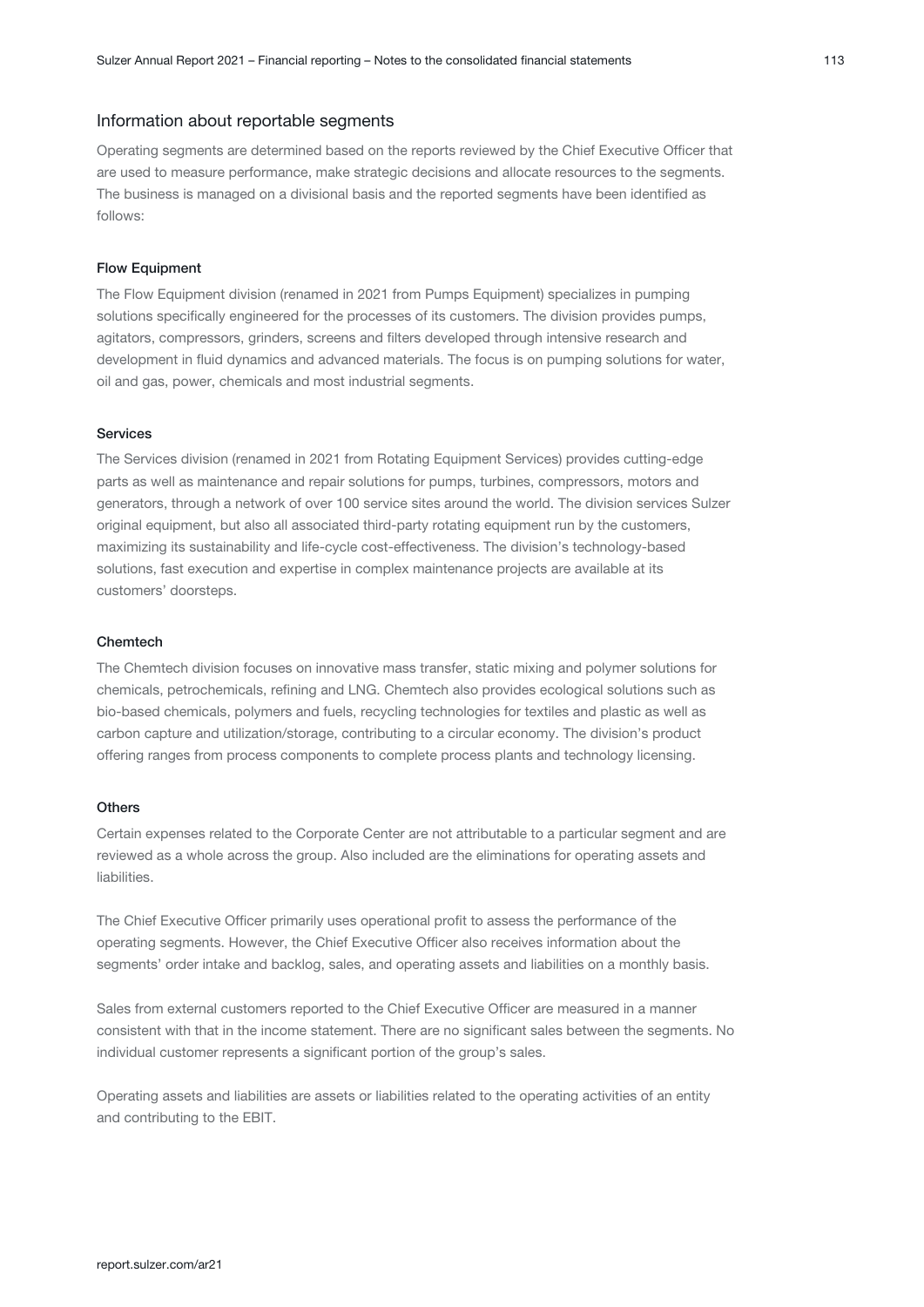#### Information about reportable segments

Operating segments are determined based on the reports reviewed by the Chief Executive Officer that are used to measure performance, make strategic decisions and allocate resources to the segments. The business is managed on a divisional basis and the reported segments have been identified as follows:

#### Flow Equipment

The Flow Equipment division (renamed in 2021 from Pumps Equipment) specializes in pumping solutions specifically engineered for the processes of its customers. The division provides pumps, agitators, compressors, grinders, screens and filters developed through intensive research and development in fluid dynamics and advanced materials. The focus is on pumping solutions for water, oil and gas, power, chemicals and most industrial segments.

#### Services

The Services division (renamed in 2021 from Rotating Equipment Services) provides cutting-edge parts as well as maintenance and repair solutions for pumps, turbines, compressors, motors and generators, through a network of over 100 service sites around the world. The division services Sulzer original equipment, but also all associated third-party rotating equipment run by the customers, maximizing its sustainability and life-cycle cost-effectiveness. The division's technology-based solutions, fast execution and expertise in complex maintenance projects are available at its customers' doorsteps.

#### Chemtech

The Chemtech division focuses on innovative mass transfer, static mixing and polymer solutions for chemicals, petrochemicals, refining and LNG. Chemtech also provides ecological solutions such as bio-based chemicals, polymers and fuels, recycling technologies for textiles and plastic as well as carbon capture and utilization/storage, contributing to a circular economy. The division's product offering ranges from process components to complete process plants and technology licensing.

#### **Others**

Certain expenses related to the Corporate Center are not attributable to a particular segment and are reviewed as a whole across the group. Also included are the eliminations for operating assets and liabilities.

The Chief Executive Officer primarily uses operational profit to assess the performance of the operating segments. However, the Chief Executive Officer also receives information about the segments' order intake and backlog, sales, and operating assets and liabilities on a monthly basis.

Sales from external customers reported to the Chief Executive Officer are measured in a manner consistent with that in the income statement. There are no significant sales between the segments. No individual customer represents a significant portion of the group's sales.

Operating assets and liabilities are assets or liabilities related to the operating activities of an entity and contributing to the EBIT.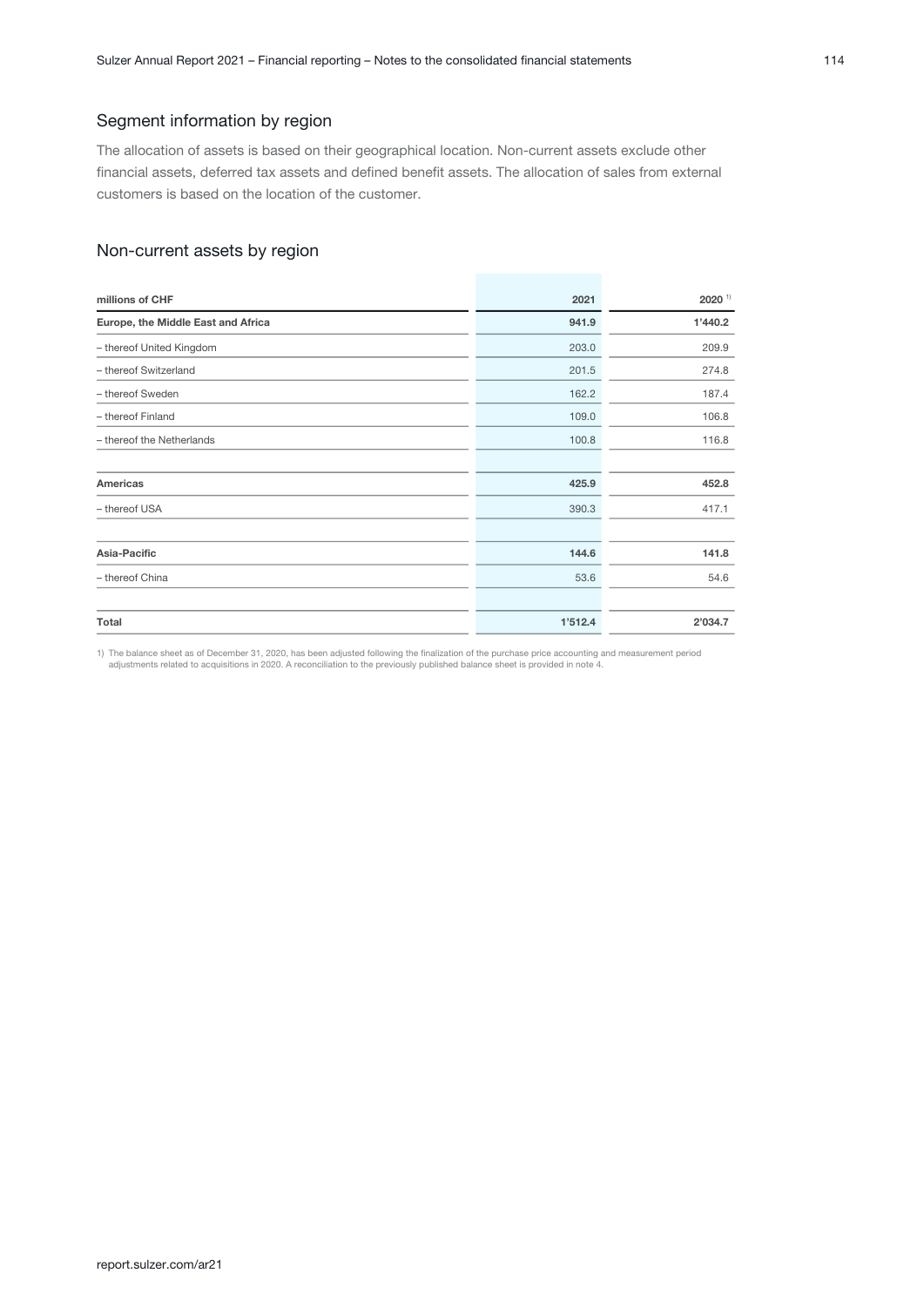### Segment information by region

The allocation of assets is based on their geographical location. Non-current assets exclude other financial assets, deferred tax assets and defined benefit assets. The allocation of sales from external customers is based on the location of the customer.

## Non-current assets by region

| millions of CHF                    | 2021    | $2020$ <sup>1)</sup> |
|------------------------------------|---------|----------------------|
| Europe, the Middle East and Africa | 941.9   | 1'440.2              |
| - thereof United Kingdom           | 203.0   | 209.9                |
| - thereof Switzerland              | 201.5   | 274.8                |
| - thereof Sweden                   | 162.2   | 187.4                |
| - thereof Finland                  | 109.0   | 106.8                |
| - thereof the Netherlands          | 100.8   | 116.8                |
|                                    |         |                      |
| Americas                           | 425.9   | 452.8                |
| - thereof USA                      | 390.3   | 417.1                |
|                                    |         |                      |
| Asia-Pacific                       | 144.6   | 141.8                |
| - thereof China                    | 53.6    | 54.6                 |
|                                    |         |                      |
| Total                              | 1'512.4 | 2'034.7              |

1) The balance sheet as of December 31, 2020, has been adjusted following the finalization of the purchase price accounting and measurement period adjustments related to acquisitions in 2020. A reconciliation to the previously published balance sheet is provided in note 4.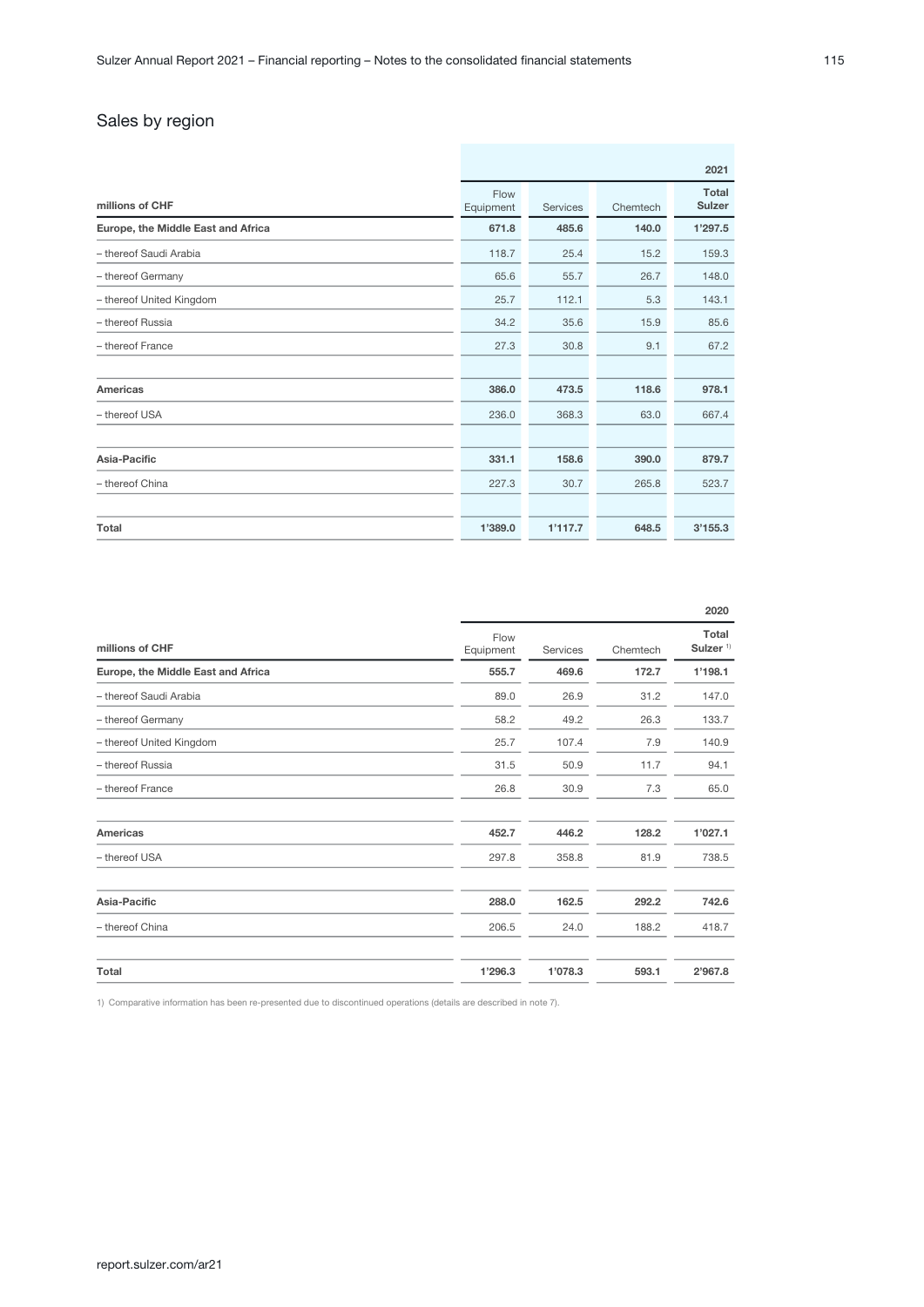## Sales by region

|                                    | 2021              |          |          |                        |
|------------------------------------|-------------------|----------|----------|------------------------|
| millions of CHF                    | Flow<br>Equipment | Services | Chemtech | Total<br><b>Sulzer</b> |
| Europe, the Middle East and Africa | 671.8             | 485.6    | 140.0    | 1'297.5                |
| - thereof Saudi Arabia             | 118.7             | 25.4     | 15.2     | 159.3                  |
| - thereof Germany                  | 65.6              | 55.7     | 26.7     | 148.0                  |
| - thereof United Kingdom           | 25.7              | 112.1    | 5.3      | 143.1                  |
| - thereof Russia                   | 34.2              | 35.6     | 15.9     | 85.6                   |
| - thereof France                   | 27.3              | 30.8     | 9.1      | 67.2                   |
|                                    |                   |          |          |                        |
| <b>Americas</b>                    | 386.0             | 473.5    | 118.6    | 978.1                  |
| - thereof USA                      | 236.0             | 368.3    | 63.0     | 667.4                  |
|                                    |                   |          |          |                        |
| Asia-Pacific                       | 331.1             | 158.6    | 390.0    | 879.7                  |
| - thereof China                    | 227.3             | 30.7     | 265.8    | 523.7                  |
|                                    |                   |          |          |                        |
| Total                              | 1'389.0           | 1'117.7  | 648.5    | 3'155.3                |

|                                    |                   |          |          | 2020                |
|------------------------------------|-------------------|----------|----------|---------------------|
| millions of CHF                    | Flow<br>Equipment | Services | Chemtech | Total<br>Sulzer $1$ |
| Europe, the Middle East and Africa | 555.7             | 469.6    | 172.7    | 1'198.1             |
| - thereof Saudi Arabia             | 89.0              | 26.9     | 31.2     | 147.0               |
| - thereof Germany                  | 58.2              | 49.2     | 26.3     | 133.7               |
| - thereof United Kingdom           | 25.7              | 107.4    | 7.9      | 140.9               |
| - thereof Russia                   | 31.5              | 50.9     | 11.7     | 94.1                |
| - thereof France                   | 26.8              | 30.9     | 7.3      | 65.0                |
| Americas                           | 452.7             | 446.2    | 128.2    | 1'027.1             |
| - thereof USA                      | 297.8             | 358.8    | 81.9     | 738.5               |
| Asia-Pacific                       | 288.0             | 162.5    | 292.2    | 742.6               |
| - thereof China                    | 206.5             | 24.0     | 188.2    | 418.7               |
| Total                              | 1'296.3           | 1'078.3  | 593.1    | 2'967.8             |

1) Comparative information has been re-presented due to discontinued operations (details are described in note 7).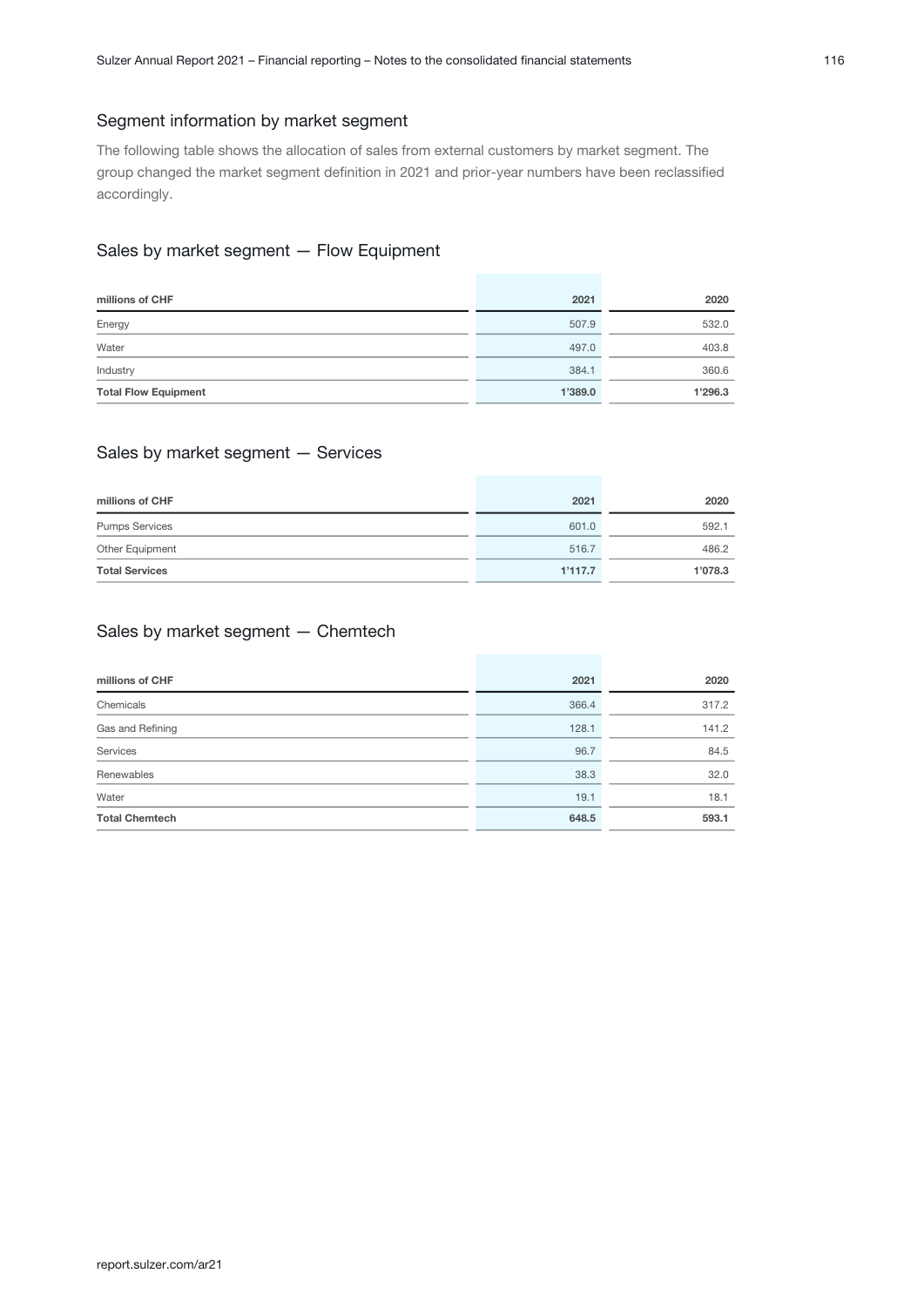### Segment information by market segment

The following table shows the allocation of sales from external customers by market segment. The group changed the market segment definition in 2021 and prior-year numbers have been reclassified accordingly.

## Sales by market segment — Flow Equipment

| millions of CHF             | 2021    | 2020    |
|-----------------------------|---------|---------|
| Energy                      | 507.9   | 532.0   |
| Water                       | 497.0   | 403.8   |
| Industry                    | 384.1   | 360.6   |
| <b>Total Flow Equipment</b> | 1'389.0 | 1'296.3 |

### Sales by market segment — Services

| millions of CHF       | 2021    | 2020    |
|-----------------------|---------|---------|
| <b>Pumps Services</b> | 601.0   | 592.1   |
| Other Equipment       | 516.7   | 486.2   |
| <b>Total Services</b> | 1'117.7 | 1'078.3 |

## Sales by market segment — Chemtech

| millions of CHF       | 2021  | 2020  |
|-----------------------|-------|-------|
| Chemicals             | 366.4 | 317.2 |
| Gas and Refining      | 128.1 | 141.2 |
| Services              | 96.7  | 84.5  |
| Renewables            | 38.3  | 32.0  |
| Water                 | 19.1  | 18.1  |
| <b>Total Chemtech</b> | 648.5 | 593.1 |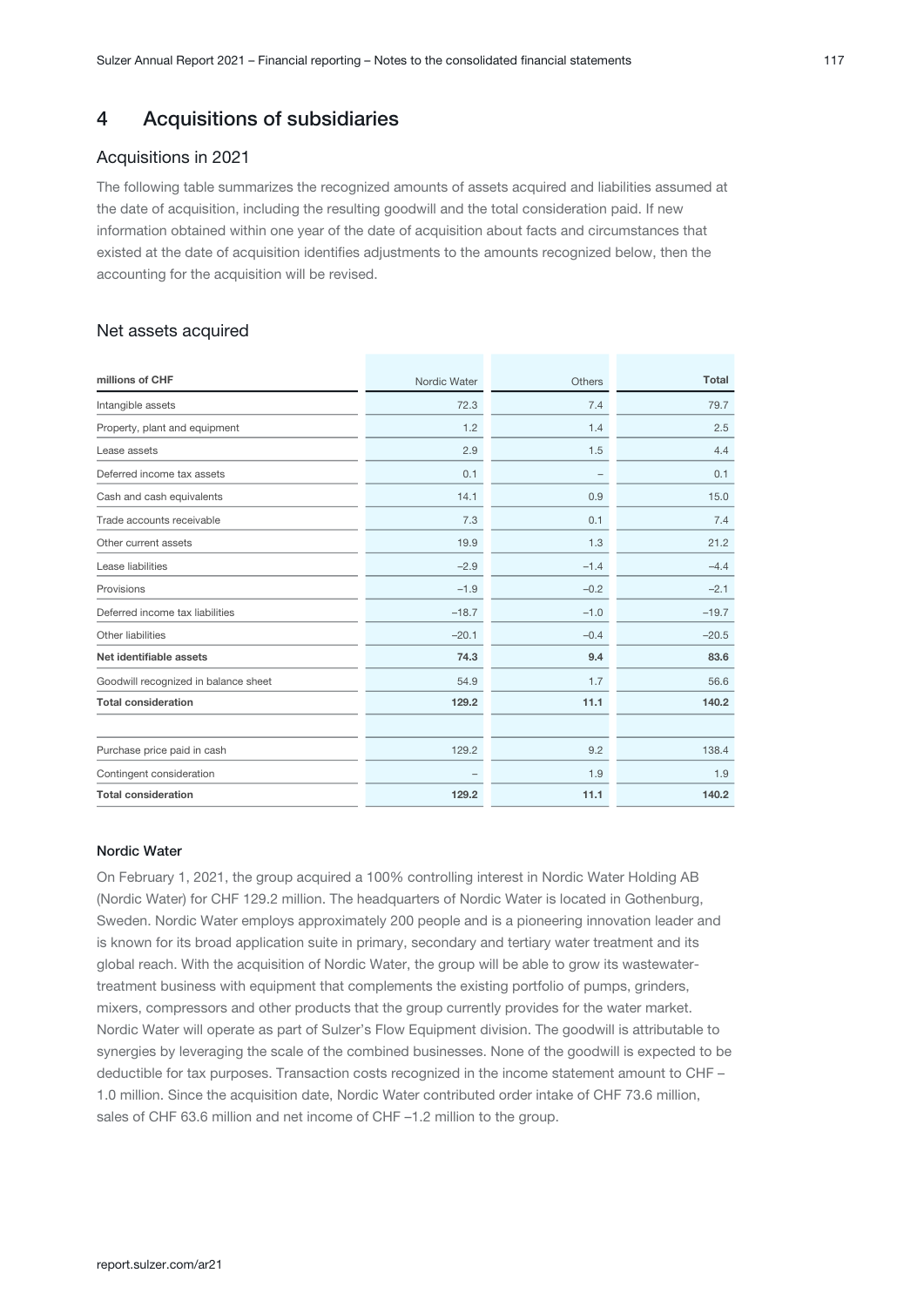## <span id="page-16-0"></span>4 Acquisitions of subsidiaries

### Acquisitions in 2021

The following table summarizes the recognized amounts of assets acquired and liabilities assumed at the date of acquisition, including the resulting goodwill and the total consideration paid. If new information obtained within one year of the date of acquisition about facts and circumstances that existed at the date of acquisition identifies adjustments to the amounts recognized below, then the accounting for the acquisition will be revised.

## Net assets acquired

| millions of CHF                      | Nordic Water | Others | <b>Total</b> |
|--------------------------------------|--------------|--------|--------------|
| Intangible assets                    | 72.3         | 7.4    | 79.7         |
| Property, plant and equipment        | 1.2          | 1.4    | 2.5          |
| Lease assets                         | 2.9          | 1.5    | 4.4          |
| Deferred income tax assets           | 0.1          | -      | 0.1          |
| Cash and cash equivalents            | 14.1         | 0.9    | 15.0         |
| Trade accounts receivable            | 7.3          | 0.1    | 7.4          |
| Other current assets                 | 19.9         | 1.3    | 21.2         |
| Lease liabilities                    | $-2.9$       | $-1.4$ | $-4.4$       |
| Provisions                           | $-1.9$       | $-0.2$ | $-2.1$       |
| Deferred income tax liabilities      | $-18.7$      | $-1.0$ | $-19.7$      |
| Other liabilities                    | $-20.1$      | $-0.4$ | $-20.5$      |
| Net identifiable assets              | 74.3         | 9.4    | 83.6         |
| Goodwill recognized in balance sheet | 54.9         | 1.7    | 56.6         |
| <b>Total consideration</b>           | 129.2        | 11.1   | 140.2        |
|                                      |              |        |              |
| Purchase price paid in cash          | 129.2        | 9.2    | 138.4        |
| Contingent consideration             |              | 1.9    | 1.9          |
| <b>Total consideration</b>           | 129.2        | 11.1   | 140.2        |

#### Nordic Water

On February 1, 2021, the group acquired a 100% controlling interest in Nordic Water Holding AB (Nordic Water) for CHF 129.2 million. The headquarters of Nordic Water is located in Gothenburg, Sweden. Nordic Water employs approximately 200 people and is a pioneering innovation leader and is known for its broad application suite in primary, secondary and tertiary water treatment and its global reach. With the acquisition of Nordic Water, the group will be able to grow its wastewatertreatment business with equipment that complements the existing portfolio of pumps, grinders, mixers, compressors and other products that the group currently provides for the water market. Nordic Water will operate as part of Sulzer's Flow Equipment division. The goodwill is attributable to synergies by leveraging the scale of the combined businesses. None of the goodwill is expected to be deductible for tax purposes. Transaction costs recognized in the income statement amount to CHF – 1.0 million. Since the acquisition date, Nordic Water contributed order intake of CHF 73.6 million, sales of CHF 63.6 million and net income of CHF -1.2 million to the group.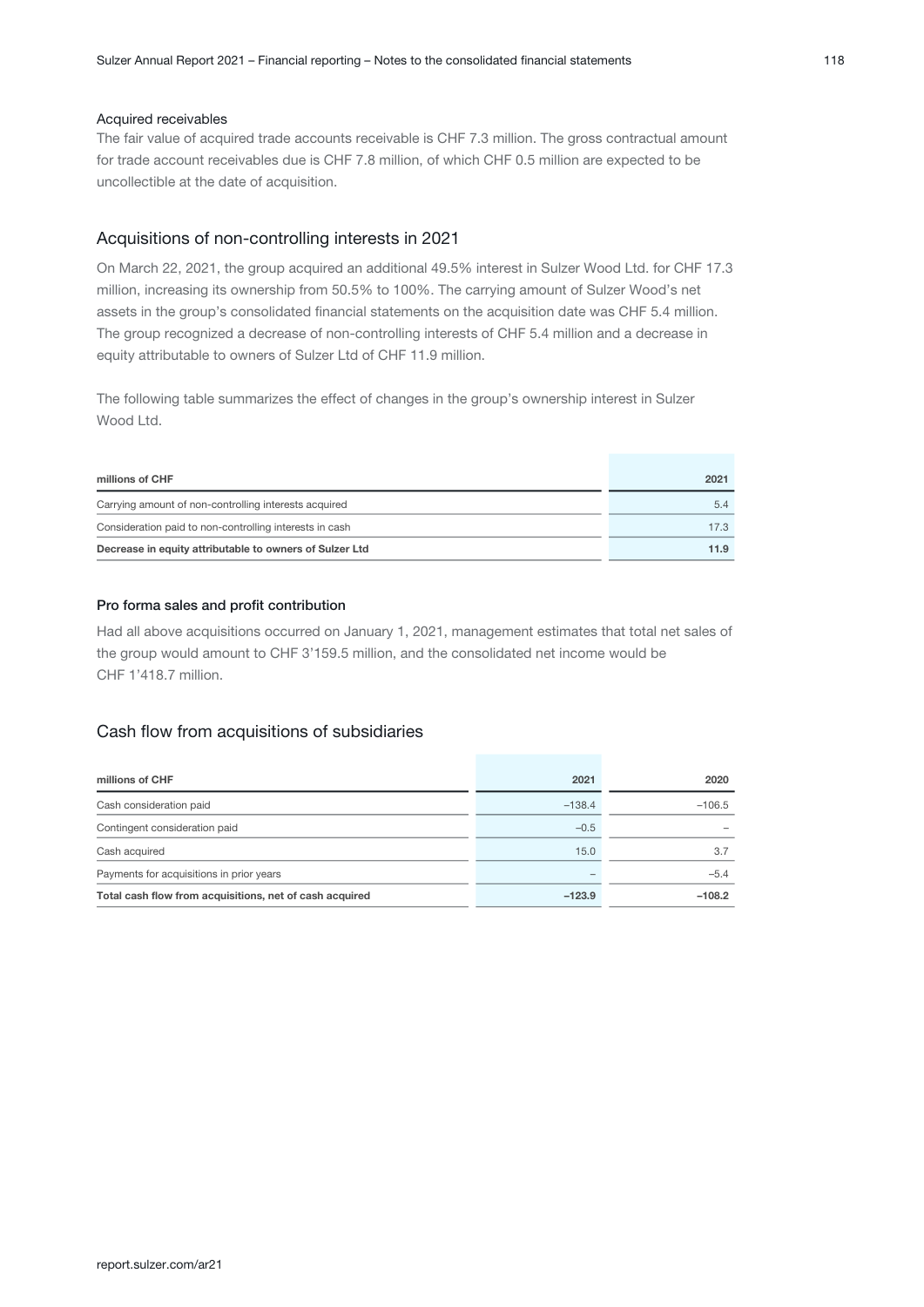#### Acquired receivables

The fair value of acquired trade accounts receivable is CHF 7.3 million. The gross contractual amount for trade account receivables due is CHF 7.8 million, of which CHF 0.5 million are expected to be uncollectible at the date of acquisition.

#### Acquisitions of non-controlling interests in 2021

On March 22, 2021, the group acquired an additional 49.5% interest in Sulzer Wood Ltd. for CHF 17.3 million, increasing its ownership from 50.5% to 100%. The carrying amount of Sulzer Wood's net assets in the group's consolidated financial statements on the acquisition date was CHF 5.4 million. The group recognized a decrease of non-controlling interests of CHF 5.4 million and a decrease in equity attributable to owners of Sulzer Ltd of CHF 11.9 million.

The following table summarizes the effect of changes in the group's ownership interest in Sulzer Wood Ltd.

| millions of CHF                                         | 2021 |
|---------------------------------------------------------|------|
| Carrying amount of non-controlling interests acquired   | 5.4  |
| Consideration paid to non-controlling interests in cash | 17.3 |
| Decrease in equity attributable to owners of Sulzer Ltd | 11.9 |

#### Pro forma sales and profit contribution

Had all above acquisitions occurred on January 1, 2021, management estimates that total net sales of the group would amount to CHF 3'159.5 million, and the consolidated net income would be CHF 1'418.7 million.

#### Cash flow from acquisitions of subsidiaries

| millions of CHF                                         | 2021     | 2020     |
|---------------------------------------------------------|----------|----------|
| Cash consideration paid                                 | $-138.4$ | $-106.5$ |
| Contingent consideration paid                           | $-0.5$   |          |
| Cash acquired                                           | 15.0     | 3.7      |
| Payments for acquisitions in prior years                | -        | $-5.4$   |
| Total cash flow from acquisitions, net of cash acquired | $-123.9$ | $-108.2$ |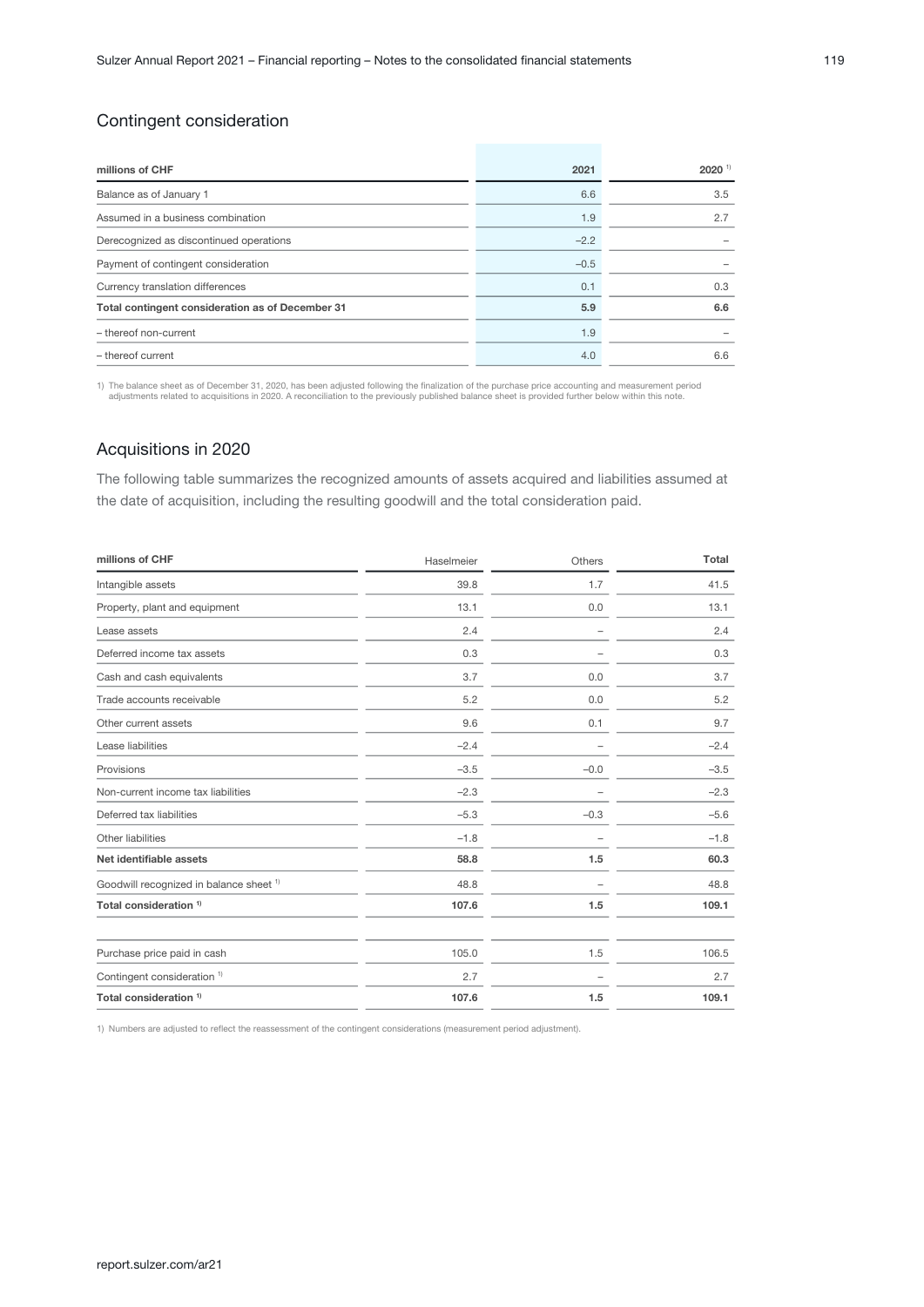## Contingent consideration

| millions of CHF                                  | 2021   | $2020$ <sup>1)</sup> |
|--------------------------------------------------|--------|----------------------|
| Balance as of January 1                          | 6.6    | 3.5                  |
| Assumed in a business combination                | 1.9    | 2.7                  |
| Derecognized as discontinued operations          | $-2.2$ |                      |
| Payment of contingent consideration              | $-0.5$ |                      |
| Currency translation differences                 | 0.1    | 0.3                  |
| Total contingent consideration as of December 31 | 5.9    | 6.6                  |
| - thereof non-current                            | 1.9    |                      |
| - thereof current                                | 4.0    | 6.6                  |

1) The balance sheet as of December 31, 2020, has been adjusted following the finalization of the purchase price accounting and measurement period<br>- adjustments related to acquisitions in 2020. A reconciliation to the prev

### Acquisitions in 2020

The following table summarizes the recognized amounts of assets acquired and liabilities assumed at the date of acquisition, including the resulting goodwill and the total consideration paid.

| millions of CHF                         | Haselmeier | Others                   | Total  |
|-----------------------------------------|------------|--------------------------|--------|
| Intangible assets                       | 39.8       | 1.7                      | 41.5   |
| Property, plant and equipment           | 13.1       | 0.0                      | 13.1   |
| Lease assets                            | 2.4        | ۰                        | 2.4    |
| Deferred income tax assets              | 0.3        | ۰                        | 0.3    |
| Cash and cash equivalents               | 3.7        | 0.0                      | 3.7    |
| Trade accounts receivable               | 5.2        | 0.0                      | 5.2    |
| Other current assets                    | 9.6        | 0.1                      | 9.7    |
| Lease liabilities                       | $-2.4$     |                          | $-2.4$ |
| Provisions                              | $-3.5$     | $-0.0$                   | $-3.5$ |
| Non-current income tax liabilities      | $-2.3$     |                          | $-2.3$ |
| Deferred tax liabilities                | $-5.3$     | $-0.3$                   | $-5.6$ |
| Other liabilities                       | $-1.8$     | $\overline{\phantom{a}}$ | $-1.8$ |
| Net identifiable assets                 | 58.8       | 1.5                      | 60.3   |
| Goodwill recognized in balance sheet 1) | 48.8       |                          | 48.8   |
| Total consideration <sup>1)</sup>       | 107.6      | 1.5                      | 109.1  |
| Purchase price paid in cash             | 105.0      | 1.5                      | 106.5  |
| Contingent consideration <sup>1)</sup>  | 2.7        |                          | 2.7    |
| Total consideration <sup>1)</sup>       | 107.6      | 1.5                      | 109.1  |
|                                         |            |                          |        |

1) Numbers are adjusted to reflect the reassessment of the contingent considerations (measurement period adjustment).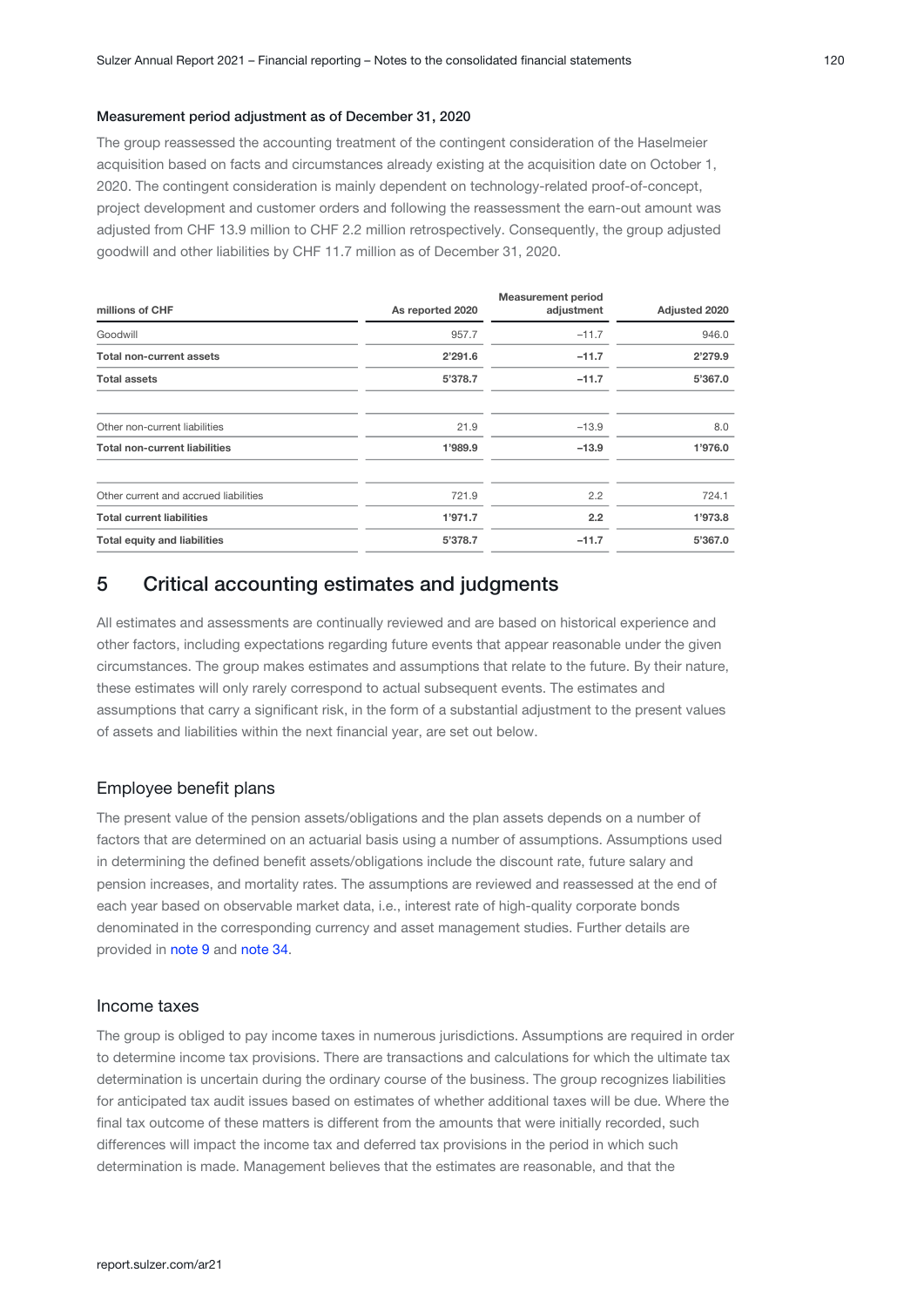#### <span id="page-19-0"></span>Measurement period adjustment as of December 31, 2020

The group reassessed the accounting treatment of the contingent consideration of the Haselmeier acquisition based on facts and circumstances already existing at the acquisition date on October 1, 2020. The contingent consideration is mainly dependent on technology-related proof-of-concept, project development and customer orders and following the reassessment the earn-out amount was adjusted from CHF 13.9 million to CHF 2.2 million retrospectively. Consequently, the group adjusted goodwill and other liabilities by CHF 11.7 million as of December 31, 2020.

| millions of CHF                       | As reported 2020 | <b>Measurement period</b><br>adjustment | Adjusted 2020 |  |
|---------------------------------------|------------------|-----------------------------------------|---------------|--|
| Goodwill                              | 957.7            | $-11.7$                                 | 946.0         |  |
| <b>Total non-current assets</b>       | 2'291.6          | $-11.7$                                 | 2'279.9       |  |
| <b>Total assets</b>                   | 5'378.7          | $-11.7$                                 | 5'367.0       |  |
| Other non-current liabilities         | 21.9             | $-13.9$                                 | 8.0           |  |
| <b>Total non-current liabilities</b>  | 1'989.9          | $-13.9$                                 | 1'976.0       |  |
| Other current and accrued liabilities | 721.9            | 2.2                                     | 724.1         |  |
| <b>Total current liabilities</b>      | 1'971.7          | 2.2                                     | 1'973.8       |  |
| <b>Total equity and liabilities</b>   | 5'378.7          | $-11.7$                                 | 5'367.0       |  |

## 5 Critical accounting estimates and judgments

All estimates and assessments are continually reviewed and are based on historical experience and other factors, including expectations regarding future events that appear reasonable under the given circumstances. The group makes estimates and assumptions that relate to the future. By their nature, these estimates will only rarely correspond to actual subsequent events. The estimates and assumptions that carry a significant risk, in the form of a substantial adjustment to the present values of assets and liabilities within the next financial year, are set out below.

#### Employee benefit plans

The present value of the pension assets/obligations and the plan assets depends on a number of factors that are determined on an actuarial basis using a number of assumptions. Assumptions used in determining the defined benefit assets/obligations include the discount rate, future salary and pension increases, and mortality rates. The assumptions are reviewed and reassessed at the end of each year based on observable market data, i.e., interest rate of high-quality corporate bonds denominated in the corresponding currency and asset management studies. Further details are provided in [note 9](#page-36-0) and [note 34](#page-69-0).

#### Income taxes

The group is obliged to pay income taxes in numerous jurisdictions. Assumptions are required in order to determine income tax provisions. There are transactions and calculations for which the ultimate tax determination is uncertain during the ordinary course of the business. The group recognizes liabilities for anticipated tax audit issues based on estimates of whether additional taxes will be due. Where the final tax outcome of these matters is different from the amounts that were initially recorded, such differences will impact the income tax and deferred tax provisions in the period in which such determination is made. Management believes that the estimates are reasonable, and that the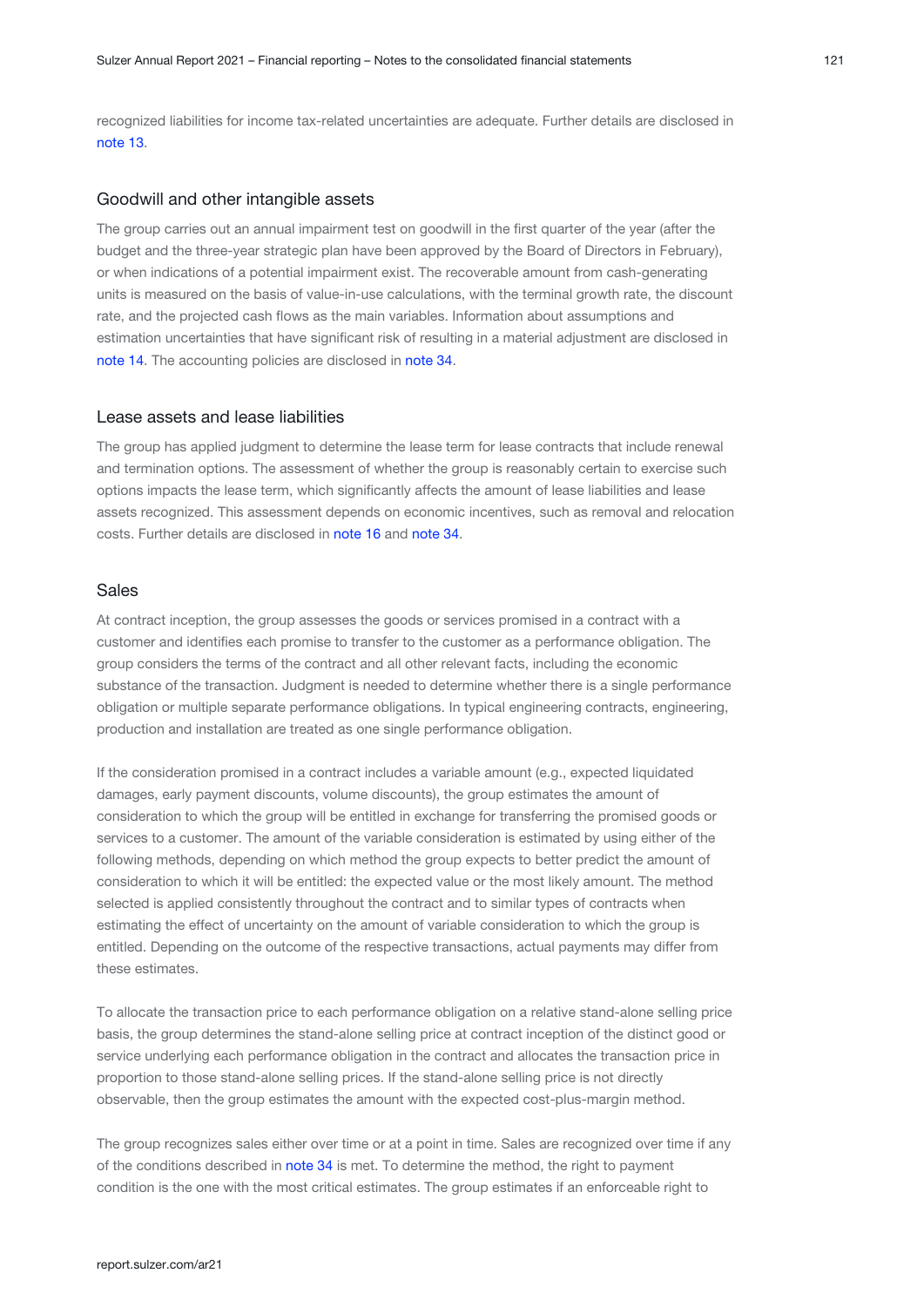recognized liabilities for income tax-related uncertainties are adequate. Further details are disclosed in [note 13.](#page-42-0)

#### Goodwill and other intangible assets

The group carries out an annual impairment test on goodwill in the first quarter of the year (after the budget and the three-year strategic plan have been approved by the Board of Directors in February), or when indications of a potential impairment exist. The recoverable amount from cash-generating units is measured on the basis of value-in-use calculations, with the terminal growth rate, the discount rate, and the projected cash flows as the main variables. Information about assumptions and estimation uncertainties that have significant risk of resulting in a material adjustment are disclosed in [note 14.](#page-47-0) The accounting policies are disclosed in note 34.

#### Lease assets and lease liabilities

The group has applied judgment to determine the lease term for lease contracts that include renewal and termination options. The assessment of whether the group is reasonably certain to exercise such options impacts the lease term, which significantly affects the amount of lease liabilities and lease assets recognized. This assessment depends on economic incentives, such as removal and relocation costs. Further details are disclosed in [note 16](#page-50-0) and [note 34](#page-69-0).

#### Sales

At contract inception, the group assesses the goods or services promised in a contract with a customer and identifies each promise to transfer to the customer as a performance obligation. The group considers the terms of the contract and all other relevant facts, including the economic substance of the transaction. Judgment is needed to determine whether there is a single performance obligation or multiple separate performance obligations. In typical engineering contracts, engineering, production and installation are treated as one single performance obligation.

If the consideration promised in a contract includes a variable amount (e.g., expected liquidated damages, early payment discounts, volume discounts), the group estimates the amount of consideration to which the group will be entitled in exchange for transferring the promised goods or services to a customer. The amount of the variable consideration is estimated by using either of the following methods, depending on which method the group expects to better predict the amount of consideration to which it will be entitled: the expected value or the most likely amount. The method selected is applied consistently throughout the contract and to similar types of contracts when estimating the effect of uncertainty on the amount of variable consideration to which the group is entitled. Depending on the outcome of the respective transactions, actual payments may differ from these estimates.

To allocate the transaction price to each performance obligation on a relative stand-alone selling price basis, the group determines the stand-alone selling price at contract inception of the distinct good or service underlying each performance obligation in the contract and allocates the transaction price in proportion to those stand-alone selling prices. If the stand-alone selling price is not directly observable, then the group estimates the amount with the expected cost-plus-margin method.

The group recognizes sales either over time or at a point in time. Sales are recognized over time if any ofthe conditions described in note 34 is met. To determine the method, the right to payment condition is the one with the most critical estimates. The group estimates if an enforceable right to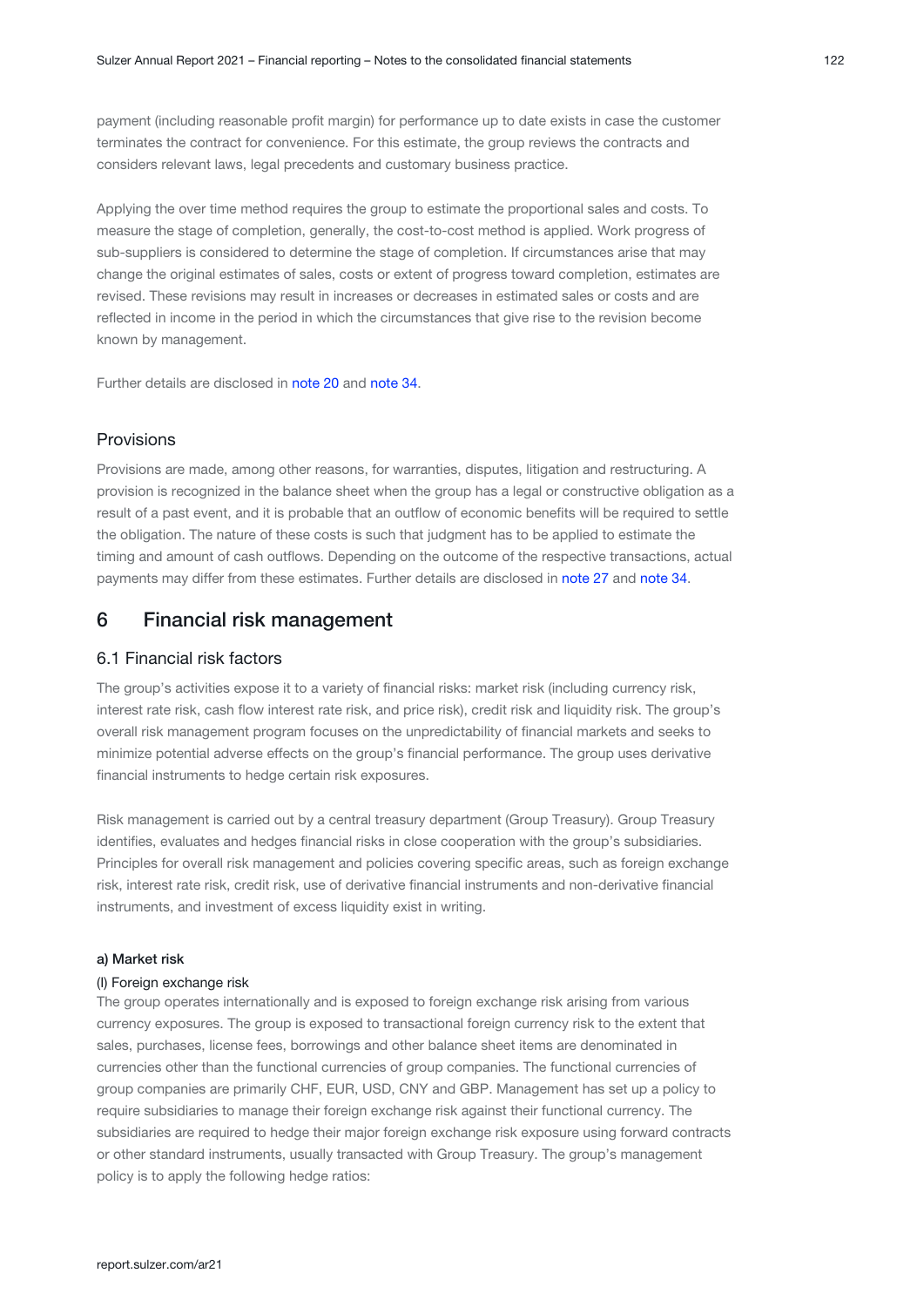<span id="page-21-0"></span>payment (including reasonable profit margin) for performance up to date exists in case the customer terminates the contract for convenience. For this estimate, the group reviews the contracts and considers relevant laws, legal precedents and customary business practice.

Applying the over time method requires the group to estimate the proportional sales and costs. To measure the stage of completion, generally, the cost-to-cost method is applied. Work progress of sub-suppliers is considered to determine the stage of completion. If circumstances arise that may change the original estimates of sales, costs or extent of progress toward completion, estimates are revised. These revisions may result in increases or decreases in estimated sales or costs and are reflected in income in the period in which the circumstances that give rise to the revision become known by management.

Further details are disclosed in [note 20](#page-55-0) and [note 34](#page-69-0).

### Provisions

Provisions are made, among other reasons, for warranties, disputes, litigation and restructuring. A provision is recognized in the balance sheet when the group has a legal or constructive obligation as a result of a past event, and it is probable that an outflow of economic benefits will be required to settle the obligation. The nature of these costs is such that judgment has to be applied to estimate the timing and amount of cash outflows. Depending on the outcome of the respective transactions, actual payments may differ from these estimates. Further details are disclosed in [note 27](#page-63-0) and [note 34](#page-69-0)[.](#page-69-0)

## 6 Financial risk management

### 6.1 Financial risk factors

The group's activities expose it to a variety of financial risks: market risk (including currency risk, interest rate risk, cash flow interest rate risk, and price risk), credit risk and liquidity risk. The group's overall risk management program focuses on the unpredictability of financial markets and seeks to minimize potential adverse effects on the group's financial performance. The group uses derivative financial instruments to hedge certain risk exposures.

Risk management is carried out by a central treasury department (Group Treasury). Group Treasury identifies, evaluates and hedges financial risks in close cooperation with the group's subsidiaries. Principles for overall risk management and policies covering specific areas, such as foreign exchange risk, interest rate risk, credit risk, use of derivative financial instruments and non-derivative financial instruments, and investment of excess liquidity exist in writing.

#### a) Market risk

#### (I) Foreign exchange risk

The group operates internationally and is exposed to foreign exchange risk arising from various currency exposures. The group is exposed to transactional foreign currency risk to the extent that sales, purchases, license fees, borrowings and other balance sheet items are denominated in currencies other than the functional currencies of group companies. The functional currencies of group companies are primarily CHF, EUR, USD, CNY and GBP. Management has set up a policy to require subsidiaries to manage their foreign exchange risk against their functional currency. The subsidiaries are required to hedge their major foreign exchange risk exposure using forward contracts or other standard instruments, usually transacted with Group Treasury. The group's management policy is to apply the following hedge ratios: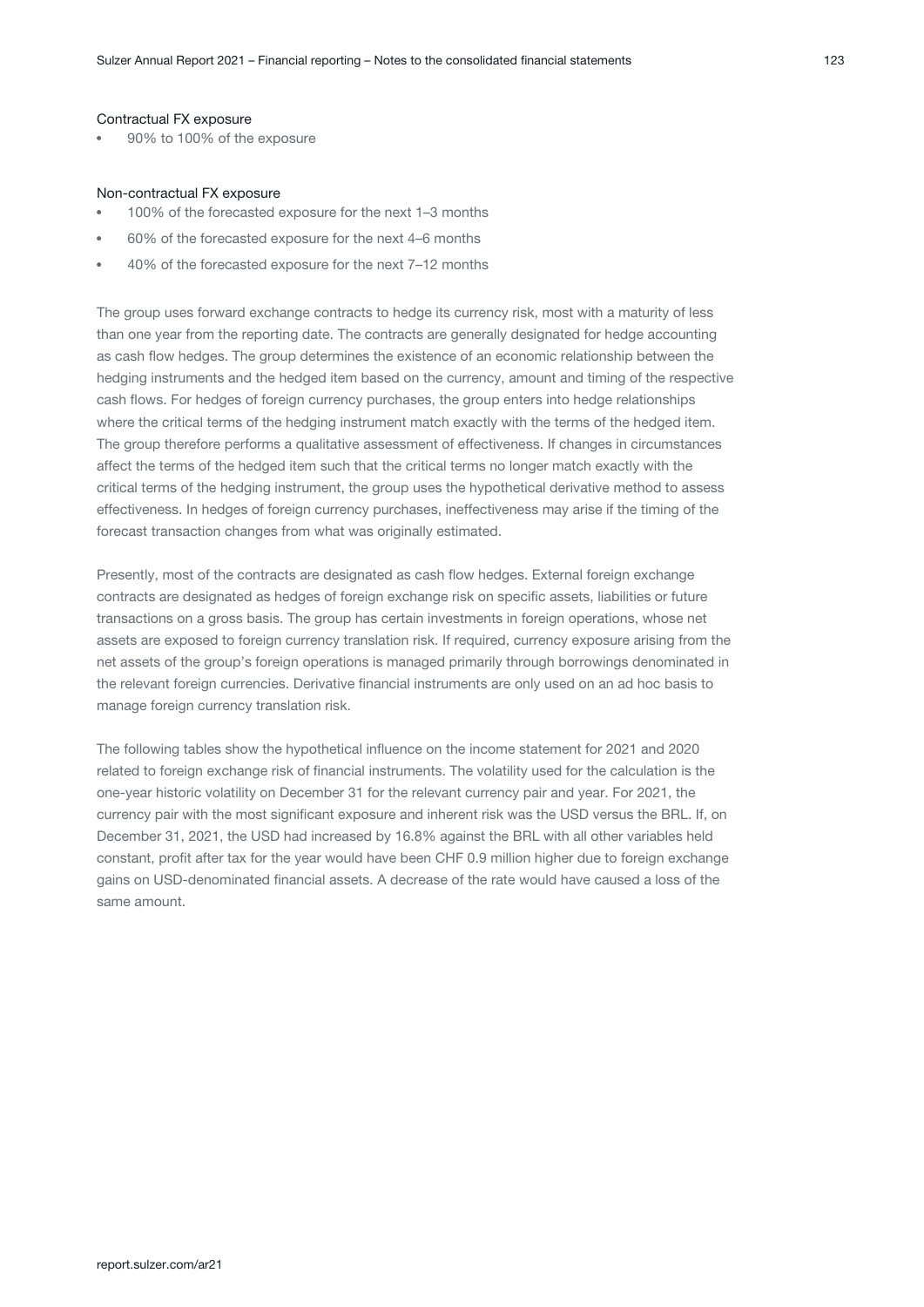#### Contractual FX exposure

90% to 100% of the exposure

#### Non-contractual FX exposure

- 100% of the forecasted exposure for the next 1–3 months
- 60% of the forecasted exposure for the next 4–6 months
- 40% of the forecasted exposure for the next 7–12 months

The group uses forward exchange contracts to hedge its currency risk, most with a maturity of less than one year from the reporting date. The contracts are generally designated for hedge accounting as cash flow hedges. The group determines the existence of an economic relationship between the hedging instruments and the hedged item based on the currency, amount and timing of the respective cash flows. For hedges of foreign currency purchases, the group enters into hedge relationships where the critical terms of the hedging instrument match exactly with the terms of the hedged item. The group therefore performs a qualitative assessment of effectiveness. If changes in circumstances affect the terms of the hedged item such that the critical terms no longer match exactly with the critical terms of the hedging instrument, the group uses the hypothetical derivative method to assess effectiveness. In hedges of foreign currency purchases, ineffectiveness may arise if the timing of the forecast transaction changes from what was originally estimated.

Presently, most of the contracts are designated as cash flow hedges. External foreign exchange contracts are designated as hedges of foreign exchange risk on specific assets, liabilities or future transactions on a gross basis. The group has certain investments in foreign operations, whose net assets are exposed to foreign currency translation risk. If required, currency exposure arising from the net assets of the group's foreign operations is managed primarily through borrowings denominated in the relevant foreign currencies. Derivative financial instruments are only used on an ad hoc basis to manage foreign currency translation risk.

The following tables show the hypothetical influence on the income statement for 2021 and 2020 related to foreign exchange risk of financial instruments. The volatility used for the calculation is the one-year historic volatility on December 31 for the relevant currency pair and year. For 2021, the currency pair with the most significant exposure and inherent risk was the USD versus the BRL. If, on December 31, 2021, the USD had increased by 16.8% against the BRL with all other variables held constant, profit after tax for the year would have been CHF 0.9 million higher due to foreign exchange gains on USD-denominated financial assets. A decrease of the rate would have caused a loss of the same amount.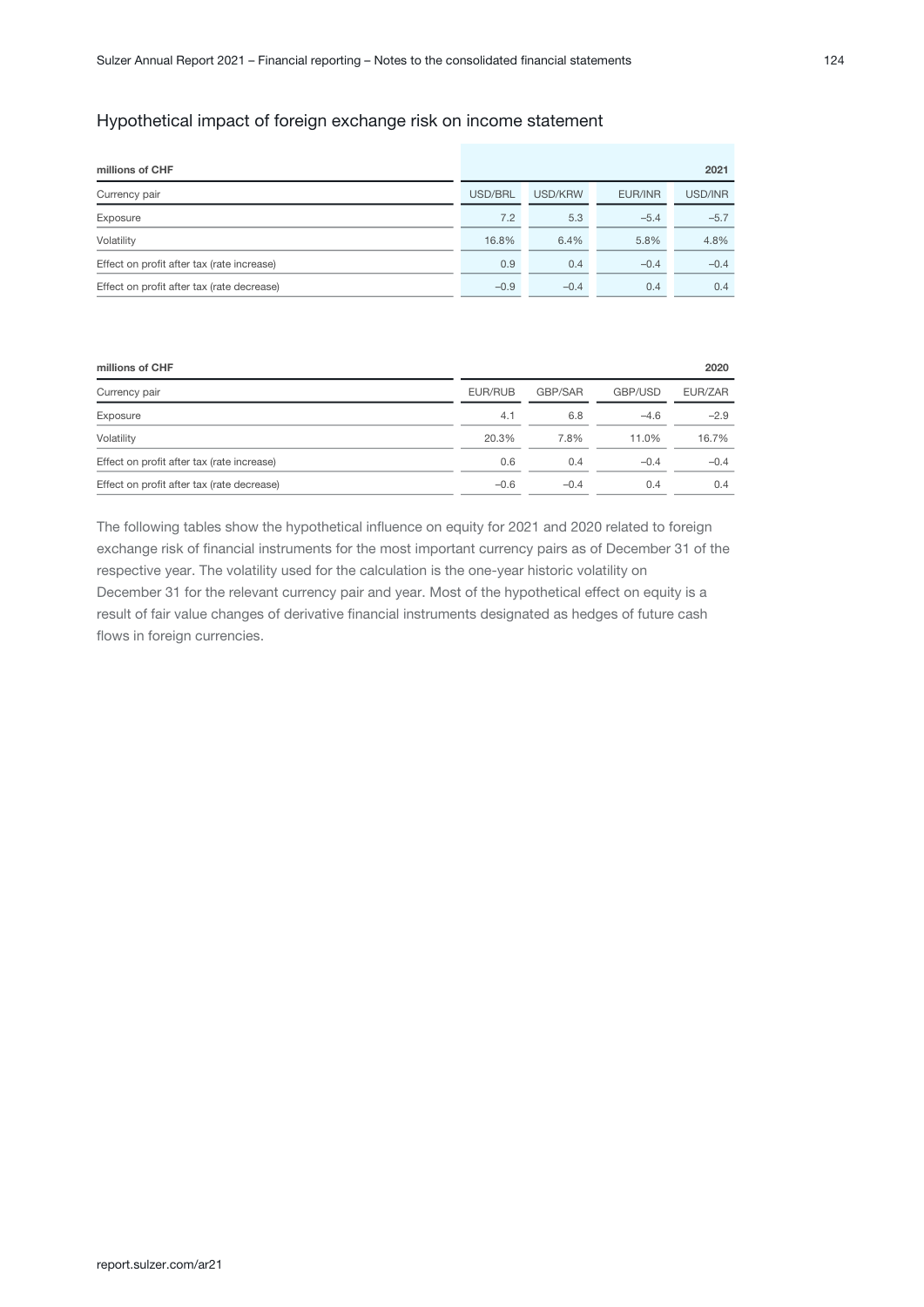## Hypothetical impact of foreign exchange risk on income statement

| millions of CHF                            |         |         |         | 2021    |
|--------------------------------------------|---------|---------|---------|---------|
| Currency pair                              | USD/BRL | USD/KRW | EUR/INR | USD/INR |
| Exposure                                   | 7.2     | 5.3     | $-5.4$  | $-5.7$  |
| Volatility                                 | 16.8%   | 6.4%    | 5.8%    | 4.8%    |
| Effect on profit after tax (rate increase) | 0.9     | 0.4     | $-0.4$  | $-0.4$  |
| Effect on profit after tax (rate decrease) | $-0.9$  | $-0.4$  | 0.4     | 0.4     |

|         |         |         | 2020    |
|---------|---------|---------|---------|
| EUR/RUB | GBP/SAR | GBP/USD | EUR/ZAR |
| 4.1     | 6.8     | $-4.6$  | $-2.9$  |
| 20.3%   | 7.8%    | 11.0%   | 16.7%   |
| 0.6     | 0.4     | $-0.4$  | $-0.4$  |
| $-0.6$  | $-0.4$  | 0.4     | 0.4     |
|         |         |         |         |

The following tables show the hypothetical influence on equity for 2021 and 2020 related to foreign exchange risk of financial instruments for the most important currency pairs as of December 31 of the respective year. The volatility used for the calculation is the one-year historic volatility on December 31 for the relevant currency pair and year. Most of the hypothetical effect on equity is a result of fair value changes of derivative financial instruments designated as hedges of future cash flows in foreign currencies.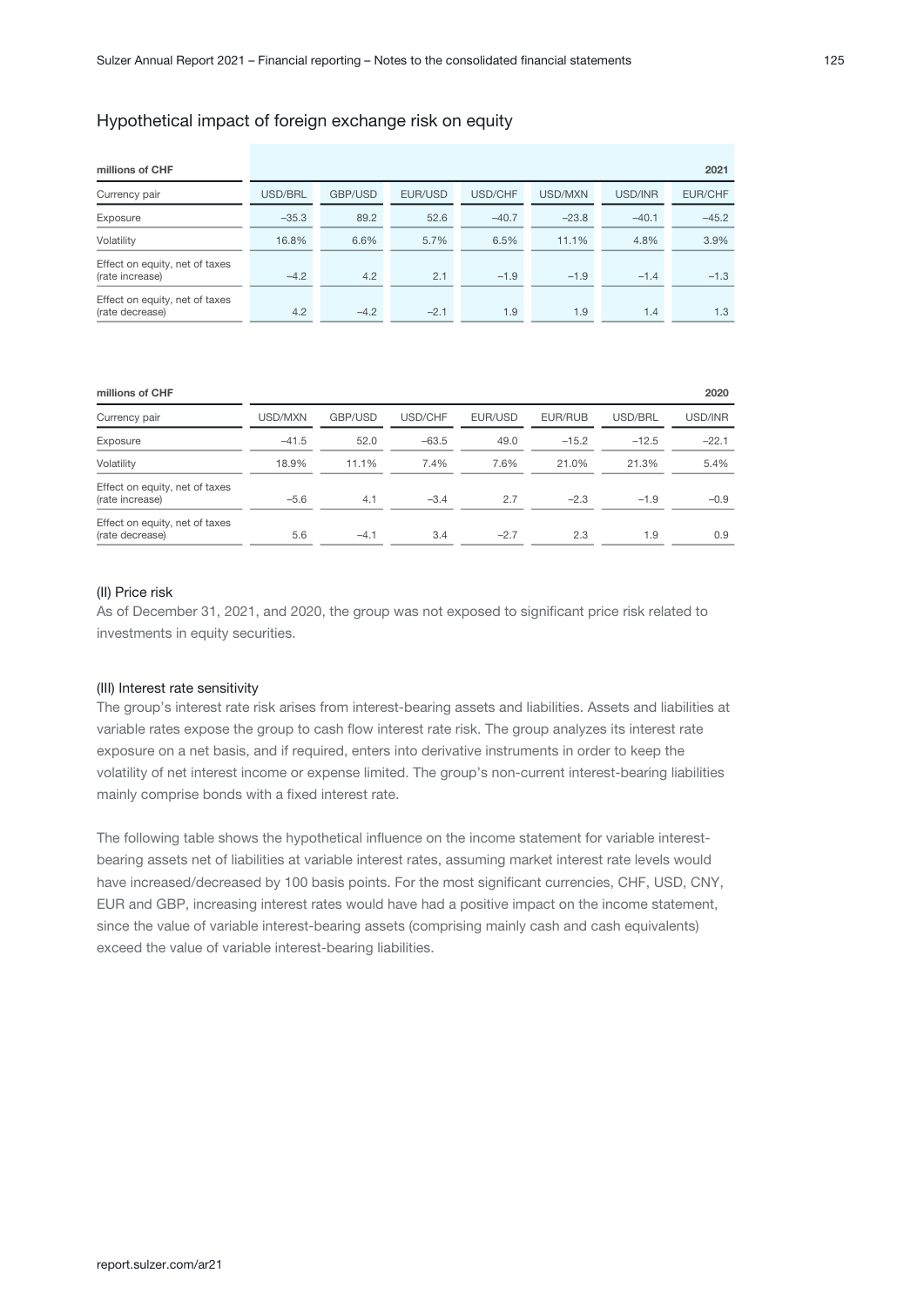#### Hypothetical impact of foreign exchange risk on equity

| millions of CHF                                   |         |         |         |         |         |         | 2021    |
|---------------------------------------------------|---------|---------|---------|---------|---------|---------|---------|
| Currency pair                                     | USD/BRL | GBP/USD | EUR/USD | USD/CHF | USD/MXN | USD/INR | EUR/CHF |
| Exposure                                          | $-35.3$ | 89.2    | 52.6    | $-40.7$ | $-23.8$ | $-40.1$ | $-45.2$ |
| Volatility                                        | 16.8%   | 6.6%    | 5.7%    | 6.5%    | 11.1%   | 4.8%    | 3.9%    |
| Effect on equity, net of taxes<br>(rate increase) | $-4.2$  | 4.2     | 2.1     | $-1.9$  | $-1.9$  | $-1.4$  | $-1.3$  |
| Effect on equity, net of taxes<br>(rate decrease) | 4.2     | $-4.2$  | $-2.1$  | 1.9     | 1.9     | 1.4     | 1.3     |

| millions of CHF                                   |         |         |         |         |         |         | 2020    |
|---------------------------------------------------|---------|---------|---------|---------|---------|---------|---------|
| Currency pair                                     | USD/MXN | GBP/USD | USD/CHF | EUR/USD | EUR/RUB | USD/BRL | USD/INR |
| Exposure                                          | $-41.5$ | 52.0    | $-63.5$ | 49.0    | $-15.2$ | $-12.5$ | $-22.1$ |
| Volatility                                        | 18.9%   | 11.1%   | 7.4%    | 7.6%    | 21.0%   | 21.3%   | 5.4%    |
| Effect on equity, net of taxes<br>(rate increase) | $-5.6$  | 4.1     | $-3.4$  | 2.7     | $-2.3$  | $-1.9$  | $-0.9$  |
| Effect on equity, net of taxes<br>(rate decrease) | 5.6     | $-4.1$  | 3.4     | $-2.7$  | 2.3     | 1.9     | 0.9     |

#### (II) Price risk

As of December 31, 2021, and 2020, the group was not exposed to significant price risk related to investments in equity securities.

#### (III) Interest rate sensitivity

The group's interest rate risk arises from interest-bearing assets and liabilities. Assets and liabilities at variable rates expose the group to cash flow interest rate risk. The group analyzes its interest rate exposure on a net basis, and if required, enters into derivative instruments in order to keep the volatility of net interest income or expense limited. The group's non-current interest-bearing liabilities mainly comprise bonds with a fixed interest rate.

The following table shows the hypothetical influence on the income statement for variable interestbearing assets net of liabilities at variable interest rates, assuming market interest rate levels would have increased/decreased by 100 basis points. For the most significant currencies, CHF, USD, CNY, EUR and GBP, increasing interest rates would have had a positive impact on the income statement, since the value of variable interest-bearing assets (comprising mainly cash and cash equivalents) exceed the value of variable interest-bearing liabilities.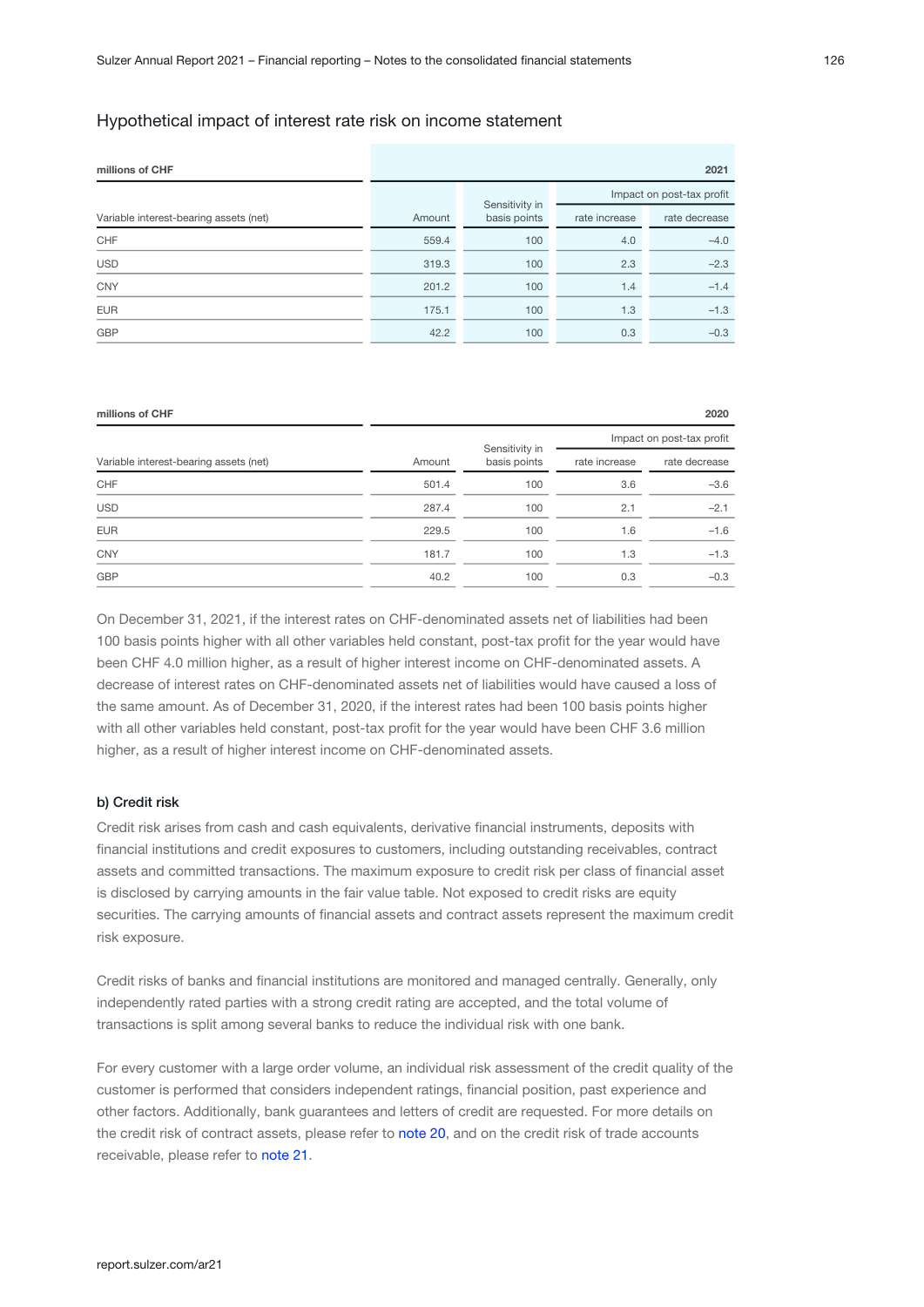#### Hypothetical impact of interest rate risk on income statement

| millions of CHF                        | 2021   |                                |                           |               |  |  |  |
|----------------------------------------|--------|--------------------------------|---------------------------|---------------|--|--|--|
|                                        |        |                                | Impact on post-tax profit |               |  |  |  |
| Variable interest-bearing assets (net) | Amount | Sensitivity in<br>basis points | rate increase             | rate decrease |  |  |  |
| CHF                                    | 559.4  | 100                            | 4.0                       | $-4.0$        |  |  |  |
| <b>USD</b>                             | 319.3  | 100                            | 2.3                       | $-2.3$        |  |  |  |
| <b>CNY</b>                             | 201.2  | 100                            | 1.4                       | $-1.4$        |  |  |  |
| <b>EUR</b>                             | 175.1  | 100                            | 1.3                       | $-1.3$        |  |  |  |
| GBP                                    | 42.2   | 100                            | 0.3                       | $-0.3$        |  |  |  |

| millions of CHF                        |        |                                |                           | 2020          |  |  |
|----------------------------------------|--------|--------------------------------|---------------------------|---------------|--|--|
|                                        |        |                                | Impact on post-tax profit |               |  |  |
| Variable interest-bearing assets (net) | Amount | Sensitivity in<br>basis points | rate increase             | rate decrease |  |  |
| CHF                                    | 501.4  | 100                            | 3.6                       | $-3.6$        |  |  |
| <b>USD</b>                             | 287.4  | 100                            | 2.1                       | $-2.1$        |  |  |
| <b>EUR</b>                             | 229.5  | 100                            | 1.6                       | $-1.6$        |  |  |
| <b>CNY</b>                             | 181.7  | 100                            | 1.3                       | $-1.3$        |  |  |
| <b>GBP</b>                             | 40.2   | 100                            | 0.3                       | $-0.3$        |  |  |

On December 31, 2021, if the interest rates on CHF-denominated assets net of liabilities had been 100 basis points higher with all other variables held constant, post-tax profit for the year would have been CHF 4.0 million higher, as a result of higher interest income on CHF-denominated assets. A decrease of interest rates on CHF-denominated assets net of liabilities would have caused a loss of the same amount. As of December 31, 2020, if the interest rates had been 100 basis points higher with all other variables held constant, post-tax profit for the year would have been CHF 3.6 million higher, as a result of higher interest income on CHF-denominated assets.

#### b) Credit risk

Credit risk arises from cash and cash equivalents, derivative financial instruments, deposits with financial institutions and credit exposures to customers, including outstanding receivables, contract assets and committed transactions. The maximum exposure to credit risk per class of financial asset is disclosed by carrying amounts in the fair value table. Not exposed to credit risks are equity securities. The carrying amounts of financial assets and contract assets represent the maximum credit risk exposure.

Credit risks of banks and financial institutions are monitored and managed centrally. Generally, only independently rated parties with a strong credit rating are accepted, and the total volume of transactions is split among several banks to reduce the individual risk with one bank.

For every customer with a large order volume, an individual risk assessment of the credit quality of the customer is performed that considers independent ratings, financial position, past experience and other factors. Additionally, bank guarantees and letters of credit are requested. For more details on the credit risk of contract assets, please refer to note 20, and on the credit risk of trade accounts receivable, please refer to note 21[.](#page-56-0)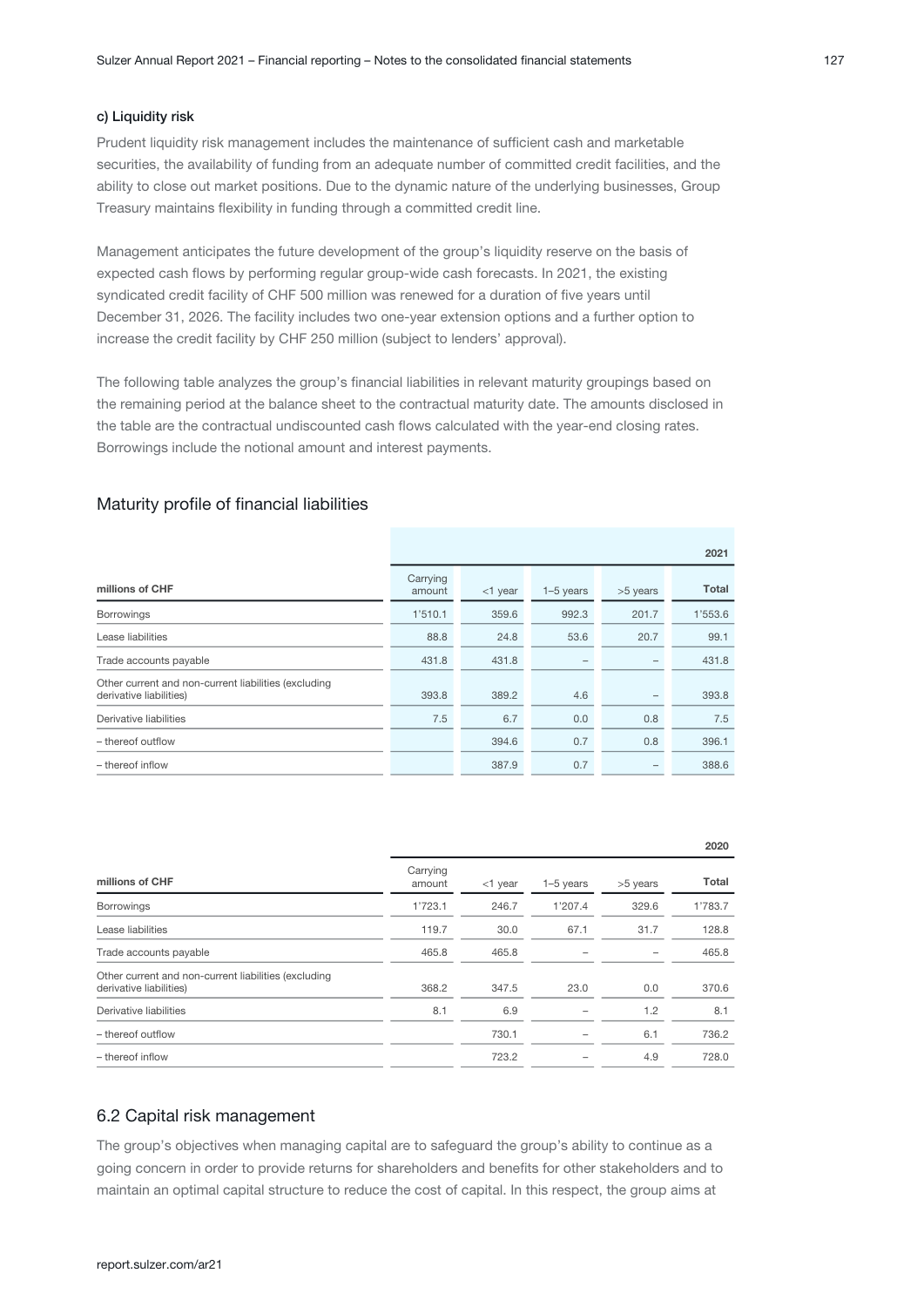#### c) Liquidity risk

Prudent liquidity risk management includes the maintenance of sufficient cash and marketable securities, the availability of funding from an adequate number of committed credit facilities, and the ability to close out market positions. Due to the dynamic nature of the underlying businesses, Group Treasury maintains flexibility in funding through a committed credit line.

Management anticipates the future development of the group's liquidity reserve on the basis of expected cash flows by performing regular group-wide cash forecasts. In 2021, the existing syndicated credit facility of CHF 500 million was renewed for a duration of five years until December 31, 2026. The facility includes two one-year extension options and a further option to increase the credit facility by CHF 250 million (subject to lenders' approval).

The following table analyzes the group's financial liabilities in relevant maturity groupings based on the remaining period at the balance sheet to the contractual maturity date. The amounts disclosed in the table are the contractual undiscounted cash flows calculated with the year-end closing rates. Borrowings include the notional amount and interest payments.

#### Maturity profile of financial liabilities

|                                                                                 | 2021               |            |             |          |         |  |
|---------------------------------------------------------------------------------|--------------------|------------|-------------|----------|---------|--|
| millions of CHF                                                                 | Carrying<br>amount | $<$ 1 year | $1-5$ years | >5 years | Total   |  |
| <b>Borrowings</b>                                                               | 1'510.1            | 359.6      | 992.3       | 201.7    | 1'553.6 |  |
| Lease liabilities                                                               | 88.8               | 24.8       | 53.6        | 20.7     | 99.1    |  |
| Trade accounts payable                                                          | 431.8              | 431.8      |             |          | 431.8   |  |
| Other current and non-current liabilities (excluding<br>derivative liabilities) | 393.8              | 389.2      | 4.6         |          | 393.8   |  |
| Derivative liabilities                                                          | 7.5                | 6.7        | 0.0         | 0.8      | 7.5     |  |
| - thereof outflow                                                               |                    | 394.6      | 0.7         | 0.8      | 396.1   |  |
| - thereof inflow                                                                |                    | 387.9      | 0.7         |          | 388.6   |  |

|                    |         |             |          | ZUZU    |
|--------------------|---------|-------------|----------|---------|
| Carrying<br>amount | <1 year | $1-5$ years | >5 years | Total   |
| 1'723.1            | 246.7   | 1'207.4     | 329.6    | 1'783.7 |
| 119.7              | 30.0    | 67.1        | 31.7     | 128.8   |
| 465.8              | 465.8   |             |          | 465.8   |
| 368.2              | 347.5   | 23.0        | 0.0      | 370.6   |
| 8.1                | 6.9     |             | 1.2      | 8.1     |
|                    | 730.1   |             | 6.1      | 736.2   |
|                    | 723.2   |             | 4.9      | 728.0   |
|                    |         |             |          |         |

#### 6.2 Capital risk management

The group's objectives when managing capital are to safeguard the group's ability to continue as a going concern in order to provide returns for shareholders and benefits for other stakeholders and to maintain an optimal capital structure to reduce the cost of capital. In this respect, the group aims at

 $000$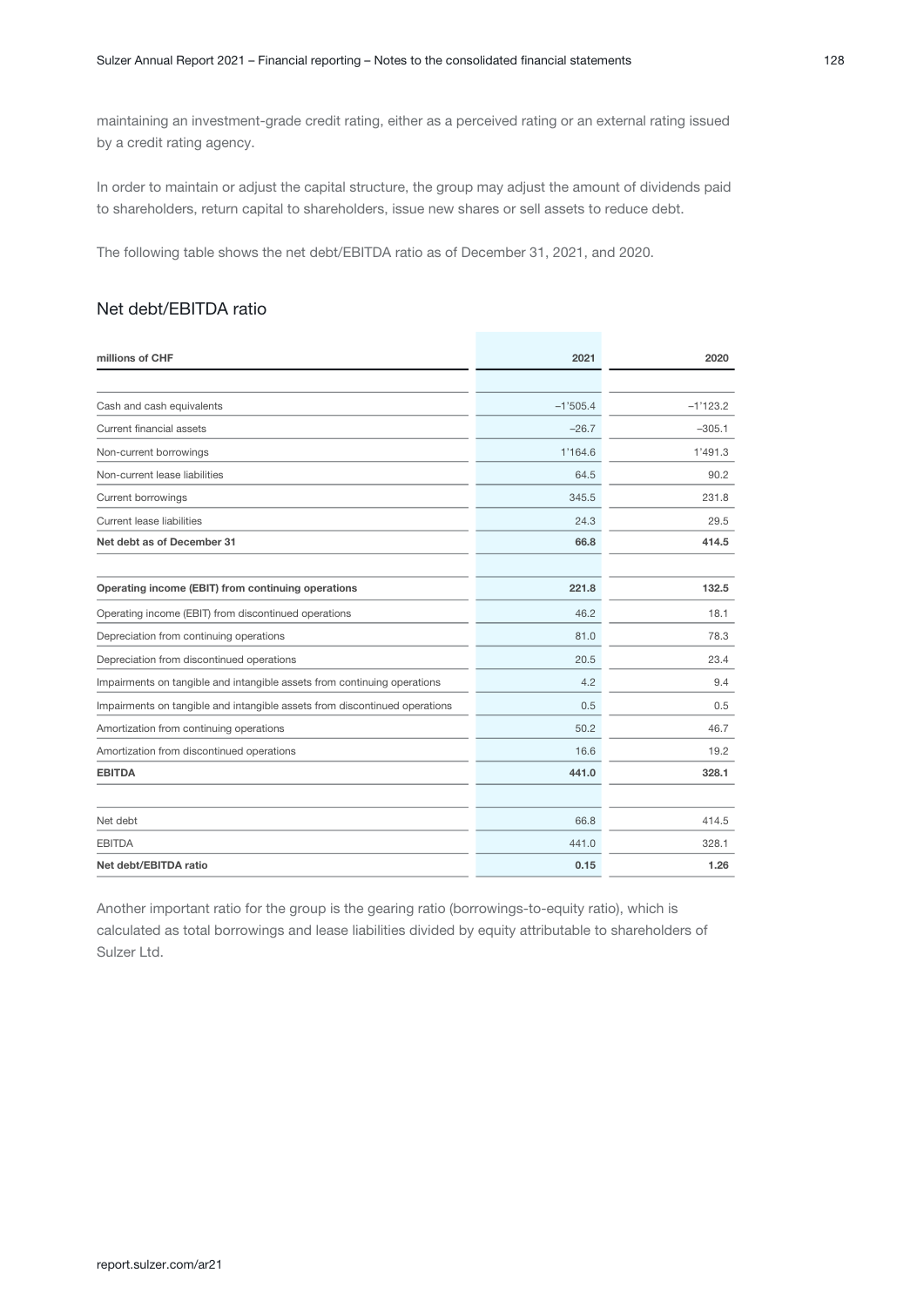maintaining an investment-grade credit rating, either as a perceived rating or an external rating issued by a credit rating agency.

In order to maintain or adjust the capital structure, the group may adjust the amount of dividends paid to shareholders, return capital to shareholders, issue new shares or sell assets to reduce debt.

The following table shows the net debt/EBITDA ratio as of December 31, 2021, and 2020.

## Net debt/EBITDA ratio

| millions of CHF                                                            | 2021       | 2020       |
|----------------------------------------------------------------------------|------------|------------|
|                                                                            |            |            |
| Cash and cash equivalents                                                  | $-1'505.4$ | $-1'123.2$ |
| Current financial assets                                                   | $-26.7$    | $-305.1$   |
| Non-current borrowings                                                     | 1'164.6    | 1'491.3    |
| Non-current lease liabilities                                              | 64.5       | 90.2       |
| <b>Current borrowings</b>                                                  | 345.5      | 231.8      |
| Current lease liabilities                                                  | 24.3       | 29.5       |
| Net debt as of December 31                                                 | 66.8       | 414.5      |
| Operating income (EBIT) from continuing operations                         | 221.8      | 132.5      |
| Operating income (EBIT) from discontinued operations                       | 46.2       | 18.1       |
| Depreciation from continuing operations                                    | 81.0       | 78.3       |
| Depreciation from discontinued operations                                  | 20.5       | 23.4       |
| Impairments on tangible and intangible assets from continuing operations   | 4.2        | 9.4        |
| Impairments on tangible and intangible assets from discontinued operations | 0.5        | 0.5        |
| Amortization from continuing operations                                    | 50.2       | 46.7       |
| Amortization from discontinued operations                                  | 16.6       | 19.2       |
| <b>EBITDA</b>                                                              | 441.0      | 328.1      |
| Net debt                                                                   | 66.8       | 414.5      |
| <b>EBITDA</b>                                                              | 441.0      | 328.1      |
| Net debt/EBITDA ratio                                                      | 0.15       | 1.26       |

Another important ratio for the group is the gearing ratio (borrowings-to-equity ratio), which is calculated as total borrowings and lease liabilities divided by equity attributable to shareholders of Sulzer Ltd.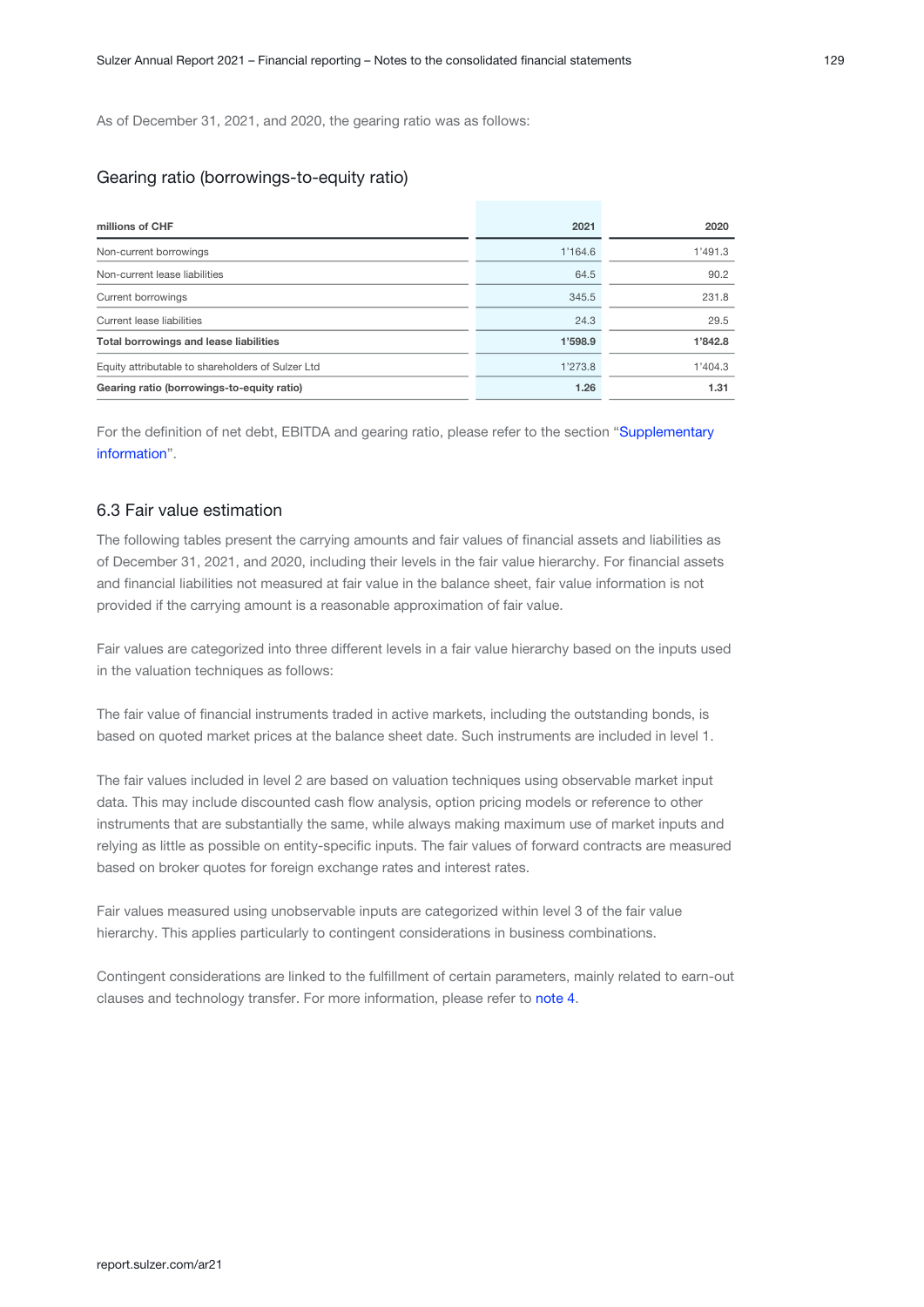As of December 31, 2021, and 2020, the gearing ratio was as follows:

### Gearing ratio (borrowings-to-equity ratio)

| millions of CHF                                   | 2021    | 2020    |
|---------------------------------------------------|---------|---------|
| Non-current borrowings                            | 1'164.6 | 1'491.3 |
| Non-current lease liabilities                     | 64.5    | 90.2    |
| Current borrowings                                | 345.5   | 231.8   |
| Current lease liabilities                         | 24.3    | 29.5    |
| <b>Total borrowings and lease liabilities</b>     | 1'598.9 | 1'842.8 |
| Equity attributable to shareholders of Sulzer Ltd | 1'273.8 | 1'404.3 |
| Gearing ratio (borrowings-to-equity ratio)        | 1.26    | 1.31    |

For the definition of net debt, EBITDA and gearing ratio, please refer to the section "[Supplementary](#page-97-0) [information](#page-97-0)".

#### 6.3 Fair value estimation

The following tables present the carrying amounts and fair values of financial assets and liabilities as of December 31, 2021, and 2020, including their levels in the fair value hierarchy. For financial assets and financial liabilities not measured at fair value in the balance sheet, fair value information is not provided if the carrying amount is a reasonable approximation of fair value.

Fair values are categorized into three different levels in a fair value hierarchy based on the inputs used in the valuation techniques as follows:

The fair value of financial instruments traded in active markets, including the outstanding bonds, is based on quoted market prices at the balance sheet date. Such instruments are included in level 1.

The fair values included in level 2 are based on valuation techniques using observable market input data. This may include discounted cash flow analysis, option pricing models or reference to other instruments that are substantially the same, while always making maximum use of market inputs and relying as little as possible on entity-specific inputs. The fair values of forward contracts are measured based on broker quotes for foreign exchange rates and interest rates.

Fair values measured using unobservable inputs are categorized within level 3 of the fair value hierarchy. This applies particularly to contingent considerations in business combinations.

Contingent considerations are linked to the fulfillment of certain parameters, mainly related to earn-out clauses and technology transfer. For more information, please refer to [note 4.](#page-16-0)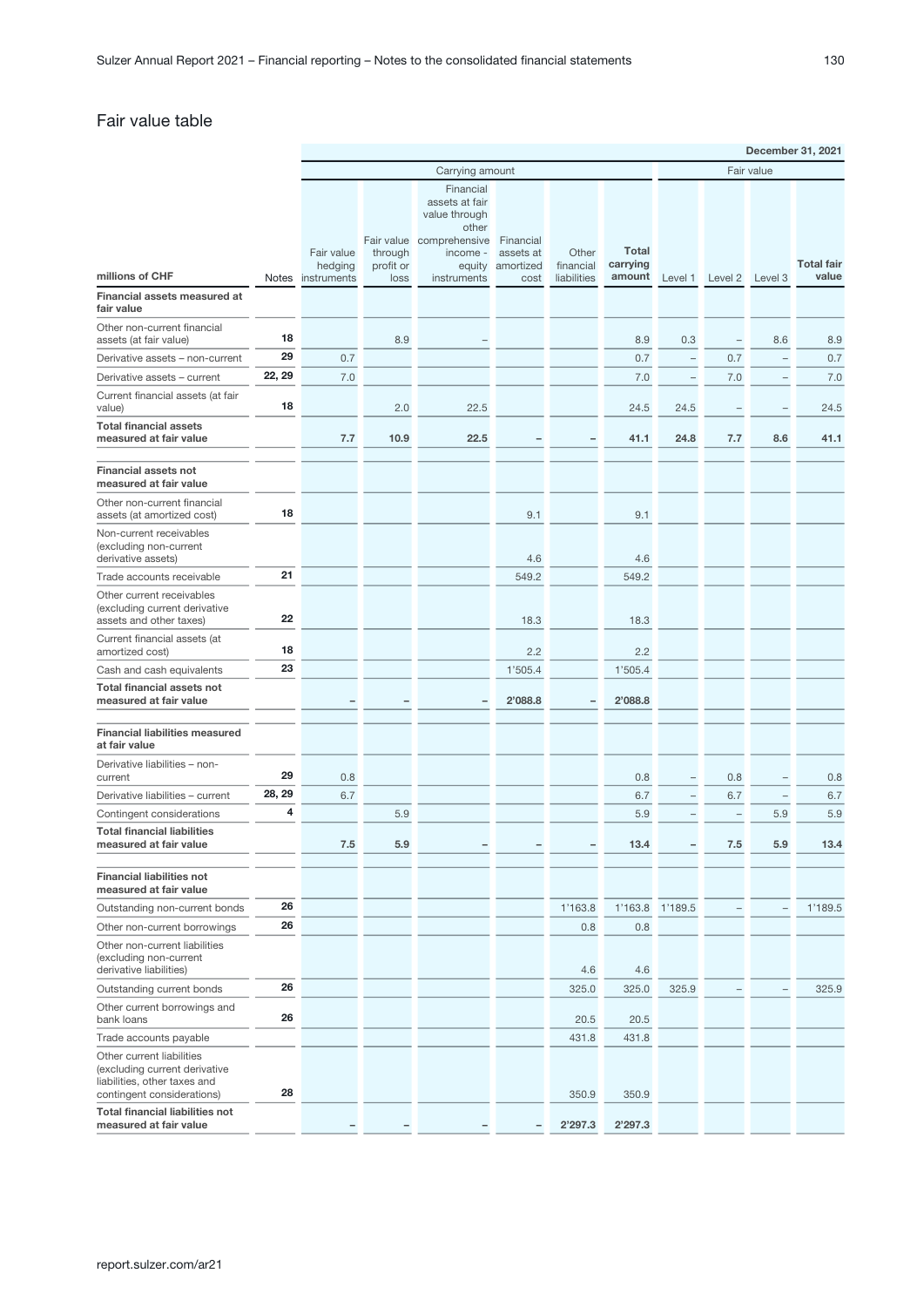## Fair value table

|                                                                                                                          |        | December 31, 2021      |                       |                                                       |                        |                          |                    |                          |                          |                          |                   |
|--------------------------------------------------------------------------------------------------------------------------|--------|------------------------|-----------------------|-------------------------------------------------------|------------------------|--------------------------|--------------------|--------------------------|--------------------------|--------------------------|-------------------|
|                                                                                                                          |        |                        | Carrying amount       |                                                       |                        |                          |                    |                          |                          | Fair value               |                   |
|                                                                                                                          |        |                        |                       | Financial<br>assets at fair<br>value through<br>other |                        |                          |                    |                          |                          |                          |                   |
|                                                                                                                          |        | Fair value             | Fair value<br>through | comprehensive<br>income -                             | Financial<br>assets at | Other                    | <b>Total</b>       |                          |                          |                          | <b>Total fair</b> |
| millions of CHF                                                                                                          | Notes  | hedging<br>instruments | profit or<br>loss     | equity<br>instruments                                 | amortized<br>cost      | financial<br>liabilities | carrying<br>amount | Level 1                  | Level 2                  | Level 3                  | value             |
| Financial assets measured at<br>fair value                                                                               |        |                        |                       |                                                       |                        |                          |                    |                          |                          |                          |                   |
| Other non-current financial<br>assets (at fair value)                                                                    | 18     |                        | 8.9                   |                                                       |                        |                          | 8.9                | 0.3                      |                          | 8.6                      | 8.9               |
| Derivative assets - non-current                                                                                          | 29     | 0.7                    |                       |                                                       |                        |                          | 0.7                | $\overline{\phantom{0}}$ | 0.7                      | $\qquad \qquad -$        | 0.7               |
| Derivative assets - current                                                                                              | 22, 29 | 7.0                    |                       |                                                       |                        |                          | 7.0                | $\qquad \qquad -$        | 7.0                      | $\qquad \qquad -$        | 7.0               |
| Current financial assets (at fair<br>value)                                                                              | 18     |                        | 2.0                   | 22.5                                                  |                        |                          | 24.5               | 24.5                     |                          | $\overline{\phantom{0}}$ | 24.5              |
| <b>Total financial assets</b><br>measured at fair value                                                                  |        | 7.7                    | 10.9                  | 22.5                                                  |                        |                          | 41.1               | 24.8                     | 7.7                      | 8.6                      | 41.1              |
| <b>Financial assets not</b><br>measured at fair value                                                                    |        |                        |                       |                                                       |                        |                          |                    |                          |                          |                          |                   |
| Other non-current financial<br>assets (at amortized cost)                                                                | 18     |                        |                       |                                                       | 9.1                    |                          | 9.1                |                          |                          |                          |                   |
| Non-current receivables<br>(excluding non-current<br>derivative assets)                                                  |        |                        |                       |                                                       | 4.6                    |                          | 4.6                |                          |                          |                          |                   |
| Trade accounts receivable                                                                                                | 21     |                        |                       |                                                       | 549.2                  |                          | 549.2              |                          |                          |                          |                   |
| Other current receivables<br>(excluding current derivative<br>assets and other taxes)                                    | 22     |                        |                       |                                                       | 18.3                   |                          | 18.3               |                          |                          |                          |                   |
| Current financial assets (at<br>amortized cost)                                                                          | 18     |                        |                       |                                                       | 2.2                    |                          | 2.2                |                          |                          |                          |                   |
| Cash and cash equivalents                                                                                                | 23     |                        |                       |                                                       | 1'505.4                |                          | 1'505.4            |                          |                          |                          |                   |
| <b>Total financial assets not</b><br>measured at fair value                                                              |        |                        |                       |                                                       | 2'088.8                |                          | 2'088.8            |                          |                          |                          |                   |
| <b>Financial liabilities measured</b><br>at fair value                                                                   |        |                        |                       |                                                       |                        |                          |                    |                          |                          |                          |                   |
| Derivative liabilities - non-<br>current                                                                                 | 29     | 0.8                    |                       |                                                       |                        |                          | 0.8                | ٠                        | 0.8                      | $\qquad \qquad -$        | 0.8               |
| Derivative liabilities - current                                                                                         | 28, 29 | 6.7                    |                       |                                                       |                        |                          | 6.7                | ÷                        | 6.7                      | $\qquad \qquad -$        | 6.7               |
| Contingent considerations                                                                                                | 4      |                        | 5.9                   |                                                       |                        |                          | 5.9                | -                        | $\overline{\phantom{0}}$ | 5.9                      | 5.9               |
| <b>Total financial liabilities</b><br>measured at fair value                                                             |        | 7.5                    | 5.9                   |                                                       |                        |                          | 13.4               |                          | 7.5                      | 5.9                      | 13.4              |
| <b>Financial liabilities not</b><br>measured at fair value                                                               |        |                        |                       |                                                       |                        |                          |                    |                          |                          |                          |                   |
| Outstanding non-current bonds                                                                                            | 26     |                        |                       |                                                       |                        | 1'163.8                  | 1'163.8            | 1'189.5                  |                          |                          | 1'189.5           |
| Other non-current borrowings                                                                                             | 26     |                        |                       |                                                       |                        | 0.8                      | 0.8                |                          |                          |                          |                   |
| Other non-current liabilities<br>(excluding non-current<br>derivative liabilities)                                       |        |                        |                       |                                                       |                        | 4.6                      | 4.6                |                          |                          |                          |                   |
| Outstanding current bonds                                                                                                | 26     |                        |                       |                                                       |                        | 325.0                    | 325.0              | 325.9                    |                          |                          | 325.9             |
| Other current borrowings and<br>bank loans                                                                               | 26     |                        |                       |                                                       |                        | 20.5                     | 20.5               |                          |                          |                          |                   |
| Trade accounts payable                                                                                                   |        |                        |                       |                                                       |                        | 431.8                    | 431.8              |                          |                          |                          |                   |
| Other current liabilities<br>(excluding current derivative<br>liabilities, other taxes and<br>contingent considerations) | 28     |                        |                       |                                                       |                        | 350.9                    | 350.9              |                          |                          |                          |                   |
| <b>Total financial liabilities not</b><br>measured at fair value                                                         |        |                        |                       |                                                       |                        | 2'297.3                  | 2'297.3            |                          |                          |                          |                   |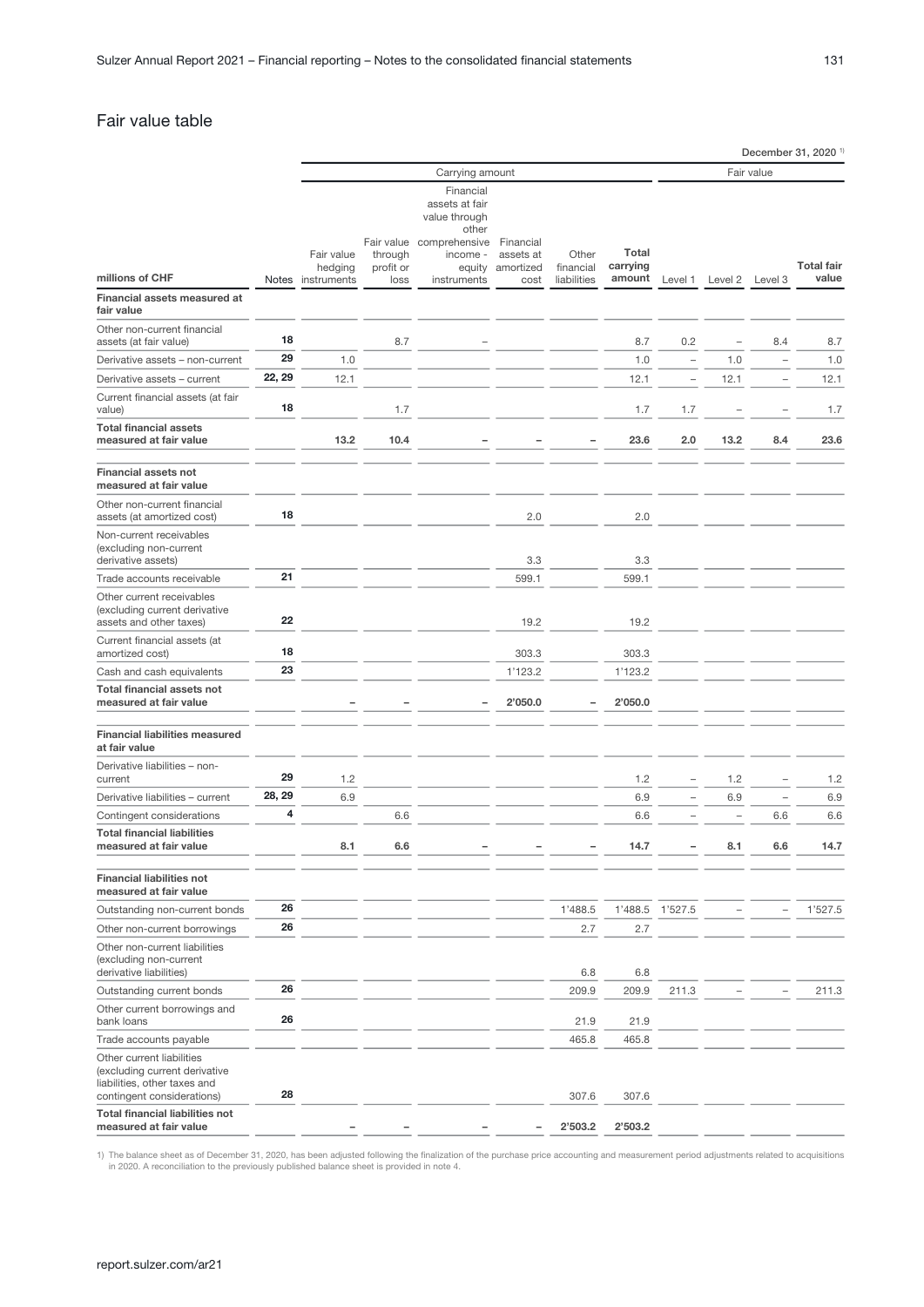## <span id="page-30-0"></span>Fair value table

|                                                                                                                          |        | Carrying amount       |                                    |                                                                                 |                                     |                    | Fair value        |         |         |                          |                   |
|--------------------------------------------------------------------------------------------------------------------------|--------|-----------------------|------------------------------------|---------------------------------------------------------------------------------|-------------------------------------|--------------------|-------------------|---------|---------|--------------------------|-------------------|
|                                                                                                                          |        |                       |                                    | Financial                                                                       |                                     |                    |                   |         |         |                          |                   |
|                                                                                                                          |        | Fair value<br>hedging | Fair value<br>through<br>profit or | assets at fair<br>value through<br>other<br>comprehensive<br>income -<br>equity | Financial<br>assets at<br>amortized | Other<br>financial | Total<br>carrying |         |         |                          | <b>Total fair</b> |
| millions of CHF                                                                                                          |        | Notes instruments     | loss                               | instruments                                                                     | cost                                | liabilities        | amount            | Level 1 | Level 2 | Level 3                  | value             |
| Financial assets measured at<br>fair value                                                                               |        |                       |                                    |                                                                                 |                                     |                    |                   |         |         |                          |                   |
| Other non-current financial<br>assets (at fair value)                                                                    | 18     |                       | 8.7                                |                                                                                 |                                     |                    | 8.7               | 0.2     |         | 8.4                      | 8.7               |
| Derivative assets - non-current                                                                                          | 29     | 1.0                   |                                    |                                                                                 |                                     |                    | 1.0               | i.      | 1.0     | ٠                        | 1.0               |
| Derivative assets - current                                                                                              | 22, 29 | 12.1                  |                                    |                                                                                 |                                     |                    | 12.1              | Ĭ.      | 12.1    | $\overline{\phantom{a}}$ | 12.1              |
| Current financial assets (at fair<br>value)                                                                              | 18     |                       | 1.7                                |                                                                                 |                                     |                    | 1.7               | 1.7     |         |                          | 1.7               |
| <b>Total financial assets</b><br>measured at fair value                                                                  |        | 13.2                  | 10.4                               |                                                                                 |                                     |                    | 23.6              | 2.0     | 13.2    | 8.4                      | 23.6              |
| <b>Financial assets not</b><br>measured at fair value                                                                    |        |                       |                                    |                                                                                 |                                     |                    |                   |         |         |                          |                   |
| Other non-current financial<br>assets (at amortized cost)                                                                | 18     |                       |                                    |                                                                                 | 2.0                                 |                    | 2.0               |         |         |                          |                   |
| Non-current receivables<br>(excluding non-current<br>derivative assets)                                                  |        |                       |                                    |                                                                                 | 3.3                                 |                    | 3.3               |         |         |                          |                   |
| Trade accounts receivable                                                                                                | 21     |                       |                                    |                                                                                 | 599.1                               |                    | 599.1             |         |         |                          |                   |
| Other current receivables<br>(excluding current derivative<br>assets and other taxes)                                    | 22     |                       |                                    |                                                                                 | 19.2                                |                    | 19.2              |         |         |                          |                   |
| Current financial assets (at                                                                                             |        |                       |                                    |                                                                                 |                                     |                    |                   |         |         |                          |                   |
| amortized cost)                                                                                                          | 18     |                       |                                    |                                                                                 | 303.3                               |                    | 303.3             |         |         |                          |                   |
| Cash and cash equivalents                                                                                                | 23     |                       |                                    |                                                                                 | 1'123.2                             |                    | 1'123.2           |         |         |                          |                   |
| <b>Total financial assets not</b><br>measured at fair value                                                              |        |                       |                                    |                                                                                 | 2'050.0                             |                    | 2'050.0           |         |         |                          |                   |
| <b>Financial liabilities measured</b><br>at fair value                                                                   |        |                       |                                    |                                                                                 |                                     |                    |                   |         |         |                          |                   |
| Derivative liabilities - non-<br>current                                                                                 | 29     | 1.2                   |                                    |                                                                                 |                                     |                    | 1.2               |         | 1.2     |                          | 1.2               |
| Derivative liabilities - current                                                                                         | 28, 29 | 6.9                   |                                    |                                                                                 |                                     |                    | 6.9               |         | 6.9     | $\qquad \qquad -$        | 6.9               |
| Contingent considerations                                                                                                | 4      |                       | 6.6                                |                                                                                 |                                     |                    | 6.6               |         |         | 6.6                      | 6.6               |
| <b>Total financial liabilities</b><br>measured at fair value                                                             |        | 8.1                   | 6.6                                |                                                                                 |                                     |                    | 14.7              |         | 8.1     | 6.6                      | 14.7              |
| <b>Financial liabilities not</b><br>measured at fair value                                                               |        |                       |                                    |                                                                                 |                                     |                    |                   |         |         |                          |                   |
| Outstanding non-current bonds                                                                                            | 26     |                       |                                    |                                                                                 |                                     | 1'488.5            | 1'488.5           | 1'527.5 |         |                          | 1'527.5           |
| Other non-current borrowings                                                                                             | 26     |                       |                                    |                                                                                 |                                     | 2.7                | 2.7               |         |         |                          |                   |
| Other non-current liabilities<br>(excluding non-current<br>derivative liabilities)                                       |        |                       |                                    |                                                                                 |                                     | 6.8                | 6.8               |         |         |                          |                   |
| Outstanding current bonds                                                                                                | 26     |                       |                                    |                                                                                 |                                     | 209.9              | 209.9             | 211.3   |         |                          | 211.3             |
| Other current borrowings and<br>bank loans                                                                               | 26     |                       |                                    |                                                                                 |                                     | 21.9               | 21.9              |         |         |                          |                   |
| Trade accounts payable                                                                                                   |        |                       |                                    |                                                                                 |                                     | 465.8              | 465.8             |         |         |                          |                   |
| Other current liabilities<br>(excluding current derivative<br>liabilities, other taxes and<br>contingent considerations) | 28     |                       |                                    |                                                                                 |                                     | 307.6              | 307.6             |         |         |                          |                   |
| <b>Total financial liabilities not</b><br>measured at fair value                                                         |        |                       |                                    |                                                                                 |                                     | 2'503.2            | 2'503.2           |         |         |                          |                   |

1) The balance sheet as of December 31, 2020, has been adjusted following the finalization of the purchase price accounting and measurement period adjustments related to acquisitions in 2020. A reconciliation to the previo

December 31, 2020 <sup>1)</sup>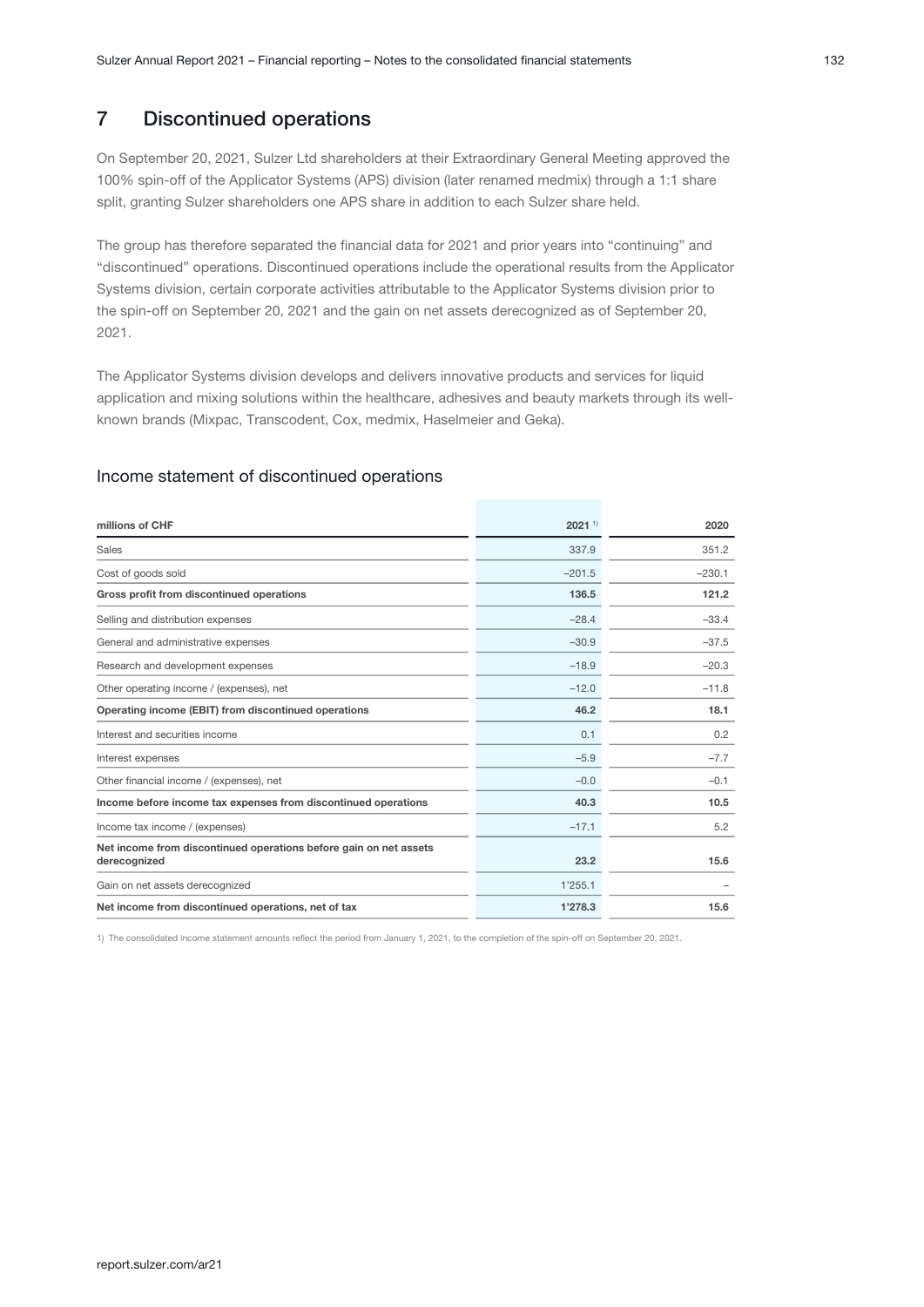## 7 Discontinued operations

On September 20, 2021, Sulzer Ltd shareholders at their Extraordinary General Meeting approved the 100% spin-off of the Applicator Systems (APS) division (later renamed medmix) through a 1:1 share split, granting Sulzer shareholders one APS share in addition to each Sulzer share held.

The group has therefore separated the financial data for 2021 and prior years into "continuing" and "discontinued" operations. Discontinued operations include the operational results from the Applicator Systems division, certain corporate activities attributable to the Applicator Systems division prior to the spin-off on September 20, 2021 and the gain on net assets derecognized as of September 20, 2021.

The Applicator Systems division develops and delivers innovative products and services for liquid application and mixing solutions within the healthcare, adhesives and beauty markets through its wellknown brands (Mixpac, Transcodent, Cox, medmix, Haselmeier and Geka).

### Income statement of discontinued operations

| millions of CHF                                                                   | $2021$ <sup>1)</sup> | 2020     |
|-----------------------------------------------------------------------------------|----------------------|----------|
| Sales                                                                             | 337.9                | 351.2    |
| Cost of goods sold                                                                | $-201.5$             | $-230.1$ |
| Gross profit from discontinued operations                                         | 136.5                | 121.2    |
| Selling and distribution expenses                                                 | $-28.4$              | $-33.4$  |
| General and administrative expenses                                               | $-30.9$              | $-37.5$  |
| Research and development expenses                                                 | $-18.9$              | $-20.3$  |
| Other operating income / (expenses), net                                          | $-12.0$              | $-11.8$  |
| Operating income (EBIT) from discontinued operations                              | 46.2                 | 18.1     |
| Interest and securities income                                                    | 0.1                  | 0.2      |
| Interest expenses                                                                 | $-5.9$               | $-7.7$   |
| Other financial income / (expenses), net                                          | $-0.0$               | $-0.1$   |
| Income before income tax expenses from discontinued operations                    | 40.3                 | 10.5     |
| Income tax income / (expenses)                                                    | $-17.1$              | 5.2      |
| Net income from discontinued operations before gain on net assets<br>derecognized | 23.2                 | 15.6     |
| Gain on net assets derecognized                                                   | 1'255.1              |          |
| Net income from discontinued operations, net of tax                               | 1'278.3              | 15.6     |

1) The consolidated income statement amounts reflect the period from January 1, 2021, to the completion of the spin-off on September 20, 2021.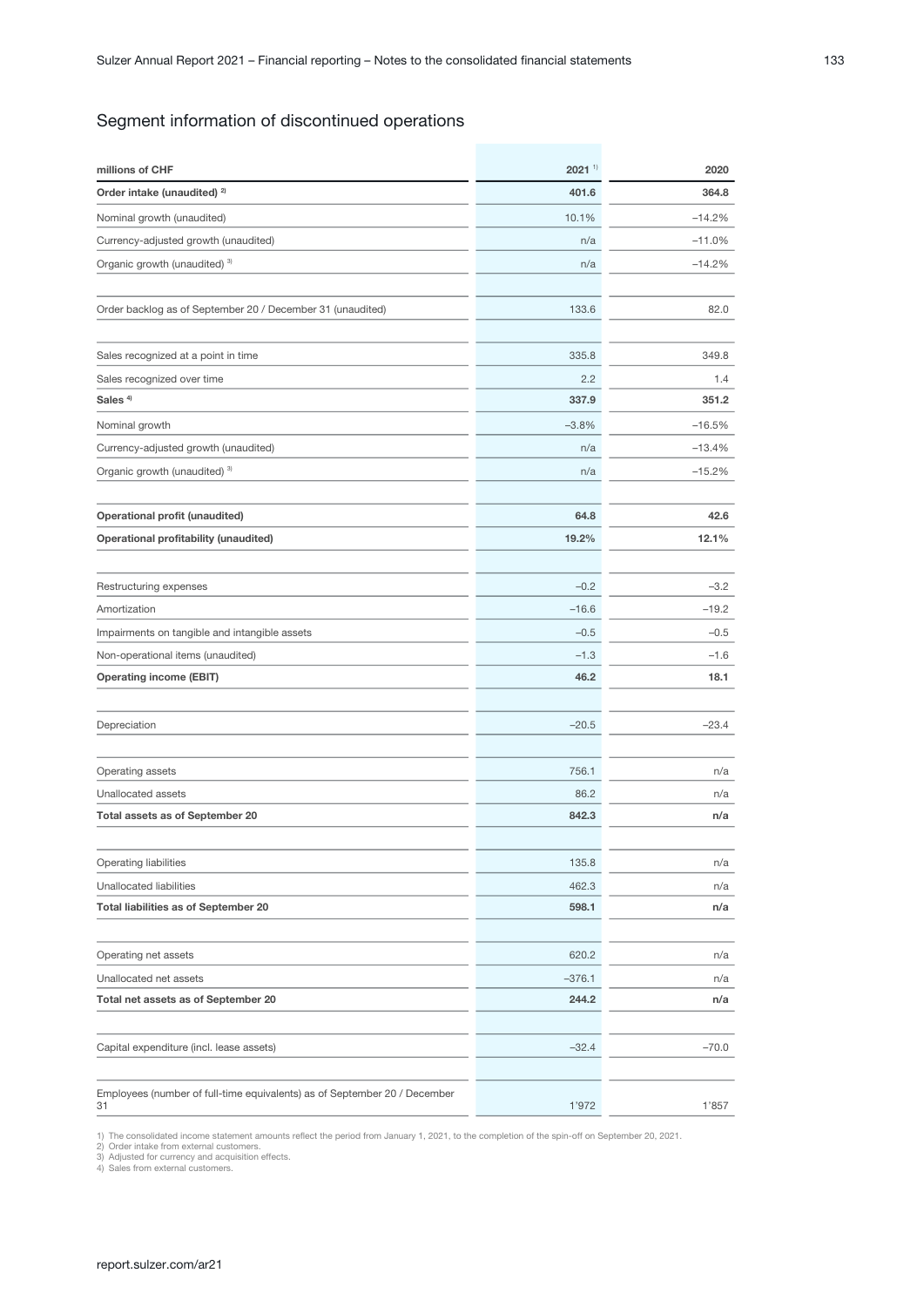## Segment information of discontinued operations

| millions of CHF                                                           | $2021$ <sup>1)</sup> | 2020     |
|---------------------------------------------------------------------------|----------------------|----------|
| Order intake (unaudited) <sup>2)</sup>                                    | 401.6                | 364.8    |
| Nominal growth (unaudited)                                                | 10.1%                | $-14.2%$ |
| Currency-adjusted growth (unaudited)                                      | n/a                  | $-11.0%$ |
| Organic growth (unaudited) <sup>3)</sup>                                  | n/a                  | $-14.2%$ |
|                                                                           |                      |          |
| Order backlog as of September 20 / December 31 (unaudited)                | 133.6                | 82.0     |
|                                                                           |                      |          |
| Sales recognized at a point in time                                       | 335.8                | 349.8    |
| Sales recognized over time                                                | 2.2                  | 1.4      |
| Sales <sup>4)</sup>                                                       | 337.9                | 351.2    |
| Nominal growth                                                            | $-3.8%$              | $-16.5%$ |
| Currency-adjusted growth (unaudited)                                      | n/a                  | $-13.4%$ |
| Organic growth (unaudited) 3)                                             | n/a                  | $-15.2%$ |
|                                                                           |                      |          |
| Operational profit (unaudited)                                            | 64.8                 | 42.6     |
| <b>Operational profitability (unaudited)</b>                              | 19.2%                | 12.1%    |
|                                                                           |                      |          |
| Restructuring expenses                                                    | $-0.2$               | $-3.2$   |
| Amortization                                                              | $-16.6$              | $-19.2$  |
| Impairments on tangible and intangible assets                             | $-0.5$               | $-0.5$   |
| Non-operational items (unaudited)                                         | $-1.3$               | $-1.6$   |
| <b>Operating income (EBIT)</b>                                            | 46.2                 | 18.1     |
|                                                                           |                      |          |
| Depreciation                                                              | $-20.5$              | $-23.4$  |
|                                                                           |                      |          |
| Operating assets                                                          | 756.1                | n/a      |
| Unallocated assets                                                        | 86.2                 | n/a      |
| Total assets as of September 20                                           | 842.3                | n/a      |
|                                                                           |                      |          |
| Operating liabilities                                                     | 135.8                | n/a      |
| Unallocated liabilities                                                   | 462.3                | n/a      |
| <b>Total liabilities as of September 20</b>                               | 598.1                | n/a      |
|                                                                           |                      |          |
| Operating net assets                                                      | 620.2                | n/a      |
| Unallocated net assets                                                    | $-376.1$             | n/a      |
| Total net assets as of September 20                                       | 244.2                | n/a      |
|                                                                           |                      |          |
| Capital expenditure (incl. lease assets)                                  | $-32.4$              | $-70.0$  |
|                                                                           |                      |          |
| Employees (number of full-time equivalents) as of September 20 / December |                      |          |
| 31                                                                        | 1'972                | 1'857    |

1) The consolidated income statement amounts reflect the period from January 1, 2021, to the completion of the spin-off on September 20, 2021.<br>2) Order intake from external customers.<br>3) Adjusted for currency and acquisiti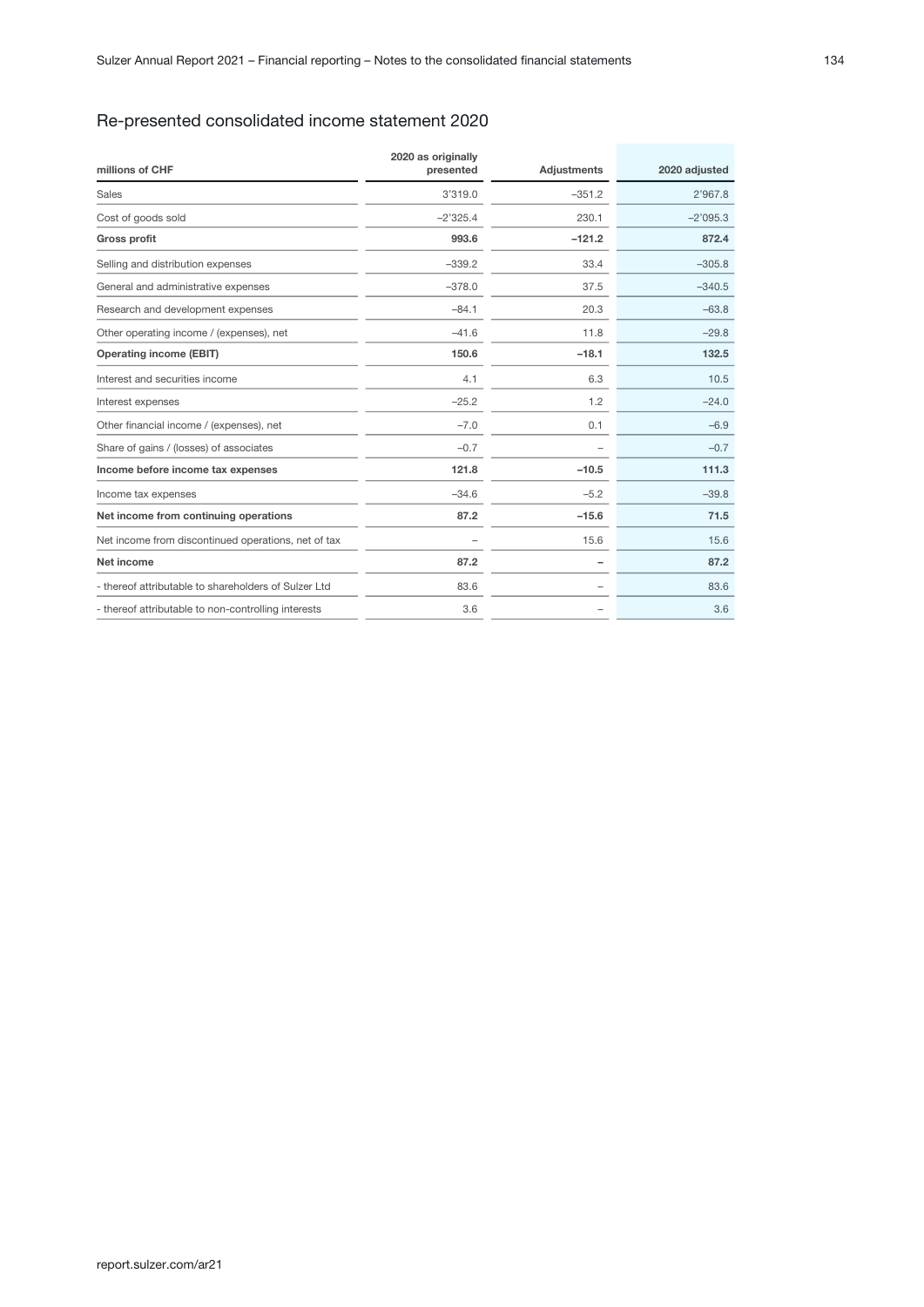## Re-presented consolidated income statement 2020

| millions of CHF                                      | 2020 as originally<br>presented | Adjustments | 2020 adjusted |
|------------------------------------------------------|---------------------------------|-------------|---------------|
| <b>Sales</b>                                         | 3'319.0                         | $-351.2$    | 2'967.8       |
| Cost of goods sold                                   | $-2'325.4$                      | 230.1       | $-2'095.3$    |
| <b>Gross profit</b>                                  | 993.6                           | $-121.2$    | 872.4         |
| Selling and distribution expenses                    | $-339.2$                        | 33.4        | $-305.8$      |
| General and administrative expenses                  | $-378.0$                        | 37.5        | $-340.5$      |
| Research and development expenses                    | $-84.1$                         | 20.3        | $-63.8$       |
| Other operating income / (expenses), net             | $-41.6$                         | 11.8        | $-29.8$       |
| <b>Operating income (EBIT)</b>                       | 150.6                           | $-18.1$     | 132.5         |
| Interest and securities income                       | 4.1                             | 6.3         | 10.5          |
| Interest expenses                                    | $-25.2$                         | 1.2         | $-24.0$       |
| Other financial income / (expenses), net             | $-7.0$                          | 0.1         | $-6.9$        |
| Share of gains / (losses) of associates              | $-0.7$                          |             | $-0.7$        |
| Income before income tax expenses                    | 121.8                           | $-10.5$     | 111.3         |
| Income tax expenses                                  | $-34.6$                         | $-5.2$      | $-39.8$       |
| Net income from continuing operations                | 87.2                            | $-15.6$     | 71.5          |
| Net income from discontinued operations, net of tax  |                                 | 15.6        | 15.6          |
| Net income                                           | 87.2                            |             | 87.2          |
| - thereof attributable to shareholders of Sulzer Ltd | 83.6                            |             | 83.6          |
| - thereof attributable to non-controlling interests  | 3.6                             |             | 3.6           |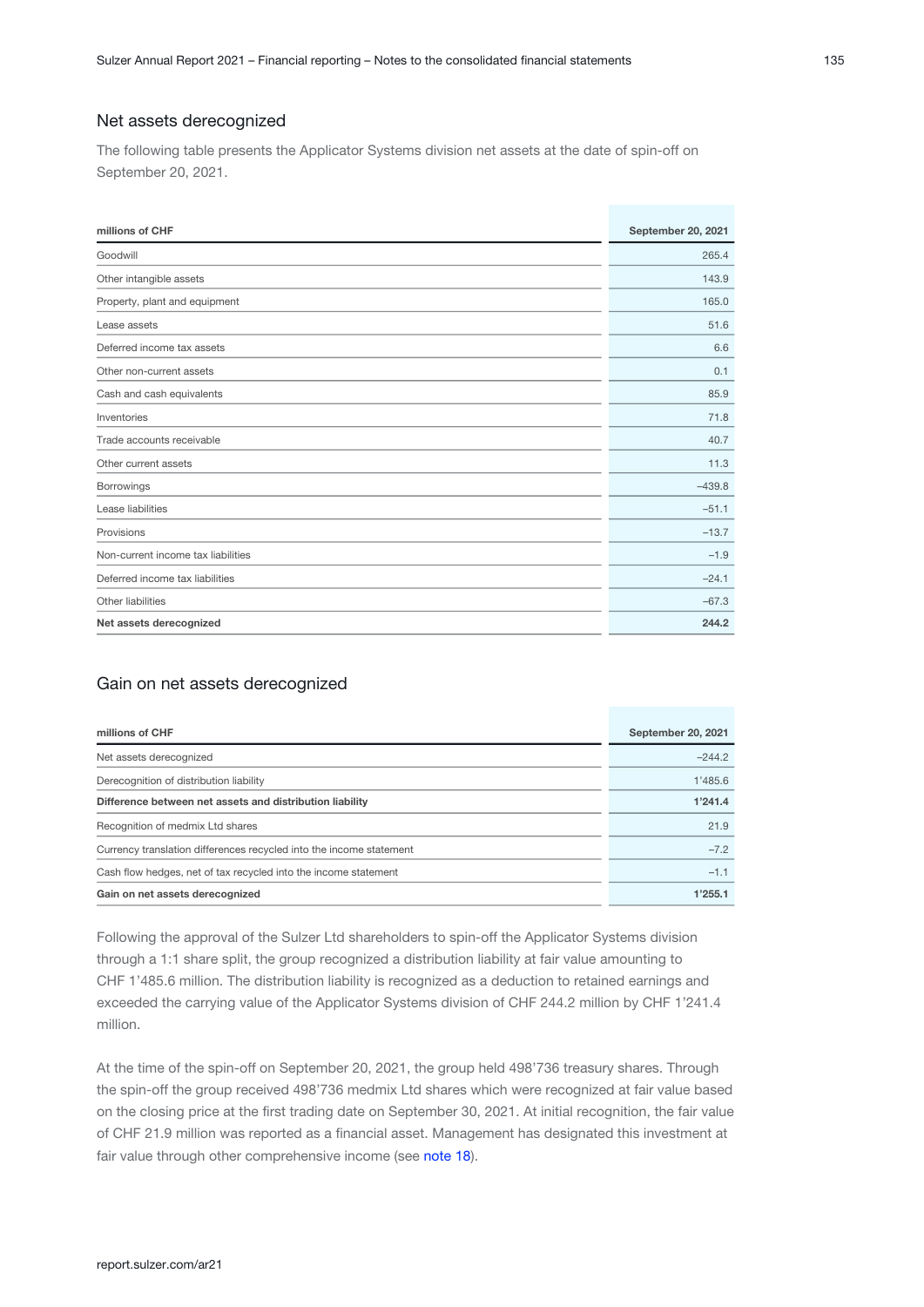#### Net assets derecognized

The following table presents the Applicator Systems division net assets at the date of spin-off on September 20, 2021.

| millions of CHF                    | September 20, 2021 |
|------------------------------------|--------------------|
| Goodwill                           | 265.4              |
| Other intangible assets            | 143.9              |
| Property, plant and equipment      | 165.0              |
| Lease assets                       | 51.6               |
| Deferred income tax assets         | 6.6                |
| Other non-current assets           | 0.1                |
| Cash and cash equivalents          | 85.9               |
| Inventories                        | 71.8               |
| Trade accounts receivable          | 40.7               |
| Other current assets               | 11.3               |
| Borrowings                         | $-439.8$           |
| Lease liabilities                  | $-51.1$            |
| Provisions                         | $-13.7$            |
| Non-current income tax liabilities | $-1.9$             |
| Deferred income tax liabilities    | $-24.1$            |
| Other liabilities                  | $-67.3$            |
| Net assets derecognized            | 244.2              |

#### Gain on net assets derecognized

| millions of CHF                                                     | September 20, 2021 |
|---------------------------------------------------------------------|--------------------|
| Net assets derecognized                                             | $-244.2$           |
| Derecognition of distribution liability                             | 1'485.6            |
| Difference between net assets and distribution liability            | 1'241.4            |
| Recognition of medmix Ltd shares                                    | 21.9               |
| Currency translation differences recycled into the income statement | $-7.2$             |
| Cash flow hedges, net of tax recycled into the income statement     | $-1.1$             |
| Gain on net assets derecognized                                     | 1'255.1            |

Following the approval of the Sulzer Ltd shareholders to spin-off the Applicator Systems division through a 1:1 share split, the group recognized a distribution liability at fair value amounting to CHF 1'485.6 million. The distribution liability is recognized as a deduction to retained earnings and exceeded the carrying value of the Applicator Systems division of CHF 244.2 million by CHF 1'241.4 million.

At the time of the spin-off on September 20, 2021, the group held 498'736 treasury shares. Through the spin-off the group received 498'736 medmix Ltd shares which were recognized at fair value based on the closing price at the first trading date on September 30, 2021. At initial recognition, the fair value of CHF 21.9 million was reported as a financial asset. Management has designated this investment at fairvalue through other comprehensive income (see note 18).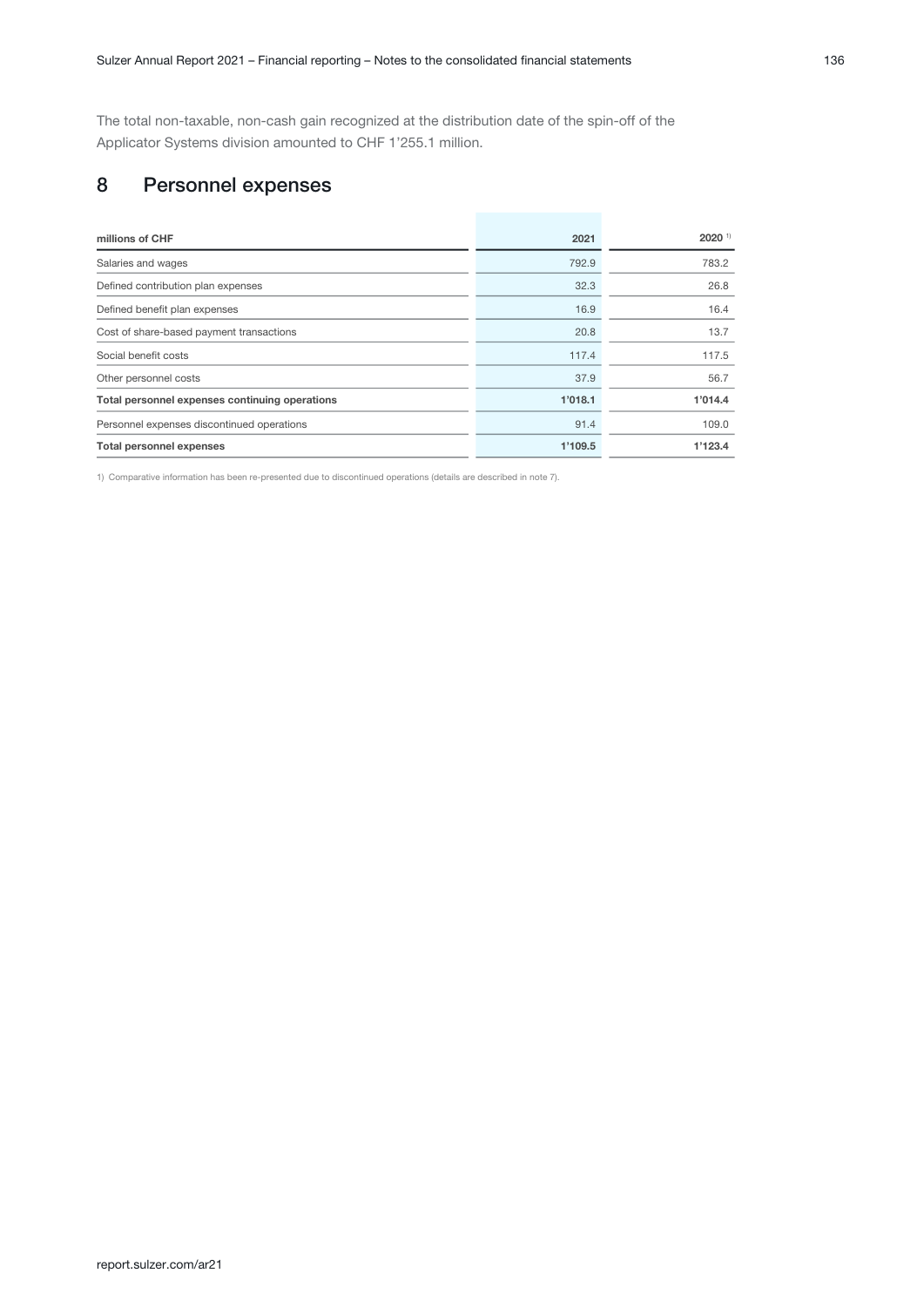<span id="page-35-0"></span>The total non-taxable, non-cash gain recognized at the distribution date of the spin-off of the Applicator Systems division amounted to CHF 1'255.1 million.

## 8 Personnel expenses

| millions of CHF                                | 2021    | $2020$ <sup>1)</sup> |
|------------------------------------------------|---------|----------------------|
| Salaries and wages                             | 792.9   | 783.2                |
| Defined contribution plan expenses             | 32.3    | 26.8                 |
| Defined benefit plan expenses                  | 16.9    | 16.4                 |
| Cost of share-based payment transactions       | 20.8    | 13.7                 |
| Social benefit costs                           | 117.4   | 117.5                |
| Other personnel costs                          | 37.9    | 56.7                 |
| Total personnel expenses continuing operations | 1'018.1 | 1'014.4              |
| Personnel expenses discontinued operations     | 91.4    | 109.0                |
| <b>Total personnel expenses</b>                | 1'109.5 | 1'123.4              |

1) Comparative information has been re-presented due to discontinued operations (details are described in note 7).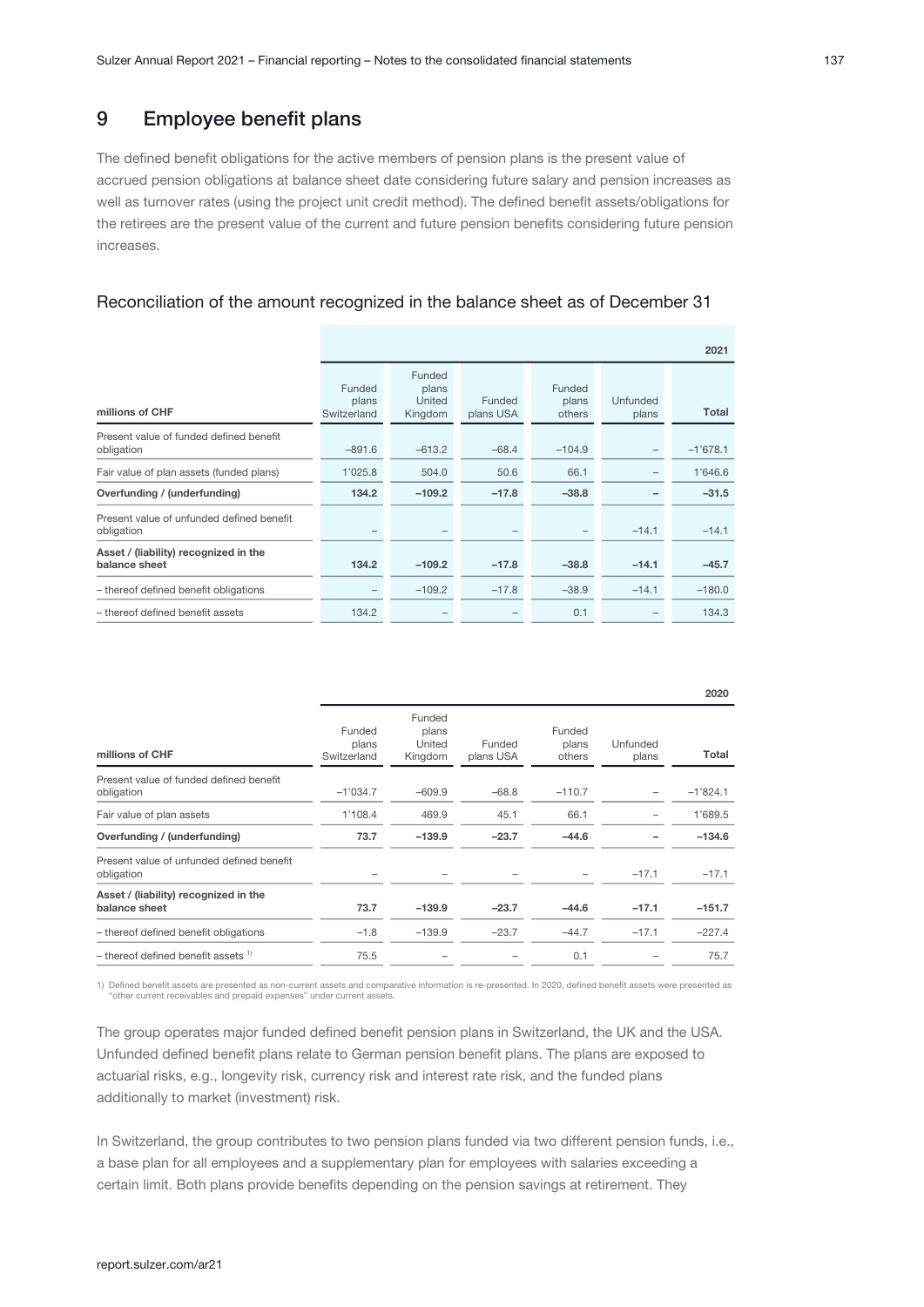The defined benefit obligations for the active members of pension plans is the present value of accrued pension obligations at balance sheet date considering future salary and pension increases as well as turnover rates (using the project unit credit method). The defined benefit assets/obligations for the retirees are the present value of the current and future pension benefits considering future pension increases.

### Reconciliation of the amount recognized in the balance sheet as of December 31

|                                                         |                                |                                      |                     |                           |                   | 2021       |
|---------------------------------------------------------|--------------------------------|--------------------------------------|---------------------|---------------------------|-------------------|------------|
| millions of CHF                                         | Funded<br>plans<br>Switzerland | Funded<br>plans<br>United<br>Kingdom | Funded<br>plans USA | Funded<br>plans<br>others | Unfunded<br>plans | Total      |
| Present value of funded defined benefit<br>obligation   | $-891.6$                       | $-613.2$                             | $-68.4$             | $-104.9$                  |                   | $-1'678.1$ |
| Fair value of plan assets (funded plans)                | 1'025.8                        | 504.0                                | 50.6                | 66.1                      |                   | 1'646.6    |
| Overfunding / (underfunding)                            | 134.2                          | $-109.2$                             | $-17.8$             | $-38.8$                   |                   | $-31.5$    |
| Present value of unfunded defined benefit<br>obligation |                                |                                      |                     |                           | $-14.1$           | $-14.1$    |
| Asset / (liability) recognized in the<br>balance sheet  | 134.2                          | $-109.2$                             | $-17.8$             | $-38.8$                   | $-14.1$           | $-45.7$    |
| - thereof defined benefit obligations                   |                                | $-109.2$                             | $-17.8$             | $-38.9$                   | $-14.1$           | $-180.0$   |
| - thereof defined benefit assets                        | 134.2                          |                                      |                     | 0.1                       |                   | 134.3      |

| millions of CHF                                         | Funded<br>plans<br>Switzerland | Funded<br>plans<br>United<br>Kingdom | Funded<br>plans USA | Funded<br>plans<br>others | Unfunded<br>plans | Total      |
|---------------------------------------------------------|--------------------------------|--------------------------------------|---------------------|---------------------------|-------------------|------------|
| Present value of funded defined benefit<br>obligation   | $-1'034.7$                     | $-609.9$                             | $-68.8$             | $-110.7$                  |                   | $-1'824.1$ |
| Fair value of plan assets                               | 1'108.4                        | 469.9                                | 45.1                | 66.1                      | -                 | 1'689.5    |
| Overfunding / (underfunding)                            | 73.7                           | $-139.9$                             | $-23.7$             | $-44.6$                   |                   | $-134.6$   |
| Present value of unfunded defined benefit<br>obligation |                                |                                      |                     |                           | $-17.1$           | $-17.1$    |
| Asset / (liability) recognized in the<br>balance sheet  | 73.7                           | $-139.9$                             | $-23.7$             | $-44.6$                   | $-17.1$           | $-151.7$   |
| - thereof defined benefit obligations                   | $-1.8$                         | $-139.9$                             | $-23.7$             | $-44.7$                   | $-17.1$           | $-227.4$   |
| $-$ thereof defined benefit assets $1$                  | 75.5                           |                                      |                     | 0.1                       |                   | 75.7       |

1) Defined benefit assets are presented as non-current assets and comparative information is re-presented. In 2020, defined benefit assets were presented as "other current receivables and prepaid expenses" under current assets.

The group operates major funded defined benefit pension plans in Switzerland, the UK and the USA. Unfunded defined benefit plans relate to German pension benefit plans. The plans are exposed to actuarial risks, e.g., longevity risk, currency risk and interest rate risk, and the funded plans additionally to market (investment) risk.

In Switzerland, the group contributes to two pension plans funded via two different pension funds, i.e., a base plan for all employees and a supplementary plan for employees with salaries exceeding a certain limit. Both plans provide benefits depending on the pension savings at retirement. They

2020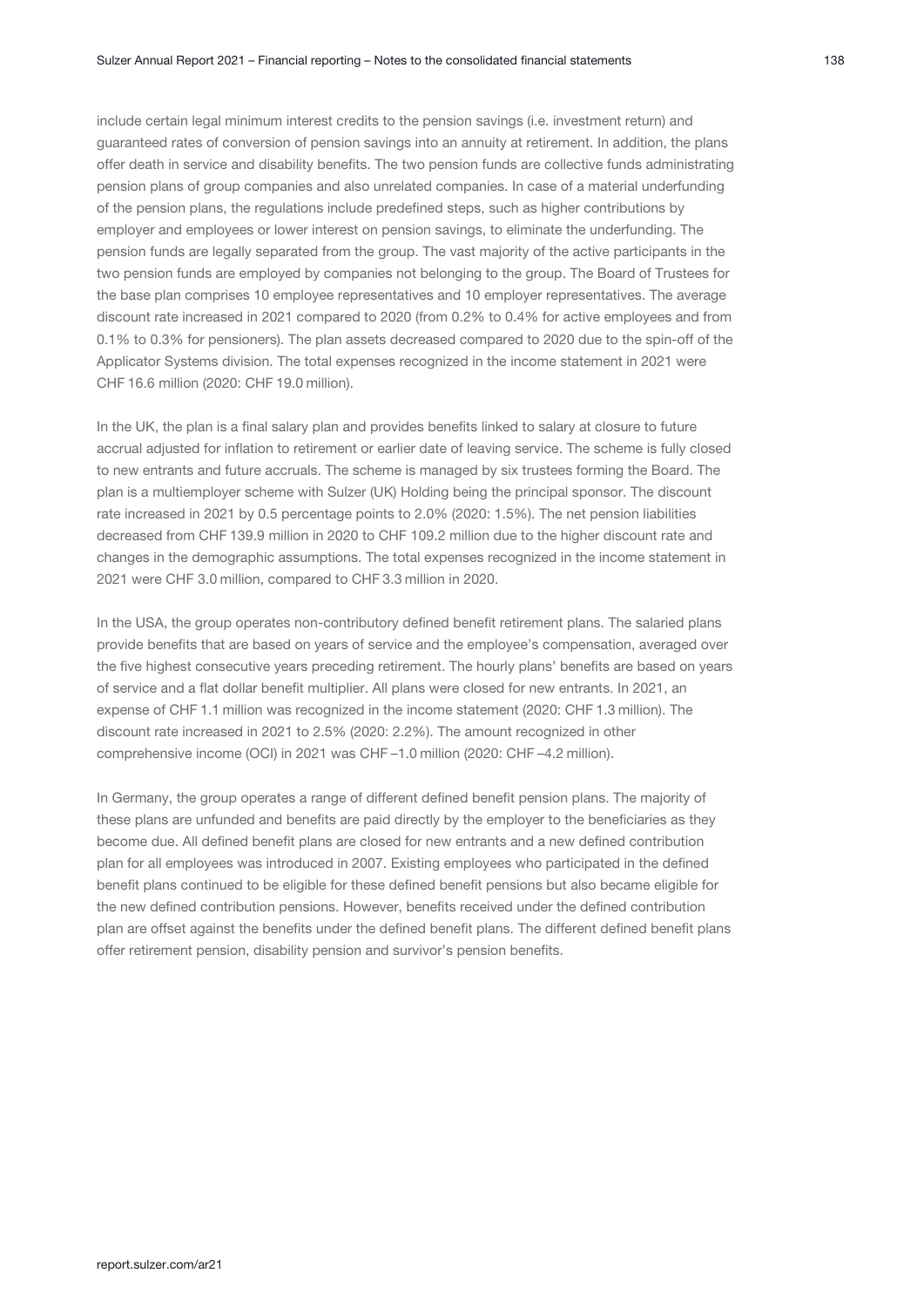include certain legal minimum interest credits to the pension savings (i.e. investment return) and guaranteed rates of conversion of pension savings into an annuity at retirement. In addition, the plans offer death in service and disability benefits. The two pension funds are collective funds administrating pension plans of group companies and also unrelated companies. In case of a material underfunding of the pension plans, the regulations include predefined steps, such as higher contributions by employer and employees or lower interest on pension savings, to eliminate the underfunding. The pension funds are legally separated from the group. The vast majority of the active participants in the two pension funds are employed by companies not belonging to the group. The Board of Trustees for the base plan comprises 10 employee representatives and 10 employer representatives. The average discount rate increased in 2021 compared to 2020 (from 0.2% to 0.4% for active employees and from 0.1% to 0.3% for pensioners). The plan assets decreased compared to 2020 due to the spin-off of the Applicator Systems division. The total expenses recognized in the income statement in 2021 were CHF 16.6 million (2020: CHF 19.0 million).

In the UK, the plan is a final salary plan and provides benefits linked to salary at closure to future accrual adjusted for inflation to retirement or earlier date of leaving service. The scheme is fully closed to new entrants and future accruals. The scheme is managed by six trustees forming the Board. The plan is a multiemployer scheme with Sulzer (UK) Holding being the principal sponsor. The discount rate increased in 2021 by 0.5 percentage points to 2.0% (2020: 1.5%). The net pension liabilities decreased from CHF 139.9 million in 2020 to CHF 109.2 million due to the higher discount rate and changes in the demographic assumptions. The total expenses recognized in the income statement in 2021 were CHF 3.0 million, compared to CHF 3.3 million in 2020.

In the USA, the group operates non-contributory defined benefit retirement plans. The salaried plans provide benefits that are based on years of service and the employee's compensation, averaged over the five highest consecutive years preceding retirement. The hourly plans' benefits are based on years of service and a flat dollar benefit multiplier. All plans were closed for new entrants. In 2021, an expense of CHF 1.1 million was recognized in the income statement (2020; CHF 1.3 million). The discount rate increased in 2021 to 2.5% (2020: 2.2%). The amount recognized in other comprehensive income (OCI) in 2021 was CHF –1.0 million (2020: CHF –4.2 million).

In Germany, the group operates a range of different defined benefit pension plans. The majority of these plans are unfunded and benefits are paid directly by the employer to the beneficiaries as they become due. All defined benefit plans are closed for new entrants and a new defined contribution plan for all employees was introduced in 2007. Existing employees who participated in the defined benefit plans continued to be eligible for these defined benefit pensions but also became eligible for the new defined contribution pensions. However, benefits received under the defined contribution plan are offset against the benefits under the defined benefit plans. The different defined benefit plans offer retirement pension, disability pension and survivor's pension benefits.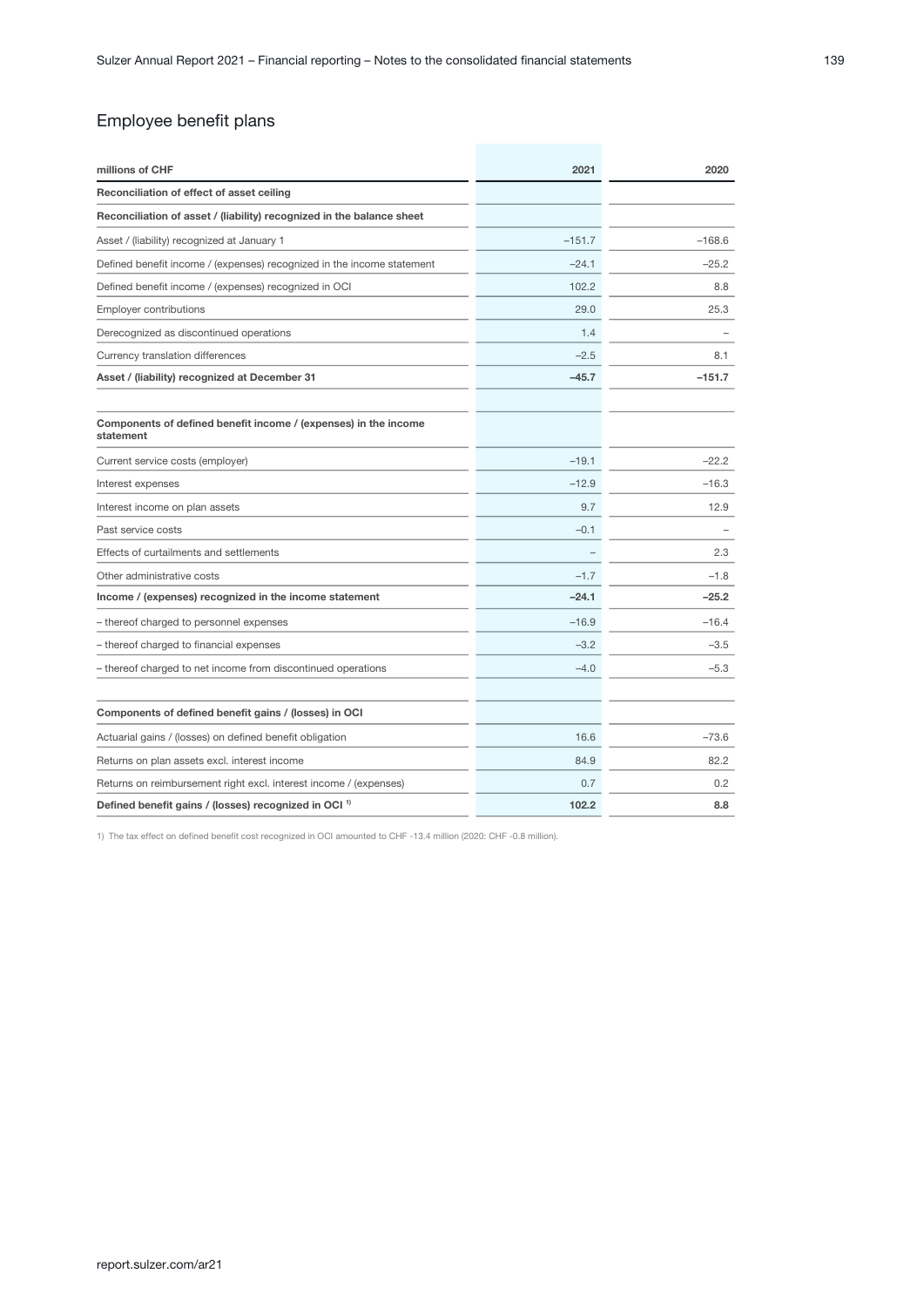| millions of CHF                                                              | 2021     | 2020     |
|------------------------------------------------------------------------------|----------|----------|
| Reconciliation of effect of asset ceiling                                    |          |          |
| Reconciliation of asset / (liability) recognized in the balance sheet        |          |          |
| Asset / (liability) recognized at January 1                                  | $-151.7$ | $-168.6$ |
| Defined benefit income / (expenses) recognized in the income statement       | $-24.1$  | $-25.2$  |
| Defined benefit income / (expenses) recognized in OCI                        | 102.2    | 8.8      |
| <b>Employer contributions</b>                                                | 29.0     | 25.3     |
| Derecognized as discontinued operations                                      | 1.4      |          |
| Currency translation differences                                             | $-2.5$   | 8.1      |
| Asset / (liability) recognized at December 31                                | $-45.7$  | $-151.7$ |
| Components of defined benefit income / (expenses) in the income<br>statement |          |          |
| Current service costs (employer)                                             | $-19.1$  | $-22.2$  |
| Interest expenses                                                            | $-12.9$  | $-16.3$  |
| Interest income on plan assets                                               | 9.7      | 12.9     |
| Past service costs                                                           | $-0.1$   |          |
| Effects of curtailments and settlements                                      |          | 2.3      |
| Other administrative costs                                                   | $-1.7$   | $-1.8$   |
| Income / (expenses) recognized in the income statement                       | $-24.1$  | $-25.2$  |
| - thereof charged to personnel expenses                                      | $-16.9$  | $-16.4$  |
| - thereof charged to financial expenses                                      | $-3.2$   | $-3.5$   |
| - thereof charged to net income from discontinued operations                 | $-4.0$   | $-5.3$   |
| Components of defined benefit gains / (losses) in OCI                        |          |          |
| Actuarial gains / (losses) on defined benefit obligation                     | 16.6     | $-73.6$  |
| Returns on plan assets excl. interest income                                 | 84.9     | 82.2     |
| Returns on reimbursement right excl. interest income / (expenses)            | 0.7      | 0.2      |
| Defined benefit gains / (losses) recognized in OCI <sup>1)</sup>             | 102.2    | 8.8      |

1) The tax effect on defined benefit cost recognized in OCI amounted to CHF -13.4 million (2020: CHF -0.8 million).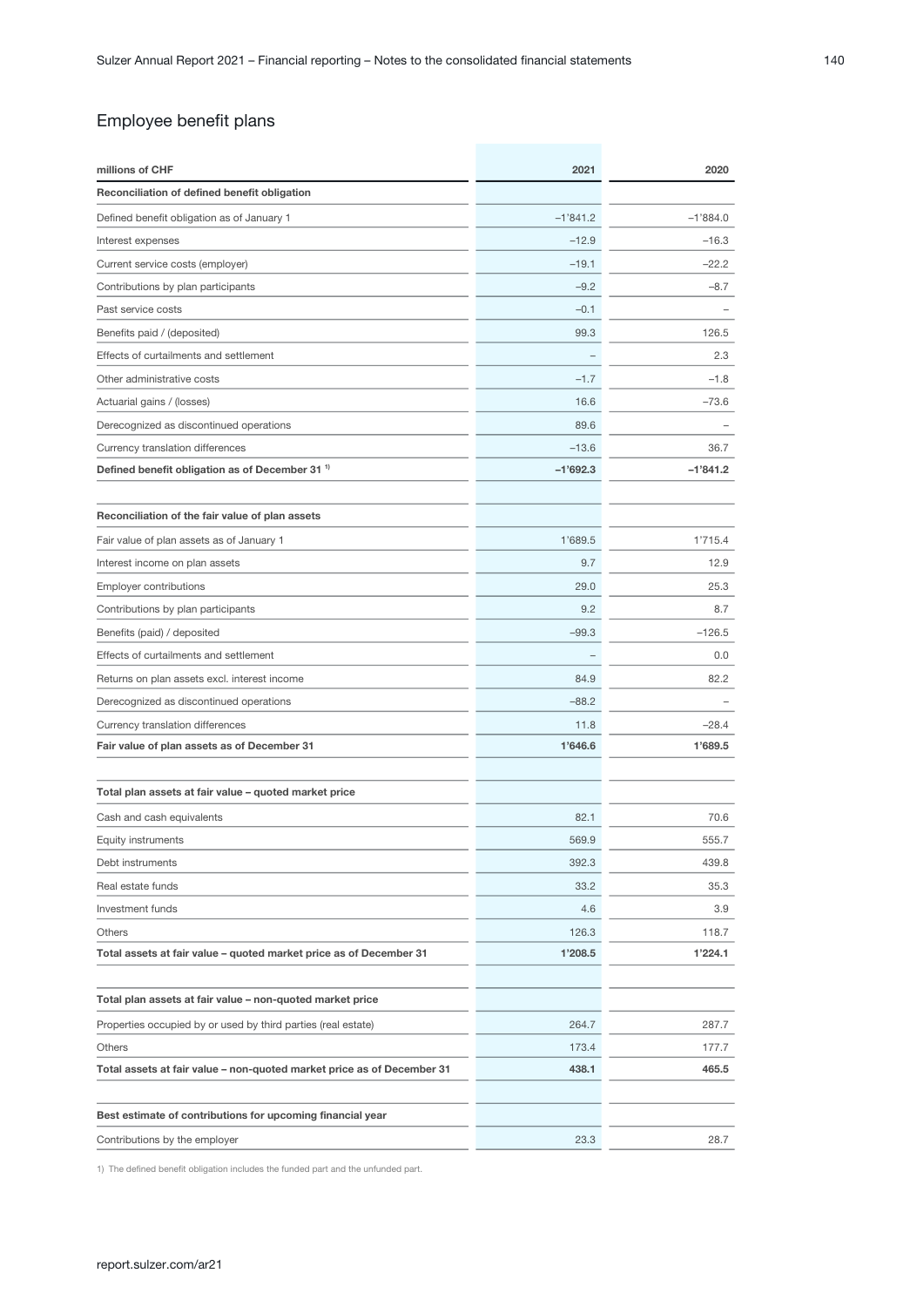| Reconciliation of defined benefit obligation<br>$-1'841.2$<br>$-1'884.0$<br>Defined benefit obligation as of January 1<br>$-12.9$<br>$-16.3$<br>Interest expenses<br>$-19.1$<br>$-22.2$<br>Current service costs (employer)<br>Contributions by plan participants<br>$-9.2$<br>$-8.7$<br>Past service costs<br>$-0.1$<br>Benefits paid / (deposited)<br>99.3<br>126.5<br>Effects of curtailments and settlement<br>2.3<br>Other administrative costs<br>$-1.7$<br>$-1.8$<br>16.6<br>$-73.6$<br>Actuarial gains / (losses)<br>89.6<br>Derecognized as discontinued operations<br>$-13.6$<br>Currency translation differences<br>36.7<br>$-1'692.3$<br>$-1'841.2$<br>Defined benefit obligation as of December 31 <sup>1</sup><br>Reconciliation of the fair value of plan assets<br>Fair value of plan assets as of January 1<br>1'689.5<br>1'715.4<br>Interest income on plan assets<br>9.7<br>12.9 |
|-----------------------------------------------------------------------------------------------------------------------------------------------------------------------------------------------------------------------------------------------------------------------------------------------------------------------------------------------------------------------------------------------------------------------------------------------------------------------------------------------------------------------------------------------------------------------------------------------------------------------------------------------------------------------------------------------------------------------------------------------------------------------------------------------------------------------------------------------------------------------------------------------------|
|                                                                                                                                                                                                                                                                                                                                                                                                                                                                                                                                                                                                                                                                                                                                                                                                                                                                                                     |
|                                                                                                                                                                                                                                                                                                                                                                                                                                                                                                                                                                                                                                                                                                                                                                                                                                                                                                     |
|                                                                                                                                                                                                                                                                                                                                                                                                                                                                                                                                                                                                                                                                                                                                                                                                                                                                                                     |
|                                                                                                                                                                                                                                                                                                                                                                                                                                                                                                                                                                                                                                                                                                                                                                                                                                                                                                     |
|                                                                                                                                                                                                                                                                                                                                                                                                                                                                                                                                                                                                                                                                                                                                                                                                                                                                                                     |
|                                                                                                                                                                                                                                                                                                                                                                                                                                                                                                                                                                                                                                                                                                                                                                                                                                                                                                     |
|                                                                                                                                                                                                                                                                                                                                                                                                                                                                                                                                                                                                                                                                                                                                                                                                                                                                                                     |
|                                                                                                                                                                                                                                                                                                                                                                                                                                                                                                                                                                                                                                                                                                                                                                                                                                                                                                     |
|                                                                                                                                                                                                                                                                                                                                                                                                                                                                                                                                                                                                                                                                                                                                                                                                                                                                                                     |
|                                                                                                                                                                                                                                                                                                                                                                                                                                                                                                                                                                                                                                                                                                                                                                                                                                                                                                     |
|                                                                                                                                                                                                                                                                                                                                                                                                                                                                                                                                                                                                                                                                                                                                                                                                                                                                                                     |
|                                                                                                                                                                                                                                                                                                                                                                                                                                                                                                                                                                                                                                                                                                                                                                                                                                                                                                     |
|                                                                                                                                                                                                                                                                                                                                                                                                                                                                                                                                                                                                                                                                                                                                                                                                                                                                                                     |
|                                                                                                                                                                                                                                                                                                                                                                                                                                                                                                                                                                                                                                                                                                                                                                                                                                                                                                     |
|                                                                                                                                                                                                                                                                                                                                                                                                                                                                                                                                                                                                                                                                                                                                                                                                                                                                                                     |
|                                                                                                                                                                                                                                                                                                                                                                                                                                                                                                                                                                                                                                                                                                                                                                                                                                                                                                     |
|                                                                                                                                                                                                                                                                                                                                                                                                                                                                                                                                                                                                                                                                                                                                                                                                                                                                                                     |
| 29.0<br>25.3<br><b>Employer contributions</b>                                                                                                                                                                                                                                                                                                                                                                                                                                                                                                                                                                                                                                                                                                                                                                                                                                                       |
| 9.2<br>Contributions by plan participants<br>8.7                                                                                                                                                                                                                                                                                                                                                                                                                                                                                                                                                                                                                                                                                                                                                                                                                                                    |
| $-99.3$<br>Benefits (paid) / deposited<br>$-126.5$                                                                                                                                                                                                                                                                                                                                                                                                                                                                                                                                                                                                                                                                                                                                                                                                                                                  |
| Effects of curtailments and settlement<br>0.0                                                                                                                                                                                                                                                                                                                                                                                                                                                                                                                                                                                                                                                                                                                                                                                                                                                       |
| 84.9<br>82.2<br>Returns on plan assets excl. interest income                                                                                                                                                                                                                                                                                                                                                                                                                                                                                                                                                                                                                                                                                                                                                                                                                                        |
| $-88.2$<br>Derecognized as discontinued operations                                                                                                                                                                                                                                                                                                                                                                                                                                                                                                                                                                                                                                                                                                                                                                                                                                                  |
| Currency translation differences<br>11.8<br>$-28.4$                                                                                                                                                                                                                                                                                                                                                                                                                                                                                                                                                                                                                                                                                                                                                                                                                                                 |
| 1'646.6<br>1'689.5<br>Fair value of plan assets as of December 31                                                                                                                                                                                                                                                                                                                                                                                                                                                                                                                                                                                                                                                                                                                                                                                                                                   |
| Total plan assets at fair value - quoted market price                                                                                                                                                                                                                                                                                                                                                                                                                                                                                                                                                                                                                                                                                                                                                                                                                                               |
| Cash and cash equivalents<br>82.1<br>70.6                                                                                                                                                                                                                                                                                                                                                                                                                                                                                                                                                                                                                                                                                                                                                                                                                                                           |
| 569.9<br>555.7<br><b>Equity instruments</b>                                                                                                                                                                                                                                                                                                                                                                                                                                                                                                                                                                                                                                                                                                                                                                                                                                                         |
| Debt instruments<br>392.3<br>439.8                                                                                                                                                                                                                                                                                                                                                                                                                                                                                                                                                                                                                                                                                                                                                                                                                                                                  |
| 33.2<br>35.3<br>Real estate funds                                                                                                                                                                                                                                                                                                                                                                                                                                                                                                                                                                                                                                                                                                                                                                                                                                                                   |
| Investment funds<br>4.6<br>3.9                                                                                                                                                                                                                                                                                                                                                                                                                                                                                                                                                                                                                                                                                                                                                                                                                                                                      |
| 126.3<br>Others<br>118.7                                                                                                                                                                                                                                                                                                                                                                                                                                                                                                                                                                                                                                                                                                                                                                                                                                                                            |
| Total assets at fair value - quoted market price as of December 31<br>1'224.1<br>1'208.5                                                                                                                                                                                                                                                                                                                                                                                                                                                                                                                                                                                                                                                                                                                                                                                                            |
|                                                                                                                                                                                                                                                                                                                                                                                                                                                                                                                                                                                                                                                                                                                                                                                                                                                                                                     |
| Total plan assets at fair value - non-quoted market price                                                                                                                                                                                                                                                                                                                                                                                                                                                                                                                                                                                                                                                                                                                                                                                                                                           |
| Properties occupied by or used by third parties (real estate)<br>264.7<br>287.7                                                                                                                                                                                                                                                                                                                                                                                                                                                                                                                                                                                                                                                                                                                                                                                                                     |
| <b>Others</b><br>173.4<br>177.7                                                                                                                                                                                                                                                                                                                                                                                                                                                                                                                                                                                                                                                                                                                                                                                                                                                                     |
| Total assets at fair value – non-quoted market price as of December 31<br>438.1<br>465.5                                                                                                                                                                                                                                                                                                                                                                                                                                                                                                                                                                                                                                                                                                                                                                                                            |
| Best estimate of contributions for upcoming financial year                                                                                                                                                                                                                                                                                                                                                                                                                                                                                                                                                                                                                                                                                                                                                                                                                                          |
| 23.3<br>28.7<br>Contributions by the employer                                                                                                                                                                                                                                                                                                                                                                                                                                                                                                                                                                                                                                                                                                                                                                                                                                                       |

1) The defined benefit obligation includes the funded part and the unfunded part.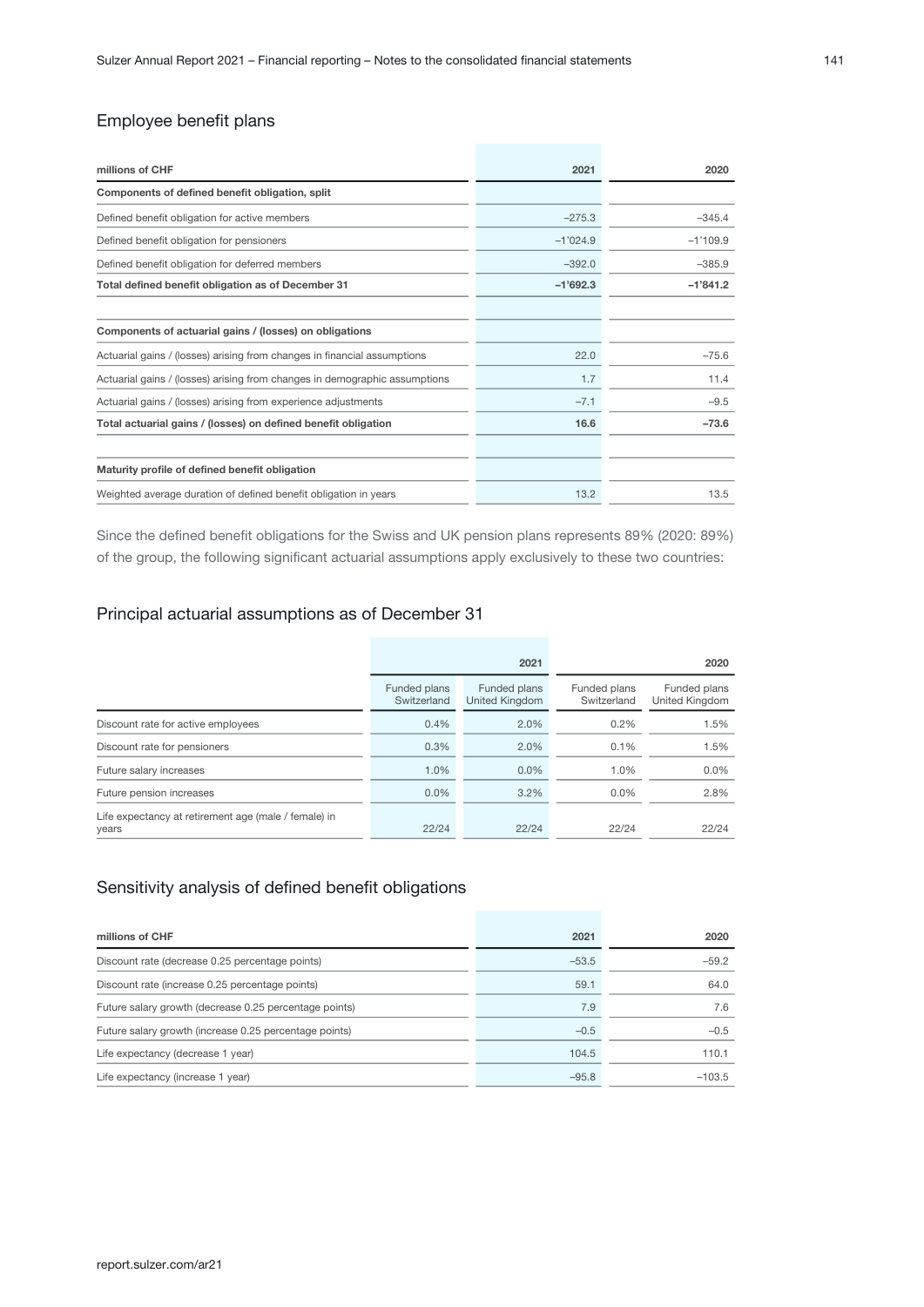| millions of CHF                                                            | 2021       | 2020       |
|----------------------------------------------------------------------------|------------|------------|
| Components of defined benefit obligation, split                            |            |            |
| Defined benefit obligation for active members                              | $-275.3$   | $-345.4$   |
| Defined benefit obligation for pensioners                                  | $-1'024.9$ | $-1'109.9$ |
| Defined benefit obligation for deferred members                            | $-392.0$   | $-385.9$   |
| Total defined benefit obligation as of December 31                         | $-1'692.3$ | $-1'841.2$ |
|                                                                            |            |            |
| Components of actuarial gains / (losses) on obligations                    |            |            |
| Actuarial gains / (losses) arising from changes in financial assumptions   | 22.0       | $-75.6$    |
| Actuarial gains / (losses) arising from changes in demographic assumptions | 1.7        | 11.4       |
| Actuarial gains / (losses) arising from experience adjustments             | $-7.1$     | $-9.5$     |
| Total actuarial gains / (losses) on defined benefit obligation             | 16.6       | $-73.6$    |
|                                                                            |            |            |
| Maturity profile of defined benefit obligation                             |            |            |
| Weighted average duration of defined benefit obligation in years           | 13.2       | 13.5       |

Since the defined benefit obligations for the Swiss and UK pension plans represents 89% (2020: 89%) of the group, the following significant actuarial assumptions apply exclusively to these two countries:

### Principal actuarial assumptions as of December 31

|                                                               | 2021                        |                                       |                             | 2020                           |
|---------------------------------------------------------------|-----------------------------|---------------------------------------|-----------------------------|--------------------------------|
|                                                               | Funded plans<br>Switzerland | Funded plans<br><b>United Kingdom</b> | Funded plans<br>Switzerland | Funded plans<br>United Kingdom |
| Discount rate for active employees                            | 0.4%                        | 2.0%                                  | $0.2\%$                     | 1.5%                           |
| Discount rate for pensioners                                  | 0.3%                        | 2.0%                                  | 0.1%                        | 1.5%                           |
| Future salary increases                                       | 1.0%                        | 0.0%                                  | 1.0%                        | $0.0\%$                        |
| Future pension increases                                      | $0.0\%$                     | 3.2%                                  | $0.0\%$                     | 2.8%                           |
| Life expectancy at retirement age (male / female) in<br>years | 22/24                       | 22/24                                 | 22/24                       | 22/24                          |

### Sensitivity analysis of defined benefit obligations

| millions of CHF                                        | 2021    | 2020     |
|--------------------------------------------------------|---------|----------|
| Discount rate (decrease 0.25 percentage points)        | $-53.5$ | $-59.2$  |
| Discount rate (increase 0.25 percentage points)        | 59.1    | 64.0     |
| Future salary growth (decrease 0.25 percentage points) | 7.9     | 7.6      |
| Future salary growth (increase 0.25 percentage points) | $-0.5$  | $-0.5$   |
| Life expectancy (decrease 1 year)                      | 104.5   | 110.1    |
| Life expectancy (increase 1 year)                      | $-95.8$ | $-103.5$ |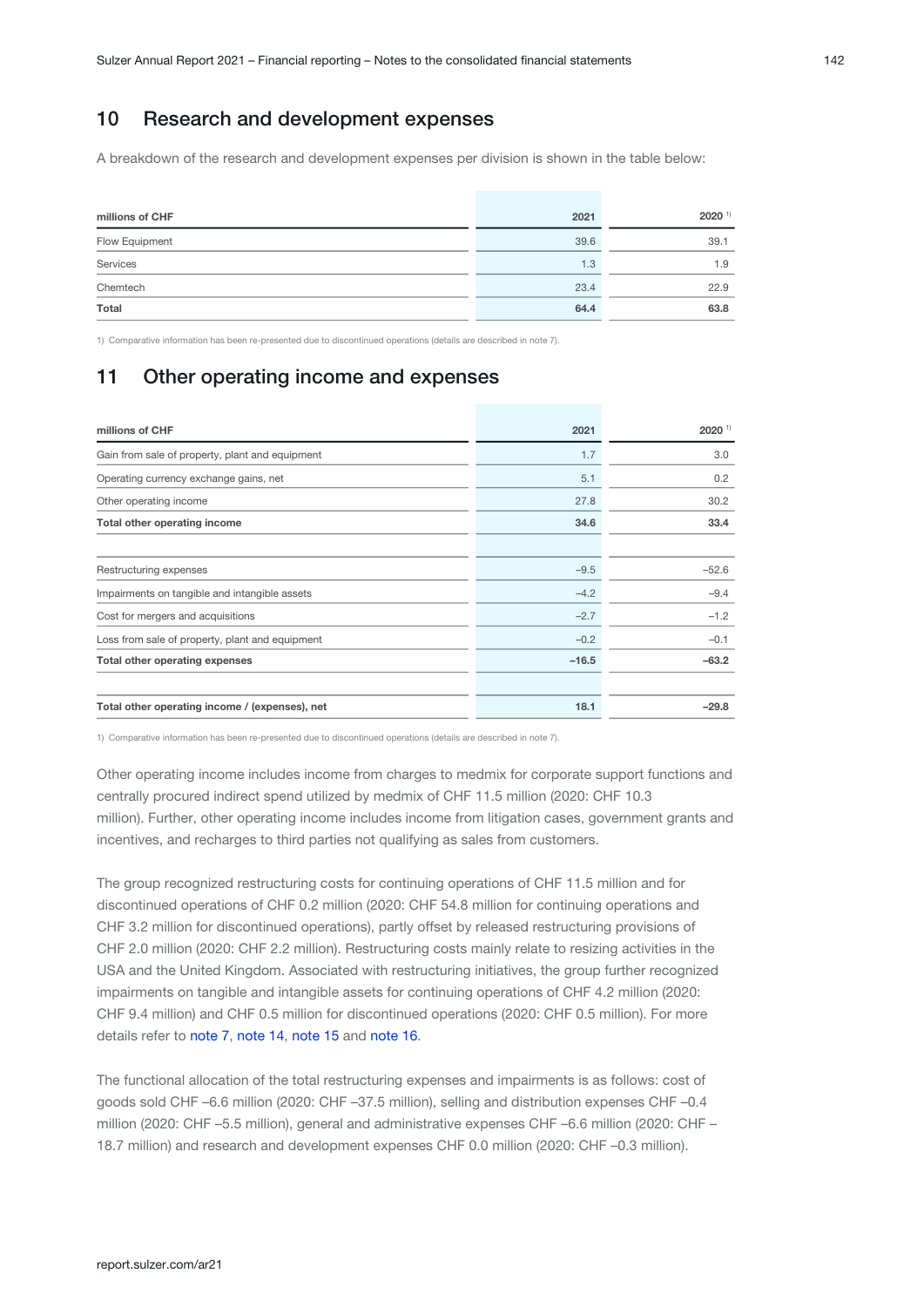# 10 Research and development expenses

A breakdown of the research and development expenses per division is shown in the table below:

| millions of CHF | 2021 | $2020$ <sup>1)</sup> |
|-----------------|------|----------------------|
| Flow Equipment  | 39.6 | 39.1                 |
| Services        | 1.3  | 1.9                  |
| Chemtech        | 23.4 | 22.9                 |
| Total           | 64.4 | 63.8                 |

1) Comparative information has been re-presented due to discontinued operations (details are described in note 7).

# 11 Other operating income and expenses

| millions of CHF                                 | 2021    | $2020$ <sup>1)</sup> |
|-------------------------------------------------|---------|----------------------|
| Gain from sale of property, plant and equipment | 1.7     | 3.0                  |
| Operating currency exchange gains, net          | 5.1     | 0.2                  |
| Other operating income                          | 27.8    | 30.2                 |
| Total other operating income                    | 34.6    | 33.4                 |
|                                                 |         |                      |
| Restructuring expenses                          | $-9.5$  | $-52.6$              |
| Impairments on tangible and intangible assets   | $-4.2$  | $-9.4$               |
| Cost for mergers and acquisitions               | $-2.7$  | $-1.2$               |
| Loss from sale of property, plant and equipment | $-0.2$  | $-0.1$               |
| Total other operating expenses                  | $-16.5$ | $-63.2$              |
|                                                 |         |                      |
| Total other operating income / (expenses), net  | 18.1    | $-29.8$              |

1) Comparative information has been re-presented due to discontinued operations (details are described in note 7).

Other operating income includes income from charges to medmix for corporate support functions and centrally procured indirect spend utilized by medmix of CHF 11.5 million (2020: CHF 10.3 million). Further, other operating income includes income from litigation cases, government grants and incentives, and recharges to third parties not qualifying as sales from customers.

The group recognized restructuring costs for continuing operations of CHF 11.5 million and for discontinued operations of CHF 0.2 million (2020: CHF 54.8 million for continuing operations and CHF 3.2 million for discontinued operations), partly offset by released restructuring provisions of CHF 2.0 million (2020: CHF 2.2 million). Restructuring costs mainly relate to resizing activities in the USA and the United Kingdom. Associated with restructuring initiatives, the group further recognized impairments on tangible and intangible assets for continuing operations of CHF 4.2 million (2020: CHF 9.4 million) and CHF 0.5 million for discontinued operations (2020: CHF 0.5 million). For more details refer to note 7[,](#page-30-0)note 14, note 15 and note 16.

The functional allocation of the total restructuring expenses and impairments is as follows: cost of goods sold CHF –6.6 million (2020: CHF –37.5 million), selling and distribution expenses CHF –0.4 million (2020: CHF –5.5 million), general and administrative expenses CHF –6.6 million (2020: CHF – 18.7 million) and research and development expenses CHF 0.0 million (2020: CHF –0.3 million).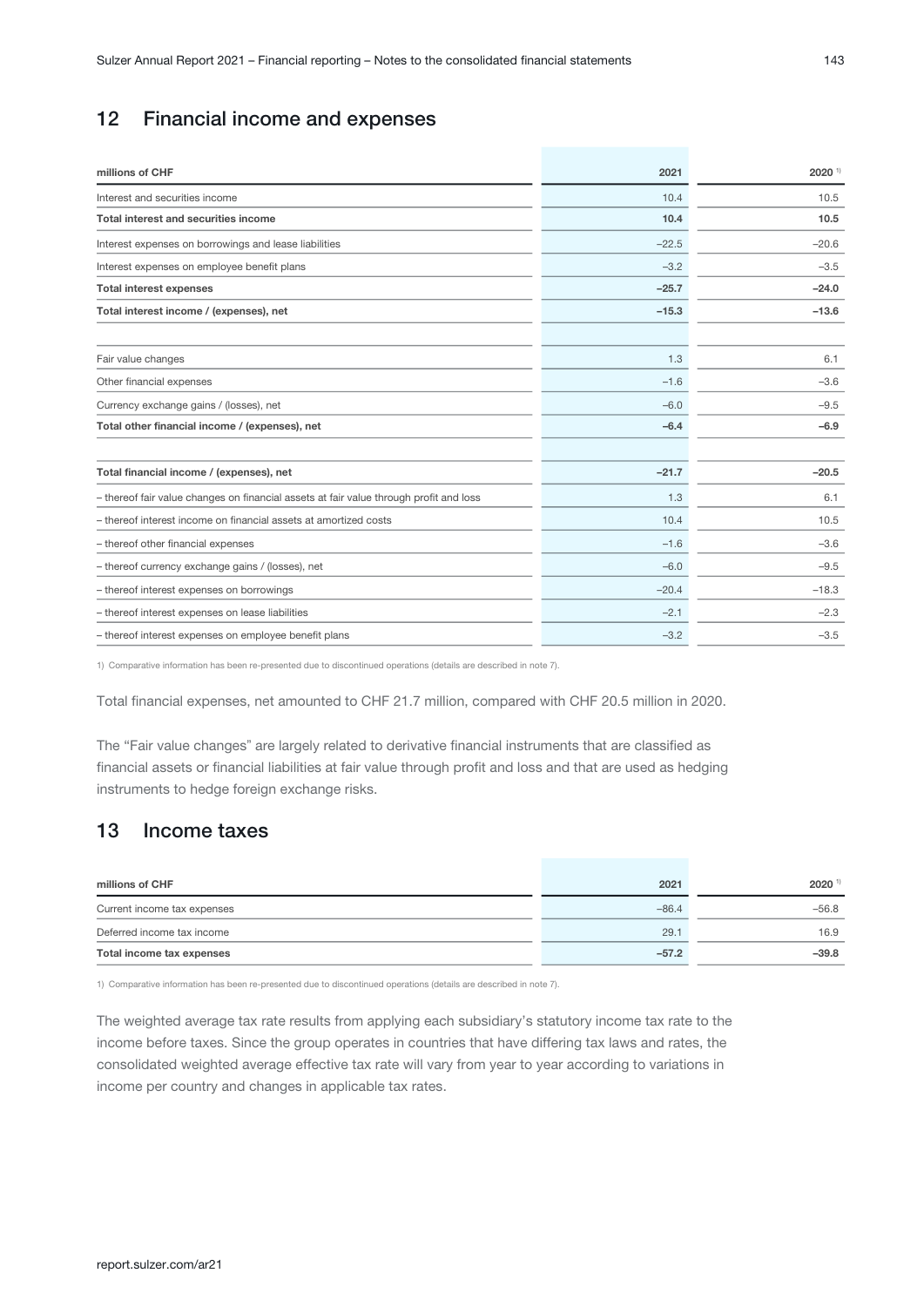# 12 Financial income and expenses

| millions of CHF                                                                        | 2021    | 2020 1) |
|----------------------------------------------------------------------------------------|---------|---------|
| Interest and securities income                                                         | 10.4    | 10.5    |
| <b>Total interest and securities income</b>                                            | 10.4    | 10.5    |
| Interest expenses on borrowings and lease liabilities                                  | $-22.5$ | $-20.6$ |
| Interest expenses on employee benefit plans                                            | $-3.2$  | $-3.5$  |
| <b>Total interest expenses</b>                                                         | $-25.7$ | $-24.0$ |
| Total interest income / (expenses), net                                                | $-15.3$ | $-13.6$ |
| Fair value changes                                                                     | 1.3     | 6.1     |
| Other financial expenses                                                               | $-1.6$  | $-3.6$  |
| Currency exchange gains / (losses), net                                                | $-6.0$  | $-9.5$  |
| Total other financial income / (expenses), net                                         | $-6.4$  | $-6.9$  |
| Total financial income / (expenses), net                                               | $-21.7$ | $-20.5$ |
| - thereof fair value changes on financial assets at fair value through profit and loss | 1.3     | 6.1     |
| - thereof interest income on financial assets at amortized costs                       | 10.4    | 10.5    |
| - thereof other financial expenses                                                     | $-1.6$  | $-3.6$  |
| - thereof currency exchange gains / (losses), net                                      | $-6.0$  | $-9.5$  |
| - thereof interest expenses on borrowings                                              | $-20.4$ | $-18.3$ |
| - thereof interest expenses on lease liabilities                                       | $-2.1$  | $-2.3$  |
| - thereof interest expenses on employee benefit plans                                  | $-3.2$  | $-3.5$  |

1) Comparative information has been re-presented due to discontinued operations (details are described in note 7).

Total financial expenses, net amounted to CHF 21.7 million, compared with CHF 20.5 million in 2020.

The "Fair value changes" are largely related to derivative financial instruments that are classified as financial assets or financial liabilities at fair value through profit and loss and that are used as hedging instruments to hedge foreign exchange risks.

# 13 Income taxes

| millions of CHF             | 2021    | 2020 1  |
|-----------------------------|---------|---------|
| Current income tax expenses | $-86.4$ | $-56.8$ |
| Deferred income tax income  | 29.1    | 16.9    |
| Total income tax expenses   | $-57.2$ | $-39.8$ |

1) Comparative information has been re-presented due to discontinued operations (details are described in note 7).

The weighted average tax rate results from applying each subsidiary's statutory income tax rate to the income before taxes. Since the group operates in countries that have differing tax laws and rates, the consolidated weighted average effective tax rate will vary from year to year according to variations in income per country and changes in applicable tax rates.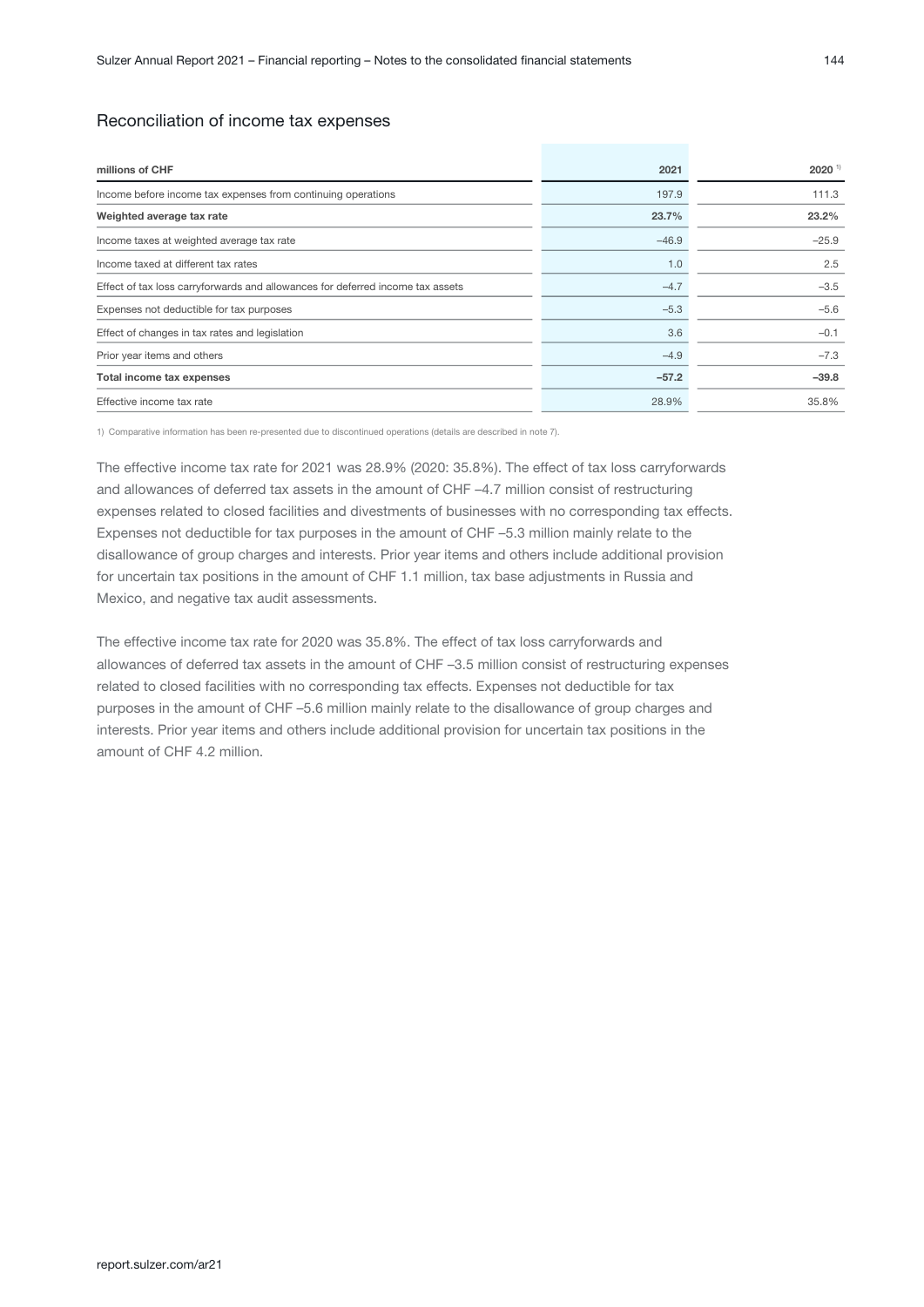#### Reconciliation of income tax expenses

| 2021    | $2020$ <sup>1)</sup> |
|---------|----------------------|
| 197.9   | 111.3                |
| 23.7%   | 23.2%                |
| $-46.9$ | $-25.9$              |
| 1.0     | 2.5                  |
| $-4.7$  | $-3.5$               |
| $-5.3$  | $-5.6$               |
| 3.6     | $-0.1$               |
| $-4.9$  | $-7.3$               |
| $-57.2$ | $-39.8$              |
| 28.9%   | 35.8%                |
|         |                      |

1) Comparative information has been re-presented due to discontinued operations (details are described in note 7).

The effective income tax rate for 2021 was 28.9% (2020: 35.8%). The effect of tax loss carryforwards and allowances of deferred tax assets in the amount of CHF –4.7 million consist of restructuring expenses related to closed facilities and divestments of businesses with no corresponding tax effects. Expenses not deductible for tax purposes in the amount of CHF –5.3 million mainly relate to the disallowance of group charges and interests. Prior year items and others include additional provision for uncertain tax positions in the amount of CHF 1.1 million, tax base adjustments in Russia and Mexico, and negative tax audit assessments.

The effective income tax rate for 2020 was 35.8%. The effect of tax loss carryforwards and allowances of deferred tax assets in the amount of CHF –3.5 million consist of restructuring expenses related to closed facilities with no corresponding tax effects. Expenses not deductible for tax purposes in the amount of CHF –5.6 million mainly relate to the disallowance of group charges and interests. Prior year items and others include additional provision for uncertain tax positions in the amount of CHF 4.2 million.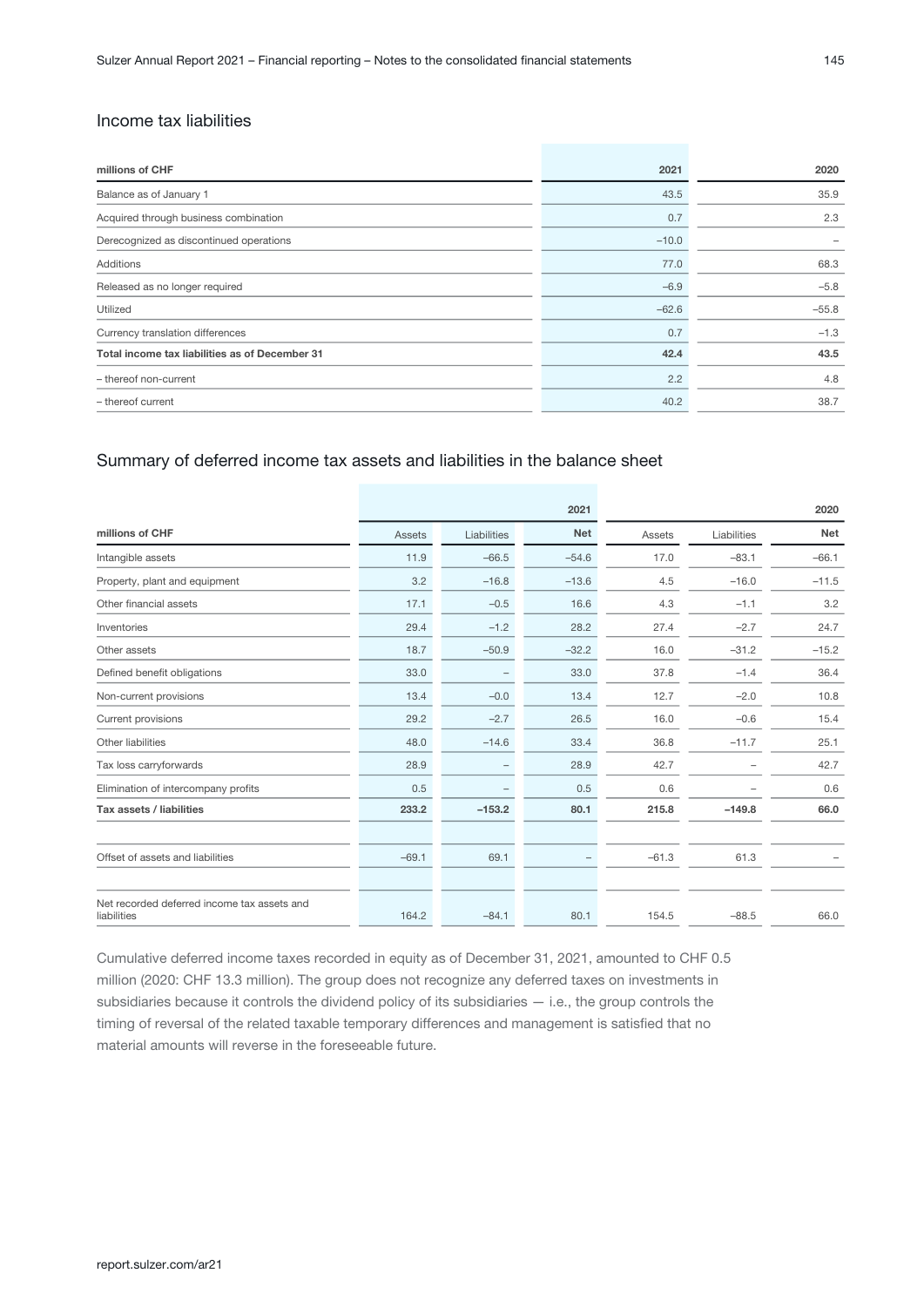### Income tax liabilities

| millions of CHF                                | 2021    | 2020    |
|------------------------------------------------|---------|---------|
| Balance as of January 1                        | 43.5    | 35.9    |
| Acquired through business combination          | 0.7     | 2.3     |
| Derecognized as discontinued operations        | $-10.0$ |         |
| Additions                                      | 77.0    | 68.3    |
| Released as no longer required                 | $-6.9$  | $-5.8$  |
| Utilized                                       | $-62.6$ | $-55.8$ |
| Currency translation differences               | 0.7     | $-1.3$  |
| Total income tax liabilities as of December 31 | 42.4    | 43.5    |
| - thereof non-current                          | 2.2     | 4.8     |
| - thereof current                              | 40.2    | 38.7    |

### Summary of deferred income tax assets and liabilities in the balance sheet

|                                                            |         |             | 2021                     |         |                          | 2020       |
|------------------------------------------------------------|---------|-------------|--------------------------|---------|--------------------------|------------|
| millions of CHF                                            | Assets  | Liabilities | <b>Net</b>               | Assets  | Liabilities              | <b>Net</b> |
| Intangible assets                                          | 11.9    | $-66.5$     | $-54.6$                  | 17.0    | $-83.1$                  | $-66.1$    |
| Property, plant and equipment                              | 3.2     | $-16.8$     | $-13.6$                  | 4.5     | $-16.0$                  | $-11.5$    |
| Other financial assets                                     | 17.1    | $-0.5$      | 16.6                     | 4.3     | $-1.1$                   | 3.2        |
| Inventories                                                | 29.4    | $-1.2$      | 28.2                     | 27.4    | $-2.7$                   | 24.7       |
| Other assets                                               | 18.7    | $-50.9$     | $-32.2$                  | 16.0    | $-31.2$                  | $-15.2$    |
| Defined benefit obligations                                | 33.0    | -           | 33.0                     | 37.8    | $-1.4$                   | 36.4       |
| Non-current provisions                                     | 13.4    | $-0.0$      | 13.4                     | 12.7    | $-2.0$                   | 10.8       |
| Current provisions                                         | 29.2    | $-2.7$      | 26.5                     | 16.0    | $-0.6$                   | 15.4       |
| Other liabilities                                          | 48.0    | $-14.6$     | 33.4                     | 36.8    | $-11.7$                  | 25.1       |
| Tax loss carryforwards                                     | 28.9    | -           | 28.9                     | 42.7    | $\overline{\phantom{a}}$ | 42.7       |
| Elimination of intercompany profits                        | 0.5     | -           | 0.5                      | 0.6     |                          | 0.6        |
| Tax assets / liabilities                                   | 233.2   | $-153.2$    | 80.1                     | 215.8   | $-149.8$                 | 66.0       |
|                                                            |         |             |                          |         |                          |            |
| Offset of assets and liabilities                           | $-69.1$ | 69.1        | $\overline{\phantom{0}}$ | $-61.3$ | 61.3                     |            |
|                                                            |         |             |                          |         |                          |            |
| Net recorded deferred income tax assets and<br>liabilities | 164.2   | $-84.1$     | 80.1                     | 154.5   | $-88.5$                  | 66.0       |

Cumulative deferred income taxes recorded in equity as of December 31, 2021, amounted to CHF 0.5 million (2020: CHF 13.3 million). The group does not recognize any deferred taxes on investments in subsidiaries because it controls the dividend policy of its subsidiaries — i.e., the group controls the timing of reversal of the related taxable temporary differences and management is satisfied that no material amounts will reverse in the foreseeable future.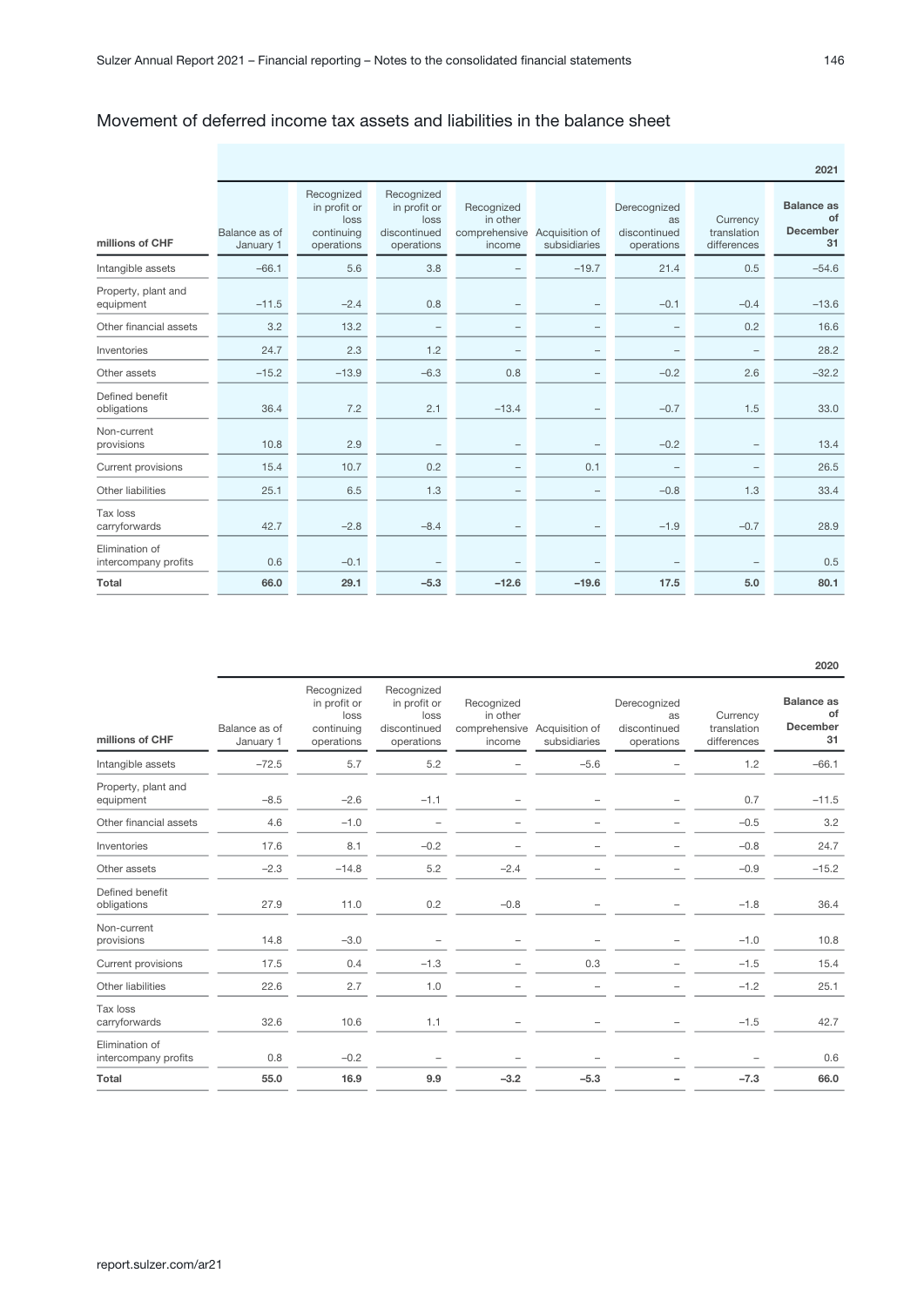### Movement of deferred income tax assets and liabilities in the balance sheet

|                                        |                            |                                                                |                                                                  |                                                   |                                |                                                         |                                        | 2021                                             |
|----------------------------------------|----------------------------|----------------------------------------------------------------|------------------------------------------------------------------|---------------------------------------------------|--------------------------------|---------------------------------------------------------|----------------------------------------|--------------------------------------------------|
| millions of CHF                        | Balance as of<br>January 1 | Recognized<br>in profit or<br>loss<br>continuing<br>operations | Recognized<br>in profit or<br>loss<br>discontinued<br>operations | Recognized<br>in other<br>comprehensive<br>income | Acquisition of<br>subsidiaries | Derecognized<br><b>as</b><br>discontinued<br>operations | Currency<br>translation<br>differences | <b>Balance as</b><br>of<br><b>December</b><br>31 |
| Intangible assets                      | $-66.1$                    | 5.6                                                            | 3.8                                                              |                                                   | $-19.7$                        | 21.4                                                    | 0.5                                    | $-54.6$                                          |
| Property, plant and<br>equipment       | $-11.5$                    | $-2.4$                                                         | 0.8                                                              |                                                   |                                | $-0.1$                                                  | $-0.4$                                 | $-13.6$                                          |
| Other financial assets                 | 3.2                        | 13.2                                                           | $\qquad \qquad -$                                                |                                                   |                                | $\overline{\phantom{a}}$                                | 0.2                                    | 16.6                                             |
| Inventories                            | 24.7                       | 2.3                                                            | 1.2                                                              |                                                   |                                | -                                                       | -                                      | 28.2                                             |
| Other assets                           | $-15.2$                    | $-13.9$                                                        | $-6.3$                                                           | 0.8                                               |                                | $-0.2$                                                  | 2.6                                    | $-32.2$                                          |
| Defined benefit<br>obligations         | 36.4                       | 7.2                                                            | 2.1                                                              | $-13.4$                                           |                                | $-0.7$                                                  | 1.5                                    | 33.0                                             |
| Non-current<br>provisions              | 10.8                       | 2.9                                                            | $\qquad \qquad -$                                                |                                                   |                                | $-0.2$                                                  | -                                      | 13.4                                             |
| Current provisions                     | 15.4                       | 10.7                                                           | 0.2                                                              |                                                   | 0.1                            | -                                                       |                                        | 26.5                                             |
| Other liabilities                      | 25.1                       | 6.5                                                            | 1.3                                                              |                                                   |                                | $-0.8$                                                  | 1.3                                    | 33.4                                             |
| Tax loss<br>carryforwards              | 42.7                       | $-2.8$                                                         | $-8.4$                                                           |                                                   |                                | $-1.9$                                                  | $-0.7$                                 | 28.9                                             |
| Elimination of<br>intercompany profits | 0.6                        | $-0.1$                                                         |                                                                  |                                                   |                                |                                                         |                                        | 0.5                                              |
| Total                                  | 66.0                       | 29.1                                                           | $-5.3$                                                           | $-12.6$                                           | $-19.6$                        | 17.5                                                    | 5.0                                    | 80.1                                             |

| millions of CHF                        | Balance as of<br>January 1 | Recognized<br>in profit or<br>loss<br>continuing<br>operations | Recognized<br>in profit or<br>loss<br>discontinued<br>operations | Recognized<br>in other<br>comprehensive<br>income | Acquisition of<br>subsidiaries | Derecognized<br>as<br>discontinued<br>operations | Currency<br>translation<br>differences | <b>Balance as</b><br>of<br><b>December</b><br>31 |
|----------------------------------------|----------------------------|----------------------------------------------------------------|------------------------------------------------------------------|---------------------------------------------------|--------------------------------|--------------------------------------------------|----------------------------------------|--------------------------------------------------|
| Intangible assets                      | $-72.5$                    | 5.7                                                            | 5.2                                                              |                                                   | $-5.6$                         |                                                  | 1.2                                    | $-66.1$                                          |
| Property, plant and<br>equipment       | $-8.5$                     | $-2.6$                                                         | $-1.1$                                                           |                                                   |                                |                                                  | 0.7                                    | $-11.5$                                          |
| Other financial assets                 | 4.6                        | $-1.0$                                                         | -                                                                |                                                   |                                |                                                  | $-0.5$                                 | 3.2                                              |
| Inventories                            | 17.6                       | 8.1                                                            | $-0.2$                                                           |                                                   |                                |                                                  | $-0.8$                                 | 24.7                                             |
| Other assets                           | $-2.3$                     | $-14.8$                                                        | 5.2                                                              | $-2.4$                                            | $\overline{\phantom{0}}$       | ۳                                                | $-0.9$                                 | $-15.2$                                          |
| Defined benefit<br>obligations         | 27.9                       | 11.0                                                           | 0.2                                                              | $-0.8$                                            |                                |                                                  | $-1.8$                                 | 36.4                                             |
| Non-current<br>provisions              | 14.8                       | $-3.0$                                                         | -                                                                | -                                                 | -                              |                                                  | $-1.0$                                 | 10.8                                             |
| Current provisions                     | 17.5                       | 0.4                                                            | $-1.3$                                                           |                                                   | 0.3                            |                                                  | $-1.5$                                 | 15.4                                             |
| Other liabilities                      | 22.6                       | 2.7                                                            | 1.0                                                              |                                                   | -                              |                                                  | $-1.2$                                 | 25.1                                             |
| Tax loss<br>carryforwards              | 32.6                       | 10.6                                                           | 1.1                                                              |                                                   |                                |                                                  | $-1.5$                                 | 42.7                                             |
| Elimination of<br>intercompany profits | 0.8                        | $-0.2$                                                         |                                                                  |                                                   |                                |                                                  |                                        | 0.6                                              |
| Total                                  | 55.0                       | 16.9                                                           | 9.9                                                              | $-3.2$                                            | $-5.3$                         |                                                  | $-7.3$                                 | 66.0                                             |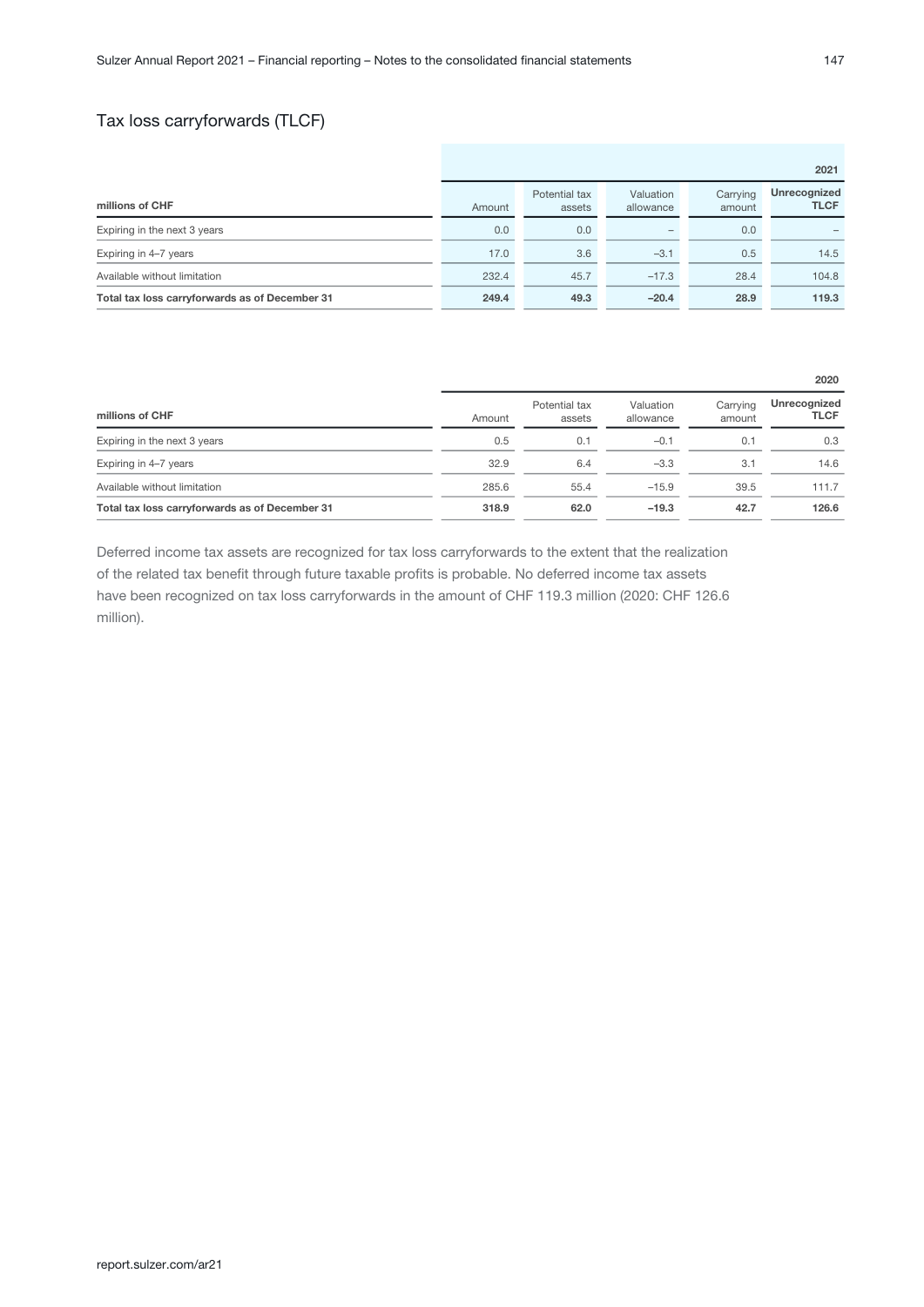### Tax loss carryforwards (TLCF)

|                                                |        |                         |                          |                    | 2021                        |
|------------------------------------------------|--------|-------------------------|--------------------------|--------------------|-----------------------------|
| millions of CHF                                | Amount | Potential tax<br>assets | Valuation<br>allowance   | Carrying<br>amount | Unrecognized<br><b>TLCF</b> |
| Expiring in the next 3 years                   | 0.0    | 0.0                     | $\overline{\phantom{a}}$ | 0.0                |                             |
| Expiring in 4-7 years                          | 17.0   | 3.6                     | $-3.1$                   | 0.5                | 14.5                        |
| Available without limitation                   | 232.4  | 45.7                    | $-17.3$                  | 28.4               | 104.8                       |
| Total tax loss carryforwards as of December 31 | 249.4  | 49.3                    | $-20.4$                  | 28.9               | 119.3                       |

|                                                |        |                         |                        |                    | 2020                        |
|------------------------------------------------|--------|-------------------------|------------------------|--------------------|-----------------------------|
| millions of CHF                                | Amount | Potential tax<br>assets | Valuation<br>allowance | Carrying<br>amount | Unrecognized<br><b>TLCF</b> |
| Expiring in the next 3 years                   | 0.5    | 0.1                     | $-0.1$                 | 0.1                | 0.3                         |
| Expiring in 4-7 years                          | 32.9   | 6.4                     | $-3.3$                 | 3.1                | 14.6                        |
| Available without limitation                   | 285.6  | 55.4                    | $-15.9$                | 39.5               | 111.7                       |
| Total tax loss carryforwards as of December 31 | 318.9  | 62.0                    | $-19.3$                | 42.7               | 126.6                       |

Deferred income tax assets are recognized for tax loss carryforwards to the extent that the realization of the related tax benefit through future taxable profits is probable. No deferred income tax assets have been recognized on tax loss carryforwards in the amount of CHF 119.3 million (2020: CHF 126.6 million).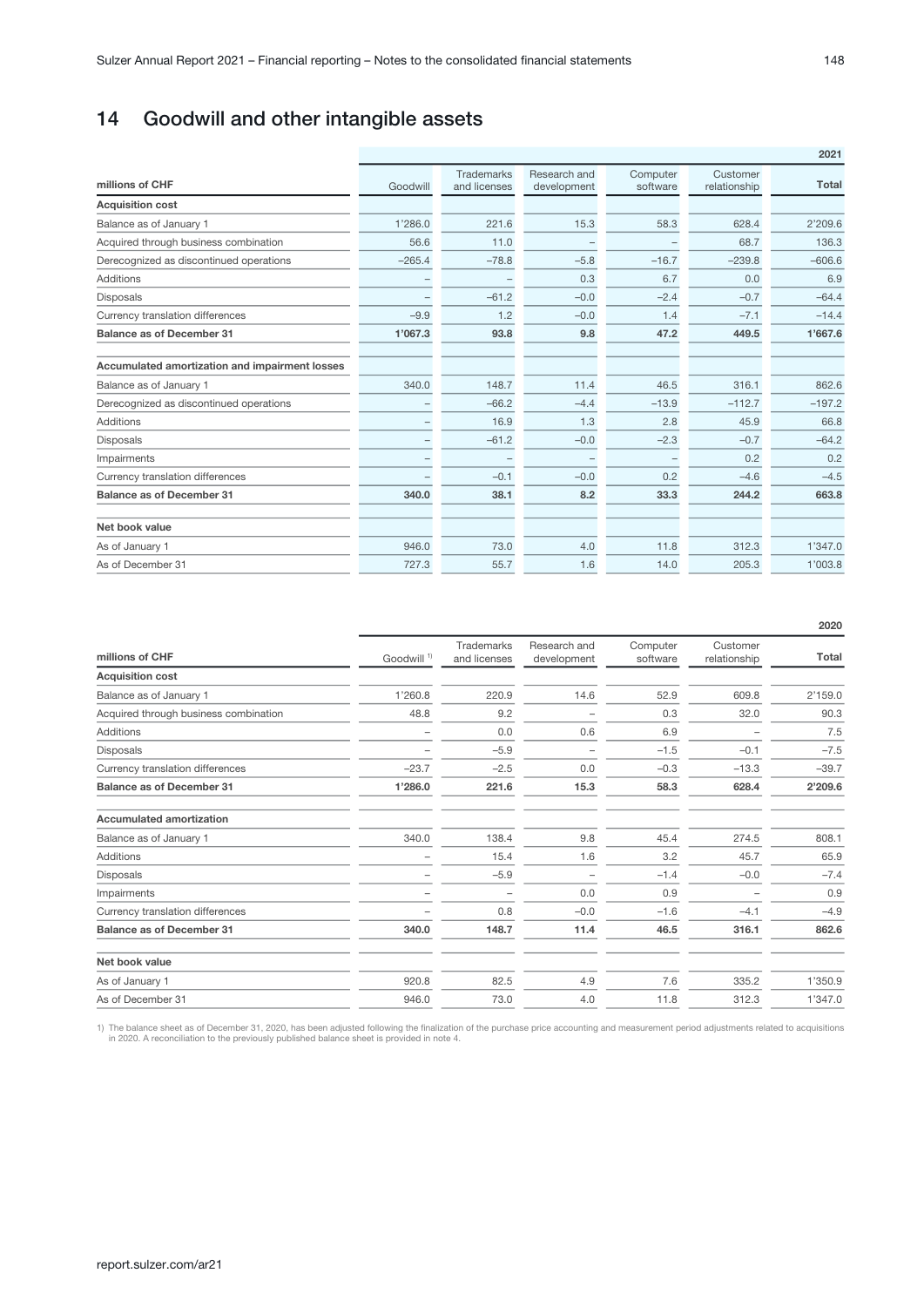# <span id="page-47-0"></span>14 Goodwill and other intangible assets

|                                                | 2021     |                                   |                             |                      |                          |          |  |  |  |
|------------------------------------------------|----------|-----------------------------------|-----------------------------|----------------------|--------------------------|----------|--|--|--|
| millions of CHF                                | Goodwill | <b>Trademarks</b><br>and licenses | Research and<br>development | Computer<br>software | Customer<br>relationship | Total    |  |  |  |
| <b>Acquisition cost</b>                        |          |                                   |                             |                      |                          |          |  |  |  |
| Balance as of January 1                        | 1'286.0  | 221.6                             | 15.3                        | 58.3                 | 628.4                    | 2'209.6  |  |  |  |
| Acquired through business combination          | 56.6     | 11.0                              | -                           |                      | 68.7                     | 136.3    |  |  |  |
| Derecognized as discontinued operations        | $-265.4$ | $-78.8$                           | $-5.8$                      | $-16.7$              | $-239.8$                 | $-606.6$ |  |  |  |
| <b>Additions</b>                               |          |                                   | 0.3                         | 6.7                  | 0.0                      | 6.9      |  |  |  |
| Disposals                                      |          | $-61.2$                           | $-0.0$                      | $-2.4$               | $-0.7$                   | $-64.4$  |  |  |  |
| Currency translation differences               | $-9.9$   | 1.2                               | $-0.0$                      | 1.4                  | $-7.1$                   | $-14.4$  |  |  |  |
| <b>Balance as of December 31</b>               | 1'067.3  | 93.8                              | 9.8                         | 47.2                 | 449.5                    | 1'667.6  |  |  |  |
| Accumulated amortization and impairment losses |          |                                   |                             |                      |                          |          |  |  |  |
| Balance as of January 1                        | 340.0    | 148.7                             | 11.4                        | 46.5                 | 316.1                    | 862.6    |  |  |  |
| Derecognized as discontinued operations        |          | $-66.2$                           | $-4.4$                      | $-13.9$              | $-112.7$                 | $-197.2$ |  |  |  |
| <b>Additions</b>                               |          | 16.9                              | 1.3                         | 2.8                  | 45.9                     | 66.8     |  |  |  |
| <b>Disposals</b>                               |          | $-61.2$                           | $-0.0$                      | $-2.3$               | $-0.7$                   | $-64.2$  |  |  |  |
| Impairments                                    |          |                                   | $\overline{\phantom{a}}$    |                      | 0.2                      | 0.2      |  |  |  |
| Currency translation differences               |          | $-0.1$                            | $-0.0$                      | 0.2                  | $-4.6$                   | $-4.5$   |  |  |  |
| <b>Balance as of December 31</b>               | 340.0    | 38.1                              | 8.2                         | 33.3                 | 244.2                    | 663.8    |  |  |  |
| Net book value                                 |          |                                   |                             |                      |                          |          |  |  |  |
| As of January 1                                | 946.0    | 73.0                              | 4.0                         | 11.8                 | 312.3                    | 1'347.0  |  |  |  |
| As of December 31                              | 727.3    | 55.7                              | 1.6                         | 14.0                 | 205.3                    | 1'003.8  |  |  |  |

|                                       |                        |                            |                             |                      |                          | 2020    |
|---------------------------------------|------------------------|----------------------------|-----------------------------|----------------------|--------------------------|---------|
| millions of CHF                       | Goodwill <sup>1)</sup> | Trademarks<br>and licenses | Research and<br>development | Computer<br>software | Customer<br>relationship | Total   |
| <b>Acquisition cost</b>               |                        |                            |                             |                      |                          |         |
| Balance as of January 1               | 1'260.8                | 220.9                      | 14.6                        | 52.9                 | 609.8                    | 2'159.0 |
| Acquired through business combination | 48.8                   | 9.2                        |                             | 0.3                  | 32.0                     | 90.3    |
| <b>Additions</b>                      |                        | 0.0                        | 0.6                         | 6.9                  |                          | 7.5     |
| Disposals                             |                        | $-5.9$                     |                             | $-1.5$               | $-0.1$                   | $-7.5$  |
| Currency translation differences      | $-23.7$                | $-2.5$                     | 0.0                         | $-0.3$               | $-13.3$                  | $-39.7$ |
| <b>Balance as of December 31</b>      | 1'286.0                | 221.6                      | 15.3                        | 58.3                 | 628.4                    | 2'209.6 |
| <b>Accumulated amortization</b>       |                        |                            |                             |                      |                          |         |
| Balance as of January 1               | 340.0                  | 138.4                      | 9.8                         | 45.4                 | 274.5                    | 808.1   |
| <b>Additions</b>                      |                        | 15.4                       | 1.6                         | 3.2                  | 45.7                     | 65.9    |
| Disposals                             |                        | $-5.9$                     |                             | $-1.4$               | $-0.0$                   | $-7.4$  |
| Impairments                           |                        |                            | 0.0                         | 0.9                  |                          | 0.9     |
| Currency translation differences      |                        | 0.8                        | $-0.0$                      | $-1.6$               | $-4.1$                   | $-4.9$  |
| <b>Balance as of December 31</b>      | 340.0                  | 148.7                      | 11.4                        | 46.5                 | 316.1                    | 862.6   |
| Net book value                        |                        |                            |                             |                      |                          |         |
| As of January 1                       | 920.8                  | 82.5                       | 4.9                         | 7.6                  | 335.2                    | 1'350.9 |
| As of December 31                     | 946.0                  | 73.0                       | 4.0                         | 11.8                 | 312.3                    | 1'347.0 |

1) The balance sheet as of December 31, 2020, has been adjusted following the finalization of the purchase price accounting and measurement period adjustments related to acquisitions in 2020. A reconciliation to the previo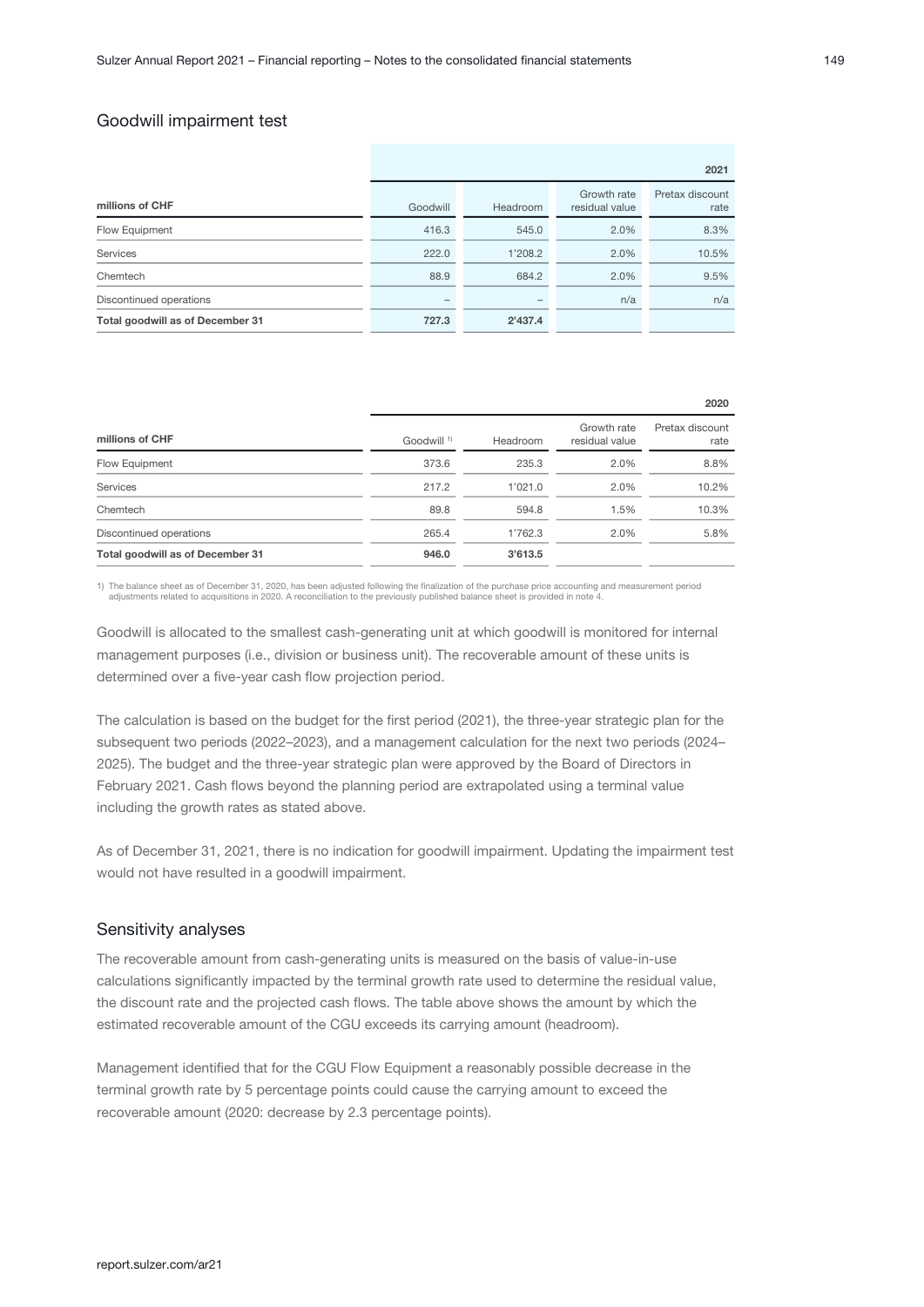### Goodwill impairment test

|                                  | 2021     |          |                               |                         |  |  |  |
|----------------------------------|----------|----------|-------------------------------|-------------------------|--|--|--|
| millions of CHF                  | Goodwill | Headroom | Growth rate<br>residual value | Pretax discount<br>rate |  |  |  |
| Flow Equipment                   | 416.3    | 545.0    | 2.0%                          | 8.3%                    |  |  |  |
| Services                         | 222.0    | 1'208.2  | 2.0%                          | 10.5%                   |  |  |  |
| Chemtech                         | 88.9     | 684.2    | 2.0%                          | 9.5%                    |  |  |  |
| Discontinued operations          | -        | -        | n/a                           | n/a                     |  |  |  |
| Total goodwill as of December 31 | 727.3    | 2'437.4  |                               |                         |  |  |  |

|                        |          |                               | 2020                    |
|------------------------|----------|-------------------------------|-------------------------|
| Goodwill <sup>1)</sup> | Headroom | Growth rate<br>residual value | Pretax discount<br>rate |
| 373.6                  | 235.3    | 2.0%                          | 8.8%                    |
| 217.2                  | 1'021.0  | 2.0%                          | 10.2%                   |
| 89.8                   | 594.8    | 1.5%                          | 10.3%                   |
| 265.4                  | 1'762.3  | 2.0%                          | 5.8%                    |
| 946.0                  | 3'613.5  |                               |                         |
|                        |          |                               |                         |

1) The balance sheet as of December 31, 2020, has been adjusted following the finalization of the purchase price accounting and measurement period<br>4) adjustments related to acquisitions in 2020. A reconciliation to the pre

Goodwill is allocated to the smallest cash-generating unit at which goodwill is monitored for internal management purposes (i.e., division or business unit). The recoverable amount of these units is determined over a five-year cash flow projection period.

The calculation is based on the budget for the first period (2021), the three-year strategic plan for the subsequent two periods (2022–2023), and a management calculation for the next two periods (2024– 2025). The budget and the three-year strategic plan were approved by the Board of Directors in February 2021. Cash flows beyond the planning period are extrapolated using a terminal value including the growth rates as stated above.

As of December 31, 2021, there is no indication for goodwill impairment. Updating the impairment test would not have resulted in a goodwill impairment.

### Sensitivity analyses

The recoverable amount from cash-generating units is measured on the basis of value-in-use calculations significantly impacted by the terminal growth rate used to determine the residual value, the discount rate and the projected cash flows. The table above shows the amount by which the estimated recoverable amount of the CGU exceeds its carrying amount (headroom).

Management identified that for the CGU Flow Equipment a reasonably possible decrease in the terminal growth rate by 5 percentage points could cause the carrying amount to exceed the recoverable amount (2020: decrease by 2.3 percentage points).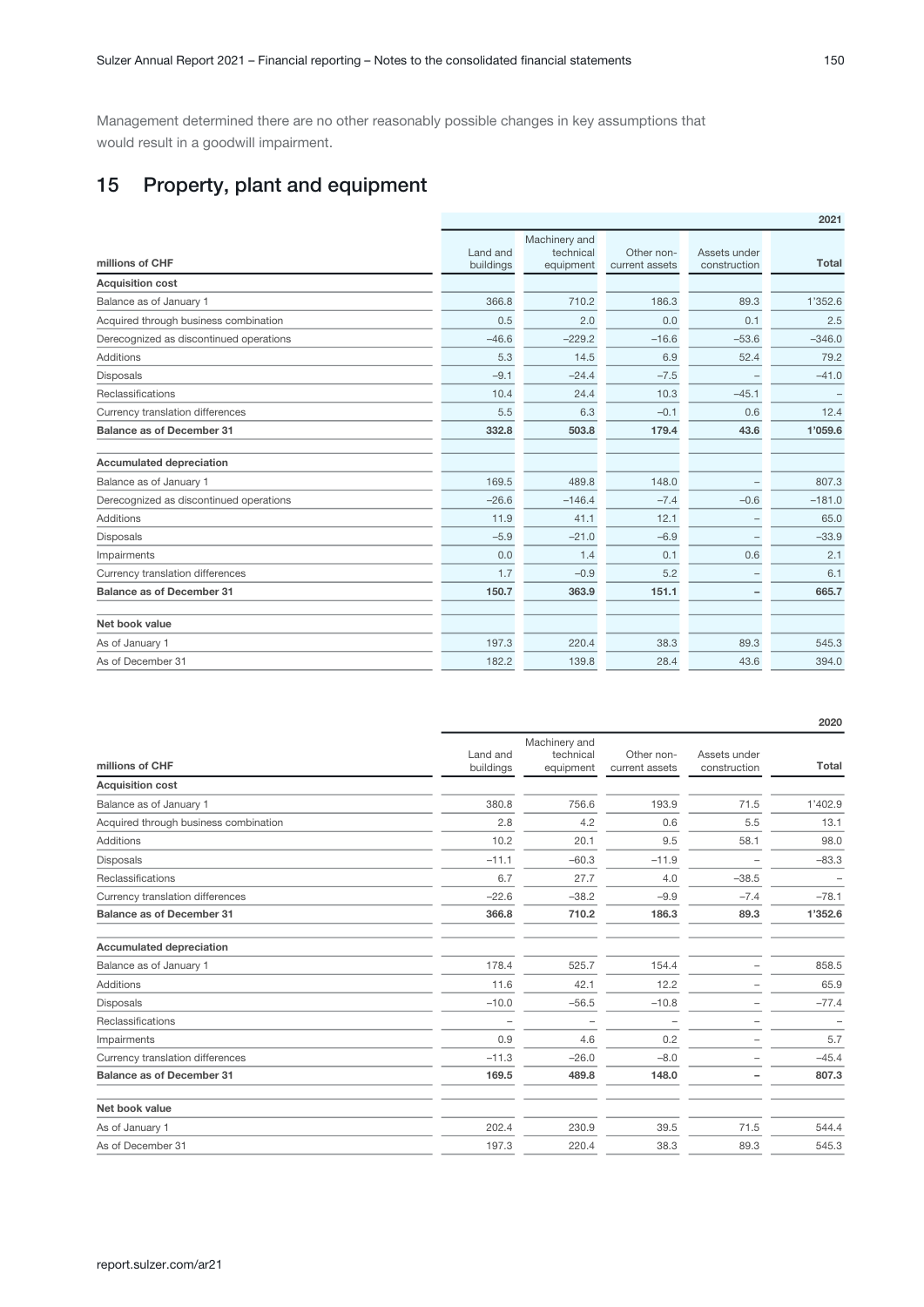<span id="page-49-0"></span>Management determined there are no other reasonably possible changes in key assumptions that would result in a goodwill impairment.

# 15 Property, plant and equipment

|                                         |                       |                                         |                              |                              | 2021         |
|-----------------------------------------|-----------------------|-----------------------------------------|------------------------------|------------------------------|--------------|
| millions of CHF                         | Land and<br>buildings | Machinery and<br>technical<br>equipment | Other non-<br>current assets | Assets under<br>construction | <b>Total</b> |
| <b>Acquisition cost</b>                 |                       |                                         |                              |                              |              |
| Balance as of January 1                 | 366.8                 | 710.2                                   | 186.3                        | 89.3                         | 1'352.6      |
| Acquired through business combination   | 0.5                   | 2.0                                     | 0.0                          | 0.1                          | 2.5          |
| Derecognized as discontinued operations | $-46.6$               | $-229.2$                                | $-16.6$                      | $-53.6$                      | $-346.0$     |
| <b>Additions</b>                        | 5.3                   | 14.5                                    | 6.9                          | 52.4                         | 79.2         |
| <b>Disposals</b>                        | $-9.1$                | $-24.4$                                 | $-7.5$                       |                              | $-41.0$      |
| Reclassifications                       | 10.4                  | 24.4                                    | 10.3                         | $-45.1$                      |              |
| Currency translation differences        | 5.5                   | 6.3                                     | $-0.1$                       | 0.6                          | 12.4         |
| <b>Balance as of December 31</b>        | 332.8                 | 503.8                                   | 179.4                        | 43.6                         | 1'059.6      |
| <b>Accumulated depreciation</b>         |                       |                                         |                              |                              |              |
| Balance as of January 1                 | 169.5                 | 489.8                                   | 148.0                        | $\overline{\phantom{a}}$     | 807.3        |
| Derecognized as discontinued operations | $-26.6$               | $-146.4$                                | $-7.4$                       | $-0.6$                       | $-181.0$     |
| <b>Additions</b>                        | 11.9                  | 41.1                                    | 12.1                         | $\overline{\phantom{a}}$     | 65.0         |
| <b>Disposals</b>                        | $-5.9$                | $-21.0$                                 | $-6.9$                       | $\qquad \qquad -$            | $-33.9$      |
| Impairments                             | 0.0                   | 1.4                                     | 0.1                          | 0.6                          | 2.1          |
| Currency translation differences        | 1.7                   | $-0.9$                                  | 5.2                          |                              | 6.1          |
| <b>Balance as of December 31</b>        | 150.7                 | 363.9                                   | 151.1                        | -                            | 665.7        |
| Net book value                          |                       |                                         |                              |                              |              |
| As of January 1                         | 197.3                 | 220.4                                   | 38.3                         | 89.3                         | 545.3        |
| As of December 31                       | 182.2                 | 139.8                                   | 28.4                         | 43.6                         | 394.0        |

|                                       |                       |                                         |                              |                              | 2020                     |
|---------------------------------------|-----------------------|-----------------------------------------|------------------------------|------------------------------|--------------------------|
| millions of CHF                       | Land and<br>buildings | Machinery and<br>technical<br>equipment | Other non-<br>current assets | Assets under<br>construction | <b>Total</b>             |
| <b>Acquisition cost</b>               |                       |                                         |                              |                              |                          |
| Balance as of January 1               | 380.8                 | 756.6                                   | 193.9                        | 71.5                         | 1'402.9                  |
| Acquired through business combination | 2.8                   | 4.2                                     | 0.6                          | 5.5                          | 13.1                     |
| <b>Additions</b>                      | 10.2                  | 20.1                                    | 9.5                          | 58.1                         | 98.0                     |
| <b>Disposals</b>                      | $-11.1$               | $-60.3$                                 | $-11.9$                      |                              | $-83.3$                  |
| Reclassifications                     | 6.7                   | 27.7                                    | 4.0                          | $-38.5$                      | $\overline{\phantom{0}}$ |
| Currency translation differences      | $-22.6$               | $-38.2$                                 | $-9.9$                       | $-7.4$                       | $-78.1$                  |
| <b>Balance as of December 31</b>      | 366.8                 | 710.2                                   | 186.3                        | 89.3                         | 1'352.6                  |
| <b>Accumulated depreciation</b>       |                       |                                         |                              |                              |                          |
| Balance as of January 1               | 178.4                 | 525.7                                   | 154.4                        |                              | 858.5                    |
| <b>Additions</b>                      | 11.6                  | 42.1                                    | 12.2                         | -                            | 65.9                     |
| <b>Disposals</b>                      | $-10.0$               | $-56.5$                                 | $-10.8$                      |                              | $-77.4$                  |
| Reclassifications                     | -                     | $\overline{\phantom{m}}$                | $\overline{\phantom{m}}$     | $\overline{\phantom{a}}$     | $\overline{\phantom{0}}$ |
| Impairments                           | 0.9                   | 4.6                                     | 0.2                          |                              | 5.7                      |
| Currency translation differences      | $-11.3$               | $-26.0$                                 | $-8.0$                       |                              | $-45.4$                  |
| <b>Balance as of December 31</b>      | 169.5                 | 489.8                                   | 148.0                        |                              | 807.3                    |
| Net book value                        |                       |                                         |                              |                              |                          |
| As of January 1                       | 202.4                 | 230.9                                   | 39.5                         | 71.5                         | 544.4                    |
| As of December 31                     | 197.3                 | 220.4                                   | 38.3                         | 89.3                         | 545.3                    |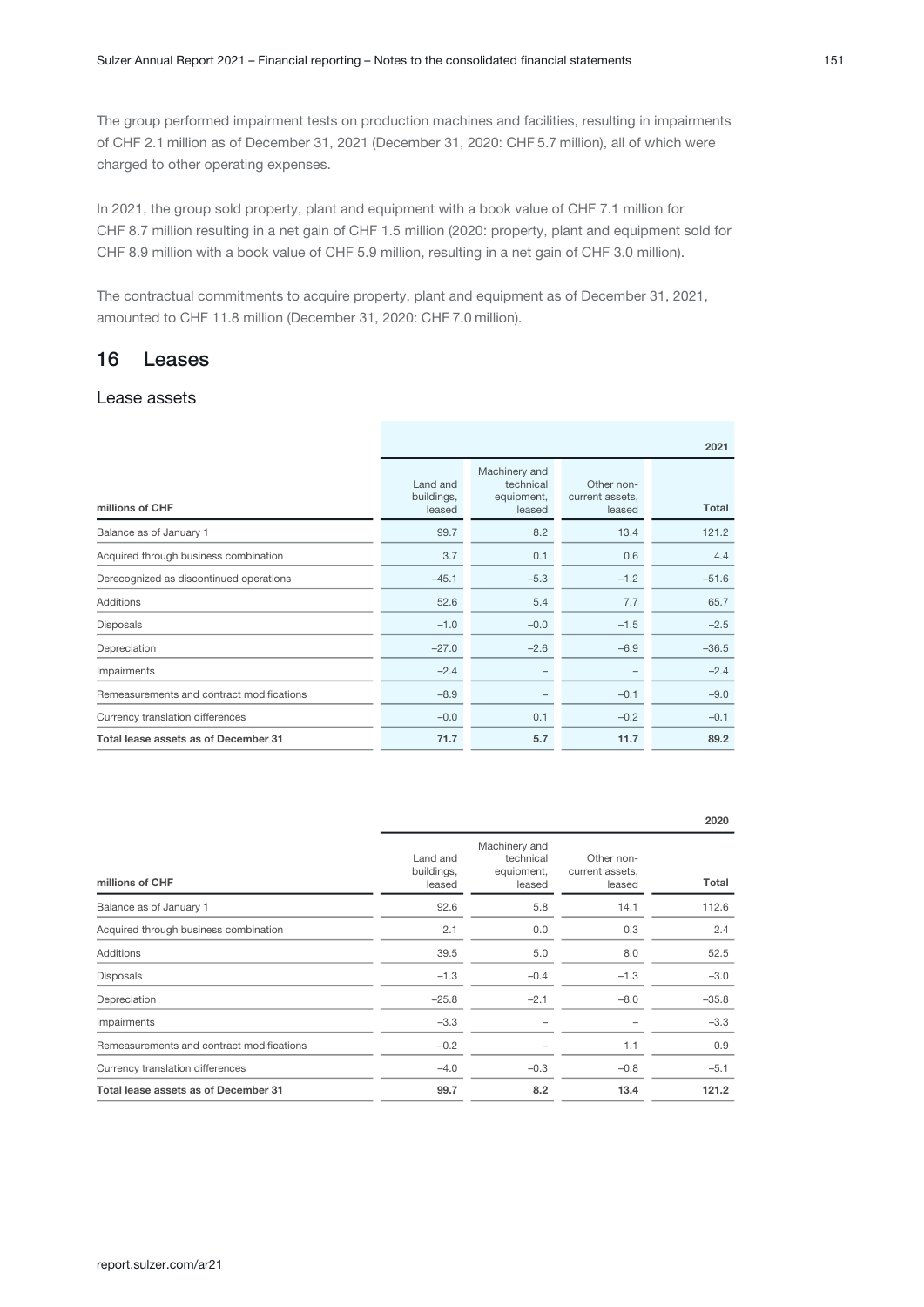<span id="page-50-0"></span>The group performed impairment tests on production machines and facilities, resulting in impairments of CHF 2.1 million as of December 31, 2021 (December 31, 2020: CHF 5.7 million), all of which were charged to other operating expenses.

In 2021, the group sold property, plant and equipment with a book value of CHF 7.1 million for CHF 8.7 million resulting in a net gain of CHF 1.5 million (2020: property, plant and equipment sold for CHF 8.9 million with a book value of CHF 5.9 million, resulting in a net gain of CHF 3.0 million).

The contractual commitments to acquire property, plant and equipment as of December 31, 2021, amounted to CHF 11.8 million (December 31, 2020: CHF 7.0 million).

## 16 Leases

### Lease assets

|                                           | 2021                             |                                                    |                                         |         |  |  |
|-------------------------------------------|----------------------------------|----------------------------------------------------|-----------------------------------------|---------|--|--|
| millions of CHF                           | Land and<br>buildings,<br>leased | Machinery and<br>technical<br>equipment,<br>leased | Other non-<br>current assets,<br>leased | Total   |  |  |
| Balance as of January 1                   | 99.7                             | 8.2                                                | 13.4                                    | 121.2   |  |  |
| Acquired through business combination     | 3.7                              | 0.1                                                | 0.6                                     | 4.4     |  |  |
| Derecognized as discontinued operations   | $-45.1$                          | $-5.3$                                             | $-1.2$                                  | $-51.6$ |  |  |
| <b>Additions</b>                          | 52.6                             | 5.4                                                | 7.7                                     | 65.7    |  |  |
| Disposals                                 | $-1.0$                           | $-0.0$                                             | $-1.5$                                  | $-2.5$  |  |  |
| Depreciation                              | $-27.0$                          | $-2.6$                                             | $-6.9$                                  | $-36.5$ |  |  |
| Impairments                               | $-2.4$                           | -                                                  |                                         | $-2.4$  |  |  |
| Remeasurements and contract modifications | $-8.9$                           | -                                                  | $-0.1$                                  | $-9.0$  |  |  |
| Currency translation differences          | $-0.0$                           | 0.1                                                | $-0.2$                                  | $-0.1$  |  |  |
| Total lease assets as of December 31      | 71.7                             | 5.7                                                | 11.7                                    | 89.2    |  |  |

|                                           |                                  |                                                    |                                         | 2020    |
|-------------------------------------------|----------------------------------|----------------------------------------------------|-----------------------------------------|---------|
| millions of CHF                           | Land and<br>buildings,<br>leased | Machinery and<br>technical<br>equipment,<br>leased | Other non-<br>current assets,<br>leased | Total   |
| Balance as of January 1                   | 92.6                             | 5.8                                                | 14.1                                    | 112.6   |
| Acquired through business combination     | 2.1                              | 0.0                                                | 0.3                                     | 2.4     |
| Additions                                 | 39.5                             | 5.0                                                | 8.0                                     | 52.5    |
| Disposals                                 | $-1.3$                           | $-0.4$                                             | $-1.3$                                  | $-3.0$  |
| Depreciation                              | $-25.8$                          | $-2.1$                                             | $-8.0$                                  | $-35.8$ |
| Impairments                               | $-3.3$                           | -                                                  |                                         | $-3.3$  |
| Remeasurements and contract modifications | $-0.2$                           |                                                    | 1.1                                     | 0.9     |
| Currency translation differences          | $-4.0$                           | $-0.3$                                             | $-0.8$                                  | $-5.1$  |
| Total lease assets as of December 31      | 99.7                             | 8.2                                                | 13.4                                    | 121.2   |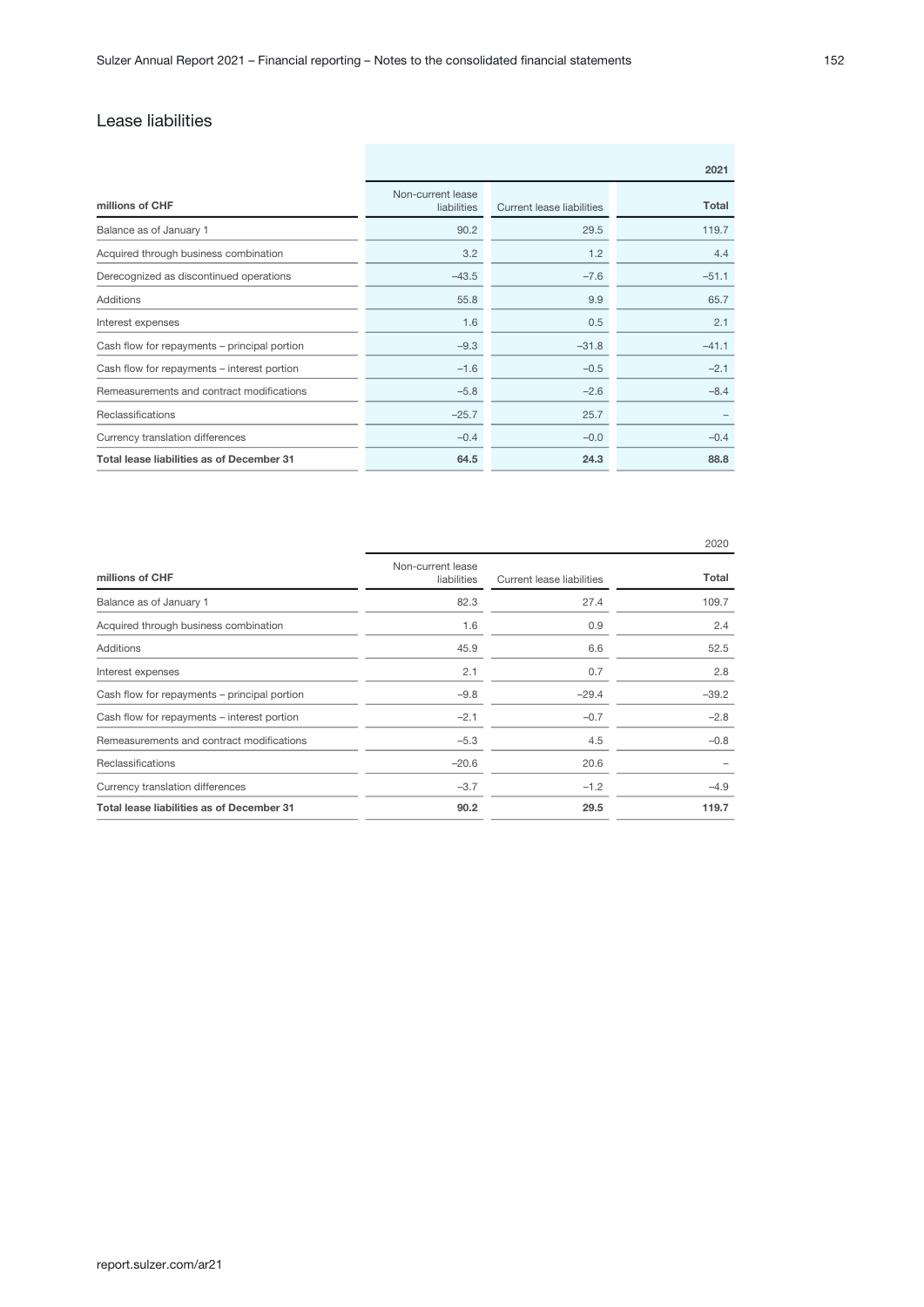# Lease liabilities

|                                              | 2021                             |                           |         |  |  |  |
|----------------------------------------------|----------------------------------|---------------------------|---------|--|--|--|
| millions of CHF                              | Non-current lease<br>liabilities | Current lease liabilities | Total   |  |  |  |
| Balance as of January 1                      | 90.2                             | 29.5                      | 119.7   |  |  |  |
| Acquired through business combination        | 3.2                              | 1.2                       | 4.4     |  |  |  |
| Derecognized as discontinued operations      | $-43.5$                          | $-7.6$                    | $-51.1$ |  |  |  |
| Additions                                    | 55.8                             | 9.9                       | 65.7    |  |  |  |
| Interest expenses                            | 1.6                              | 0.5                       | 2.1     |  |  |  |
| Cash flow for repayments - principal portion | $-9.3$                           | $-31.8$                   | $-41.1$ |  |  |  |
| Cash flow for repayments - interest portion  | $-1.6$                           | $-0.5$                    | $-2.1$  |  |  |  |
| Remeasurements and contract modifications    | $-5.8$                           | $-2.6$                    | $-8.4$  |  |  |  |
| Reclassifications                            | $-25.7$                          | 25.7                      |         |  |  |  |
| Currency translation differences             | $-0.4$                           | $-0.0$                    | $-0.4$  |  |  |  |
| Total lease liabilities as of December 31    | 64.5                             | 24.3                      | 88.8    |  |  |  |

|                                              |                                  |                           | 2020    |
|----------------------------------------------|----------------------------------|---------------------------|---------|
| millions of CHF                              | Non-current lease<br>liabilities | Current lease liabilities | Total   |
| Balance as of January 1                      | 82.3                             | 27.4                      | 109.7   |
| Acquired through business combination        | 1.6                              | 0.9                       | 2.4     |
| Additions                                    | 45.9                             | 6.6                       | 52.5    |
| Interest expenses                            | 2.1                              | 0.7                       | 2.8     |
| Cash flow for repayments - principal portion | $-9.8$                           | $-29.4$                   | $-39.2$ |
| Cash flow for repayments – interest portion  | $-2.1$                           | $-0.7$                    | $-2.8$  |
| Remeasurements and contract modifications    | $-5.3$                           | 4.5                       | $-0.8$  |
| Reclassifications                            | $-20.6$                          | 20.6                      |         |
| Currency translation differences             | $-3.7$                           | $-1.2$                    | $-4.9$  |
| Total lease liabilities as of December 31    | 90.2                             | 29.5                      | 119.7   |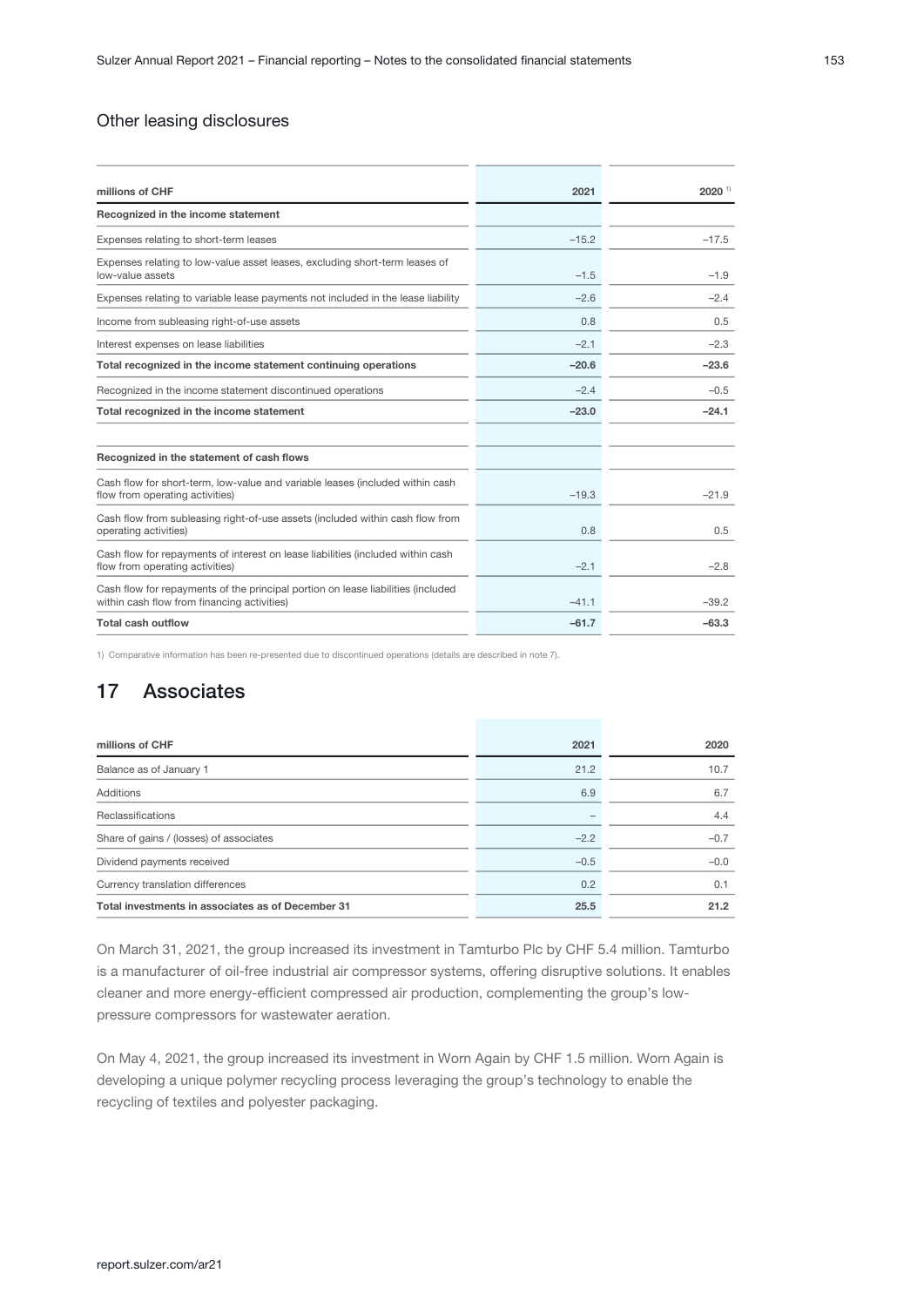### <span id="page-52-0"></span>Other leasing disclosures

| 2021    | $2020$ <sup>1)</sup> |
|---------|----------------------|
|         |                      |
| $-15.2$ | $-17.5$              |
| $-1.5$  | $-1.9$               |
| $-2.6$  | $-2.4$               |
| 0.8     | 0.5                  |
| $-2.1$  | $-2.3$               |
| $-20.6$ | $-23.6$              |
| $-2.4$  | $-0.5$               |
| $-23.0$ | $-24.1$              |
|         |                      |
| $-19.3$ | $-21.9$              |
| 0.8     | 0.5                  |
| $-2.1$  | $-2.8$               |
| $-41.1$ | $-39.2$              |
| $-61.7$ | $-63.3$              |
|         |                      |

1) Comparative information has been re-presented due to discontinued operations (details are described in note 7).

# 17 Associates

| millions of CHF                                   | 2021   | 2020   |
|---------------------------------------------------|--------|--------|
| Balance as of January 1                           | 21.2   | 10.7   |
| Additions                                         | 6.9    | 6.7    |
| Reclassifications                                 |        | 4.4    |
| Share of gains / (losses) of associates           | $-2.2$ | $-0.7$ |
| Dividend payments received                        | $-0.5$ | $-0.0$ |
| Currency translation differences                  | 0.2    | 0.1    |
| Total investments in associates as of December 31 | 25.5   | 21.2   |

On March 31, 2021, the group increased its investment in Tamturbo Plc by CHF 5.4 million. Tamturbo is a manufacturer of oil-free industrial air compressor systems, offering disruptive solutions. It enables cleaner and more energy-efficient compressed air production, complementing the group's lowpressure compressors for wastewater aeration.

On May 4, 2021, the group increased its investment in Worn Again by CHF 1.5 million. Worn Again is developing a unique polymer recycling process leveraging the group's technology to enable the recycling of textiles and polyester packaging.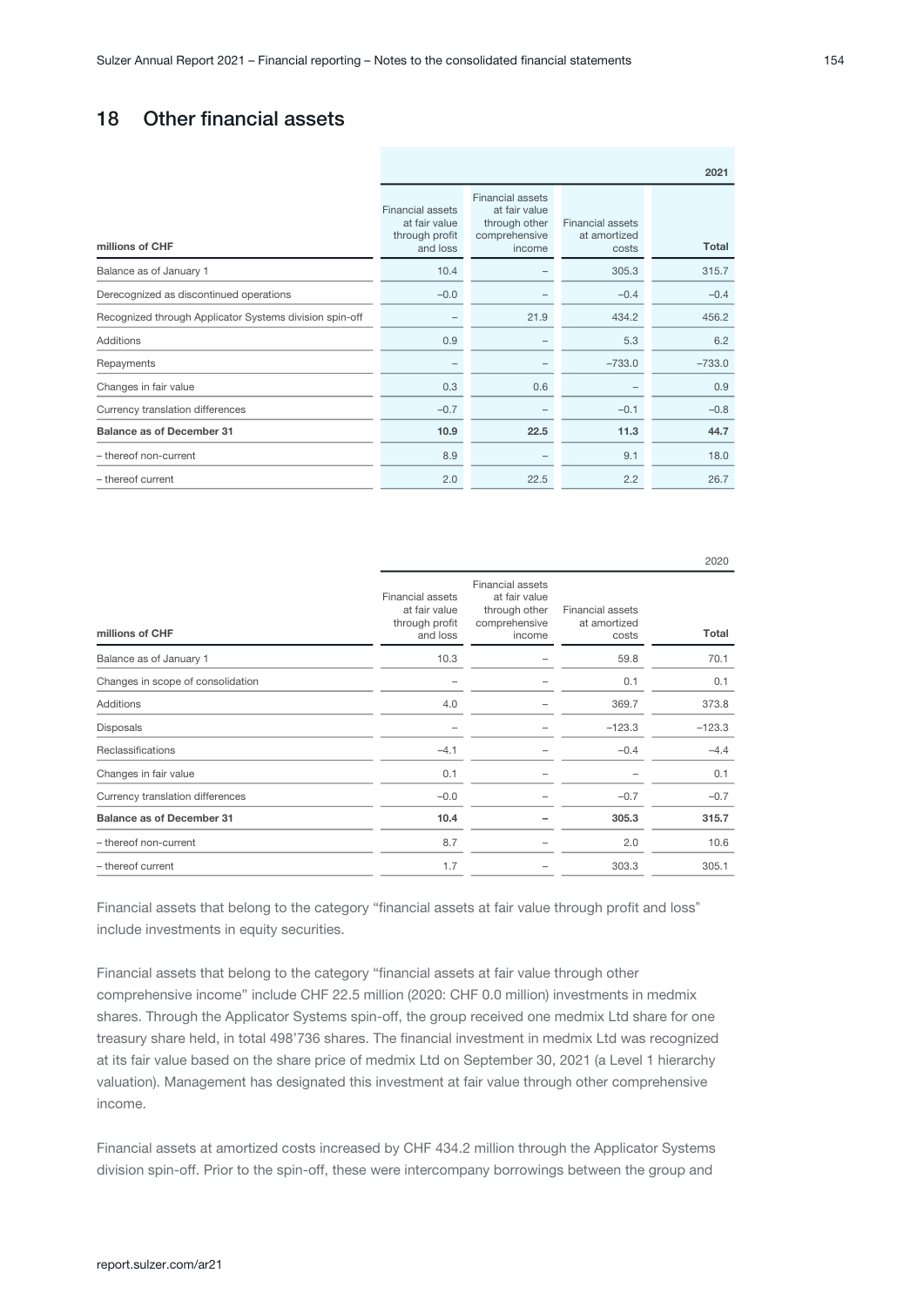# 18 Other financial assets

|                                                         | 2021                                                                   |                                                                                      |                                                  |          |  |  |
|---------------------------------------------------------|------------------------------------------------------------------------|--------------------------------------------------------------------------------------|--------------------------------------------------|----------|--|--|
| millions of CHF                                         | <b>Financial assets</b><br>at fair value<br>through profit<br>and loss | <b>Financial assets</b><br>at fair value<br>through other<br>comprehensive<br>income | <b>Financial assets</b><br>at amortized<br>costs | Total    |  |  |
| Balance as of January 1                                 | 10.4                                                                   |                                                                                      | 305.3                                            | 315.7    |  |  |
| Derecognized as discontinued operations                 | $-0.0$                                                                 |                                                                                      | $-0.4$                                           | $-0.4$   |  |  |
| Recognized through Applicator Systems division spin-off |                                                                        | 21.9                                                                                 | 434.2                                            | 456.2    |  |  |
| Additions                                               | 0.9                                                                    |                                                                                      | 5.3                                              | 6.2      |  |  |
| Repayments                                              |                                                                        |                                                                                      | $-733.0$                                         | $-733.0$ |  |  |
| Changes in fair value                                   | 0.3                                                                    | 0.6                                                                                  |                                                  | 0.9      |  |  |
| Currency translation differences                        | $-0.7$                                                                 |                                                                                      | $-0.1$                                           | $-0.8$   |  |  |
| <b>Balance as of December 31</b>                        | 10.9                                                                   | 22.5                                                                                 | 11.3                                             | 44.7     |  |  |
| - thereof non-current                                   | 8.9                                                                    |                                                                                      | 9.1                                              | 18.0     |  |  |
| - thereof current                                       | 2.0                                                                    | 22.5                                                                                 | 2.2                                              | 26.7     |  |  |

| millions of CHF                   | <b>Financial assets</b><br>at fair value<br>through profit<br>and loss | <b>Financial assets</b><br>at fair value<br>through other<br>comprehensive<br>income | <b>Financial assets</b><br>at amortized<br>costs | Total    |
|-----------------------------------|------------------------------------------------------------------------|--------------------------------------------------------------------------------------|--------------------------------------------------|----------|
| Balance as of January 1           | 10.3                                                                   |                                                                                      | 59.8                                             | 70.1     |
| Changes in scope of consolidation |                                                                        |                                                                                      | 0.1                                              | 0.1      |
| Additions                         | 4.0                                                                    |                                                                                      | 369.7                                            | 373.8    |
| Disposals                         |                                                                        |                                                                                      | $-123.3$                                         | $-123.3$ |
| Reclassifications                 | $-4.1$                                                                 |                                                                                      | $-0.4$                                           | $-4.4$   |
| Changes in fair value             | 0.1                                                                    |                                                                                      |                                                  | 0.1      |
| Currency translation differences  | $-0.0$                                                                 |                                                                                      | $-0.7$                                           | $-0.7$   |
| <b>Balance as of December 31</b>  | 10.4                                                                   |                                                                                      | 305.3                                            | 315.7    |
| - thereof non-current             | 8.7                                                                    |                                                                                      | 2.0                                              | 10.6     |
| - thereof current                 | 1.7                                                                    |                                                                                      | 303.3                                            | 305.1    |

Financial assets that belong to the category "financial assets at fair value through profit and loss" include investments in equity securities.

Financial assets that belong to the category "financial assets at fair value through other comprehensive income" include CHF 22.5 million (2020: CHF 0.0 million) investments in medmix shares. Through the Applicator Systems spin-off, the group received one medmix Ltd share for one treasury share held, in total 498'736 shares. The financial investment in medmix Ltd was recognized at its fair value based on the share price of medmix Ltd on September 30, 2021 (a Level 1 hierarchy valuation). Management has designated this investment at fair value through other comprehensive income.

Financial assets at amortized costs increased by CHF 434.2 million through the Applicator Systems division spin-off. Prior to the spin-off, these were intercompany borrowings between the group and

2020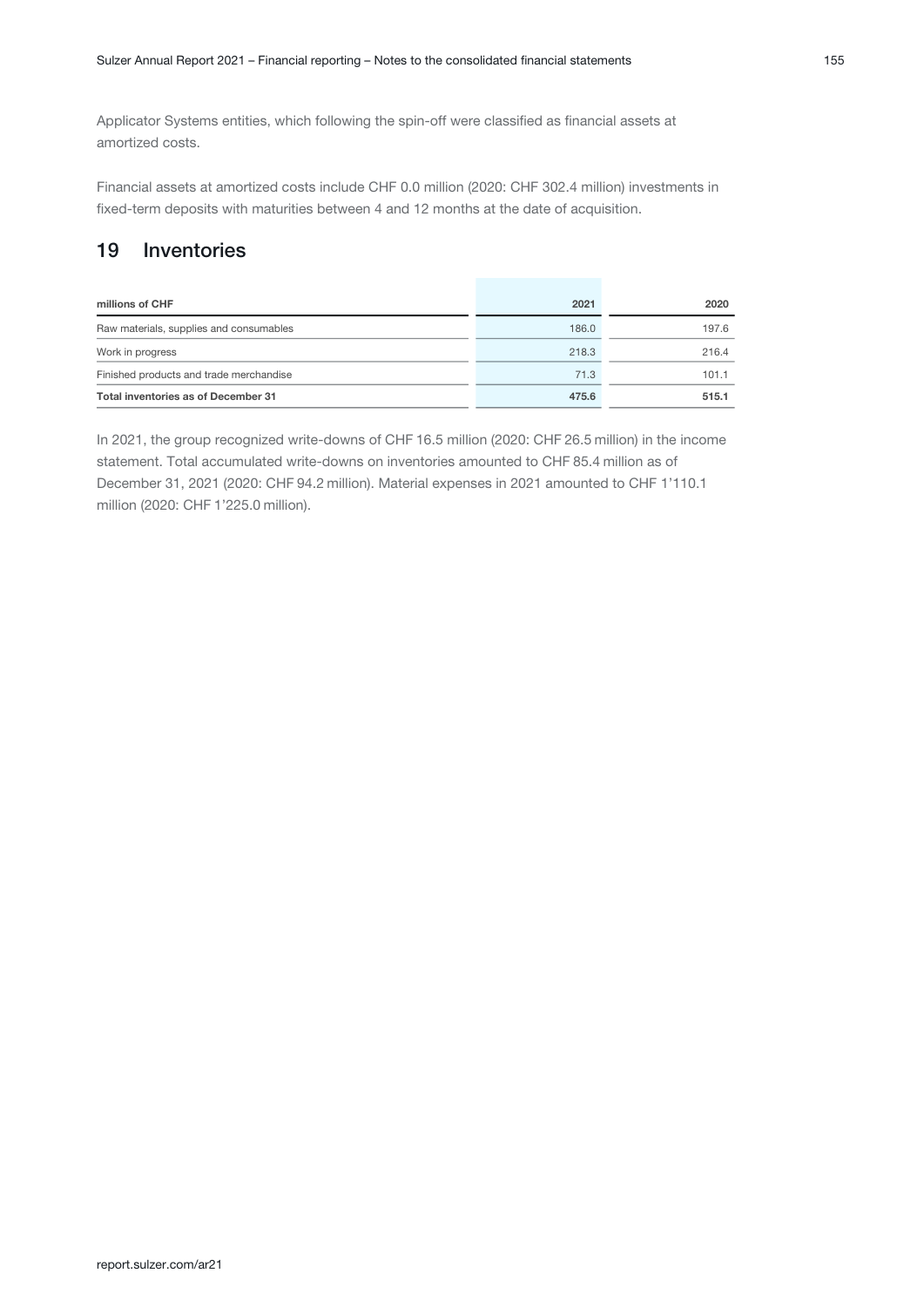Applicator Systems entities, which following the spin-off were classified as financial assets at amortized costs.

Financial assets at amortized costs include CHF 0.0 million (2020: CHF 302.4 million) investments in fixed-term deposits with maturities between 4 and 12 months at the date of acquisition.

# 19 Inventories

| millions of CHF                         | 2021  | 2020  |
|-----------------------------------------|-------|-------|
| Raw materials, supplies and consumables | 186.0 | 197.6 |
| Work in progress                        | 218.3 | 216.4 |
| Finished products and trade merchandise | 71.3  | 101.1 |
| Total inventories as of December 31     | 475.6 | 515.1 |

In 2021, the group recognized write-downs of CHF 16.5 million (2020: CHF 26.5 million) in the income statement. Total accumulated write-downs on inventories amounted to CHF 85.4 million as of December 31, 2021 (2020: CHF 94.2 million). Material expenses in 2021 amounted to CHF 1'110.1 million (2020: CHF 1'225.0 million).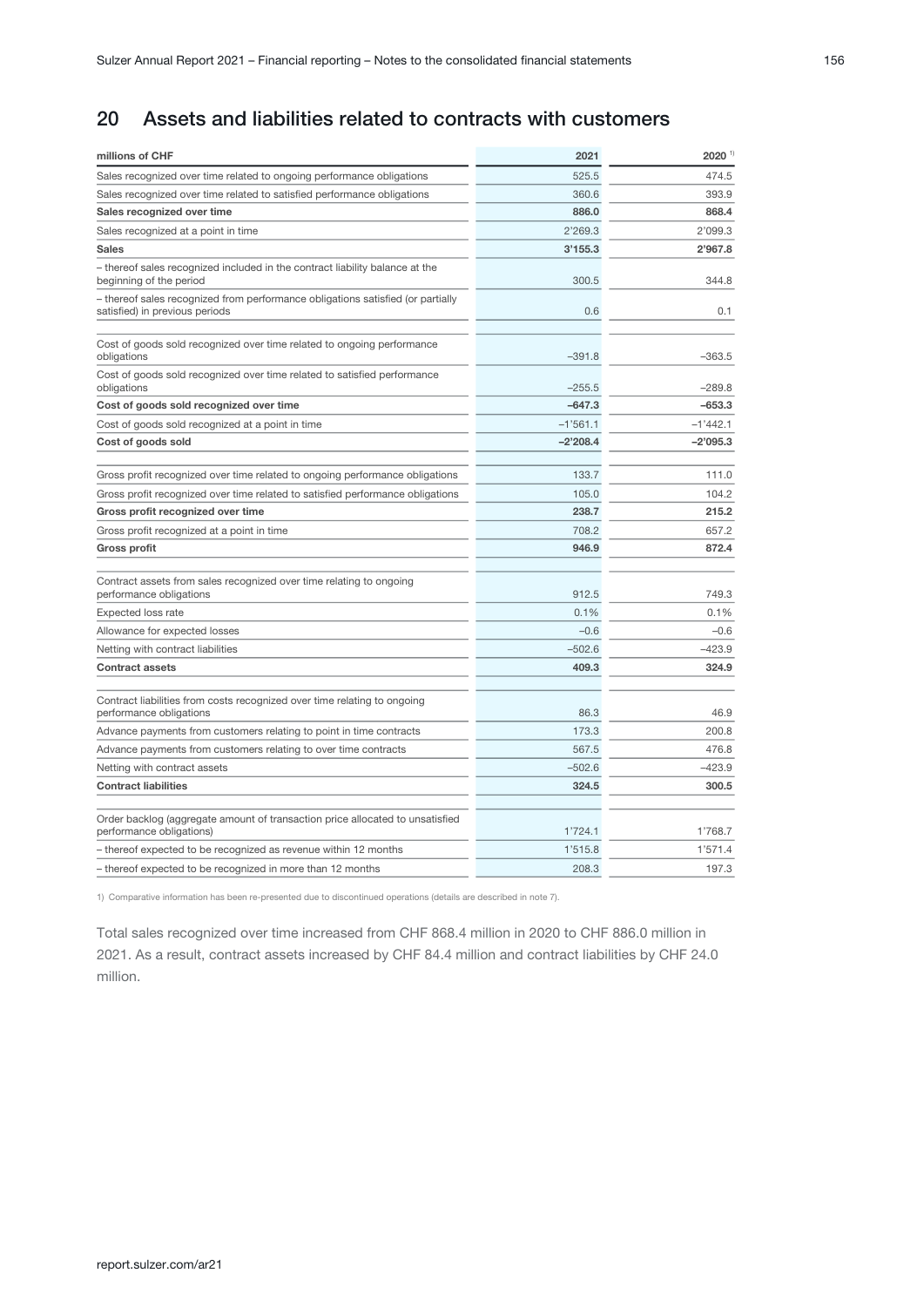# 20 Assets and liabilities related to contracts with customers

| millions of CHF                                                                                                   | 2021       | 2020 1)    |
|-------------------------------------------------------------------------------------------------------------------|------------|------------|
| Sales recognized over time related to ongoing performance obligations                                             | 525.5      | 474.5      |
| Sales recognized over time related to satisfied performance obligations                                           | 360.6      | 393.9      |
| Sales recognized over time                                                                                        | 886.0      | 868.4      |
| Sales recognized at a point in time                                                                               | 2'269.3    | 2'099.3    |
| <b>Sales</b>                                                                                                      | 3'155.3    | 2'967.8    |
| - thereof sales recognized included in the contract liability balance at the<br>beginning of the period           | 300.5      | 344.8      |
| - thereof sales recognized from performance obligations satisfied (or partially<br>satisfied) in previous periods | 0.6        | 0.1        |
|                                                                                                                   |            |            |
| Cost of goods sold recognized over time related to ongoing performance<br>obligations                             | $-391.8$   | $-363.5$   |
| Cost of goods sold recognized over time related to satisfied performance<br>obligations                           | $-255.5$   | $-289.8$   |
| Cost of goods sold recognized over time                                                                           | $-647.3$   | $-653.3$   |
| Cost of goods sold recognized at a point in time                                                                  | $-1'561.1$ | $-1'442.1$ |
| Cost of goods sold                                                                                                | $-2'208.4$ | $-2'095.3$ |
| Gross profit recognized over time related to ongoing performance obligations                                      | 133.7      | 111.0      |
| Gross profit recognized over time related to satisfied performance obligations                                    | 105.0      | 104.2      |
| Gross profit recognized over time                                                                                 | 238.7      | 215.2      |
| Gross profit recognized at a point in time                                                                        | 708.2      | 657.2      |
| Gross profit                                                                                                      | 946.9      | 872.4      |
| Contract assets from sales recognized over time relating to ongoing<br>performance obligations                    | 912.5      | 749.3      |
| <b>Expected loss rate</b>                                                                                         | 0.1%       | 0.1%       |
| Allowance for expected losses                                                                                     | $-0.6$     | $-0.6$     |
| Netting with contract liabilities                                                                                 | $-502.6$   | $-423.9$   |
| <b>Contract assets</b>                                                                                            | 409.3      | 324.9      |
| Contract liabilities from costs recognized over time relating to ongoing<br>performance obligations               | 86.3       | 46.9       |
| Advance payments from customers relating to point in time contracts                                               | 173.3      | 200.8      |
| Advance payments from customers relating to over time contracts                                                   | 567.5      | 476.8      |
| Netting with contract assets                                                                                      | $-502.6$   | $-423.9$   |
| <b>Contract liabilities</b>                                                                                       | 324.5      | 300.5      |
| Order backlog (aggregate amount of transaction price allocated to unsatisfied<br>performance obligations)         | 1'724.1    | 1'768.7    |
| - thereof expected to be recognized as revenue within 12 months                                                   | 1'515.8    | 1'571.4    |
| - thereof expected to be recognized in more than 12 months                                                        | 208.3      | 197.3      |

1) Comparative information has been re-presented due to discontinued operations (details are described in note 7).

Total sales recognized over time increased from CHF 868.4 million in 2020 to CHF 886.0 million in 2021. As a result, contract assets increased by CHF 84.4 million and contract liabilities by CHF 24.0 million.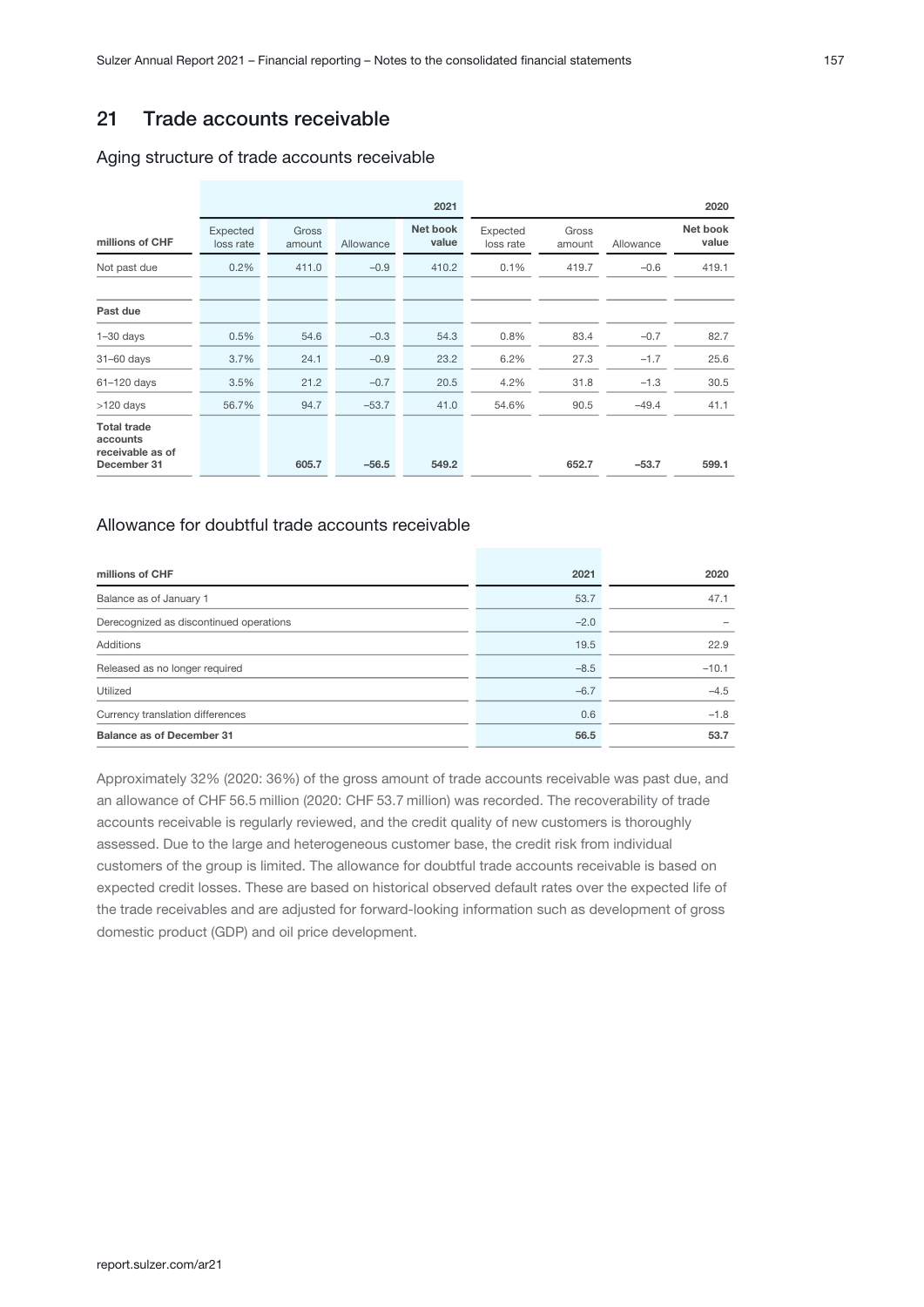# 21 Trade accounts receivable

#### Aging structure of trade accounts receivable

|                                                                   |                       |                 |           | 2021              |                       |                 |           | 2020              |
|-------------------------------------------------------------------|-----------------------|-----------------|-----------|-------------------|-----------------------|-----------------|-----------|-------------------|
| millions of CHF                                                   | Expected<br>loss rate | Gross<br>amount | Allowance | Net book<br>value | Expected<br>loss rate | Gross<br>amount | Allowance | Net book<br>value |
| Not past due                                                      | 0.2%                  | 411.0           | $-0.9$    | 410.2             | 0.1%                  | 419.7           | $-0.6$    | 419.1             |
| Past due                                                          |                       |                 |           |                   |                       |                 |           |                   |
| $1 - 30$ days                                                     | 0.5%                  | 54.6            | $-0.3$    | 54.3              | 0.8%                  | 83.4            | $-0.7$    | 82.7              |
| $31-60$ days                                                      | 3.7%                  | 24.1            | $-0.9$    | 23.2              | 6.2%                  | 27.3            | $-1.7$    | 25.6              |
| 61-120 days                                                       | 3.5%                  | 21.2            | $-0.7$    | 20.5              | 4.2%                  | 31.8            | $-1.3$    | 30.5              |
| $>120$ days                                                       | 56.7%                 | 94.7            | $-53.7$   | 41.0              | 54.6%                 | 90.5            | $-49.4$   | 41.1              |
| <b>Total trade</b><br>accounts<br>receivable as of<br>December 31 |                       | 605.7           | $-56.5$   | 549.2             |                       | 652.7           | $-53.7$   | 599.1             |

### Allowance for doubtful trade accounts receivable

| millions of CHF                         | 2021   | 2020    |
|-----------------------------------------|--------|---------|
| Balance as of January 1                 | 53.7   | 47.1    |
| Derecognized as discontinued operations | $-2.0$ |         |
| Additions                               | 19.5   | 22.9    |
| Released as no longer required          | $-8.5$ | $-10.1$ |
| Utilized                                | $-6.7$ | $-4.5$  |
| Currency translation differences        | 0.6    | $-1.8$  |
| <b>Balance as of December 31</b>        | 56.5   | 53.7    |

Approximately 32% (2020: 36%) of the gross amount of trade accounts receivable was past due, and an allowance of CHF 56.5 million (2020: CHF 53.7 million) was recorded. The recoverability of trade accounts receivable is regularly reviewed, and the credit quality of new customers is thoroughly assessed. Due to the large and heterogeneous customer base, the credit risk from individual customers of the group is limited. The allowance for doubtful trade accounts receivable is based on expected credit losses. These are based on historical observed default rates over the expected life of the trade receivables and are adjusted for forward-looking information such as development of gross domestic product (GDP) and oil price development.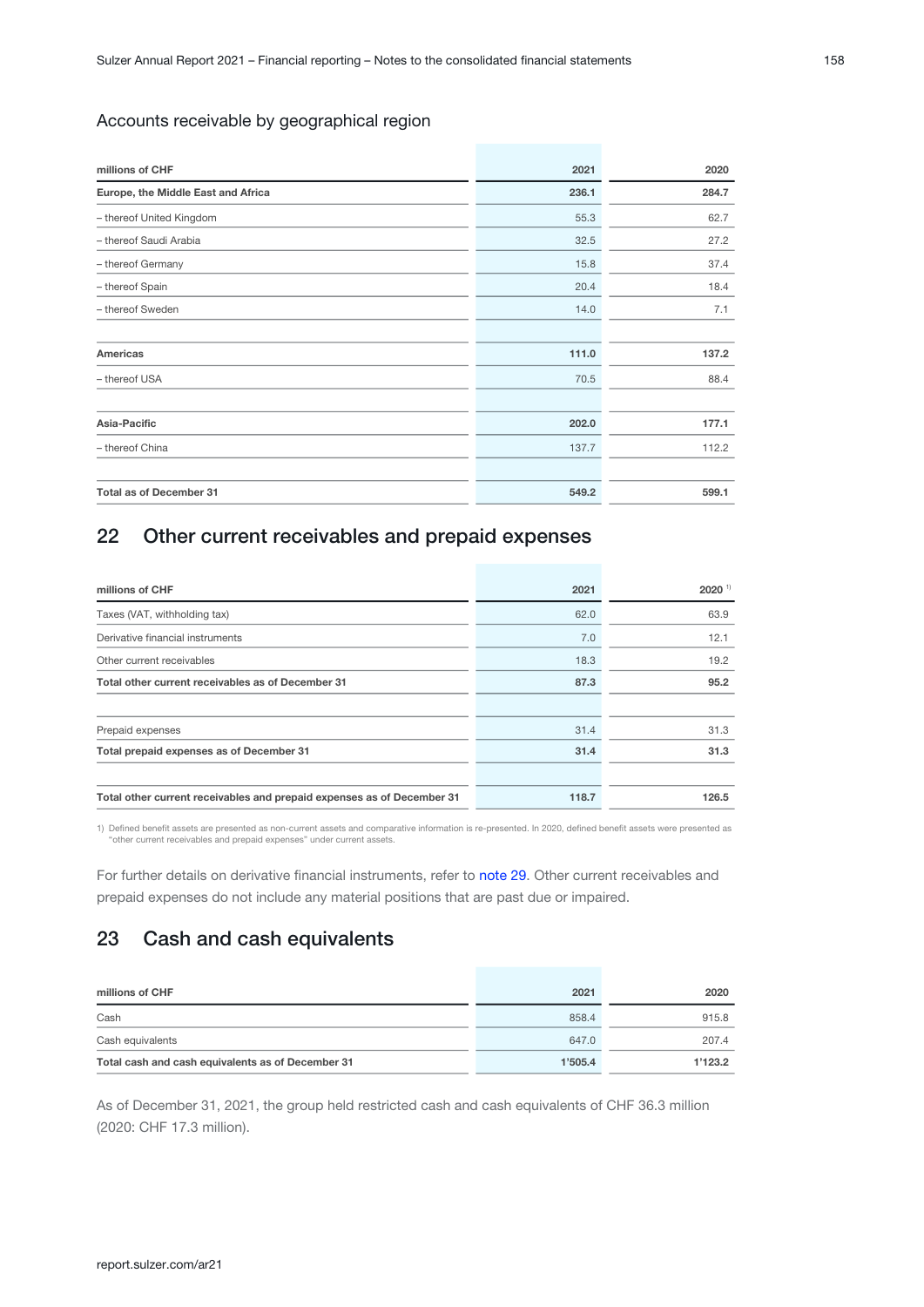### Accounts receivable by geographical region

| millions of CHF                    | 2021  | 2020  |
|------------------------------------|-------|-------|
| Europe, the Middle East and Africa | 236.1 | 284.7 |
| - thereof United Kingdom           | 55.3  | 62.7  |
| - thereof Saudi Arabia             | 32.5  | 27.2  |
| - thereof Germany                  | 15.8  | 37.4  |
| - thereof Spain                    | 20.4  | 18.4  |
| - thereof Sweden                   | 14.0  | 7.1   |
| Americas                           | 111.0 | 137.2 |
| - thereof USA                      | 70.5  | 88.4  |
| Asia-Pacific                       | 202.0 | 177.1 |
| - thereof China                    | 137.7 | 112.2 |
| <b>Total as of December 31</b>     | 549.2 | 599.1 |

# 22 Other current receivables and prepaid expenses

| millions of CHF                                                        | 2021  | $2020$ <sup>1)</sup> |
|------------------------------------------------------------------------|-------|----------------------|
| Taxes (VAT, withholding tax)                                           | 62.0  | 63.9                 |
| Derivative financial instruments                                       | 7.0   | 12.1                 |
| Other current receivables                                              | 18.3  | 19.2                 |
| Total other current receivables as of December 31                      | 87.3  | 95.2                 |
| Prepaid expenses                                                       | 31.4  | 31.3                 |
| Total prepaid expenses as of December 31                               | 31.4  | 31.3                 |
| Total other current receivables and prepaid expenses as of December 31 | 118.7 | 126.5                |
|                                                                        |       |                      |

1) Defined benefit assets are presented as non-current assets and comparative information is re-presented. In 2020, defined benefit assets were presented as<br>"other current receivables and prepaid expenses" under current as

For further details on derivative financial instruments, refer to note 29. Other current receivables and prepaid expenses do not include any material positions that are past due or impaired.

### 23 Cash and cash equivalents

| millions of CHF                                   | 2021    | 2020    |
|---------------------------------------------------|---------|---------|
| Cash                                              | 858.4   | 915.8   |
| Cash equivalents                                  | 647.0   | 207.4   |
| Total cash and cash equivalents as of December 31 | 1'505.4 | 1'123.2 |

As of December 31, 2021, the group held restricted cash and cash equivalents of CHF 36.3 million (2020: CHF 17.3 million).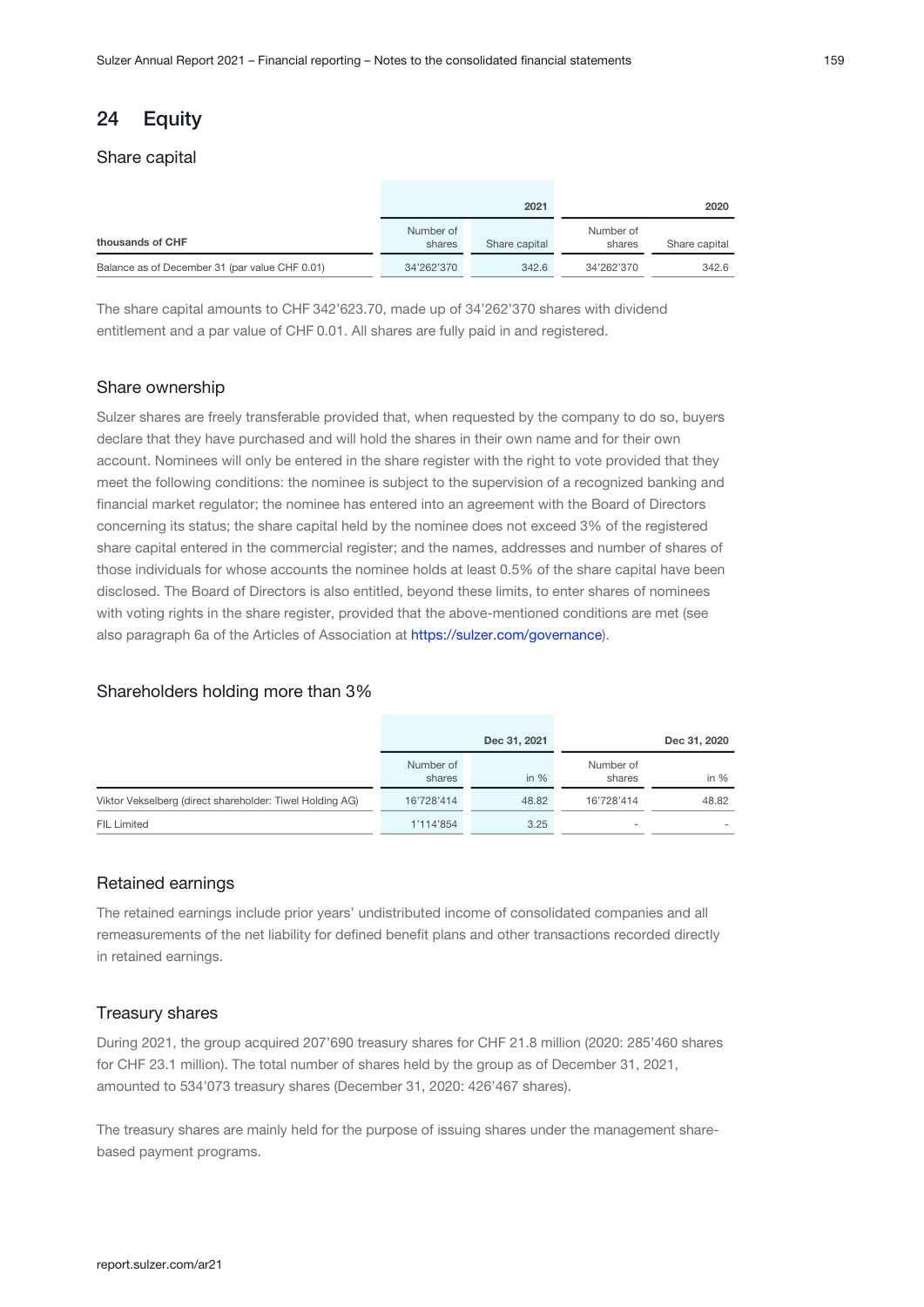# <span id="page-58-0"></span>24 Equity

#### Share capital

|                                                |                     | 2021          |                     | 2020          |
|------------------------------------------------|---------------------|---------------|---------------------|---------------|
| thousands of CHF                               | Number of<br>shares | Share capital | Number of<br>shares | Share capital |
| Balance as of December 31 (par value CHF 0.01) | 34'262'370          | 342.6         | 34'262'370          | 342.6         |

The share capital amounts to CHF 342'623.70, made up of 34'262'370 shares with dividend entitlement and a par value of CHF 0.01. All shares are fully paid in and registered.

#### Share ownership

Sulzer shares are freely transferable provided that, when requested by the company to do so, buyers declare that they have purchased and will hold the shares in their own name and for their own account. Nominees will only be entered in the share register with the right to vote provided that they meet the following conditions: the nominee is subject to the supervision of a recognized banking and financial market regulator; the nominee has entered into an agreement with the Board of Directors concerning its status; the share capital held by the nominee does not exceed 3% of the registered share capital entered in the commercial register; and the names, addresses and number of shares of those individuals for whose accounts the nominee holds at least 0.5% of the share capital have been disclosed. The Board of Directors is also entitled, beyond these limits, to enter shares of nominees with voting rights in the share register, provided that the above-mentioned conditions are met (see also paragraph 6a of the Articles of Association at [https://sulzer.com/governance](https://www.sulzer.com/governance)).

#### Shareholders holding more than 3%

|                                                          |                     | Dec 31, 2021 |                     | Dec 31, 2020 |
|----------------------------------------------------------|---------------------|--------------|---------------------|--------------|
|                                                          | Number of<br>shares | in $%$       | Number of<br>shares | in $%$       |
| Viktor Vekselberg (direct shareholder: Tiwel Holding AG) | 16'728'414          | 48.82        | 16'728'414          | 48.82        |
| <b>FIL Limited</b>                                       | 1'114'854           | 3.25         | $\sim$              | ۰            |

### Retained earnings

The retained earnings include prior years' undistributed income of consolidated companies and all remeasurements of the net liability for defined benefit plans and other transactions recorded directly in retained earnings.

#### Treasury shares

During 2021, the group acquired 207'690 treasury shares for CHF 21.8 million (2020: 285'460 shares for CHF 23.1 million). The total number of shares held by the group as of December 31, 2021, amounted to 534'073 treasury shares (December 31, 2020: 426'467 shares).

The treasury shares are mainly held for the purpose of issuing shares under the management sharebased payment programs.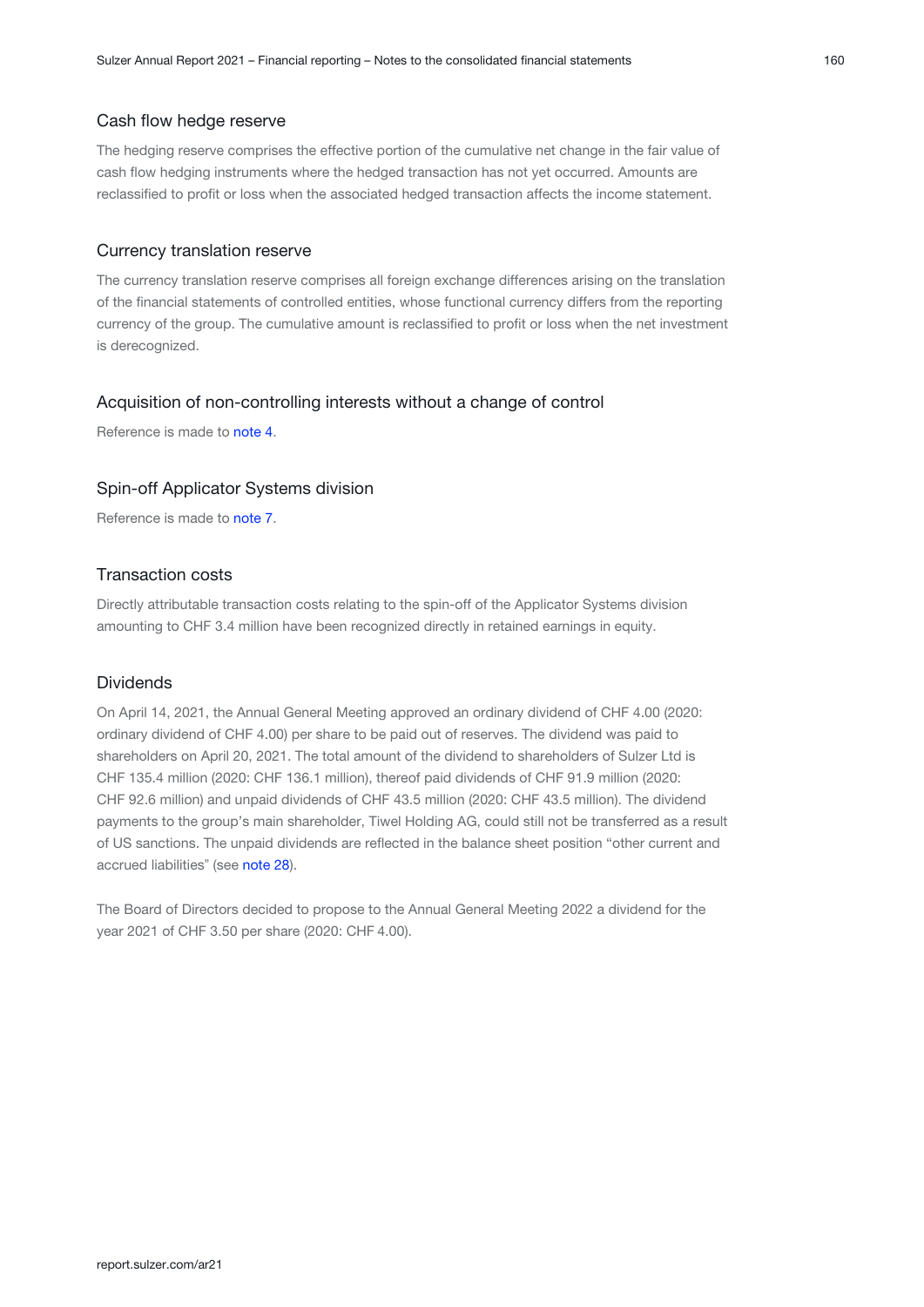#### Cash flow hedge reserve

The hedging reserve comprises the effective portion of the cumulative net change in the fair value of cash flow hedging instruments where the hedged transaction has not yet occurred. Amounts are reclassified to profit or loss when the associated hedged transaction affects the income statement.

#### Currency translation reserve

The currency translation reserve comprises all foreign exchange differences arising on the translation of the financial statements of controlled entities, whose functional currency differs from the reporting currency of the group. The cumulative amount is reclassified to profit or loss when the net investment is derecognized.

#### Acquisition of non-controlling interests without a change of control

Reference is made to note 4[.](#page-16-0)

### Spin-off Applicator Systems division

Reference is made to note 7[.](#page-30-0)

#### Transaction costs

Directly attributable transaction costs relating to the spin-off of the Applicator Systems division amounting to CHF 3.4 million have been recognized directly in retained earnings in equity.

#### Dividends

On April 14, 2021, the Annual General Meeting approved an ordinary dividend of CHF 4.00 (2020: ordinary dividend of CHF 4.00) per share to be paid out of reserves. The dividend was paid to shareholders on April 20, 2021. The total amount of the dividend to shareholders of Sulzer Ltd is CHF 135.4 million (2020: CHF 136.1 million), thereof paid dividends of CHF 91.9 million (2020: CHF 92.6 million) and unpaid dividends of CHF 43.5 million (2020: CHF 43.5 million). The dividend payments to the group's main shareholder, Tiwel Holding AG, could still not be transferred as a result of US sanctions. The unpaid dividends are reflected in the balance sheet position "other current and accrued liabilities" (see note 28).

The Board of Directors decided to propose to the Annual General Meeting 2022 a dividend for the year 2021 of CHF 3.50 per share (2020: CHF 4.00).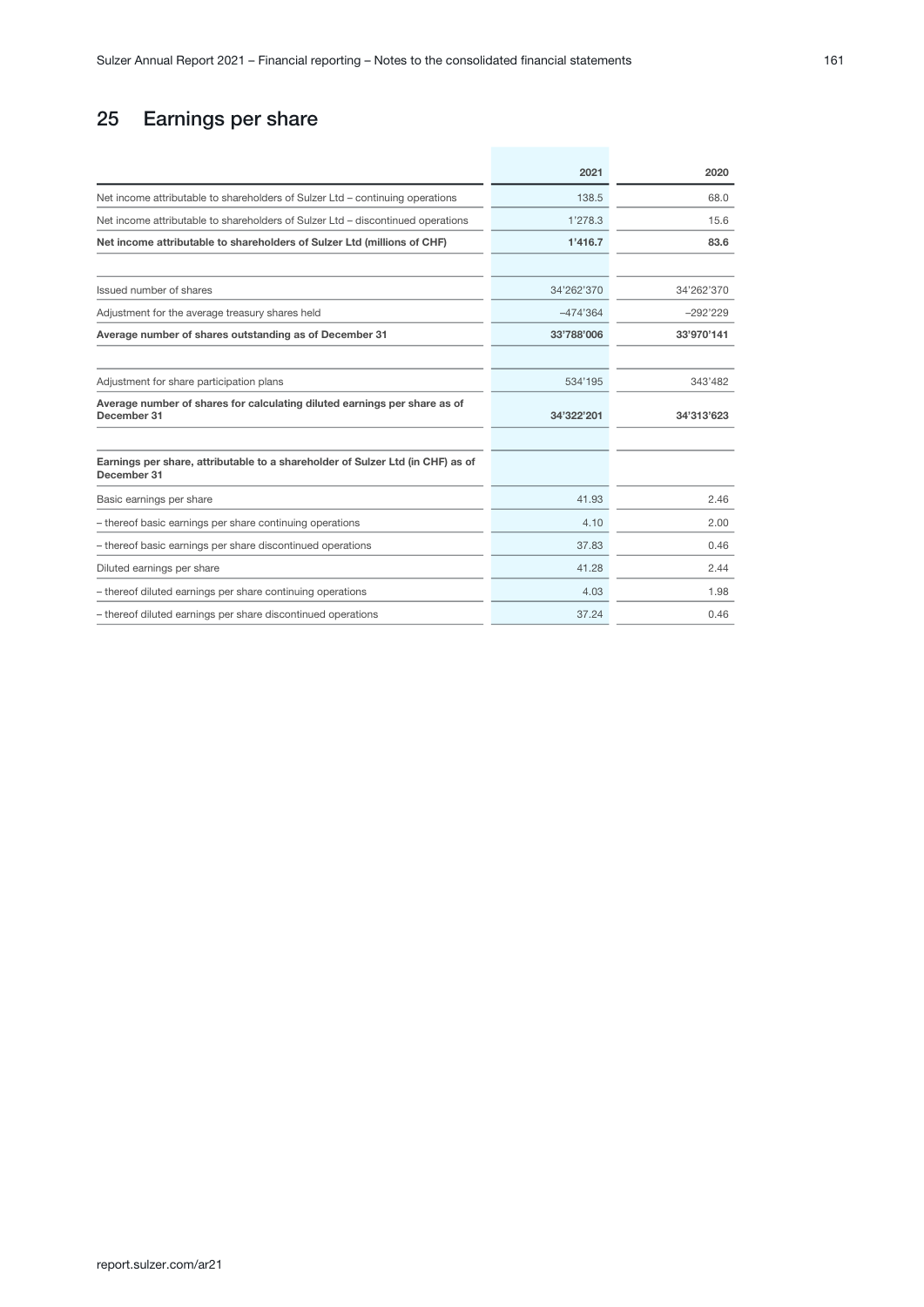# 25 Earnings per share

|                                                                                               | 2021       | 2020       |
|-----------------------------------------------------------------------------------------------|------------|------------|
| Net income attributable to shareholders of Sulzer Ltd - continuing operations                 | 138.5      | 68.0       |
| Net income attributable to shareholders of Sulzer Ltd - discontinued operations               | 1'278.3    | 15.6       |
| Net income attributable to shareholders of Sulzer Ltd (millions of CHF)                       | 1'416.7    | 83.6       |
|                                                                                               |            |            |
| Issued number of shares                                                                       | 34'262'370 | 34'262'370 |
| Adjustment for the average treasury shares held                                               | $-474'364$ | $-292'229$ |
| Average number of shares outstanding as of December 31                                        | 33'788'006 | 33'970'141 |
|                                                                                               |            |            |
| Adjustment for share participation plans                                                      | 534'195    | 343'482    |
| Average number of shares for calculating diluted earnings per share as of<br>December 31      | 34'322'201 | 34'313'623 |
|                                                                                               |            |            |
| Earnings per share, attributable to a shareholder of Sulzer Ltd (in CHF) as of<br>December 31 |            |            |
| Basic earnings per share                                                                      | 41.93      | 2.46       |
| - thereof basic earnings per share continuing operations                                      | 4.10       | 2.00       |
| - thereof basic earnings per share discontinued operations                                    | 37.83      | 0.46       |
| Diluted earnings per share                                                                    | 41.28      | 2.44       |
| - thereof diluted earnings per share continuing operations                                    | 4.03       | 1.98       |
| - thereof diluted earnings per share discontinued operations                                  | 37.24      | 0.46       |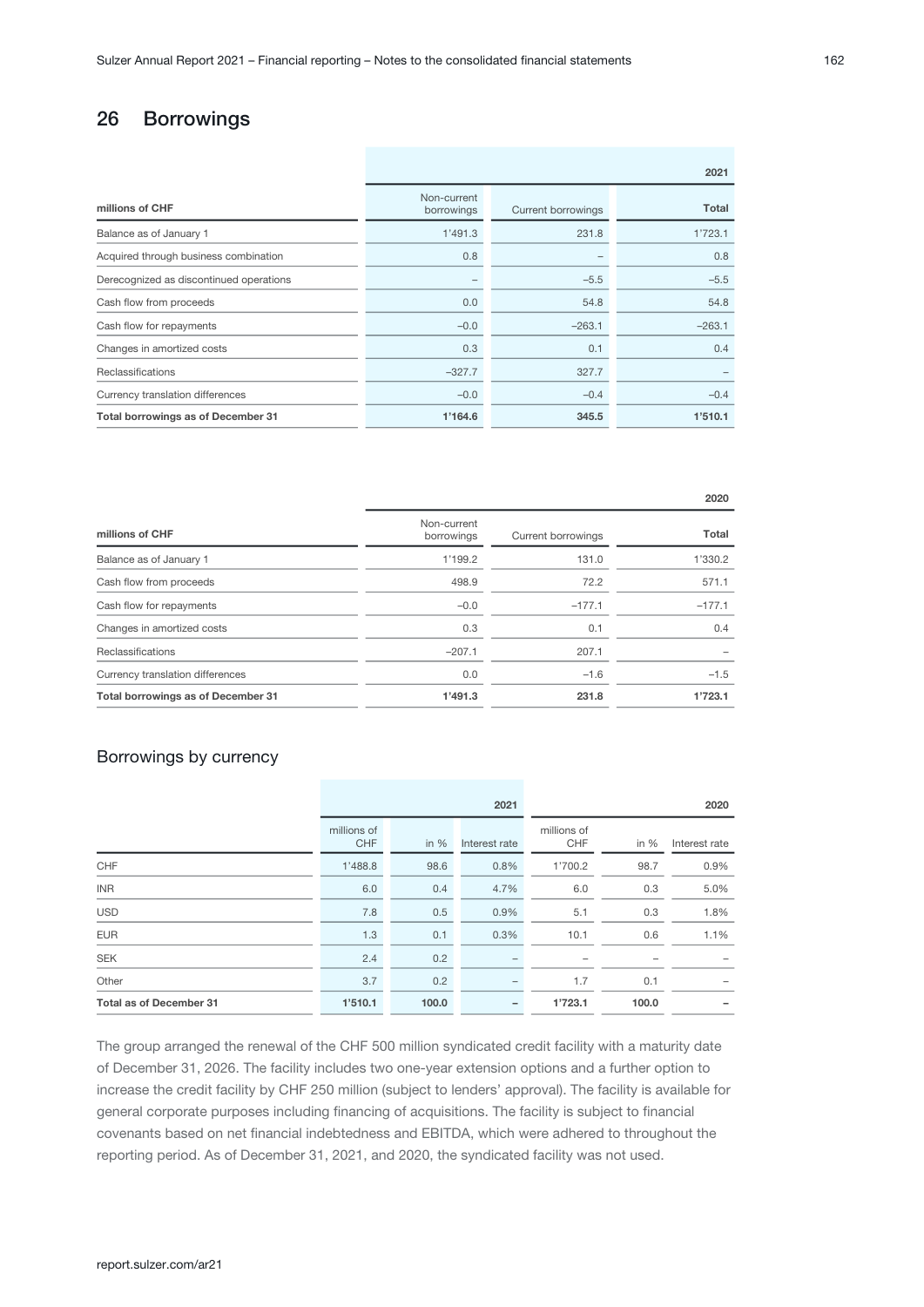# 26 Borrowings

| 2021                      |                           |          |  |  |  |
|---------------------------|---------------------------|----------|--|--|--|
| Non-current<br>borrowings | <b>Current borrowings</b> | Total    |  |  |  |
| 1'491.3                   | 231.8                     | 1'723.1  |  |  |  |
| 0.8                       |                           | 0.8      |  |  |  |
| -                         | $-5.5$                    | $-5.5$   |  |  |  |
| 0.0                       | 54.8                      | 54.8     |  |  |  |
| $-0.0$                    | $-263.1$                  | $-263.1$ |  |  |  |
| 0.3                       | 0.1                       | 0.4      |  |  |  |
| $-327.7$                  | 327.7                     |          |  |  |  |
| $-0.0$                    | $-0.4$                    | $-0.4$   |  |  |  |
| 1'164.6                   | 345.5                     | 1'510.1  |  |  |  |
|                           |                           |          |  |  |  |

| millions of CHF                    | Non-current<br>borrowings | Current borrowings | Total    |
|------------------------------------|---------------------------|--------------------|----------|
| Balance as of January 1            | 1'199.2                   | 131.0              | 1'330.2  |
| Cash flow from proceeds            | 498.9                     | 72.2               | 571.1    |
| Cash flow for repayments           | $-0.0$                    | $-177.1$           | $-177.1$ |
| Changes in amortized costs         | 0.3                       | 0.1                | 0.4      |
| Reclassifications                  | $-207.1$                  | 207.1              |          |
| Currency translation differences   | 0.0                       | $-1.6$             | $-1.5$   |
| Total borrowings as of December 31 | 1'491.3                   | 231.8              | 1'723.1  |

### Borrowings by currency

|                                |                           |        | 2021          |                           |        | 2020          |
|--------------------------------|---------------------------|--------|---------------|---------------------------|--------|---------------|
|                                | millions of<br><b>CHF</b> | in $%$ | Interest rate | millions of<br><b>CHF</b> | in $%$ | Interest rate |
| CHF                            | 1'488.8                   | 98.6   | 0.8%          | 1'700.2                   | 98.7   | 0.9%          |
| <b>INR</b>                     | 6.0                       | 0.4    | 4.7%          | 6.0                       | 0.3    | 5.0%          |
| <b>USD</b>                     | 7.8                       | 0.5    | 0.9%          | 5.1                       | 0.3    | 1.8%          |
| <b>EUR</b>                     | 1.3                       | 0.1    | 0.3%          | 10.1                      | 0.6    | 1.1%          |
| <b>SEK</b>                     | 2.4                       | 0.2    |               | -                         |        |               |
| Other                          | 3.7                       | 0.2    |               | 1.7                       | 0.1    |               |
| <b>Total as of December 31</b> | 1'510.1                   | 100.0  |               | 1'723.1                   | 100.0  |               |

The group arranged the renewal of the CHF 500 million syndicated credit facility with a maturity date of December 31, 2026. The facility includes two one-year extension options and a further option to increase the credit facility by CHF 250 million (subject to lenders' approval). The facility is available for general corporate purposes including financing of acquisitions. The facility is subject to financial covenants based on net financial indebtedness and EBITDA, which were adhered to throughout the reporting period. As of December 31, 2021, and 2020, the syndicated facility was not used.

2020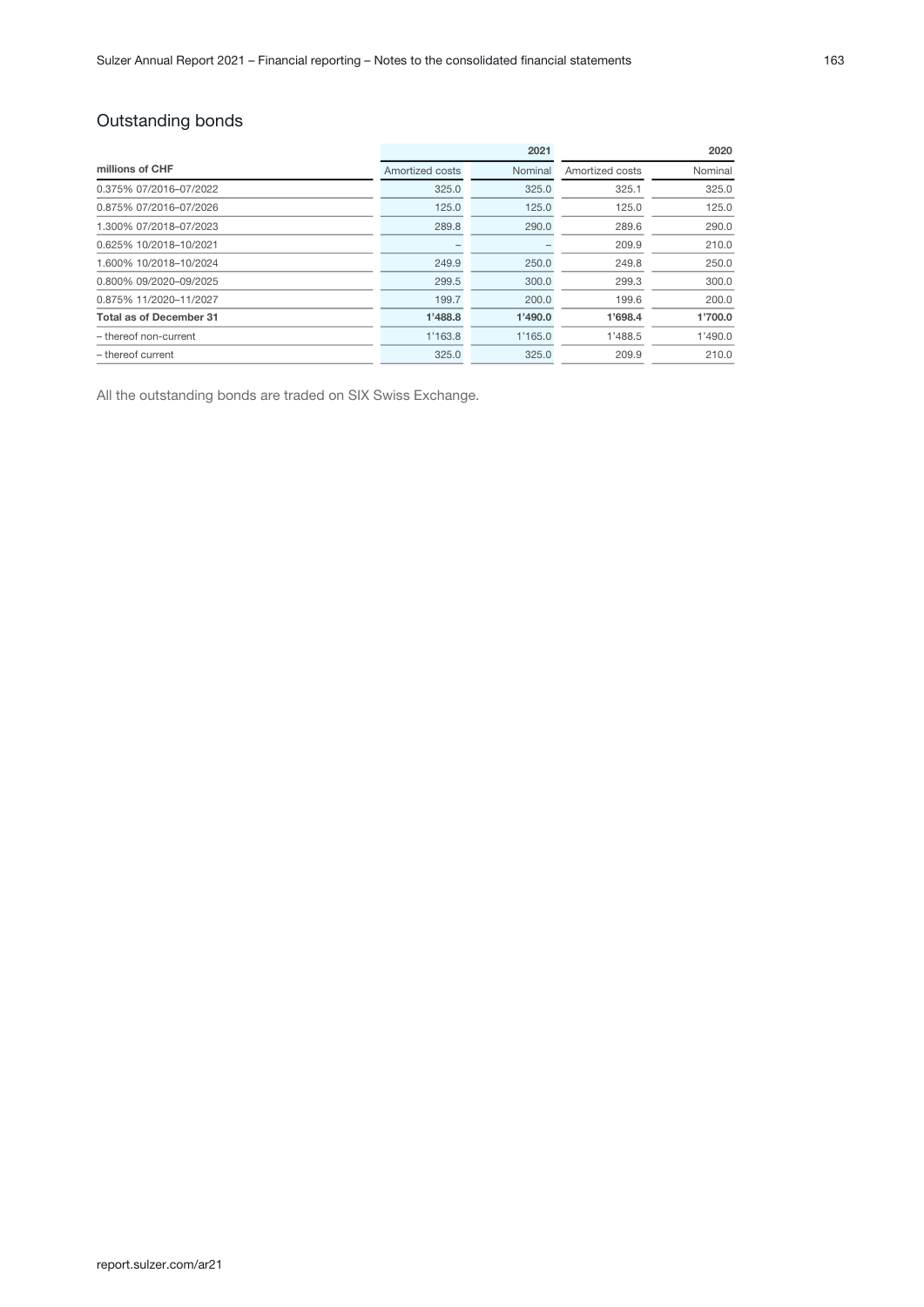# Outstanding bonds

|                                |                 | 2021    | 2020            |         |  |
|--------------------------------|-----------------|---------|-----------------|---------|--|
| millions of CHF                | Amortized costs | Nominal | Amortized costs | Nominal |  |
| 0.375% 07/2016-07/2022         | 325.0           | 325.0   | 325.1           | 325.0   |  |
| 0.875% 07/2016-07/2026         | 125.0           | 125.0   | 125.0           | 125.0   |  |
| 1.300% 07/2018-07/2023         | 289.8           | 290.0   | 289.6           | 290.0   |  |
| 0.625% 10/2018-10/2021         |                 |         | 209.9           | 210.0   |  |
| 1.600% 10/2018-10/2024         | 249.9           | 250.0   | 249.8           | 250.0   |  |
| 0.800% 09/2020-09/2025         | 299.5           | 300.0   | 299.3           | 300.0   |  |
| 0.875% 11/2020-11/2027         | 199.7           | 200.0   | 199.6           | 200.0   |  |
| <b>Total as of December 31</b> | 1'488.8         | 1'490.0 | 1'698.4         | 1'700.0 |  |
| - thereof non-current          | 1'163.8         | 1'165.0 | 1'488.5         | 1'490.0 |  |
| - thereof current              | 325.0           | 325.0   | 209.9           | 210.0   |  |

All the outstanding bonds are traded on SIX Swiss Exchange.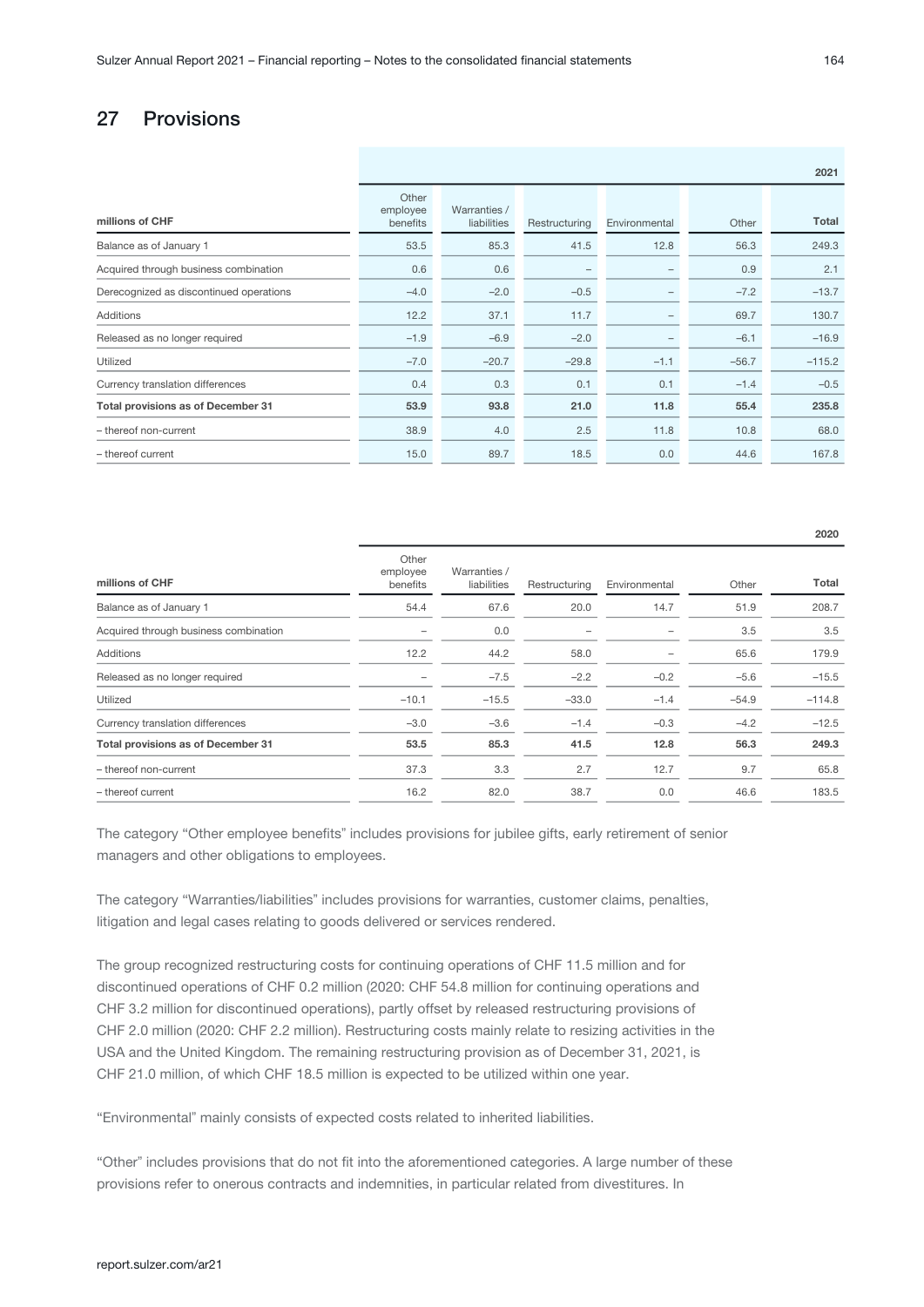# 27 Provisions

|                                         | 2021                          |                             |               |                          |         |          |
|-----------------------------------------|-------------------------------|-----------------------------|---------------|--------------------------|---------|----------|
| millions of CHF                         | Other<br>employee<br>benefits | Warranties /<br>liabilities | Restructuring | Environmental            | Other   | Total    |
| Balance as of January 1                 | 53.5                          | 85.3                        | 41.5          | 12.8                     | 56.3    | 249.3    |
| Acquired through business combination   | 0.6                           | 0.6                         |               |                          | 0.9     | 2.1      |
| Derecognized as discontinued operations | $-4.0$                        | $-2.0$                      | $-0.5$        | -                        | $-7.2$  | $-13.7$  |
| <b>Additions</b>                        | 12.2                          | 37.1                        | 11.7          | $\overline{\phantom{0}}$ | 69.7    | 130.7    |
| Released as no longer required          | $-1.9$                        | $-6.9$                      | $-2.0$        |                          | $-6.1$  | $-16.9$  |
| Utilized                                | $-7.0$                        | $-20.7$                     | $-29.8$       | $-1.1$                   | $-56.7$ | $-115.2$ |
| Currency translation differences        | 0.4                           | 0.3                         | 0.1           | 0.1                      | $-1.4$  | $-0.5$   |
| Total provisions as of December 31      | 53.9                          | 93.8                        | 21.0          | 11.8                     | 55.4    | 235.8    |
| - thereof non-current                   | 38.9                          | 4.0                         | 2.5           | 11.8                     | 10.8    | 68.0     |
| - thereof current                       | 15.0                          | 89.7                        | 18.5          | 0.0                      | 44.6    | 167.8    |

| millions of CHF                       | Other<br>employee<br>benefits | Warranties /<br>liabilities | Restructuring | Environmental | Other   | Total    |
|---------------------------------------|-------------------------------|-----------------------------|---------------|---------------|---------|----------|
| Balance as of January 1               | 54.4                          | 67.6                        | 20.0          | 14.7          | 51.9    | 208.7    |
| Acquired through business combination |                               | 0.0                         |               |               | 3.5     | 3.5      |
| <b>Additions</b>                      | 12.2                          | 44.2                        | 58.0          |               | 65.6    | 179.9    |
| Released as no longer required        |                               | $-7.5$                      | $-2.2$        | $-0.2$        | $-5.6$  | $-15.5$  |
| Utilized                              | $-10.1$                       | $-15.5$                     | $-33.0$       | $-1.4$        | $-54.9$ | $-114.8$ |
| Currency translation differences      | $-3.0$                        | $-3.6$                      | $-1.4$        | $-0.3$        | $-4.2$  | $-12.5$  |
| Total provisions as of December 31    | 53.5                          | 85.3                        | 41.5          | 12.8          | 56.3    | 249.3    |
| - thereof non-current                 | 37.3                          | 3.3                         | 2.7           | 12.7          | 9.7     | 65.8     |
| - thereof current                     | 16.2                          | 82.0                        | 38.7          | 0.0           | 46.6    | 183.5    |

The category "Other employee benefits" includes provisions for jubilee gifts, early retirement of senior managers and other obligations to employees.

The category "Warranties/liabilities" includes provisions for warranties, customer claims, penalties, litigation and legal cases relating to goods delivered or services rendered.

The group recognized restructuring costs for continuing operations of CHF 11.5 million and for discontinued operations of CHF 0.2 million (2020: CHF 54.8 million for continuing operations and CHF 3.2 million for discontinued operations), partly offset by released restructuring provisions of CHF 2.0 million (2020: CHF 2.2 million). Restructuring costs mainly relate to resizing activities in the USA and the United Kingdom. The remaining restructuring provision as of December 31, 2021, is CHF 21.0 million, of which CHF 18.5 million is expected to be utilized within one year.

"Environmentalˮ mainly consists of expected costs related to inherited liabilities.

"Other" includes provisions that do not fit into the aforementioned categories. A large number of these provisions refer to onerous contracts and indemnities, in particular related from divestitures. In

2020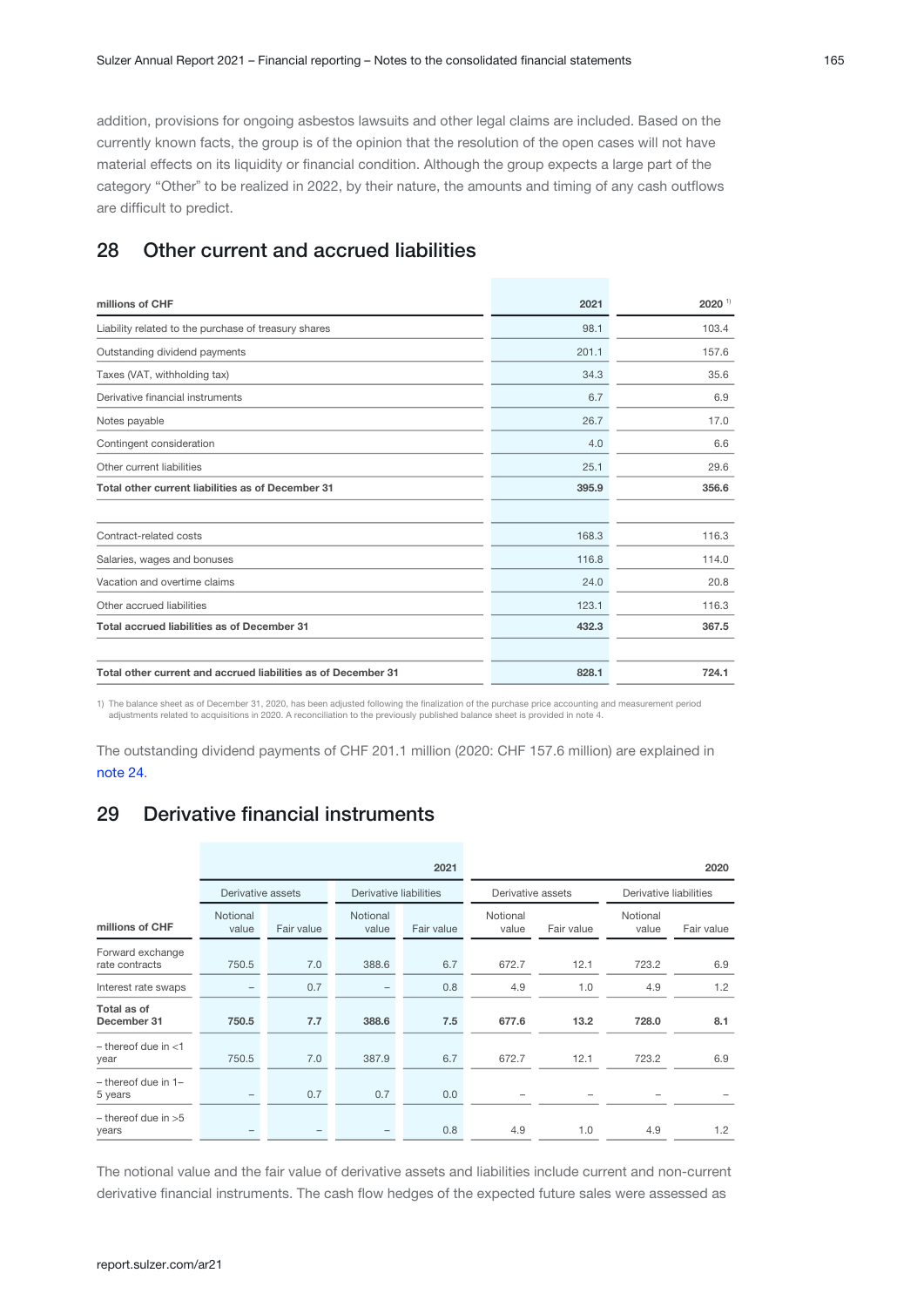<span id="page-64-0"></span>addition, provisions for ongoing asbestos lawsuits and other legal claims are included. Based on the currently known facts, the group is of the opinion that the resolution of the open cases will not have material effects on its liquidity or financial condition. Although the group expects a large part of the category "Other" to be realized in 2022, by their nature, the amounts and timing of any cash outflows are difficult to predict.

# 28 Other current and accrued liabilities

| millions of CHF                                               | 2021  | $2020$ <sup>1)</sup> |
|---------------------------------------------------------------|-------|----------------------|
| Liability related to the purchase of treasury shares          | 98.1  | 103.4                |
| Outstanding dividend payments                                 | 201.1 | 157.6                |
| Taxes (VAT, withholding tax)                                  | 34.3  | 35.6                 |
| Derivative financial instruments                              | 6.7   | 6.9                  |
| Notes payable                                                 | 26.7  | 17.0                 |
| Contingent consideration                                      | 4.0   | 6.6                  |
| Other current liabilities                                     | 25.1  | 29.6                 |
| Total other current liabilities as of December 31             | 395.9 | 356.6                |
|                                                               |       |                      |
| Contract-related costs                                        | 168.3 | 116.3                |
| Salaries, wages and bonuses                                   | 116.8 | 114.0                |
| Vacation and overtime claims                                  | 24.0  | 20.8                 |
| Other accrued liabilities                                     | 123.1 | 116.3                |
| Total accrued liabilities as of December 31                   | 432.3 | 367.5                |
|                                                               |       |                      |
| Total other current and accrued liabilities as of December 31 | 828.1 | 724.1                |

1) The balance sheet as of December 31, 2020, has been adjusted following the finalization of the purchase price accounting and measurement period<br>4) adjustments related to acquisitions in 2020. A reconciliation to the pre

The outstanding dividend payments of CHF 201.1 million (2020: CHF 157.6 million) are explained in [note 24.](#page-58-0)

# 29 Derivative financial instruments

|                                    |                   |            |                        | 2021       |                   |            |                        | 2020       |
|------------------------------------|-------------------|------------|------------------------|------------|-------------------|------------|------------------------|------------|
|                                    | Derivative assets |            | Derivative liabilities |            | Derivative assets |            | Derivative liabilities |            |
| millions of CHF                    | Notional<br>value | Fair value | Notional<br>value      | Fair value | Notional<br>value | Fair value | Notional<br>value      | Fair value |
| Forward exchange<br>rate contracts | 750.5             | 7.0        | 388.6                  | 6.7        | 672.7             | 12.1       | 723.2                  | 6.9        |
| Interest rate swaps                |                   | 0.7        |                        | 0.8        | 4.9               | 1.0        | 4.9                    | 1.2        |
| Total as of<br>December 31         | 750.5             | 7.7        | 388.6                  | 7.5        | 677.6             | 13.2       | 728.0                  | 8.1        |
| $-$ thereof due in $<$ 1<br>year   | 750.5             | 7.0        | 387.9                  | 6.7        | 672.7             | 12.1       | 723.2                  | 6.9        |
| $-$ thereof due in 1-<br>5 years   |                   | 0.7        | 0.7                    | 0.0        |                   |            |                        |            |
| $-$ thereof due in $>5$<br>years   |                   |            |                        | 0.8        | 4.9               | 1.0        | 4.9                    | 1.2        |

The notional value and the fair value of derivative assets and liabilities include current and non-current derivative financial instruments. The cash flow hedges of the expected future sales were assessed as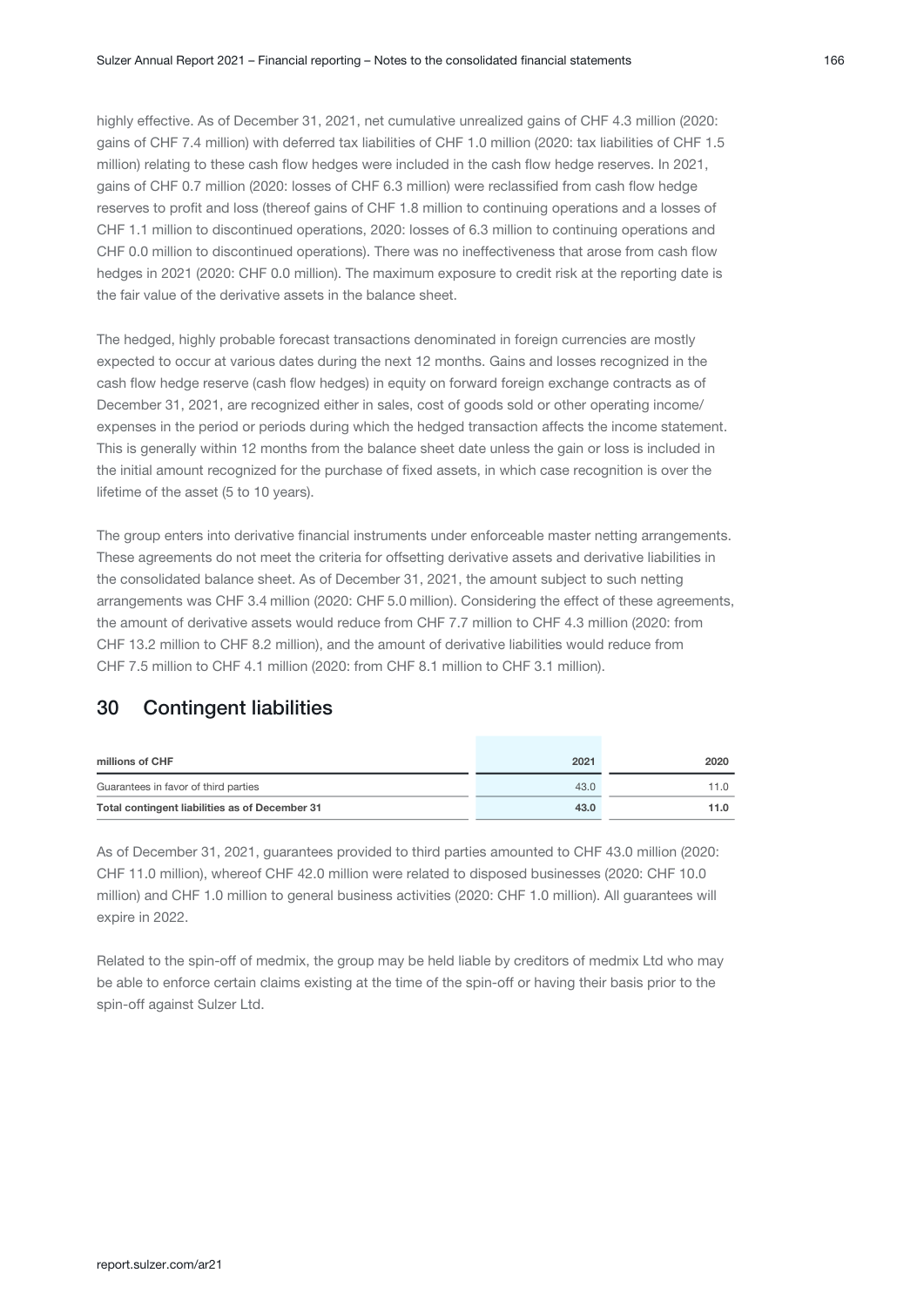highly effective. As of December 31, 2021, net cumulative unrealized gains of CHF 4.3 million (2020: gains of CHF 7.4 million) with deferred tax liabilities of CHF 1.0 million (2020: tax liabilities of CHF 1.5 million) relating to these cash flow hedges were included in the cash flow hedge reserves. In 2021, gains of CHF 0.7 million (2020: losses of CHF 6.3 million) were reclassified from cash flow hedge reserves to profit and loss (thereof gains of CHF 1.8 million to continuing operations and a losses of CHF 1.1 million to discontinued operations, 2020: losses of 6.3 million to continuing operations and CHF 0.0 million to discontinued operations). There was no ineffectiveness that arose from cash flow hedges in 2021 (2020: CHF 0.0 million). The maximum exposure to credit risk at the reporting date is the fair value of the derivative assets in the balance sheet.

The hedged, highly probable forecast transactions denominated in foreign currencies are mostly expected to occur at various dates during the next 12 months. Gains and losses recognized in the cash flow hedge reserve (cash flow hedges) in equity on forward foreign exchange contracts as of December 31, 2021, are recognized either in sales, cost of goods sold or other operating income/ expenses in the period or periods during which the hedged transaction affects the income statement. This is generally within 12 months from the balance sheet date unless the gain or loss is included in the initial amount recognized for the purchase of fixed assets, in which case recognition is over the lifetime of the asset (5 to 10 years).

The group enters into derivative financial instruments under enforceable master netting arrangements. These agreements do not meet the criteria for offsetting derivative assets and derivative liabilities in the consolidated balance sheet. As of December 31, 2021, the amount subject to such netting arrangements was CHF 3.4 million (2020: CHF 5.0 million). Considering the effect of these agreements, the amount of derivative assets would reduce from CHF 7.7 million to CHF 4.3 million (2020: from CHF 13.2 million to CHF 8.2 million), and the amount of derivative liabilities would reduce from CHF 7.5 million to CHF 4.1 million (2020: from CHF 8.1 million to CHF 3.1 million).

# 30 Contingent liabilities

| millions of CHF                                | 2021 | 2020 |
|------------------------------------------------|------|------|
| Guarantees in favor of third parties           | 43.0 | 11 O |
| Total contingent liabilities as of December 31 | 43.0 | 11.0 |

As of December 31, 2021, guarantees provided to third parties amounted to CHF 43.0 million (2020: CHF 11.0 million), whereof CHF 42.0 million were related to disposed businesses (2020: CHF 10.0 million) and CHF 1.0 million to general business activities (2020: CHF 1.0 million). All guarantees will expire in 2022.

Related to the spin-off of medmix, the group may be held liable by creditors of medmix Ltd who may be able to enforce certain claims existing at the time of the spin-off or having their basis prior to the spin-off against Sulzer Ltd.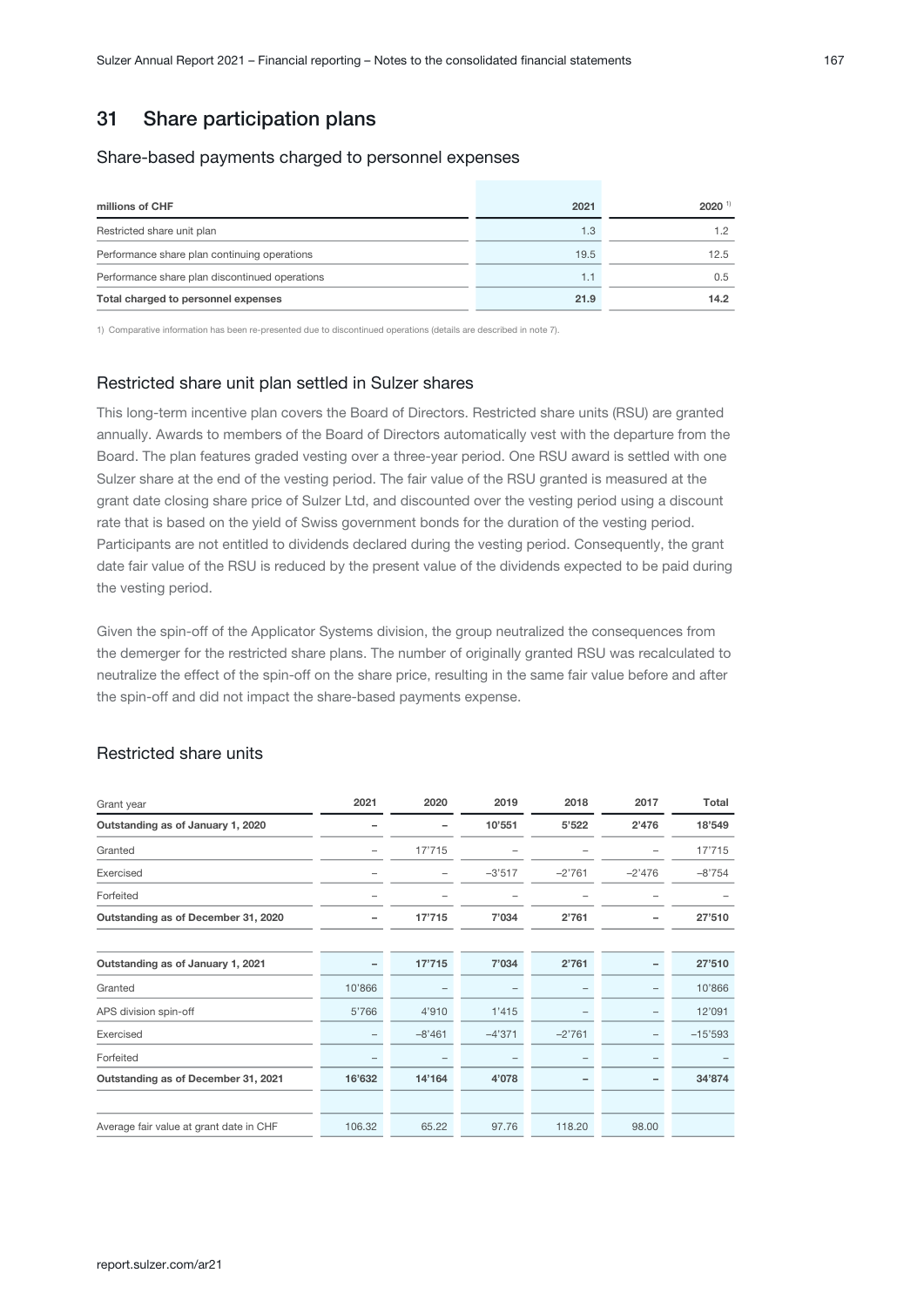# 31 Share participation plans

#### Share-based payments charged to personnel expenses

| millions of CHF                                | 2021 | $2020$ <sup>1)</sup> |
|------------------------------------------------|------|----------------------|
| Restricted share unit plan                     | 1.3  | 1.2                  |
| Performance share plan continuing operations   | 19.5 | 12.5                 |
| Performance share plan discontinued operations | 1.1  | 0.5                  |
| Total charged to personnel expenses            | 21.9 | 14.2                 |

1) Comparative information has been re-presented due to discontinued operations (details are described in note 7).

### Restricted share unit plan settled in Sulzer shares

This long-term incentive plan covers the Board of Directors. Restricted share units (RSU) are granted annually. Awards to members of the Board of Directors automatically vest with the departure from the Board. The plan features graded vesting over a three-year period. One RSU award is settled with one Sulzer share at the end of the vesting period. The fair value of the RSU granted is measured at the grant date closing share price of Sulzer Ltd, and discounted over the vesting period using a discount rate that is based on the yield of Swiss government bonds for the duration of the vesting period. Participants are not entitled to dividends declared during the vesting period. Consequently, the grant date fair value of the RSU is reduced by the present value of the dividends expected to be paid during the vesting period.

Given the spin-off of the Applicator Systems division, the group neutralized the consequences from the demerger for the restricted share plans. The number of originally granted RSU was recalculated to neutralize the effect of the spin-off on the share price, resulting in the same fair value before and after the spin-off and did not impact the share-based payments expense.

### Restricted share units

| Grant year                              | 2021   | 2020     | 2019     | 2018     | 2017                     | Total     |
|-----------------------------------------|--------|----------|----------|----------|--------------------------|-----------|
| Outstanding as of January 1, 2020       | -      |          | 10'551   | 5'522    | 2'476                    | 18'549    |
| Granted                                 |        | 17'715   |          |          |                          | 17'715    |
| Exercised                               |        |          | $-3'517$ | $-2'761$ | $-2'476$                 | $-8'754$  |
| Forfeited                               | -      |          |          |          |                          |           |
| Outstanding as of December 31, 2020     |        | 17'715   | 7'034    | 2'761    |                          | 27'510    |
|                                         |        |          |          |          |                          |           |
| Outstanding as of January 1, 2021       |        | 17'715   | 7'034    | 2'761    |                          | 27'510    |
| Granted                                 | 10'866 |          |          |          | $\overline{\phantom{0}}$ | 10'866    |
| APS division spin-off                   | 5'766  | 4'910    | 1'415    |          | -                        | 12'091    |
| Exercised                               |        | $-8'461$ | $-4'371$ | $-2'761$ | $\overline{\phantom{0}}$ | $-15'593$ |
| Forfeited                               | -      |          |          |          | -                        |           |
| Outstanding as of December 31, 2021     | 16'632 | 14'164   | 4'078    |          |                          | 34'874    |
|                                         |        |          |          |          |                          |           |
| Average fair value at grant date in CHF | 106.32 | 65.22    | 97.76    | 118.20   | 98.00                    |           |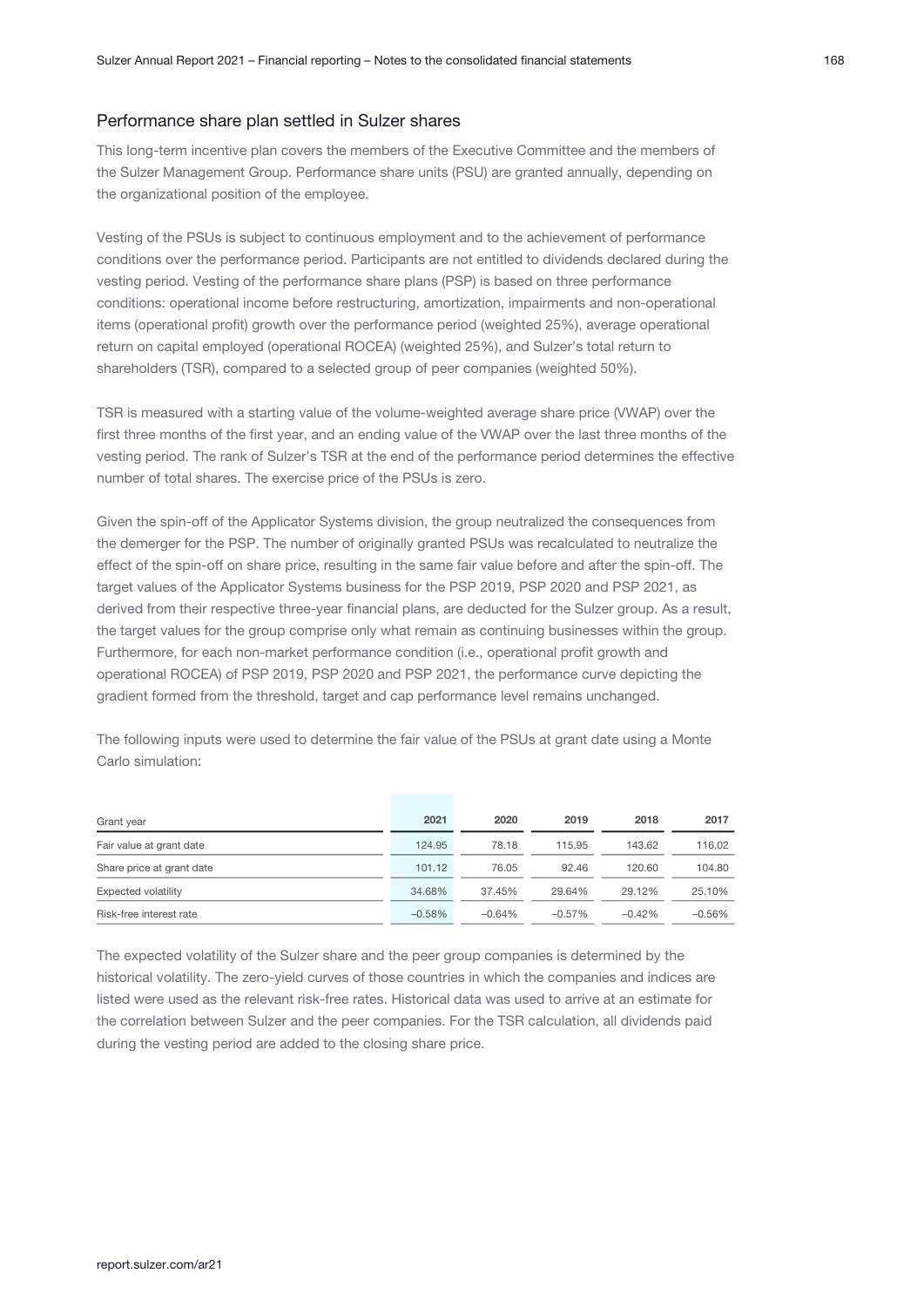#### Performance share plan settled in Sulzer shares

This long-term incentive plan covers the members of the Executive Committee and the members of the Sulzer Management Group. Performance share units (PSU) are granted annually, depending on the organizational position of the employee.

Vesting of the PSUs is subject to continuous employment and to the achievement of performance conditions over the performance period. Participants are not entitled to dividends declared during the vesting period. Vesting of the performance share plans (PSP) is based on three performance conditions: operational income before restructuring, amortization, impairments and non-operational items (operational profit) growth over the performance period (weighted 25%), average operational return on capital employed (operational ROCEA) (weighted 25%), and Sulzer's total return to shareholders (TSR), compared to a selected group of peer companies (weighted 50%).

TSR is measured with a starting value of the volume-weighted average share price (VWAP) over the first three months of the first year, and an ending value of the VWAP over the last three months of the vesting period. The rank of Sulzer's TSR at the end of the performance period determines the effective number of total shares. The exercise price of the PSUs is zero.

Given the spin-off of the Applicator Systems division, the group neutralized the consequences from the demerger for the PSP. The number of originally granted PSUs was recalculated to neutralize the effect of the spin-off on share price, resulting in the same fair value before and after the spin-off. The target values of the Applicator Systems business for the PSP 2019, PSP 2020 and PSP 2021, as derived from their respective three-year financial plans, are deducted for the Sulzer group. As a result, the target values for the group comprise only what remain as continuing businesses within the group. Furthermore, for each non-market performance condition (i.e., operational profit growth and operational ROCEA) of PSP 2019, PSP 2020 and PSP 2021, the performance curve depicting the gradient formed from the threshold, target and cap performance level remains unchanged.

The following inputs were used to determine the fair value of the PSUs at grant date using a Monte Carlo simulation:

| Grant year                | 2021      | 2020     | 2019      | 2018     | 2017     |
|---------------------------|-----------|----------|-----------|----------|----------|
| Fair value at grant date  | 124.95    | 78.18    | 115.95    | 143.62   | 116.02   |
| Share price at grant date | 101.12    | 76.05    | 92.46     | 120.60   | 104.80   |
| Expected volatility       | 34.68%    | 37.45%   | 29.64%    | 29.12%   | 25.10%   |
| Risk-free interest rate   | $-0.58\%$ | $-0.64%$ | $-0.57\%$ | $-0.42%$ | $-0.56%$ |

The expected volatility of the Sulzer share and the peer group companies is determined by the historical volatility. The zero-yield curves of those countries in which the companies and indices are listed were used as the relevant risk-free rates. Historical data was used to arrive at an estimate for the correlation between Sulzer and the peer companies. For the TSR calculation, all dividends paid during the vesting period are added to the closing share price.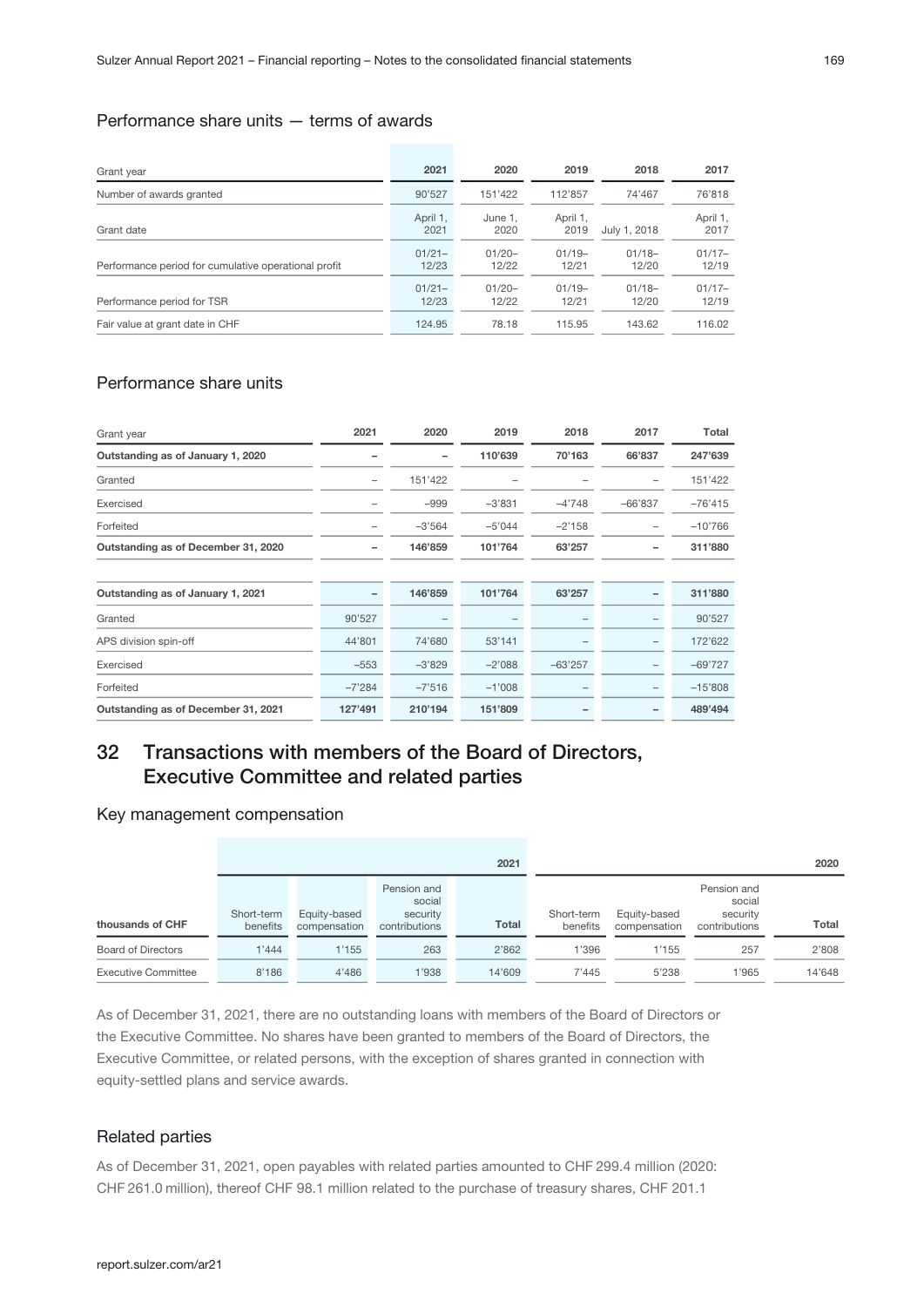### Performance share units — terms of awards

| Grant year                                           | 2021               | 2020               | 2019              | 2018              | 2017              |
|------------------------------------------------------|--------------------|--------------------|-------------------|-------------------|-------------------|
| Number of awards granted                             | 90'527             | 151'422            | 112'857           | 74'467            | 76'818            |
| Grant date                                           | April 1.<br>2021   | June 1.<br>2020    | April 1,<br>2019  | July 1, 2018      | April 1,<br>2017  |
| Performance period for cumulative operational profit | $01/21 -$<br>12/23 | $01/20 -$<br>12/22 | $01/19-$<br>12/21 | $01/18-$<br>12/20 | $01/17-$<br>12/19 |
| Performance period for TSR                           | $01/21 -$<br>12/23 | $01/20 -$<br>12/22 | $01/19-$<br>12/21 | $01/18-$<br>12/20 | $01/17-$<br>12/19 |
| Fair value at grant date in CHF                      | 124.95             | 78.18              | 115.95            | 143.62            | 116.02            |

### Performance share units

| Grant year                          | 2021                     | 2020     | 2019     | 2018      | 2017      | Total     |
|-------------------------------------|--------------------------|----------|----------|-----------|-----------|-----------|
| Outstanding as of January 1, 2020   |                          |          | 110'639  | 70'163    | 66'837    | 247'639   |
| Granted                             | -                        | 151'422  |          |           |           | 151'422   |
| Exercised                           |                          | $-999$   | $-3'831$ | $-4'748$  | $-66'837$ | $-76'415$ |
| Forfeited                           |                          | $-3'564$ | $-5'044$ | $-2'158$  |           | $-10'766$ |
| Outstanding as of December 31, 2020 |                          | 146'859  | 101'764  | 63'257    | -         | 311'880   |
|                                     |                          |          |          |           |           |           |
| Outstanding as of January 1, 2021   | $\overline{\phantom{0}}$ | 146'859  | 101'764  | 63'257    |           | 311'880   |
| Granted                             | 90'527                   |          |          |           |           | 90'527    |
| APS division spin-off               | 44'801                   | 74'680   | 53'141   |           | -         | 172'622   |
| Exercised                           | $-553$                   | $-3'829$ | $-2'088$ | $-63'257$ | -         | $-69'727$ |
| Forfeited                           | $-7'284$                 | $-7'516$ | $-1'008$ |           |           | $-15'808$ |
| Outstanding as of December 31, 2021 | 127'491                  | 210'194  | 151'809  |           |           | 489'494   |

# 32 Transactions with members of the Board of Directors, Executive Committee and related parties

#### Key management compensation

|                            | 2021                   |                              |                                                    |              |                        |                              |                                                    | 2020   |
|----------------------------|------------------------|------------------------------|----------------------------------------------------|--------------|------------------------|------------------------------|----------------------------------------------------|--------|
| thousands of CHF           | Short-term<br>benefits | Equity-based<br>compensation | Pension and<br>social<br>security<br>contributions | <b>Total</b> | Short-term<br>benefits | Equity-based<br>compensation | Pension and<br>social<br>security<br>contributions | Total  |
| <b>Board of Directors</b>  | 1'444                  | 1'155                        | 263                                                | 2'862        | 1'396                  | 1'155                        | 257                                                | 2'808  |
| <b>Executive Committee</b> | 8'186                  | 4'486                        | 1'938                                              | 14'609       | 7'445                  | 5'238                        | 1'965                                              | 14'648 |

As of December 31, 2021, there are no outstanding loans with members of the Board of Directors or the Executive Committee. No shares have been granted to members of the Board of Directors, the Executive Committee, or related persons, with the exception of shares granted in connection with equity-settled plans and service awards.

#### Related parties

As of December 31, 2021, open payables with related parties amounted to CHF 299.4 million (2020: CHF 261.0 million), thereof CHF 98.1 million related to the purchase of treasury shares, CHF 201.1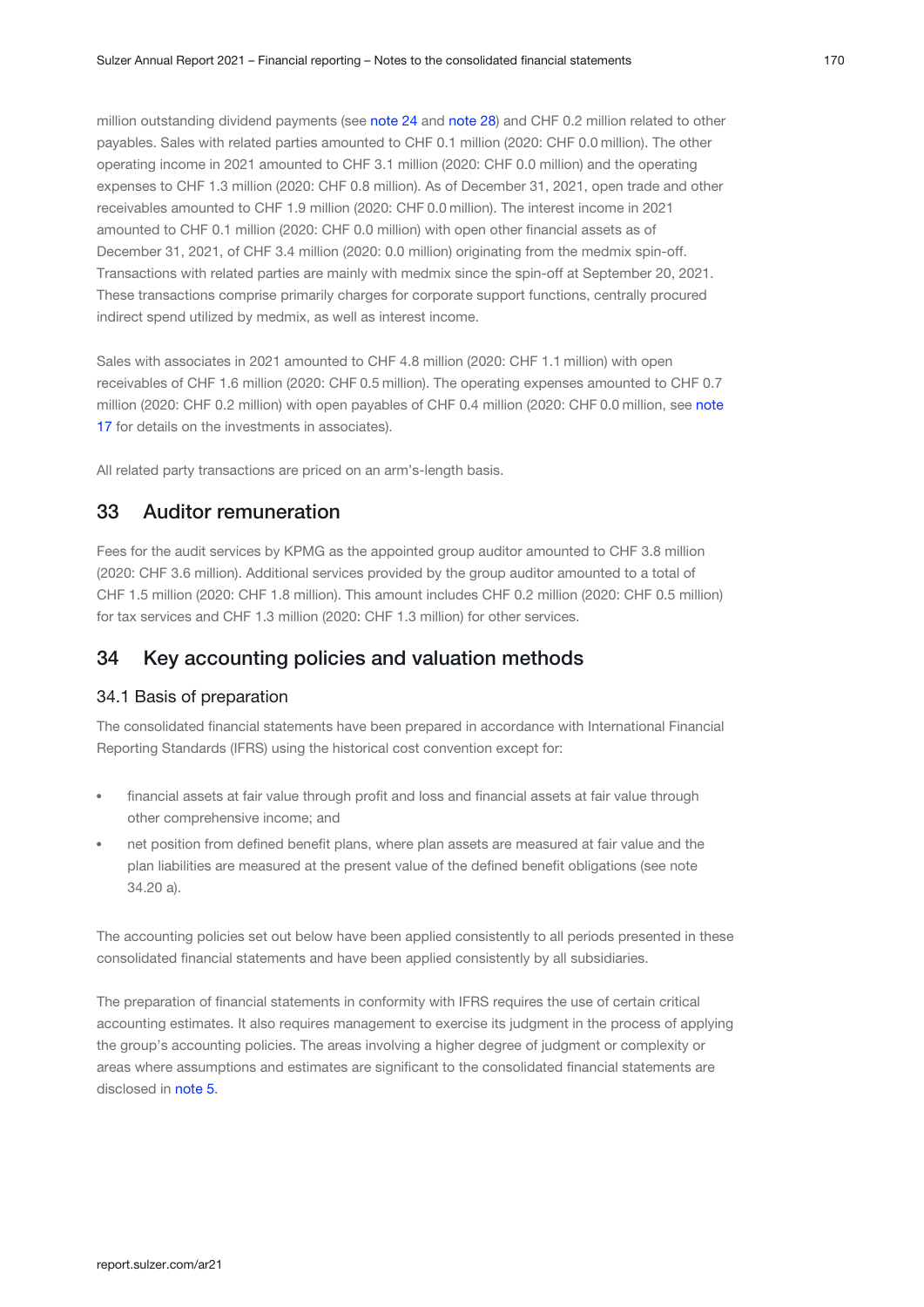million outstanding dividend payments (see [note 24](#page-58-0) and [note 28](#page-64-0)) and CHF 0.2 million related to other payables. Sales with related parties amounted to CHF 0.1 million (2020: CHF 0.0 million). The other operating income in 2021 amounted to CHF 3.1 million (2020: CHF 0.0 million) and the operating expenses to CHF 1.3 million (2020: CHF 0.8 million). As of December 31, 2021, open trade and other receivables amounted to CHF 1.9 million (2020: CHF 0.0 million). The interest income in 2021 amounted to CHF 0.1 million (2020: CHF 0.0 million) with open other financial assets as of December 31, 2021, of CHF 3.4 million (2020: 0.0 million) originating from the medmix spin-off. Transactions with related parties are mainly with medmix since the spin-off at September 20, 2021. These transactions comprise primarily charges for corporate support functions, centrally procured indirect spend utilized by medmix, as well as interest income.

Sales with associates in 2021 amounted to CHF 4.8 million (2020: CHF 1.1 million) with open receivables of CHF 1.6 million (2020: CHF 0.5 million). The operating expenses amounted to CHF 0.7 million (2020: CHF 0.2 million) with open payables of CHF 0.4 million (2020: CHF 0.0 million, see [note](#page-52-0) [17](#page-52-0) for details on the investments in associates).

All related party transactions are priced on an arm's-length basis.

### 33 Auditor remuneration

Fees for the audit services by KPMG as the appointed group auditor amounted to CHF 3.8 million (2020: CHF 3.6 million). Additional services provided by the group auditor amounted to a total of CHF 1.5 million (2020: CHF 1.8 million). This amount includes CHF 0.2 million (2020: CHF 0.5 million) for tax services and CHF 1.3 million (2020: CHF 1.3 million) for other services.

# 34 Key accounting policies and valuation methods

#### 34.1 Basis of preparation

The consolidated financial statements have been prepared in accordance with International Financial Reporting Standards (IFRS) using the historical cost convention except for:

- financial assets at fair value through profit and loss and financial assets at fair value through other comprehensive income; and
- net position from defined benefit plans, where plan assets are measured at fair value and the plan liabilities are measured at the present value of the defined benefit obligations (see note 34.20 a).

The accounting policies set out below have been applied consistently to all periods presented in these consolidated financial statements and have been applied consistently by all subsidiaries.

The preparation of financial statements in conformity with IFRS requires the use of certain critical accounting estimates. It also requires management to exercise its judgment in the process of applying the group's accounting policies. The areas involving a higher degree of judgment or complexity or areas where assumptions and estimates are significant to the consolidated financial statements are disclosed in note 5.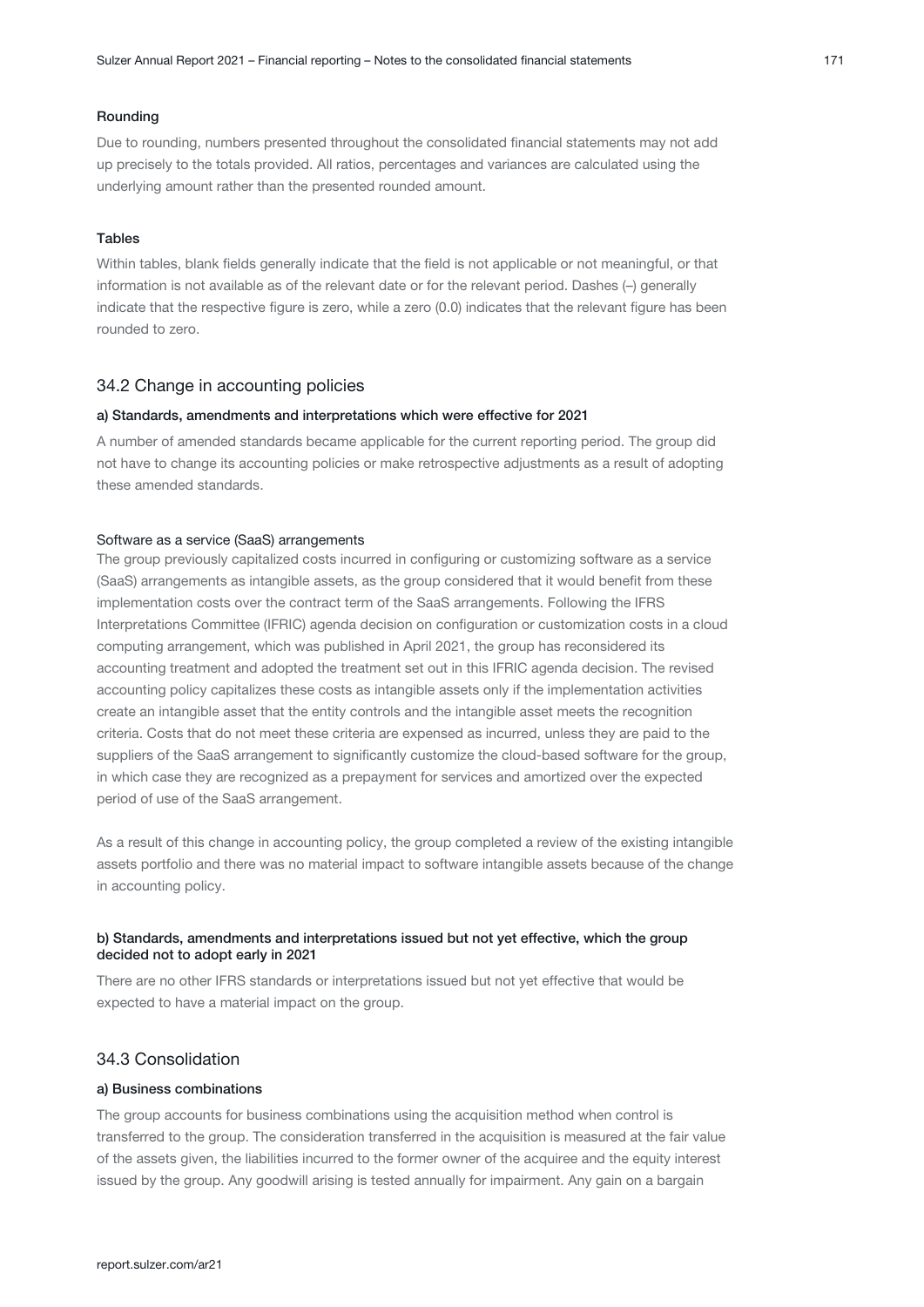#### Rounding

Due to rounding, numbers presented throughout the consolidated financial statements may not add up precisely to the totals provided. All ratios, percentages and variances are calculated using the underlying amount rather than the presented rounded amount.

#### Tables

Within tables, blank fields generally indicate that the field is not applicable or not meaningful, or that information is not available as of the relevant date or for the relevant period. Dashes (–) generally indicate that the respective figure is zero, while a zero (0.0) indicates that the relevant figure has been rounded to zero.

#### 34.2 Change in accounting policies

#### a) Standards, amendments and interpretations which were effective for 2021

A number of amended standards became applicable for the current reporting period. The group did not have to change its accounting policies or make retrospective adjustments as a result of adopting these amended standards.

#### Software as a service (SaaS) arrangements

The group previously capitalized costs incurred in configuring or customizing software as a service (SaaS) arrangements as intangible assets, as the group considered that it would benefit from these implementation costs over the contract term of the SaaS arrangements. Following the IFRS Interpretations Committee (IFRIC) agenda decision on configuration or customization costs in a cloud computing arrangement, which was published in April 2021, the group has reconsidered its accounting treatment and adopted the treatment set out in this IFRIC agenda decision. The revised accounting policy capitalizes these costs as intangible assets only if the implementation activities create an intangible asset that the entity controls and the intangible asset meets the recognition criteria. Costs that do not meet these criteria are expensed as incurred, unless they are paid to the suppliers of the SaaS arrangement to significantly customize the cloud-based software for the group, in which case they are recognized as a prepayment for services and amortized over the expected period of use of the SaaS arrangement.

As a result of this change in accounting policy, the group completed a review of the existing intangible assets portfolio and there was no material impact to software intangible assets because of the change in accounting policy.

#### b) Standards, amendments and interpretations issued but not yet effective, which the group decided not to adopt early in 2021

There are no other IFRS standards or interpretations issued but not yet effective that would be expected to have a material impact on the group.

#### 34.3 Consolidation

#### a) Business combinations

The group accounts for business combinations using the acquisition method when control is transferred to the group. The consideration transferred in the acquisition is measured at the fair value of the assets given, the liabilities incurred to the former owner of the acquiree and the equity interest issued by the group. Any goodwill arising is tested annually for impairment. Any gain on a bargain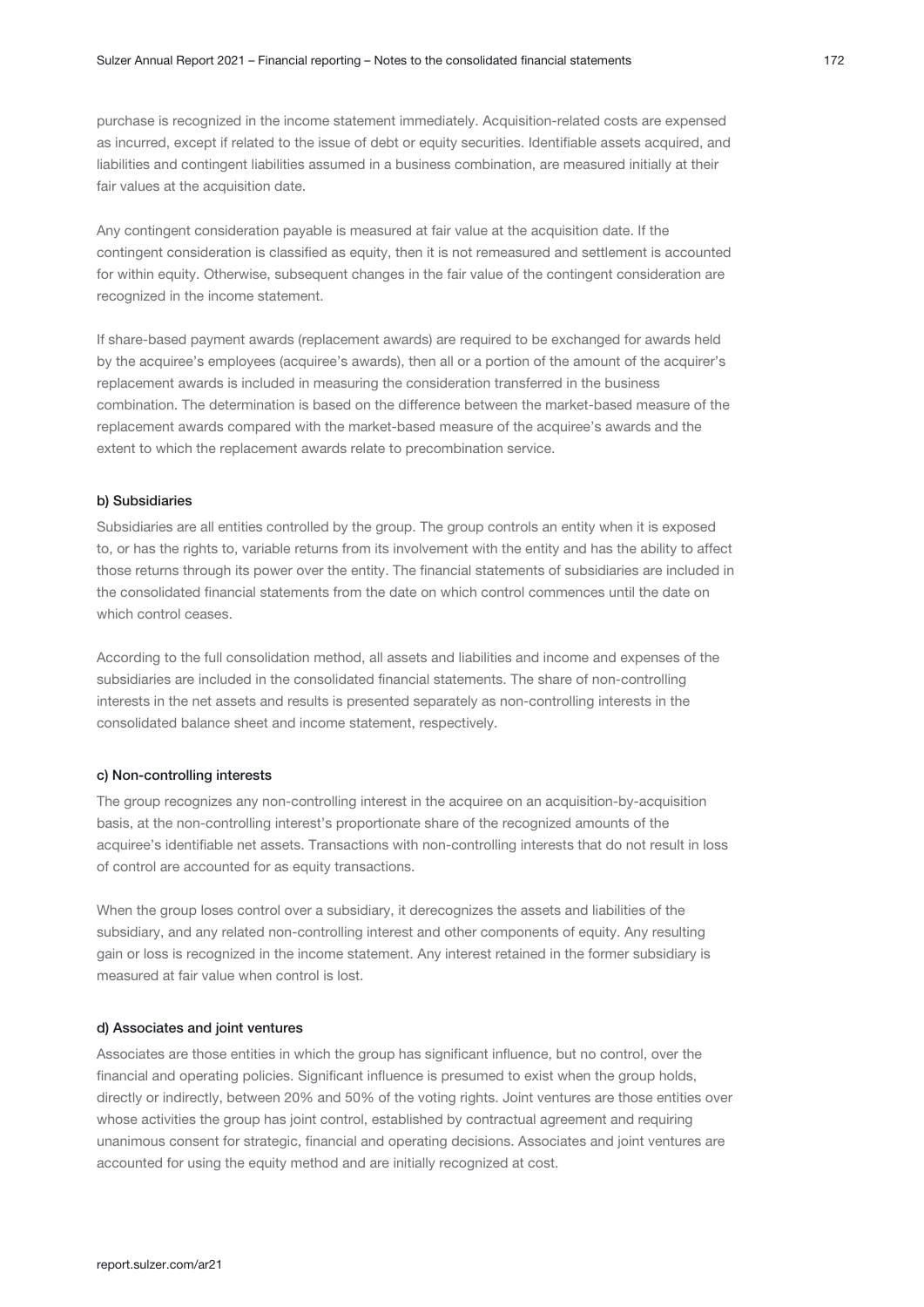purchase is recognized in the income statement immediately. Acquisition-related costs are expensed as incurred, except if related to the issue of debt or equity securities. Identifiable assets acquired, and liabilities and contingent liabilities assumed in a business combination, are measured initially at their fair values at the acquisition date.

Any contingent consideration payable is measured at fair value at the acquisition date. If the contingent consideration is classified as equity, then it is not remeasured and settlement is accounted for within equity. Otherwise, subsequent changes in the fair value of the contingent consideration are recognized in the income statement.

If share-based payment awards (replacement awards) are required to be exchanged for awards held by the acquiree's employees (acquiree's awards), then all or a portion of the amount of the acquirer's replacement awards is included in measuring the consideration transferred in the business combination. The determination is based on the difference between the market-based measure of the replacement awards compared with the market-based measure of the acquiree's awards and the extent to which the replacement awards relate to precombination service.

#### b) Subsidiaries

Subsidiaries are all entities controlled by the group. The group controls an entity when it is exposed to, or has the rights to, variable returns from its involvement with the entity and has the ability to affect those returns through its power over the entity. The financial statements of subsidiaries are included in the consolidated financial statements from the date on which control commences until the date on which control ceases.

According to the full consolidation method, all assets and liabilities and income and expenses of the subsidiaries are included in the consolidated financial statements. The share of non-controlling interests in the net assets and results is presented separately as non-controlling interests in the consolidated balance sheet and income statement, respectively.

#### c) Non-controlling interests

The group recognizes any non-controlling interest in the acquiree on an acquisition-by-acquisition basis, at the non-controlling interest's proportionate share of the recognized amounts of the acquiree's identifiable net assets. Transactions with non-controlling interests that do not result in loss of control are accounted for as equity transactions.

When the group loses control over a subsidiary, it derecognizes the assets and liabilities of the subsidiary, and any related non-controlling interest and other components of equity. Any resulting gain or loss is recognized in the income statement. Any interest retained in the former subsidiary is measured at fair value when control is lost.

#### d) Associates and joint ventures

Associates are those entities in which the group has significant influence, but no control, over the financial and operating policies. Significant influence is presumed to exist when the group holds, directly or indirectly, between 20% and 50% of the voting rights. Joint ventures are those entities over whose activities the group has joint control, established by contractual agreement and requiring unanimous consent for strategic, financial and operating decisions. Associates and joint ventures are accounted for using the equity method and are initially recognized at cost.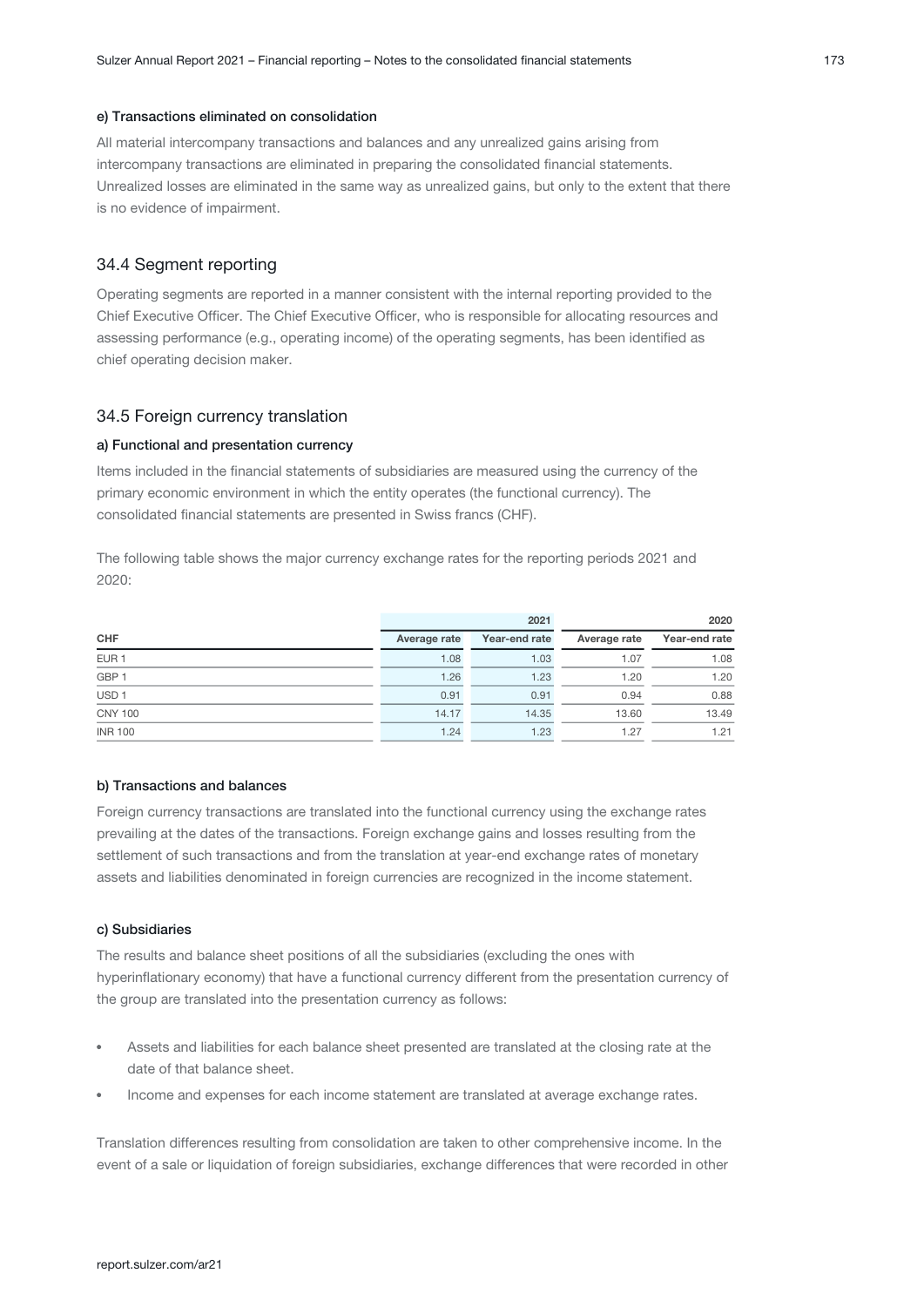#### e) Transactions eliminated on consolidation

All material intercompany transactions and balances and any unrealized gains arising from intercompany transactions are eliminated in preparing the consolidated financial statements. Unrealized losses are eliminated in the same way as unrealized gains, but only to the extent that there is no evidence of impairment.

#### 34.4 Segment reporting

Operating segments are reported in a manner consistent with the internal reporting provided to the Chief Executive Officer. The Chief Executive Officer, who is responsible for allocating resources and assessing performance (e.g., operating income) of the operating segments, has been identified as chief operating decision maker.

#### 34.5 Foreign currency translation

#### a) Functional and presentation currency

Items included in the financial statements of subsidiaries are measured using the currency of the primary economic environment in which the entity operates (the functional currency). The consolidated financial statements are presented in Swiss francs (CHF).

The following table shows the major currency exchange rates for the reporting periods 2021 and 2020:

|                  |              | 2021          | 2020         |               |  |
|------------------|--------------|---------------|--------------|---------------|--|
| <b>CHF</b>       | Average rate | Year-end rate | Average rate | Year-end rate |  |
| EUR <sub>1</sub> | 1.08         | 1.03          | 1.07         | 1.08          |  |
| GBP <sub>1</sub> | 1.26         | 1.23          | 1.20         | 1.20          |  |
| USD <sub>1</sub> | 0.91         | 0.91          | 0.94         | 0.88          |  |
| <b>CNY 100</b>   | 14.17        | 14.35         | 13.60        | 13.49         |  |
| <b>INR 100</b>   | 1.24         | 1.23          | 1.27         | 1.21          |  |

#### b) Transactions and balances

Foreign currency transactions are translated into the functional currency using the exchange rates prevailing at the dates of the transactions. Foreign exchange gains and losses resulting from the settlement of such transactions and from the translation at year-end exchange rates of monetary assets and liabilities denominated in foreign currencies are recognized in the income statement.

#### c) Subsidiaries

The results and balance sheet positions of all the subsidiaries (excluding the ones with hyperinflationary economy) that have a functional currency different from the presentation currency of the group are translated into the presentation currency as follows:

- Assets and liabilities for each balance sheet presented are translated at the closing rate at the date of that balance sheet.
- Income and expenses for each income statement are translated at average exchange rates.

Translation differences resulting from consolidation are taken to other comprehensive income. In the event of a sale or liquidation of foreign subsidiaries, exchange differences that were recorded in other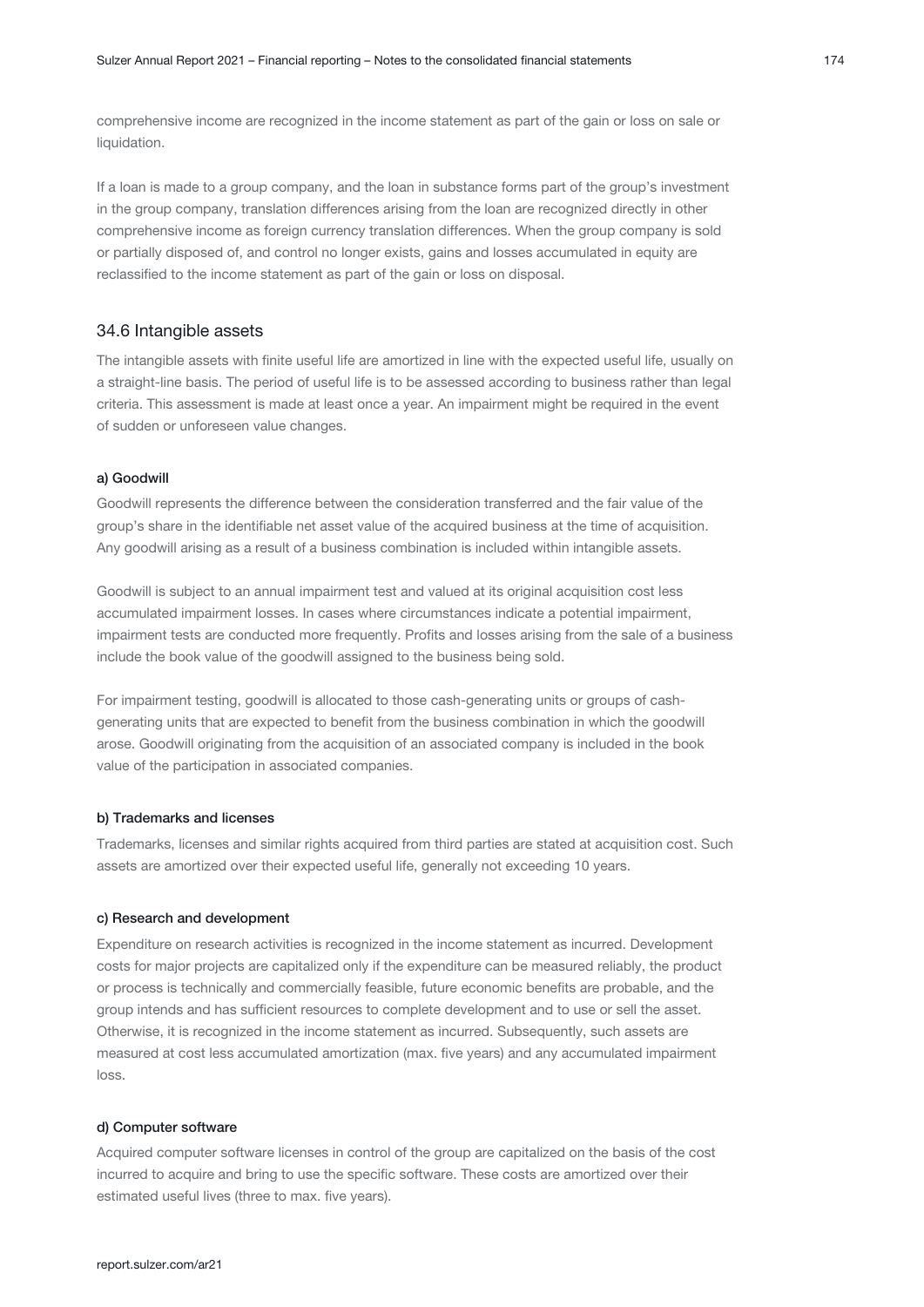comprehensive income are recognized in the income statement as part of the gain or loss on sale or liquidation.

If a loan is made to a group company, and the loan in substance forms part of the group's investment in the group company, translation differences arising from the loan are recognized directly in other comprehensive income as foreign currency translation differences. When the group company is sold or partially disposed of, and control no longer exists, gains and losses accumulated in equity are reclassified to the income statement as part of the gain or loss on disposal.

#### 34.6 Intangible assets

The intangible assets with finite useful life are amortized in line with the expected useful life, usually on a straight-line basis. The period of useful life is to be assessed according to business rather than legal criteria. This assessment is made at least once a year. An impairment might be required in the event of sudden or unforeseen value changes.

#### a) Goodwill

Goodwill represents the difference between the consideration transferred and the fair value of the group's share in the identifiable net asset value of the acquired business at the time of acquisition. Any goodwill arising as a result of a business combination is included within intangible assets.

Goodwill is subject to an annual impairment test and valued at its original acquisition cost less accumulated impairment losses. In cases where circumstances indicate a potential impairment, impairment tests are conducted more frequently. Profits and losses arising from the sale of a business include the book value of the goodwill assigned to the business being sold.

For impairment testing, goodwill is allocated to those cash-generating units or groups of cashgenerating units that are expected to benefit from the business combination in which the goodwill arose. Goodwill originating from the acquisition of an associated company is included in the book value of the participation in associated companies.

#### b) Trademarks and licenses

Trademarks, licenses and similar rights acquired from third parties are stated at acquisition cost. Such assets are amortized over their expected useful life, generally not exceeding 10 years.

#### c) Research and development

Expenditure on research activities is recognized in the income statement as incurred. Development costs for major projects are capitalized only if the expenditure can be measured reliably, the product or process is technically and commercially feasible, future economic benefits are probable, and the group intends and has sufficient resources to complete development and to use or sell the asset. Otherwise, it is recognized in the income statement as incurred. Subsequently, such assets are measured at cost less accumulated amortization (max. five years) and any accumulated impairment loss.

#### d) Computer software

Acquired computer software licenses in control of the group are capitalized on the basis of the cost incurred to acquire and bring to use the specific software. These costs are amortized over their estimated useful lives (three to max. five years).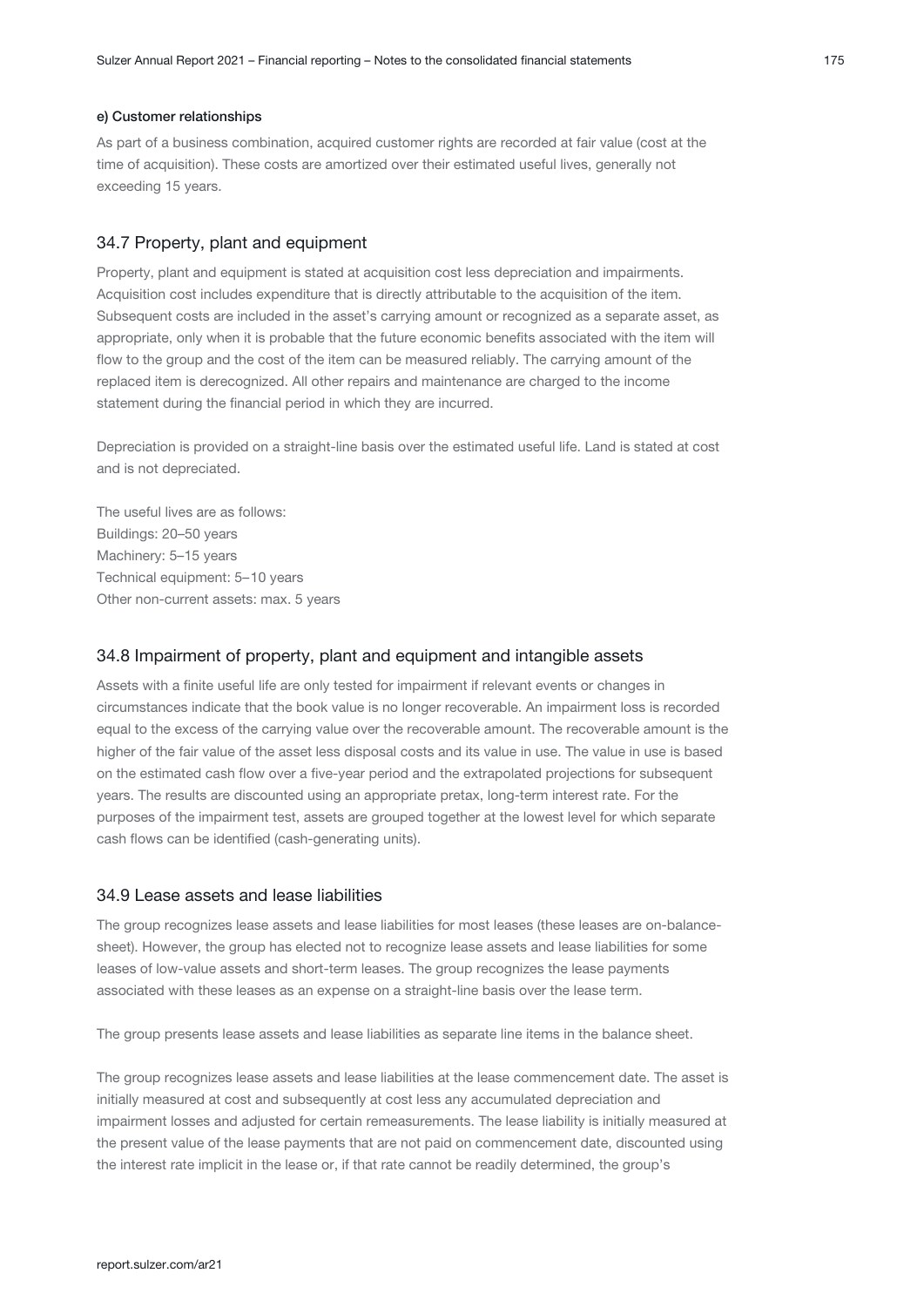#### e) Customer relationships

As part of a business combination, acquired customer rights are recorded at fair value (cost at the time of acquisition). These costs are amortized over their estimated useful lives, generally not exceeding 15 years.

#### 34.7 Property, plant and equipment

Property, plant and equipment is stated at acquisition cost less depreciation and impairments. Acquisition cost includes expenditure that is directly attributable to the acquisition of the item. Subsequent costs are included in the asset's carrying amount or recognized as a separate asset, as appropriate, only when it is probable that the future economic benefits associated with the item will flow to the group and the cost of the item can be measured reliably. The carrying amount of the replaced item is derecognized. All other repairs and maintenance are charged to the income statement during the financial period in which they are incurred.

Depreciation is provided on a straight-line basis over the estimated useful life. Land is stated at cost and is not depreciated.

The useful lives are as follows: Buildings: 20–50 years Machinery: 5–15 years Technical equipment: 5–10 years Other non-current assets: max. 5 years

#### 34.8 Impairment of property, plant and equipment and intangible assets

Assets with a finite useful life are only tested for impairment if relevant events or changes in circumstances indicate that the book value is no longer recoverable. An impairment loss is recorded equal to the excess of the carrying value over the recoverable amount. The recoverable amount is the higher of the fair value of the asset less disposal costs and its value in use. The value in use is based on the estimated cash flow over a five-year period and the extrapolated projections for subsequent years. The results are discounted using an appropriate pretax, long-term interest rate. For the purposes of the impairment test, assets are grouped together at the lowest level for which separate cash flows can be identified (cash-generating units).

#### 34.9 Lease assets and lease liabilities

The group recognizes lease assets and lease liabilities for most leases (these leases are on-balancesheet). However, the group has elected not to recognize lease assets and lease liabilities for some leases of low-value assets and short-term leases. The group recognizes the lease payments associated with these leases as an expense on a straight-line basis over the lease term.

The group presents lease assets and lease liabilities as separate line items in the balance sheet.

The group recognizes lease assets and lease liabilities at the lease commencement date. The asset is initially measured at cost and subsequently at cost less any accumulated depreciation and impairment losses and adjusted for certain remeasurements. The lease liability is initially measured at the present value of the lease payments that are not paid on commencement date, discounted using the interest rate implicit in the lease or, if that rate cannot be readily determined, the group's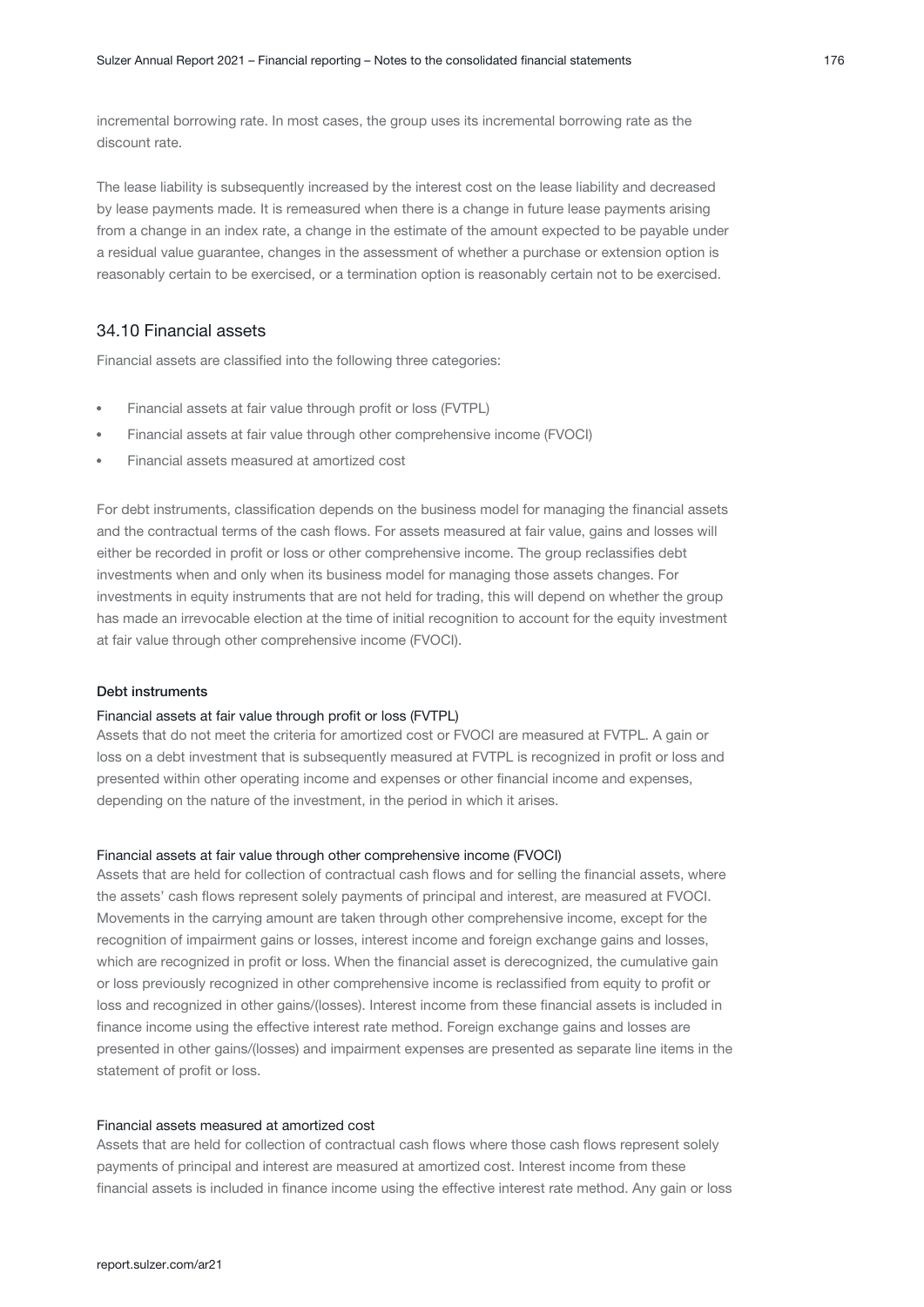incremental borrowing rate. In most cases, the group uses its incremental borrowing rate as the discount rate.

The lease liability is subsequently increased by the interest cost on the lease liability and decreased by lease payments made. It is remeasured when there is a change in future lease payments arising from a change in an index rate, a change in the estimate of the amount expected to be payable under a residual value guarantee, changes in the assessment of whether a purchase or extension option is reasonably certain to be exercised, or a termination option is reasonably certain not to be exercised.

#### 34.10 Financial assets

Financial assets are classified into the following three categories:

- Financial assets at fair value through profit or loss (FVTPL)
- Financial assets at fair value through other comprehensive income (FVOCI)
- Financial assets measured at amortized cost

For debt instruments, classification depends on the business model for managing the financial assets and the contractual terms of the cash flows. For assets measured at fair value, gains and losses will either be recorded in profit or loss or other comprehensive income. The group reclassifies debt investments when and only when its business model for managing those assets changes. For investments in equity instruments that are not held for trading, this will depend on whether the group has made an irrevocable election at the time of initial recognition to account for the equity investment at fair value through other comprehensive income (FVOCI).

#### Debt instruments

#### Financial assets at fair value through profit or loss (FVTPL)

Assets that do not meet the criteria for amortized cost or FVOCI are measured at FVTPL. A gain or loss on a debt investment that is subsequently measured at FVTPL is recognized in profit or loss and presented within other operating income and expenses or other financial income and expenses, depending on the nature of the investment, in the period in which it arises.

#### Financial assets at fair value through other comprehensive income (FVOCI)

Assets that are held for collection of contractual cash flows and for selling the financial assets, where the assets' cash flows represent solely payments of principal and interest, are measured at FVOCI. Movements in the carrying amount are taken through other comprehensive income, except for the recognition of impairment gains or losses, interest income and foreign exchange gains and losses, which are recognized in profit or loss. When the financial asset is derecognized, the cumulative gain or loss previously recognized in other comprehensive income is reclassified from equity to profit or loss and recognized in other gains/(losses). Interest income from these financial assets is included in finance income using the effective interest rate method. Foreign exchange gains and losses are presented in other gains/(losses) and impairment expenses are presented as separate line items in the statement of profit or loss.

#### Financial assets measured at amortized cost

Assets that are held for collection of contractual cash flows where those cash flows represent solely payments of principal and interest are measured at amortized cost. Interest income from these financial assets is included in finance income using the effective interest rate method. Any gain or loss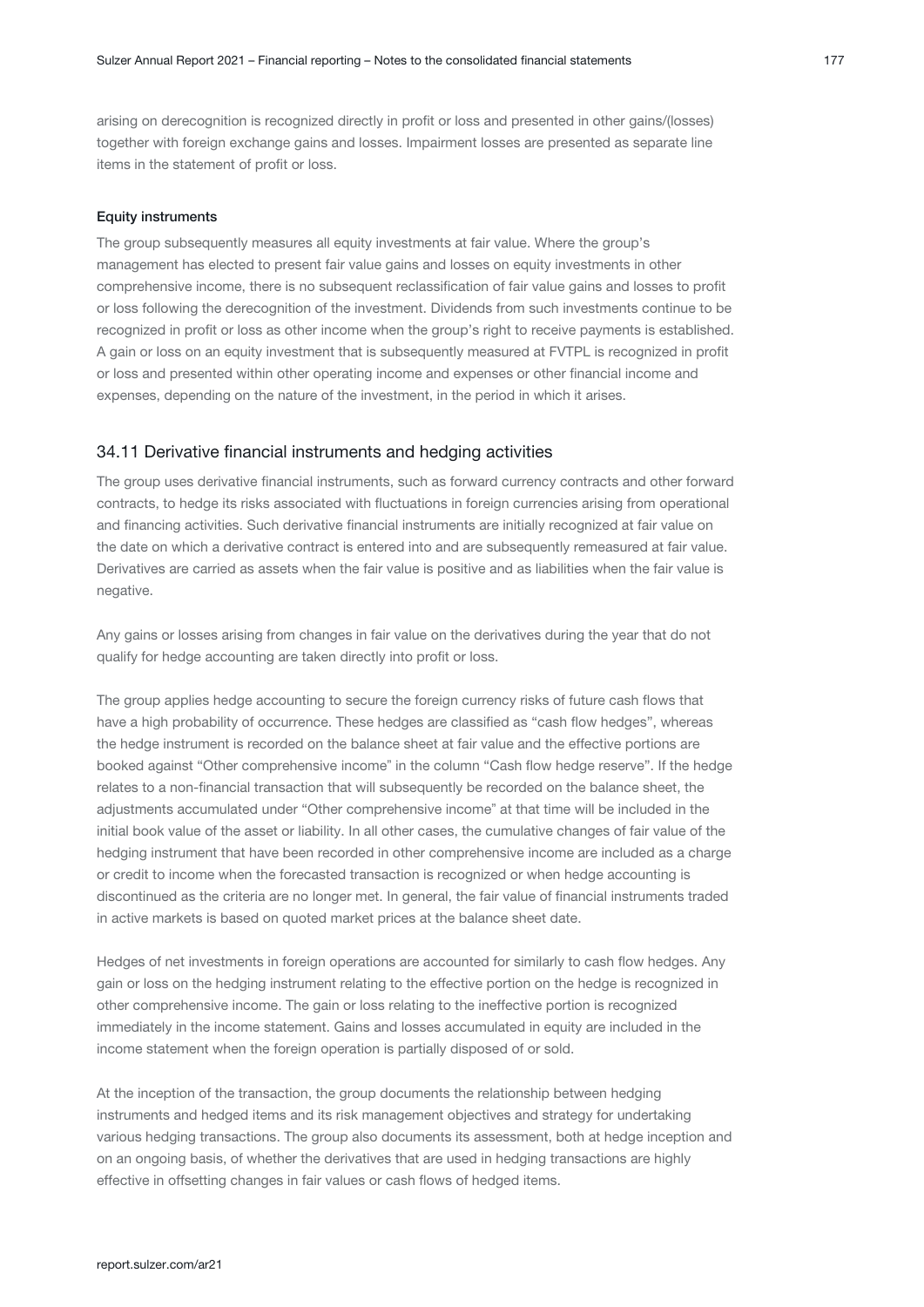arising on derecognition is recognized directly in profit or loss and presented in other gains/(losses) together with foreign exchange gains and losses. Impairment losses are presented as separate line items in the statement of profit or loss.

#### Equity instruments

The group subsequently measures all equity investments at fair value. Where the group's management has elected to present fair value gains and losses on equity investments in other comprehensive income, there is no subsequent reclassification of fair value gains and losses to profit or loss following the derecognition of the investment. Dividends from such investments continue to be recognized in profit or loss as other income when the group's right to receive payments is established. A gain or loss on an equity investment that is subsequently measured at FVTPL is recognized in profit or loss and presented within other operating income and expenses or other financial income and expenses, depending on the nature of the investment, in the period in which it arises.

#### 34.11 Derivative financial instruments and hedging activities

The group uses derivative financial instruments, such as forward currency contracts and other forward contracts, to hedge its risks associated with fluctuations in foreign currencies arising from operational and financing activities. Such derivative financial instruments are initially recognized at fair value on the date on which a derivative contract is entered into and are subsequently remeasured at fair value. Derivatives are carried as assets when the fair value is positive and as liabilities when the fair value is negative.

Any gains or losses arising from changes in fair value on the derivatives during the year that do not qualify for hedge accounting are taken directly into profit or loss.

The group applies hedge accounting to secure the foreign currency risks of future cash flows that have a high probability of occurrence. These hedges are classified as "cash flow hedges", whereas the hedge instrument is recorded on the balance sheet at fair value and the effective portions are booked against "Other comprehensive income" in the column "Cash flow hedge reserve". If the hedge relates to a non-financial transaction that will subsequently be recorded on the balance sheet, the adjustments accumulated under "Other comprehensive income" at that time will be included in the initial book value of the asset or liability. In all other cases, the cumulative changes of fair value of the hedging instrument that have been recorded in other comprehensive income are included as a charge or credit to income when the forecasted transaction is recognized or when hedge accounting is discontinued as the criteria are no longer met. In general, the fair value of financial instruments traded in active markets is based on quoted market prices at the balance sheet date.

Hedges of net investments in foreign operations are accounted for similarly to cash flow hedges. Any gain or loss on the hedging instrument relating to the effective portion on the hedge is recognized in other comprehensive income. The gain or loss relating to the ineffective portion is recognized immediately in the income statement. Gains and losses accumulated in equity are included in the income statement when the foreign operation is partially disposed of or sold.

At the inception of the transaction, the group documents the relationship between hedging instruments and hedged items and its risk management objectives and strategy for undertaking various hedging transactions. The group also documents its assessment, both at hedge inception and on an ongoing basis, of whether the derivatives that are used in hedging transactions are highly effective in offsetting changes in fair values or cash flows of hedged items.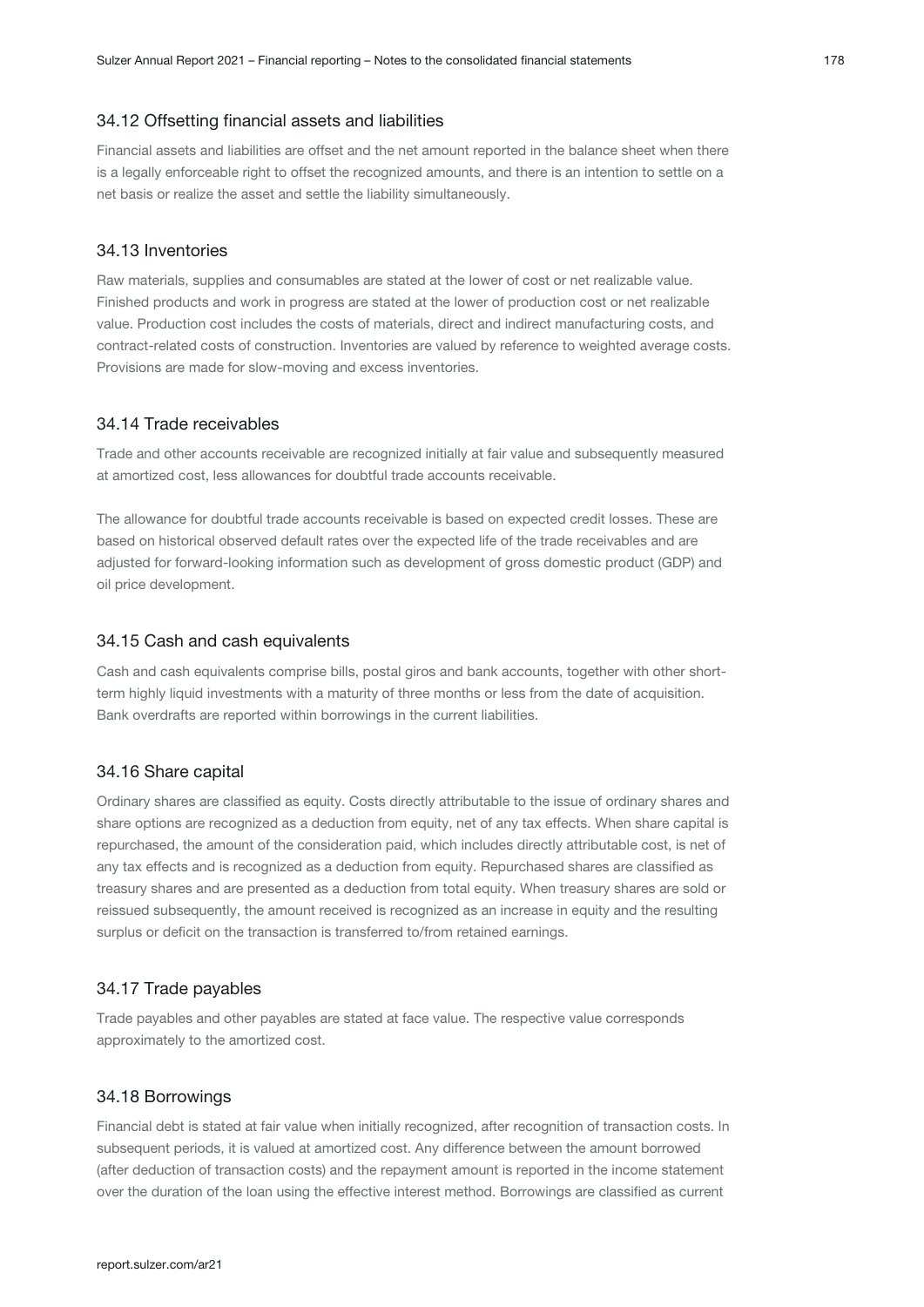#### 34.12 Offsetting financial assets and liabilities

Financial assets and liabilities are offset and the net amount reported in the balance sheet when there is a legally enforceable right to offset the recognized amounts, and there is an intention to settle on a net basis or realize the asset and settle the liability simultaneously.

#### 34.13 Inventories

Raw materials, supplies and consumables are stated at the lower of cost or net realizable value. Finished products and work in progress are stated at the lower of production cost or net realizable value. Production cost includes the costs of materials, direct and indirect manufacturing costs, and contract-related costs of construction. Inventories are valued by reference to weighted average costs. Provisions are made for slow-moving and excess inventories.

#### 34.14 Trade receivables

Trade and other accounts receivable are recognized initially at fair value and subsequently measured at amortized cost, less allowances for doubtful trade accounts receivable.

The allowance for doubtful trade accounts receivable is based on expected credit losses. These are based on historical observed default rates over the expected life of the trade receivables and are adjusted for forward-looking information such as development of gross domestic product (GDP) and oil price development.

#### 34.15 Cash and cash equivalents

Cash and cash equivalents comprise bills, postal giros and bank accounts, together with other shortterm highly liquid investments with a maturity of three months or less from the date of acquisition. Bank overdrafts are reported within borrowings in the current liabilities.

#### 34.16 Share capital

Ordinary shares are classified as equity. Costs directly attributable to the issue of ordinary shares and share options are recognized as a deduction from equity, net of any tax effects. When share capital is repurchased, the amount of the consideration paid, which includes directly attributable cost, is net of any tax effects and is recognized as a deduction from equity. Repurchased shares are classified as treasury shares and are presented as a deduction from total equity. When treasury shares are sold or reissued subsequently, the amount received is recognized as an increase in equity and the resulting surplus or deficit on the transaction is transferred to/from retained earnings.

#### 34.17 Trade payables

Trade payables and other payables are stated at face value. The respective value corresponds approximately to the amortized cost.

#### 34.18 Borrowings

Financial debt is stated at fair value when initially recognized, after recognition of transaction costs. In subsequent periods, it is valued at amortized cost. Any difference between the amount borrowed (after deduction of transaction costs) and the repayment amount is reported in the income statement over the duration of the loan using the effective interest method. Borrowings are classified as current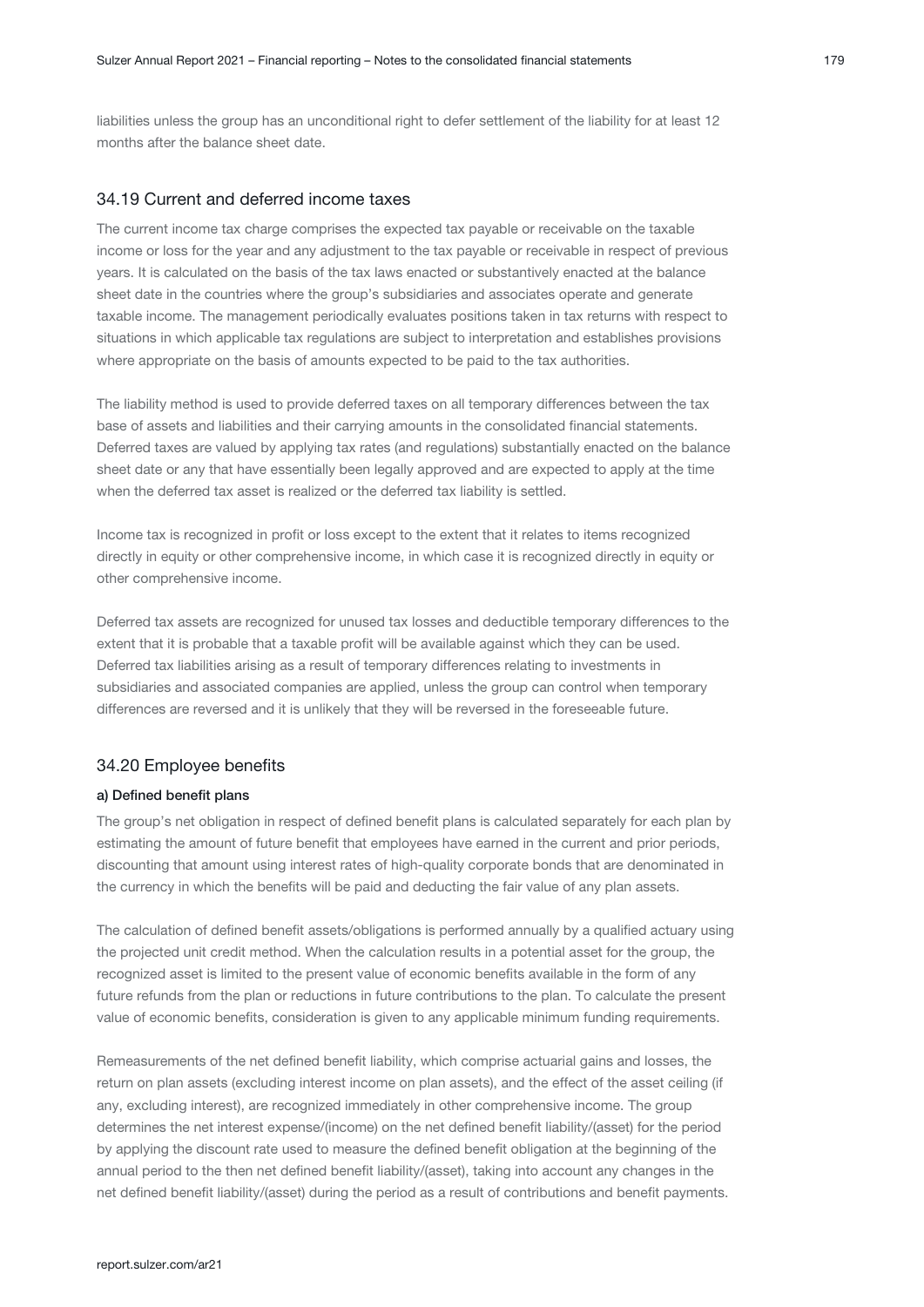liabilities unless the group has an unconditional right to defer settlement of the liability for at least 12 months after the balance sheet date.

#### 34.19 Current and deferred income taxes

The current income tax charge comprises the expected tax payable or receivable on the taxable income or loss for the year and any adjustment to the tax payable or receivable in respect of previous years. It is calculated on the basis of the tax laws enacted or substantively enacted at the balance sheet date in the countries where the group's subsidiaries and associates operate and generate taxable income. The management periodically evaluates positions taken in tax returns with respect to situations in which applicable tax regulations are subject to interpretation and establishes provisions where appropriate on the basis of amounts expected to be paid to the tax authorities.

The liability method is used to provide deferred taxes on all temporary differences between the tax base of assets and liabilities and their carrying amounts in the consolidated financial statements. Deferred taxes are valued by applying tax rates (and regulations) substantially enacted on the balance sheet date or any that have essentially been legally approved and are expected to apply at the time when the deferred tax asset is realized or the deferred tax liability is settled.

Income tax is recognized in profit or loss except to the extent that it relates to items recognized directly in equity or other comprehensive income, in which case it is recognized directly in equity or other comprehensive income.

Deferred tax assets are recognized for unused tax losses and deductible temporary differences to the extent that it is probable that a taxable profit will be available against which they can be used. Deferred tax liabilities arising as a result of temporary differences relating to investments in subsidiaries and associated companies are applied, unless the group can control when temporary differences are reversed and it is unlikely that they will be reversed in the foreseeable future.

#### 34.20 Employee benefits

#### a) Defined benefit plans

The group's net obligation in respect of defined benefit plans is calculated separately for each plan by estimating the amount of future benefit that employees have earned in the current and prior periods, discounting that amount using interest rates of high-quality corporate bonds that are denominated in the currency in which the benefits will be paid and deducting the fair value of any plan assets.

The calculation of defined benefit assets/obligations is performed annually by a qualified actuary using the projected unit credit method. When the calculation results in a potential asset for the group, the recognized asset is limited to the present value of economic benefits available in the form of any future refunds from the plan or reductions in future contributions to the plan. To calculate the present value of economic benefits, consideration is given to any applicable minimum funding requirements.

Remeasurements of the net defined benefit liability, which comprise actuarial gains and losses, the return on plan assets (excluding interest income on plan assets), and the effect of the asset ceiling (if any, excluding interest), are recognized immediately in other comprehensive income. The group determines the net interest expense/(income) on the net defined benefit liability/(asset) for the period by applying the discount rate used to measure the defined benefit obligation at the beginning of the annual period to the then net defined benefit liability/(asset), taking into account any changes in the net defined benefit liability/(asset) during the period as a result of contributions and benefit payments.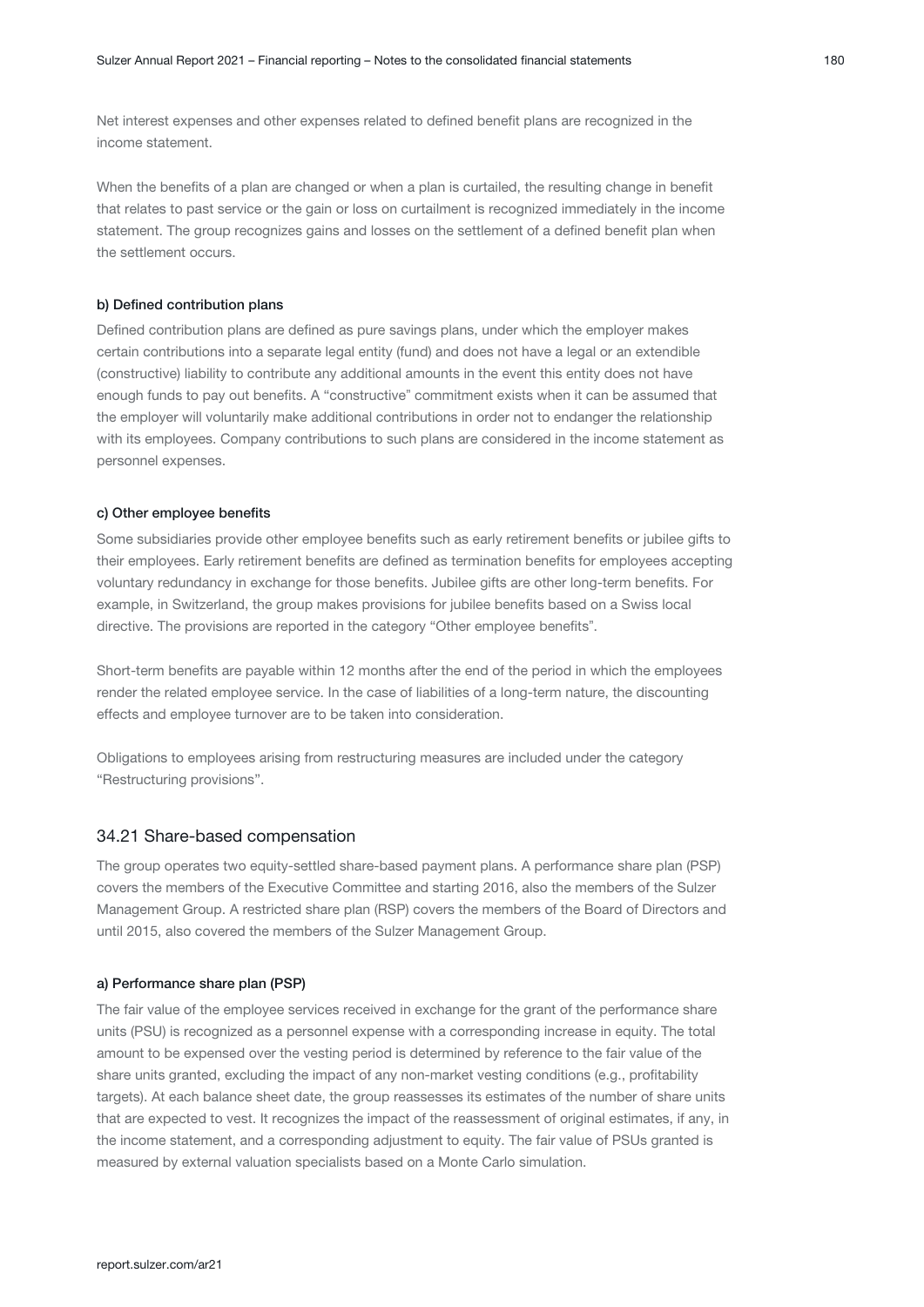Net interest expenses and other expenses related to defined benefit plans are recognized in the income statement.

When the benefits of a plan are changed or when a plan is curtailed, the resulting change in benefit that relates to past service or the gain or loss on curtailment is recognized immediately in the income statement. The group recognizes gains and losses on the settlement of a defined benefit plan when the settlement occurs.

#### b) Defined contribution plans

Defined contribution plans are defined as pure savings plans, under which the employer makes certain contributions into a separate legal entity (fund) and does not have a legal or an extendible (constructive) liability to contribute any additional amounts in the event this entity does not have enough funds to pay out benefits. A "constructive" commitment exists when it can be assumed that the employer will voluntarily make additional contributions in order not to endanger the relationship with its employees. Company contributions to such plans are considered in the income statement as personnel expenses.

#### c) Other employee benefits

Some subsidiaries provide other employee benefits such as early retirement benefits or jubilee gifts to their employees. Early retirement benefits are defined as termination benefits for employees accepting voluntary redundancy in exchange for those benefits. Jubilee gifts are other long-term benefits. For example, in Switzerland, the group makes provisions for jubilee benefits based on a Swiss local directive. The provisions are reported in the category "Other employee benefits".

Short-term benefits are payable within 12 months after the end of the period in which the employees render the related employee service. In the case of liabilities of a long-term nature, the discounting effects and employee turnover are to be taken into consideration.

Obligations to employees arising from restructuring measures are included under the category "Restructuring provisions".

#### 34.21 Share-based compensation

The group operates two equity-settled share-based payment plans. A performance share plan (PSP) covers the members of the Executive Committee and starting 2016, also the members of the Sulzer Management Group. A restricted share plan (RSP) covers the members of the Board of Directors and until 2015, also covered the members of the Sulzer Management Group.

#### a) Performance share plan (PSP)

The fair value of the employee services received in exchange for the grant of the performance share units (PSU) is recognized as a personnel expense with a corresponding increase in equity. The total amount to be expensed over the vesting period is determined by reference to the fair value of the share units granted, excluding the impact of any non-market vesting conditions (e.g., profitability targets). At each balance sheet date, the group reassesses its estimates of the number of share units that are expected to vest. It recognizes the impact of the reassessment of original estimates, if any, in the income statement, and a corresponding adjustment to equity. The fair value of PSUs granted is measured by external valuation specialists based on a Monte Carlo simulation.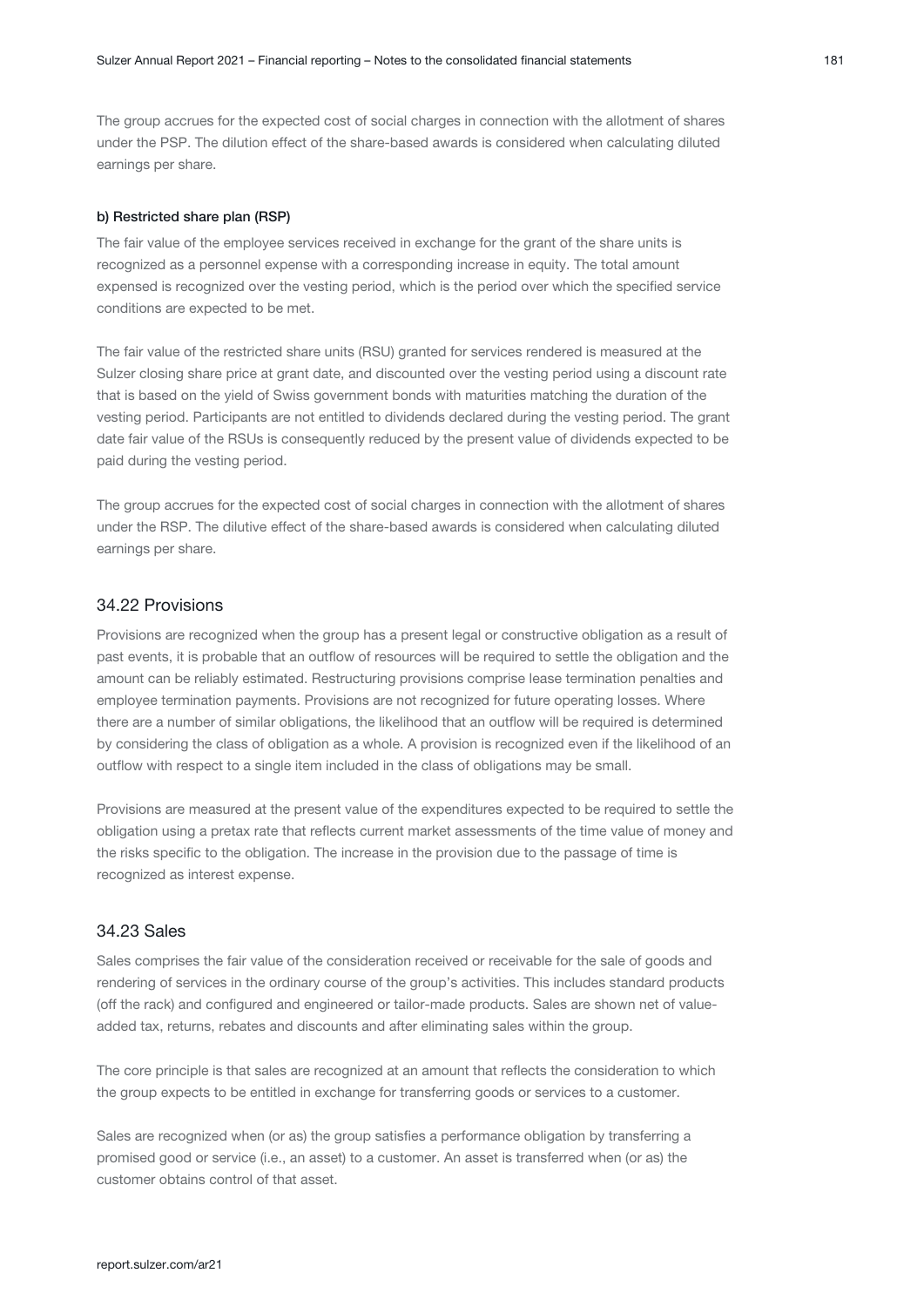The group accrues for the expected cost of social charges in connection with the allotment of shares under the PSP. The dilution effect of the share-based awards is considered when calculating diluted earnings per share.

#### b) Restricted share plan (RSP)

The fair value of the employee services received in exchange for the grant of the share units is recognized as a personnel expense with a corresponding increase in equity. The total amount expensed is recognized over the vesting period, which is the period over which the specified service conditions are expected to be met.

The fair value of the restricted share units (RSU) granted for services rendered is measured at the Sulzer closing share price at grant date, and discounted over the vesting period using a discount rate that is based on the yield of Swiss government bonds with maturities matching the duration of the vesting period. Participants are not entitled to dividends declared during the vesting period. The grant date fair value of the RSUs is consequently reduced by the present value of dividends expected to be paid during the vesting period.

The group accrues for the expected cost of social charges in connection with the allotment of shares under the RSP. The dilutive effect of the share-based awards is considered when calculating diluted earnings per share.

#### 34.22 Provisions

Provisions are recognized when the group has a present legal or constructive obligation as a result of past events, it is probable that an outflow of resources will be required to settle the obligation and the amount can be reliably estimated. Restructuring provisions comprise lease termination penalties and employee termination payments. Provisions are not recognized for future operating losses. Where there are a number of similar obligations, the likelihood that an outflow will be required is determined by considering the class of obligation as a whole. A provision is recognized even if the likelihood of an outflow with respect to a single item included in the class of obligations may be small.

Provisions are measured at the present value of the expenditures expected to be required to settle the obligation using a pretax rate that reflects current market assessments of the time value of money and the risks specific to the obligation. The increase in the provision due to the passage of time is recognized as interest expense.

#### 34.23 Sales

Sales comprises the fair value of the consideration received or receivable for the sale of goods and rendering of services in the ordinary course of the group's activities. This includes standard products (off the rack) and configured and engineered or tailor-made products. Sales are shown net of valueadded tax, returns, rebates and discounts and after eliminating sales within the group.

The core principle is that sales are recognized at an amount that reflects the consideration to which the group expects to be entitled in exchange for transferring goods or services to a customer.

Sales are recognized when (or as) the group satisfies a performance obligation by transferring a promised good or service (i.e., an asset) to a customer. An asset is transferred when (or as) the customer obtains control of that asset.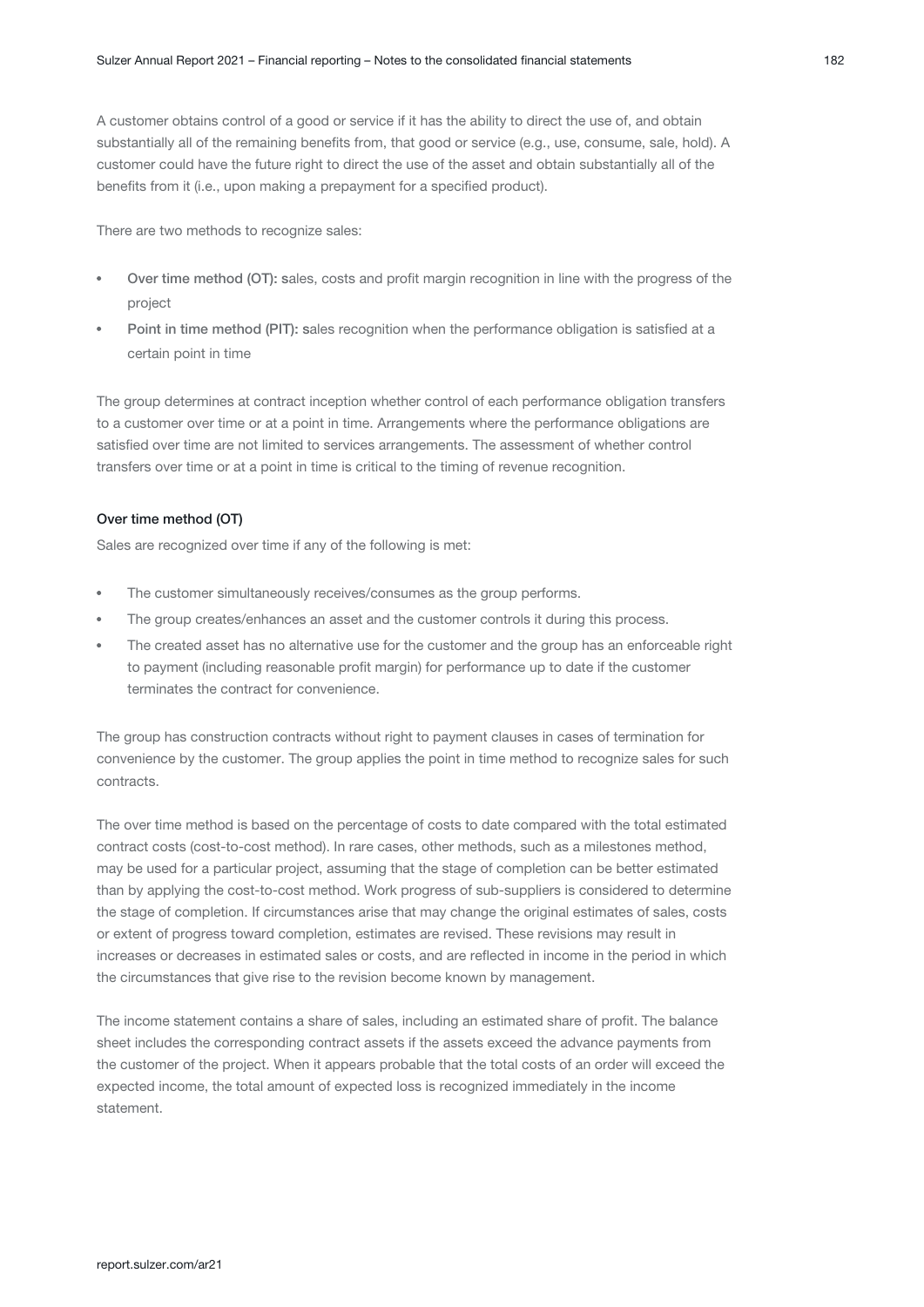A customer obtains control of a good or service if it has the ability to direct the use of, and obtain substantially all of the remaining benefits from, that good or service (e.g., use, consume, sale, hold). A customer could have the future right to direct the use of the asset and obtain substantially all of the benefits from it (i.e., upon making a prepayment for a specified product).

There are two methods to recognize sales:

- Over time method (OT): sales, costs and profit margin recognition in line with the progress of the project
- Point in time method (PIT): sales recognition when the performance obligation is satisfied at a certain point in time

The group determines at contract inception whether control of each performance obligation transfers to a customer over time or at a point in time. Arrangements where the performance obligations are satisfied over time are not limited to services arrangements. The assessment of whether control transfers over time or at a point in time is critical to the timing of revenue recognition.

#### Over time method (OT)

Sales are recognized over time if any of the following is met:

- The customer simultaneously receives/consumes as the group performs.
- The group creates/enhances an asset and the customer controls it during this process.
- The created asset has no alternative use for the customer and the group has an enforceable right to payment (including reasonable profit margin) for performance up to date if the customer terminates the contract for convenience.

The group has construction contracts without right to payment clauses in cases of termination for convenience by the customer. The group applies the point in time method to recognize sales for such contracts.

The over time method is based on the percentage of costs to date compared with the total estimated contract costs (cost-to-cost method). In rare cases, other methods, such as a milestones method, may be used for a particular project, assuming that the stage of completion can be better estimated than by applying the cost-to-cost method. Work progress of sub-suppliers is considered to determine the stage of completion. If circumstances arise that may change the original estimates of sales, costs or extent of progress toward completion, estimates are revised. These revisions may result in increases or decreases in estimated sales or costs, and are reflected in income in the period in which the circumstances that give rise to the revision become known by management.

The income statement contains a share of sales, including an estimated share of profit. The balance sheet includes the corresponding contract assets if the assets exceed the advance payments from the customer of the project. When it appears probable that the total costs of an order will exceed the expected income, the total amount of expected loss is recognized immediately in the income statement.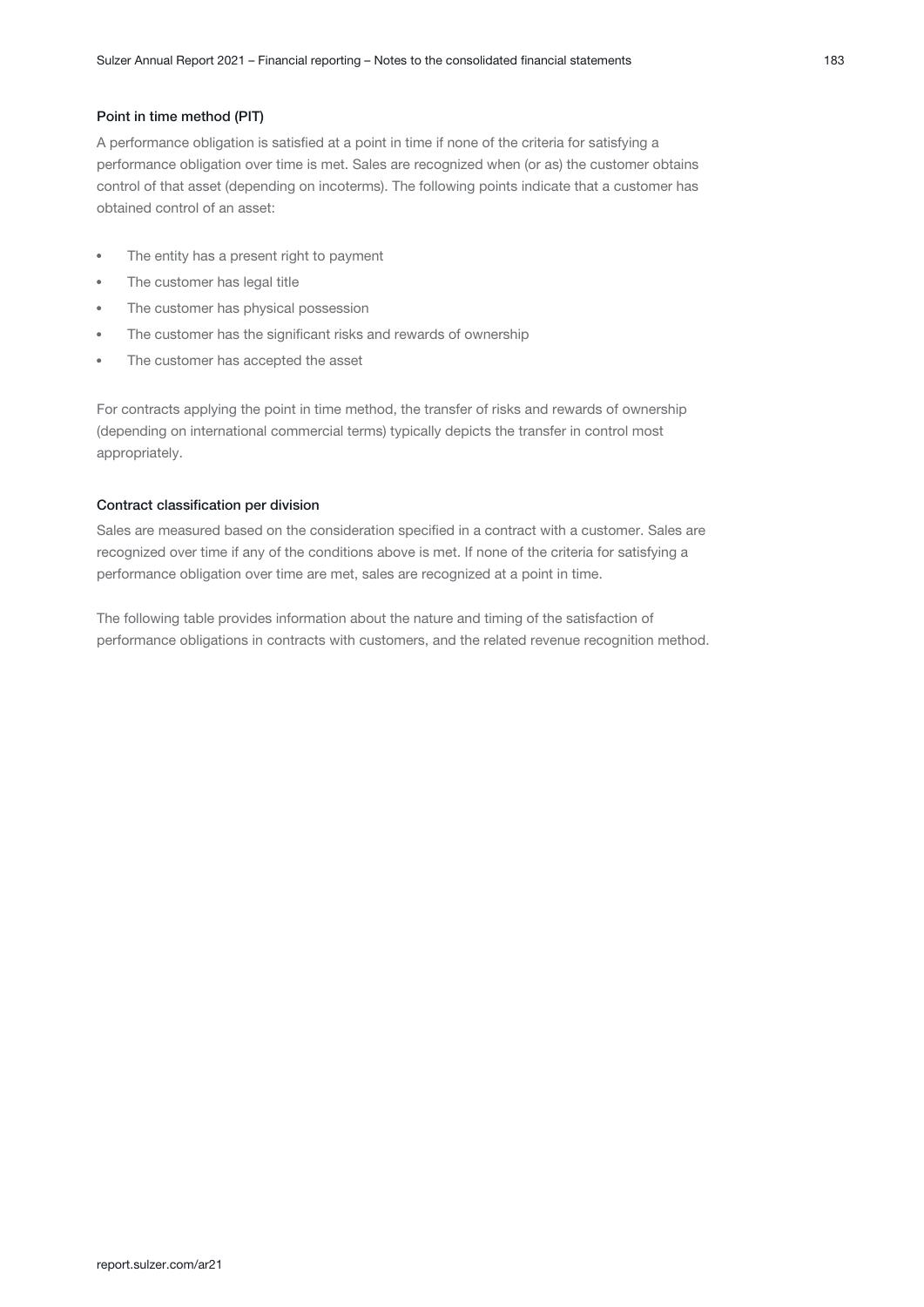#### Point in time method (PIT)

A performance obligation is satisfied at a point in time if none of the criteria for satisfying a performance obligation over time is met. Sales are recognized when (or as) the customer obtains control of that asset (depending on incoterms). The following points indicate that a customer has obtained control of an asset:

- $\bullet$ The entity has a present right to payment
- The customer has legal title
- The customer has physical possession
- The customer has the significant risks and rewards of ownership
- The customer has accepted the asset

For contracts applying the point in time method, the transfer of risks and rewards of ownership (depending on international commercial terms) typically depicts the transfer in control most appropriately.

#### Contract classification per division

Sales are measured based on the consideration specified in a contract with a customer. Sales are recognized over time if any of the conditions above is met. If none of the criteria for satisfying a performance obligation over time are met, sales are recognized at a point in time.

The following table provides information about the nature and timing of the satisfaction of performance obligations in contracts with customers, and the related revenue recognition method.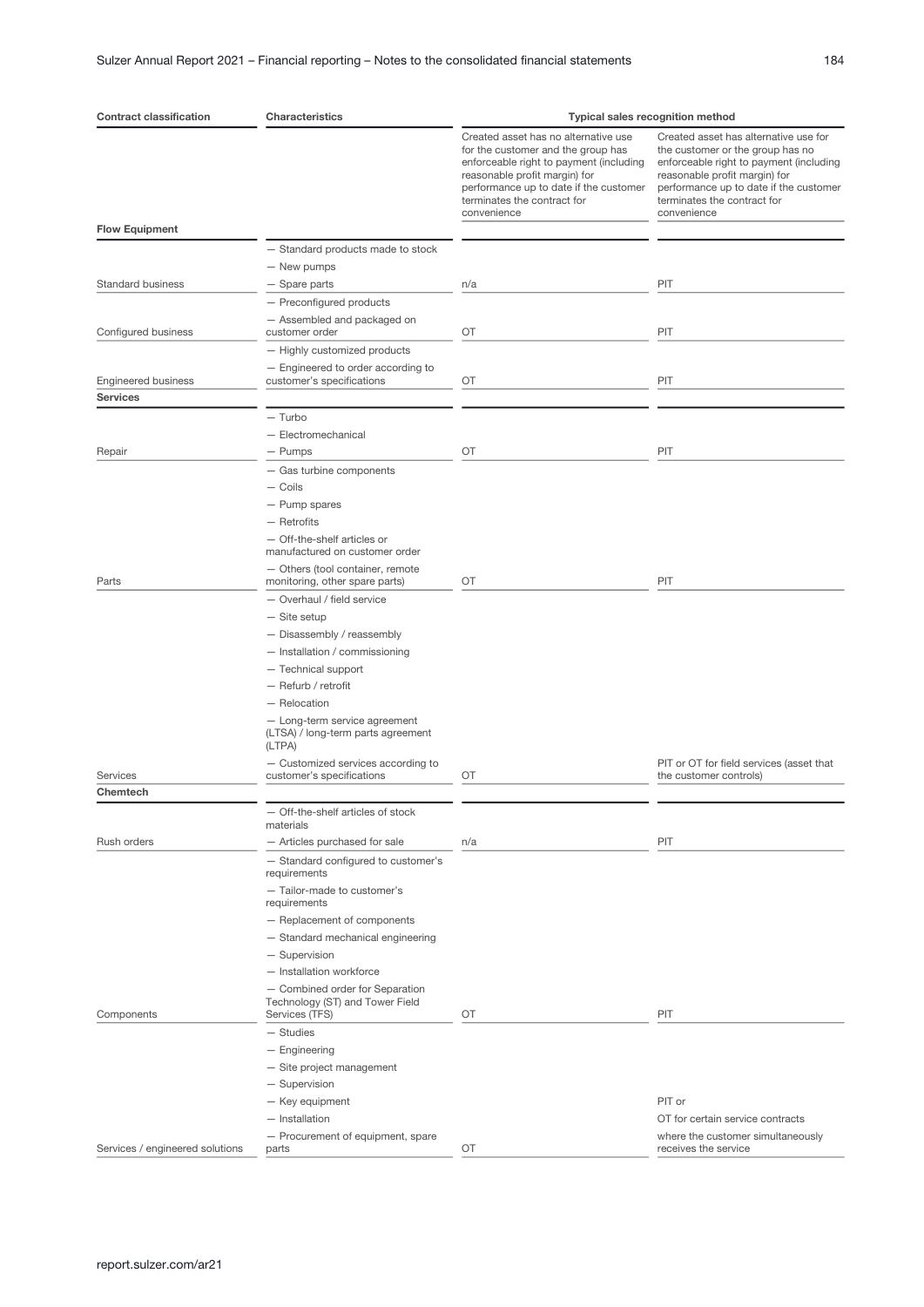| <b>Contract classification</b>  | <b>Characteristics</b>                                             | <b>Typical sales recognition method</b>                                                                                                                                                                                                        |                                                                                                                                                                                                                                               |  |  |  |  |
|---------------------------------|--------------------------------------------------------------------|------------------------------------------------------------------------------------------------------------------------------------------------------------------------------------------------------------------------------------------------|-----------------------------------------------------------------------------------------------------------------------------------------------------------------------------------------------------------------------------------------------|--|--|--|--|
|                                 |                                                                    | Created asset has no alternative use<br>for the customer and the group has<br>enforceable right to payment (including<br>reasonable profit margin) for<br>performance up to date if the customer<br>terminates the contract for<br>convenience | Created asset has alternative use for<br>the customer or the group has no<br>enforceable right to payment (including<br>reasonable profit margin) for<br>performance up to date if the customer<br>terminates the contract for<br>convenience |  |  |  |  |
| <b>Flow Equipment</b>           |                                                                    |                                                                                                                                                                                                                                                |                                                                                                                                                                                                                                               |  |  |  |  |
|                                 | - Standard products made to stock                                  |                                                                                                                                                                                                                                                |                                                                                                                                                                                                                                               |  |  |  |  |
|                                 | - New pumps                                                        |                                                                                                                                                                                                                                                |                                                                                                                                                                                                                                               |  |  |  |  |
| <b>Standard business</b>        | - Spare parts                                                      | n/a                                                                                                                                                                                                                                            | PIT                                                                                                                                                                                                                                           |  |  |  |  |
|                                 | - Preconfigured products                                           |                                                                                                                                                                                                                                                |                                                                                                                                                                                                                                               |  |  |  |  |
|                                 | - Assembled and packaged on<br>customer order                      | OT                                                                                                                                                                                                                                             | PIT                                                                                                                                                                                                                                           |  |  |  |  |
| Configured business             | - Highly customized products                                       |                                                                                                                                                                                                                                                |                                                                                                                                                                                                                                               |  |  |  |  |
|                                 | - Engineered to order according to                                 |                                                                                                                                                                                                                                                |                                                                                                                                                                                                                                               |  |  |  |  |
| <b>Engineered business</b>      | customer's specifications                                          | ОT                                                                                                                                                                                                                                             | PIT                                                                                                                                                                                                                                           |  |  |  |  |
| <b>Services</b>                 |                                                                    |                                                                                                                                                                                                                                                |                                                                                                                                                                                                                                               |  |  |  |  |
|                                 | $-$ Turbo                                                          |                                                                                                                                                                                                                                                |                                                                                                                                                                                                                                               |  |  |  |  |
|                                 | - Electromechanical                                                |                                                                                                                                                                                                                                                |                                                                                                                                                                                                                                               |  |  |  |  |
| Repair                          | - Pumps                                                            | OT                                                                                                                                                                                                                                             | PIT                                                                                                                                                                                                                                           |  |  |  |  |
|                                 | - Gas turbine components                                           |                                                                                                                                                                                                                                                |                                                                                                                                                                                                                                               |  |  |  |  |
|                                 | - Coils                                                            |                                                                                                                                                                                                                                                |                                                                                                                                                                                                                                               |  |  |  |  |
|                                 | - Pump spares                                                      |                                                                                                                                                                                                                                                |                                                                                                                                                                                                                                               |  |  |  |  |
|                                 | $-$ Retrofits                                                      |                                                                                                                                                                                                                                                |                                                                                                                                                                                                                                               |  |  |  |  |
|                                 | - Off-the-shelf articles or<br>manufactured on customer order      |                                                                                                                                                                                                                                                |                                                                                                                                                                                                                                               |  |  |  |  |
|                                 | - Others (tool container, remote                                   |                                                                                                                                                                                                                                                |                                                                                                                                                                                                                                               |  |  |  |  |
| Parts                           | monitoring, other spare parts)                                     | OT                                                                                                                                                                                                                                             | PIT                                                                                                                                                                                                                                           |  |  |  |  |
|                                 | - Overhaul / field service                                         |                                                                                                                                                                                                                                                |                                                                                                                                                                                                                                               |  |  |  |  |
|                                 | $-$ Site setup                                                     |                                                                                                                                                                                                                                                |                                                                                                                                                                                                                                               |  |  |  |  |
|                                 | - Disassembly / reassembly                                         |                                                                                                                                                                                                                                                |                                                                                                                                                                                                                                               |  |  |  |  |
|                                 | - Installation / commissioning                                     |                                                                                                                                                                                                                                                |                                                                                                                                                                                                                                               |  |  |  |  |
|                                 | - Technical support                                                |                                                                                                                                                                                                                                                |                                                                                                                                                                                                                                               |  |  |  |  |
|                                 | - Refurb / retrofit<br>$-$ Relocation                              |                                                                                                                                                                                                                                                |                                                                                                                                                                                                                                               |  |  |  |  |
|                                 | - Long-term service agreement                                      |                                                                                                                                                                                                                                                |                                                                                                                                                                                                                                               |  |  |  |  |
|                                 | (LTSA) / long-term parts agreement<br>(LTPA)                       |                                                                                                                                                                                                                                                |                                                                                                                                                                                                                                               |  |  |  |  |
| Services                        | - Customized services according to<br>customer's specifications    | OT                                                                                                                                                                                                                                             | PIT or OT for field services (asset that<br>the customer controls)                                                                                                                                                                            |  |  |  |  |
| Chemtech                        |                                                                    |                                                                                                                                                                                                                                                |                                                                                                                                                                                                                                               |  |  |  |  |
|                                 | - Off-the-shelf articles of stock<br>materials                     |                                                                                                                                                                                                                                                |                                                                                                                                                                                                                                               |  |  |  |  |
| Rush orders                     | - Articles purchased for sale                                      | n/a                                                                                                                                                                                                                                            | PIT                                                                                                                                                                                                                                           |  |  |  |  |
|                                 | - Standard configured to customer's<br>requirements                |                                                                                                                                                                                                                                                |                                                                                                                                                                                                                                               |  |  |  |  |
|                                 | - Tailor-made to customer's<br>requirements                        |                                                                                                                                                                                                                                                |                                                                                                                                                                                                                                               |  |  |  |  |
|                                 | - Replacement of components                                        |                                                                                                                                                                                                                                                |                                                                                                                                                                                                                                               |  |  |  |  |
|                                 | - Standard mechanical engineering                                  |                                                                                                                                                                                                                                                |                                                                                                                                                                                                                                               |  |  |  |  |
|                                 | - Supervision                                                      |                                                                                                                                                                                                                                                |                                                                                                                                                                                                                                               |  |  |  |  |
|                                 | - Installation workforce                                           |                                                                                                                                                                                                                                                |                                                                                                                                                                                                                                               |  |  |  |  |
|                                 | - Combined order for Separation<br>Technology (ST) and Tower Field |                                                                                                                                                                                                                                                |                                                                                                                                                                                                                                               |  |  |  |  |
| Components                      | Services (TFS)                                                     | OT                                                                                                                                                                                                                                             | PIT                                                                                                                                                                                                                                           |  |  |  |  |
|                                 | $-$ Studies                                                        |                                                                                                                                                                                                                                                |                                                                                                                                                                                                                                               |  |  |  |  |
|                                 | - Engineering                                                      |                                                                                                                                                                                                                                                |                                                                                                                                                                                                                                               |  |  |  |  |
|                                 | - Site project management                                          |                                                                                                                                                                                                                                                |                                                                                                                                                                                                                                               |  |  |  |  |
|                                 | - Supervision                                                      |                                                                                                                                                                                                                                                |                                                                                                                                                                                                                                               |  |  |  |  |
|                                 | - Key equipment                                                    |                                                                                                                                                                                                                                                | PIT or                                                                                                                                                                                                                                        |  |  |  |  |
|                                 | - Installation<br>- Procurement of equipment, spare                |                                                                                                                                                                                                                                                | OT for certain service contracts<br>where the customer simultaneously                                                                                                                                                                         |  |  |  |  |
| Services / engineered solutions | parts                                                              | ОT                                                                                                                                                                                                                                             | receives the service                                                                                                                                                                                                                          |  |  |  |  |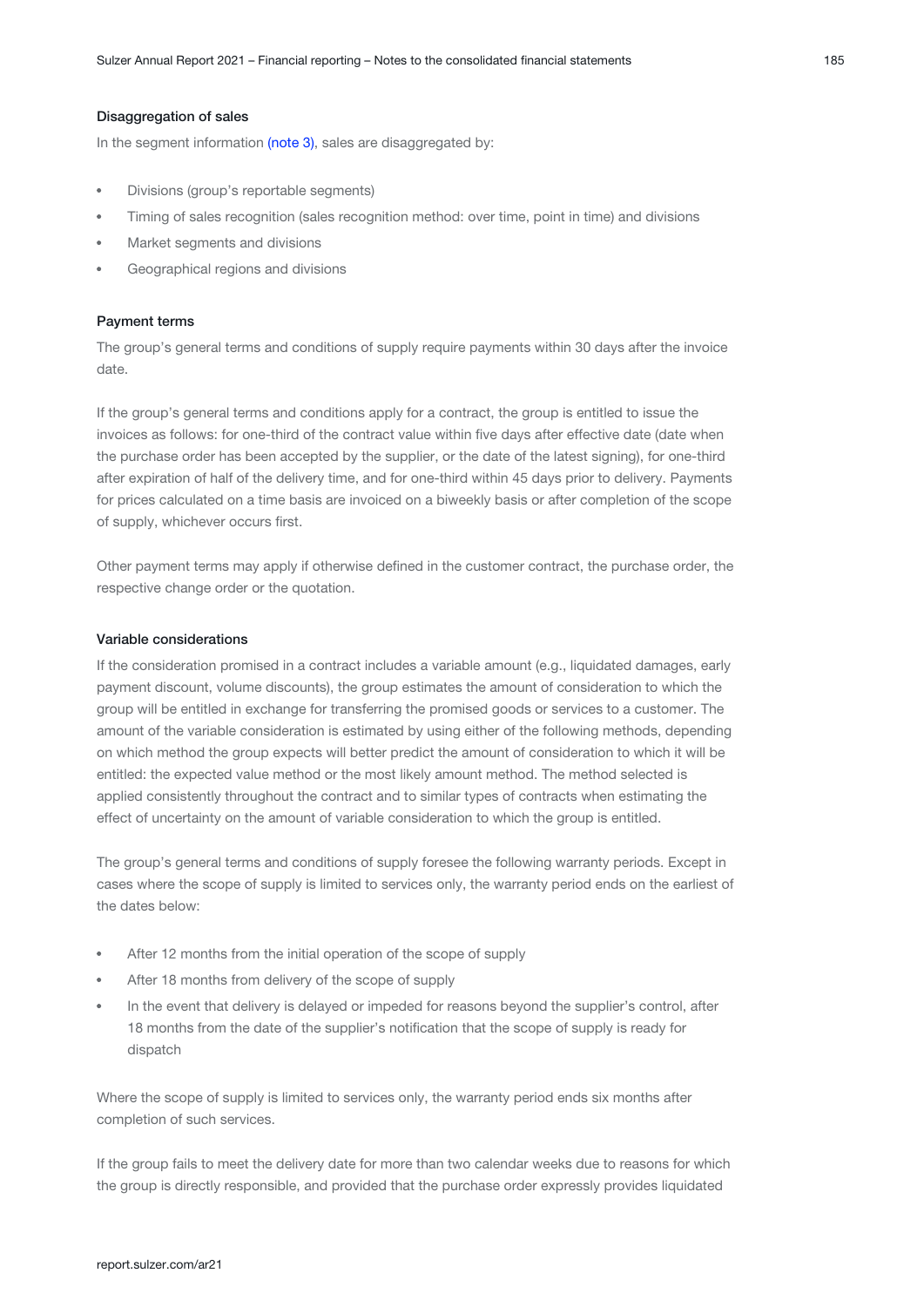#### Disaggregation of sales

In the segment information (note 3)[,](#page-10-0) sales are disaggregated by:

- Divisions (group's reportable segments)
- Timing of sales recognition (sales recognition method: over time, point in time) and divisions
- Market segments and divisions
- Geographical regions and divisions

#### Payment terms

The group's general terms and conditions of supply require payments within 30 days after the invoice date.

If the group's general terms and conditions apply for a contract, the group is entitled to issue the invoices as follows: for one-third of the contract value within five days after effective date (date when the purchase order has been accepted by the supplier, or the date of the latest signing), for one-third after expiration of half of the delivery time, and for one-third within 45 days prior to delivery. Payments for prices calculated on a time basis are invoiced on a biweekly basis or after completion of the scope of supply, whichever occurs first.

Other payment terms may apply if otherwise defined in the customer contract, the purchase order, the respective change order or the quotation.

#### Variable considerations

If the consideration promised in a contract includes a variable amount (e.g., liquidated damages, early payment discount, volume discounts), the group estimates the amount of consideration to which the group will be entitled in exchange for transferring the promised goods or services to a customer. The amount of the variable consideration is estimated by using either of the following methods, depending on which method the group expects will better predict the amount of consideration to which it will be entitled: the expected value method or the most likely amount method. The method selected is applied consistently throughout the contract and to similar types of contracts when estimating the effect of uncertainty on the amount of variable consideration to which the group is entitled.

The group's general terms and conditions of supply foresee the following warranty periods. Except in cases where the scope of supply is limited to services only, the warranty period ends on the earliest of the dates below:

- After 12 months from the initial operation of the scope of supply
- After 18 months from delivery of the scope of supply
- In the event that delivery is delayed or impeded for reasons beyond the supplier's control, after 18 months from the date of the supplier's notification that the scope of supply is ready for dispatch

Where the scope of supply is limited to services only, the warranty period ends six months after completion of such services.

If the group fails to meet the delivery date for more than two calendar weeks due to reasons for which the group is directly responsible, and provided that the purchase order expressly provides liquidated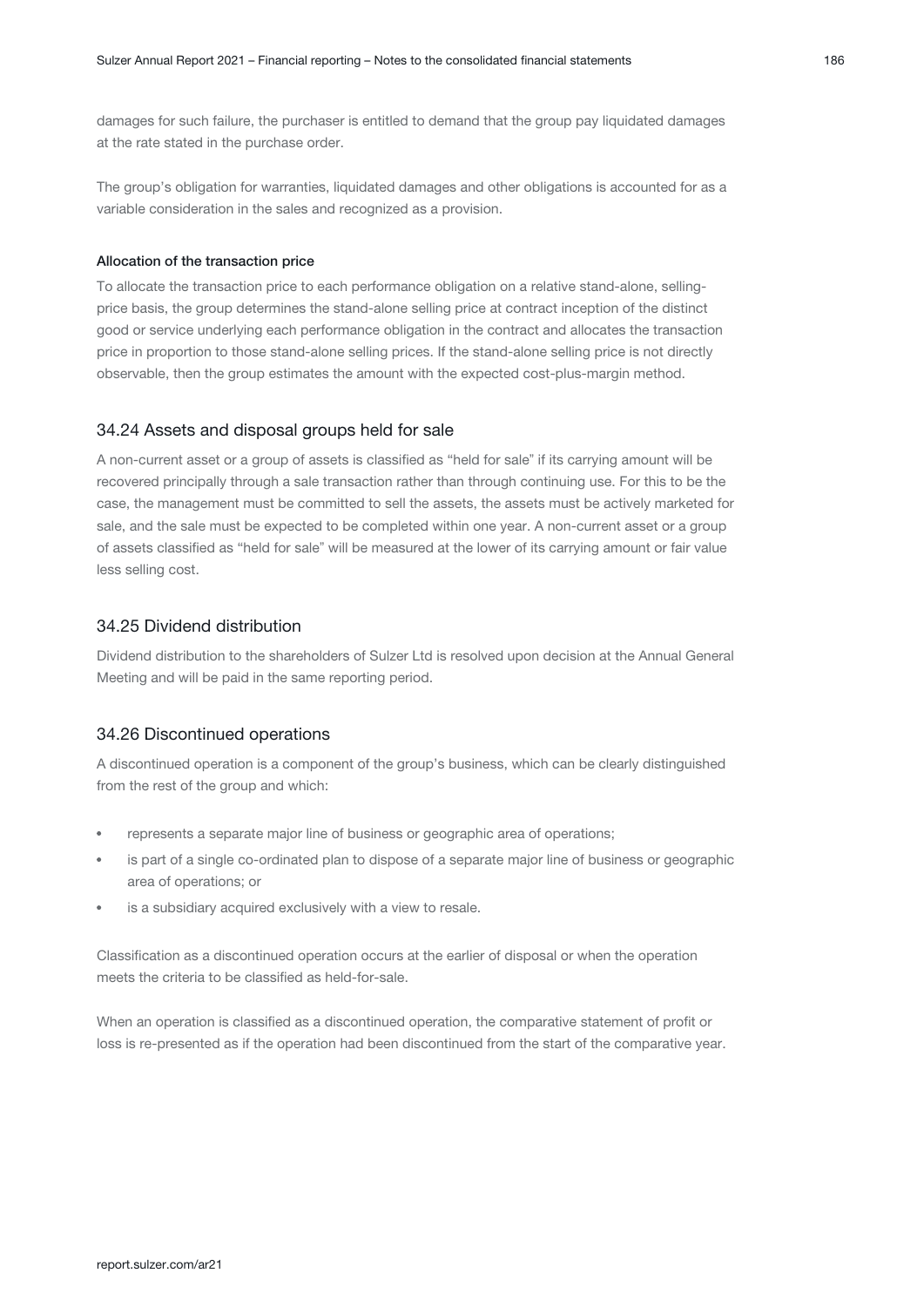damages for such failure, the purchaser is entitled to demand that the group pay liquidated damages at the rate stated in the purchase order.

The group's obligation for warranties, liquidated damages and other obligations is accounted for as a variable consideration in the sales and recognized as a provision.

#### Allocation of the transaction price

To allocate the transaction price to each performance obligation on a relative stand-alone, sellingprice basis, the group determines the stand-alone selling price at contract inception of the distinct good or service underlying each performance obligation in the contract and allocates the transaction price in proportion to those stand-alone selling prices. If the stand-alone selling price is not directly observable, then the group estimates the amount with the expected cost-plus-margin method.

#### 34.24 Assets and disposal groups held for sale

A non-current asset or a group of assets is classified as "held for sale" if its carrying amount will be recovered principally through a sale transaction rather than through continuing use. For this to be the case, the management must be committed to sell the assets, the assets must be actively marketed for sale, and the sale must be expected to be completed within one year. A non-current asset or a group of assets classified as "held for sale" will be measured at the lower of its carrying amount or fair value less selling cost.

#### 34.25 Dividend distribution

Dividend distribution to the shareholders of Sulzer Ltd is resolved upon decision at the Annual General Meeting and will be paid in the same reporting period.

#### 34.26 Discontinued operations

A discontinued operation is a component of the group's business, which can be clearly distinguished from the rest of the group and which:

- represents a separate major line of business or geographic area of operations;
- is part of a single co-ordinated plan to dispose of a separate major line of business or geographic area of operations; or
- is a subsidiary acquired exclusively with a view to resale.

Classification as a discontinued operation occurs at the earlier of disposal or when the operation meets the criteria to be classified as held-for-sale.

When an operation is classified as a discontinued operation, the comparative statement of profit or loss is re-presented as if the operation had been discontinued from the start of the comparative year.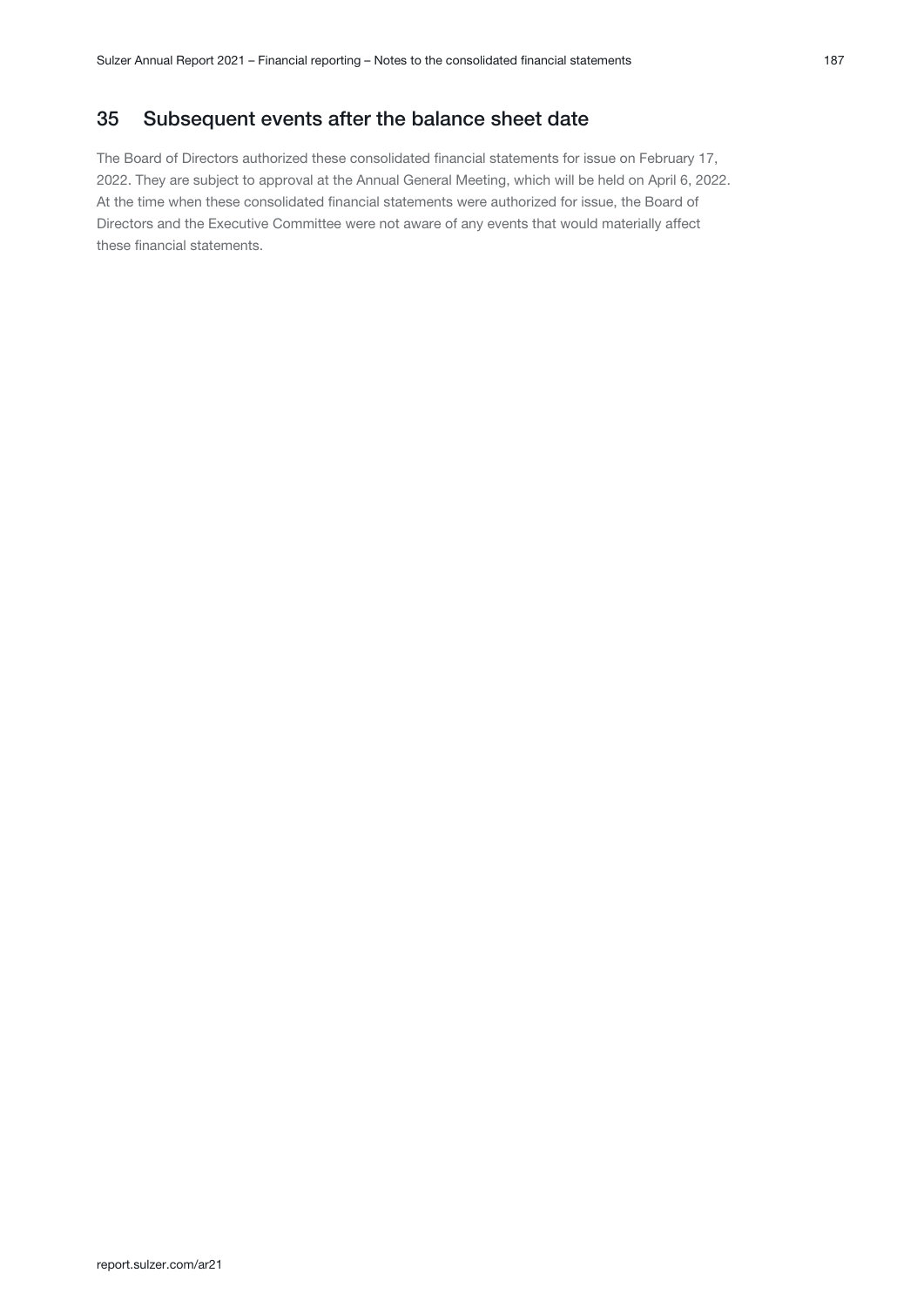# 35 Subsequent events after the balance sheet date

The Board of Directors authorized these consolidated financial statements for issue on February 17, 2022. They are subject to approval at the Annual General Meeting, which will be held on April 6, 2022. At the time when these consolidated financial statements were authorized for issue, the Board of Directors and the Executive Committee were not aware of any events that would materially affect these financial statements.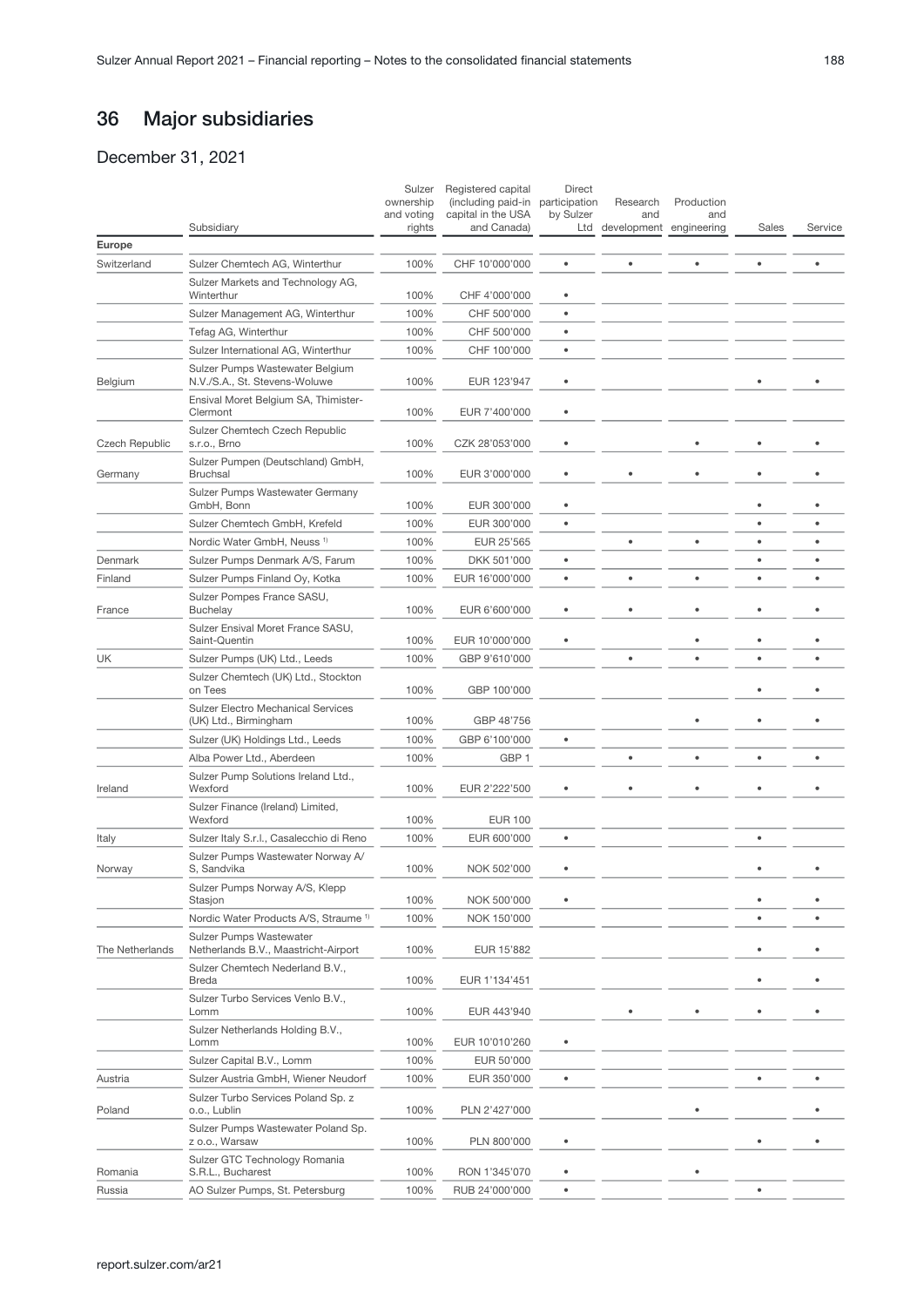# 36 Major subsidiaries

December 31, 2021

|                        | Subsidiary                                                             | Sulzer<br>ownership<br>and voting<br>rights | Registered capital<br>(including paid-in participation<br>capital in the USA<br>and Canada) | Direct<br>by Sulzer<br>Ltd | Research<br>and<br>development engineering | Production<br>and | Sales     | Service |
|------------------------|------------------------------------------------------------------------|---------------------------------------------|---------------------------------------------------------------------------------------------|----------------------------|--------------------------------------------|-------------------|-----------|---------|
| Europe                 |                                                                        |                                             |                                                                                             |                            |                                            |                   |           |         |
| Switzerland            | Sulzer Chemtech AG, Winterthur                                         | 100%                                        | CHF 10'000'000                                                                              | $\bullet$                  | $\bullet$                                  | ٠                 | ٠         | ٠       |
|                        | Sulzer Markets and Technology AG,<br>Winterthur                        | 100%                                        | CHF 4'000'000                                                                               |                            |                                            |                   |           |         |
|                        | Sulzer Management AG, Winterthur                                       | 100%                                        | CHF 500'000                                                                                 | $\bullet$                  |                                            |                   |           |         |
|                        | Tefag AG, Winterthur                                                   | 100%                                        | CHF 500'000                                                                                 | $\bullet$                  |                                            |                   |           |         |
|                        | Sulzer International AG, Winterthur                                    | 100%                                        | CHF 100'000                                                                                 | $\bullet$                  |                                            |                   |           |         |
| Belgium                | Sulzer Pumps Wastewater Belgium<br>N.V./S.A., St. Stevens-Woluwe       | 100%                                        | EUR 123'947                                                                                 |                            |                                            |                   |           |         |
|                        | Ensival Moret Belgium SA, Thimister-<br>Clermont                       | 100%                                        | EUR 7'400'000                                                                               | $\bullet$                  |                                            |                   |           |         |
| Czech Republic         | Sulzer Chemtech Czech Republic<br>s.r.o., Brno                         | 100%                                        | CZK 28'053'000                                                                              | $\bullet$                  |                                            |                   |           |         |
| Germany                | Sulzer Pumpen (Deutschland) GmbH,<br><b>Bruchsal</b>                   | 100%                                        | EUR 3'000'000                                                                               |                            |                                            |                   | ٠         |         |
|                        | Sulzer Pumps Wastewater Germany<br>GmbH, Bonn                          | 100%                                        | EUR 300'000                                                                                 | $\bullet$                  |                                            |                   |           |         |
|                        | Sulzer Chemtech GmbH, Krefeld                                          | 100%                                        | EUR 300'000                                                                                 | $\bullet$                  |                                            |                   | $\bullet$ |         |
|                        | Nordic Water GmbH, Neuss <sup>1)</sup>                                 | 100%                                        | EUR 25'565                                                                                  |                            | ٠                                          | ٠                 | $\bullet$ | ٠       |
| Denmark                | Sulzer Pumps Denmark A/S, Farum                                        | 100%                                        | DKK 501'000                                                                                 | $\bullet$                  |                                            |                   | $\bullet$ | ٠       |
| Finland                | Sulzer Pumps Finland Oy, Kotka                                         | 100%                                        | EUR 16'000'000                                                                              | $\bullet$                  | ٠                                          | ٠                 | ٠         | ٠       |
| France                 | Sulzer Pompes France SASU,<br><b>Buchelay</b>                          | 100%                                        | EUR 6'600'000                                                                               | ٠                          |                                            |                   |           |         |
|                        | Sulzer Ensival Moret France SASU,<br>Saint-Quentin                     | 100%                                        | EUR 10'000'000                                                                              |                            |                                            |                   |           |         |
| UK                     | Sulzer Pumps (UK) Ltd., Leeds                                          | 100%                                        | GBP 9'610'000                                                                               |                            |                                            |                   |           |         |
|                        | Sulzer Chemtech (UK) Ltd., Stockton<br>on Tees                         | 100%                                        | GBP 100'000                                                                                 |                            |                                            |                   |           |         |
|                        | <b>Sulzer Electro Mechanical Services</b><br>(UK) Ltd., Birmingham     | 100%                                        | GBP 48'756                                                                                  |                            |                                            |                   | ٠         |         |
|                        | Sulzer (UK) Holdings Ltd., Leeds                                       | 100%                                        | GBP 6'100'000                                                                               | $\bullet$                  |                                            |                   |           |         |
|                        | Alba Power Ltd., Aberdeen                                              | 100%                                        | GBP <sub>1</sub>                                                                            |                            | ¢                                          | ٠                 | $\bullet$ |         |
| Ireland                | Sulzer Pump Solutions Ireland Ltd.,<br>Wexford                         | 100%                                        | EUR 2'222'500                                                                               |                            |                                            |                   | ٠         |         |
|                        | Sulzer Finance (Ireland) Limited,<br>Wexford                           | 100%                                        | <b>EUR 100</b>                                                                              |                            |                                            |                   |           |         |
| Italy                  | Sulzer Italy S.r.I., Casalecchio di Reno                               | 100%                                        | EUR 600'000                                                                                 | $\bullet$                  |                                            |                   | ٠         |         |
| Norway                 | Sulzer Pumps Wastewater Norway A/<br>S, Sandvika                       | 100%                                        | NOK 502'000                                                                                 | ٠                          |                                            |                   |           |         |
|                        | Sulzer Pumps Norway A/S, Klepp<br>Stasjon                              | 100%                                        | NOK 500'000                                                                                 |                            |                                            |                   |           |         |
|                        | Nordic Water Products A/S, Straume <sup>1)</sup>                       | 100%                                        | NOK 150'000                                                                                 |                            |                                            |                   | $\bullet$ |         |
| <b>The Netherlands</b> | <b>Sulzer Pumps Wastewater</b><br>Netherlands B.V., Maastricht-Airport | 100%                                        | EUR 15'882                                                                                  |                            |                                            |                   | ٠         |         |
|                        | Sulzer Chemtech Nederland B.V.,<br><b>Breda</b>                        | 100%                                        | EUR 1'134'451                                                                               |                            |                                            |                   |           |         |
|                        | Sulzer Turbo Services Venlo B.V.,<br>Lomm                              | 100%                                        | EUR 443'940                                                                                 |                            |                                            |                   |           |         |
|                        | Sulzer Netherlands Holding B.V.,<br>Lomm                               | 100%                                        | EUR 10'010'260                                                                              |                            |                                            |                   |           |         |
|                        | Sulzer Capital B.V., Lomm                                              | 100%                                        | EUR 50'000                                                                                  |                            |                                            |                   |           |         |
| Austria                | Sulzer Austria GmbH, Wiener Neudorf                                    | 100%                                        | EUR 350'000                                                                                 | $\bullet$                  |                                            |                   |           |         |
| Poland                 | Sulzer Turbo Services Poland Sp. z<br>o.o., Lublin                     | 100%                                        | PLN 2'427'000                                                                               |                            |                                            |                   |           |         |
|                        | Sulzer Pumps Wastewater Poland Sp.<br>z o.o., Warsaw                   | 100%                                        | PLN 800'000                                                                                 |                            |                                            |                   |           |         |
| Romania                | Sulzer GTC Technology Romania<br>S.R.L., Bucharest                     | 100%                                        | RON 1'345'070                                                                               |                            |                                            |                   |           |         |
| Russia                 | AO Sulzer Pumps, St. Petersburg                                        | 100%                                        | RUB 24'000'000                                                                              |                            |                                            |                   |           |         |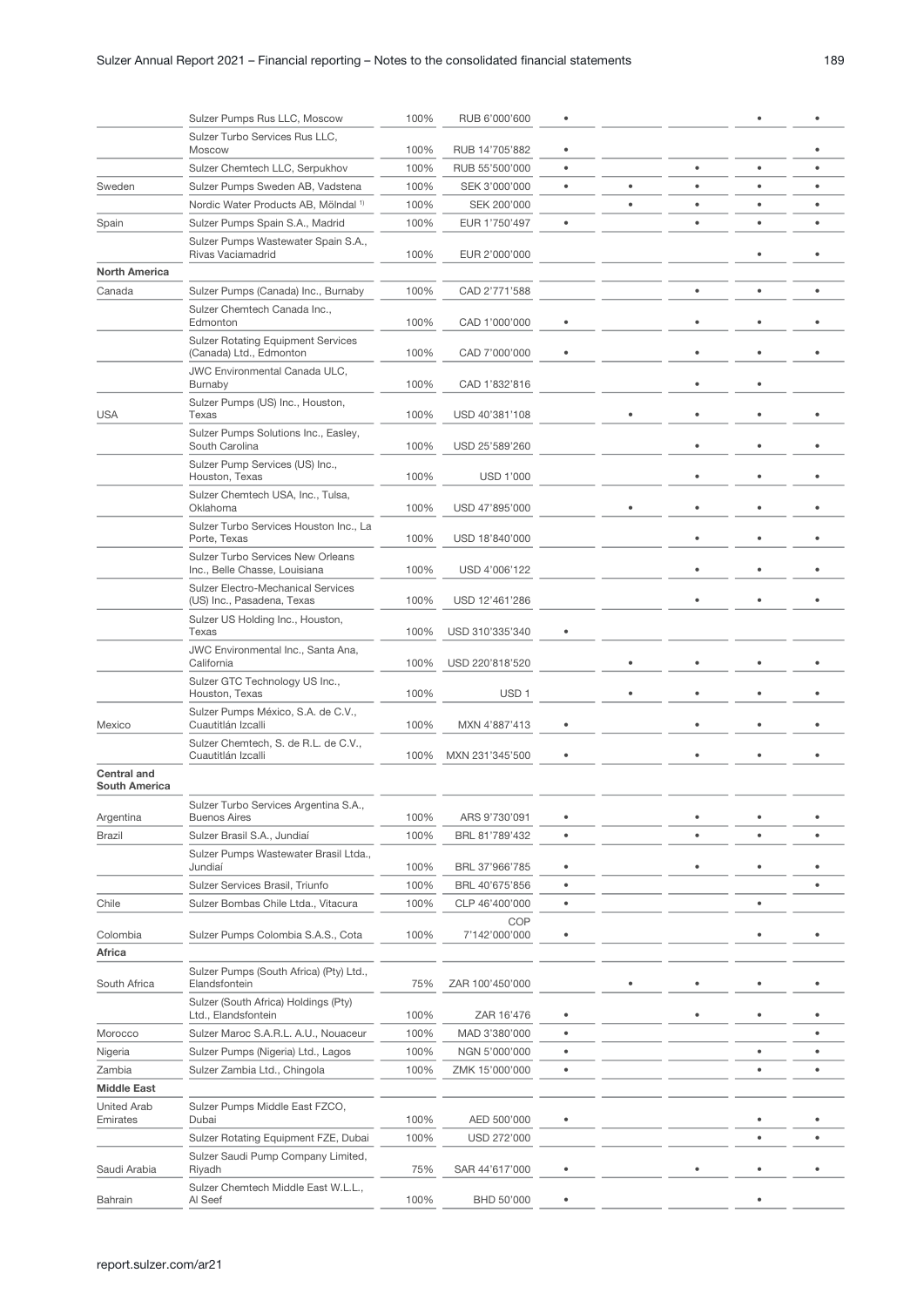|                                            | Sulzer Pumps Rus LLC, Moscow                                              | 100% | RUB 6'000'600        | ۰         |           |   |           |           |
|--------------------------------------------|---------------------------------------------------------------------------|------|----------------------|-----------|-----------|---|-----------|-----------|
|                                            | Sulzer Turbo Services Rus LLC,<br>Moscow                                  | 100% | RUB 14'705'882       |           |           |   |           |           |
|                                            | Sulzer Chemtech LLC, Serpukhov                                            | 100% | RUB 55'500'000       | ۰         |           | ٠ | ٠         | ٠         |
| Sweden                                     | Sulzer Pumps Sweden AB, Vadstena                                          | 100% | SEK 3'000'000        | $\bullet$ |           | ٠ | $\bullet$ | ٠         |
|                                            | Nordic Water Products AB, Mölndal <sup>1)</sup>                           | 100% | SEK 200'000          |           | $\bullet$ | ٠ | $\bullet$ | $\bullet$ |
| Spain                                      | Sulzer Pumps Spain S.A., Madrid                                           | 100% | EUR 1'750'497        | $\bullet$ |           | ٠ | ٠         | ٠         |
|                                            | Sulzer Pumps Wastewater Spain S.A.,<br>Rivas Vaciamadrid                  | 100% | EUR 2'000'000        |           |           |   |           |           |
| <b>North America</b>                       |                                                                           |      |                      |           |           |   |           |           |
| Canada                                     | Sulzer Pumps (Canada) Inc., Burnaby                                       | 100% | CAD 2'771'588        |           |           | ٠ | $\bullet$ | $\bullet$ |
|                                            | Sulzer Chemtech Canada Inc.,<br>Edmonton                                  | 100% | CAD 1'000'000        |           |           |   |           |           |
|                                            | <b>Sulzer Rotating Equipment Services</b><br>(Canada) Ltd., Edmonton      | 100% | CAD 7'000'000        |           |           |   |           |           |
|                                            | JWC Environmental Canada ULC,<br>Burnaby                                  | 100% | CAD 1'832'816        |           |           |   |           |           |
| <b>USA</b>                                 | Sulzer Pumps (US) Inc., Houston,<br>Texas                                 | 100% | USD 40'381'108       |           |           |   |           |           |
|                                            | Sulzer Pumps Solutions Inc., Easley,<br>South Carolina                    | 100% | USD 25'589'260       |           |           |   |           |           |
|                                            | Sulzer Pump Services (US) Inc.,<br>Houston, Texas                         | 100% | <b>USD 1'000</b>     |           |           |   |           |           |
|                                            | Sulzer Chemtech USA, Inc., Tulsa,<br>Oklahoma                             | 100% | USD 47'895'000       |           |           |   |           |           |
|                                            | Sulzer Turbo Services Houston Inc., La<br>Porte, Texas                    | 100% | USD 18'840'000       |           |           |   |           |           |
|                                            | <b>Sulzer Turbo Services New Orleans</b><br>Inc., Belle Chasse, Louisiana | 100% | USD 4'006'122        |           |           |   |           |           |
|                                            | Sulzer Electro-Mechanical Services<br>(US) Inc., Pasadena, Texas          | 100% | USD 12'461'286       |           |           |   |           |           |
|                                            | Sulzer US Holding Inc., Houston,<br>Texas                                 | 100% | USD 310'335'340      |           |           |   |           |           |
|                                            | JWC Environmental Inc., Santa Ana,<br>California                          | 100% | USD 220'818'520      |           |           |   |           |           |
|                                            | Sulzer GTC Technology US Inc.,<br>Houston, Texas                          | 100% | USD <sub>1</sub>     |           |           |   |           |           |
| Mexico                                     | Sulzer Pumps México, S.A. de C.V.,<br>Cuautitlán Izcalli                  | 100% | MXN 4'887'413        |           |           | ٠ |           |           |
|                                            | Sulzer Chemtech, S. de R.L. de C.V.,<br>Cuautitlán Izcalli                | 100% | MXN 231'345'500      |           |           |   |           |           |
| <b>Central and</b><br><b>South America</b> |                                                                           |      |                      |           |           |   |           |           |
| Argentina                                  | Sulzer Turbo Services Argentina S.A.,<br><b>Buenos Aires</b>              | 100% | ARS 9'730'091        | ٠         |           | ٠ |           | ٠         |
| Brazil                                     | Sulzer Brasil S.A., Jundiaí                                               | 100% | BRL 81'789'432       | $\bullet$ |           | ٠ | ٠         | ٠         |
|                                            | Sulzer Pumps Wastewater Brasil Ltda.,<br>Jundiaí                          | 100% | BRL 37'966'785       |           |           |   |           |           |
|                                            | Sulzer Services Brasil, Triunfo                                           | 100% | BRL 40'675'856       | ۰         |           |   |           | ٠         |
| Chile                                      | Sulzer Bombas Chile Ltda., Vitacura                                       | 100% | CLP 46'400'000       | ۰         |           |   | ٠         |           |
| Colombia                                   | Sulzer Pumps Colombia S.A.S., Cota                                        | 100% | COP<br>7'142'000'000 |           |           |   |           |           |
| Africa                                     |                                                                           |      |                      |           |           |   |           |           |
| South Africa                               | Sulzer Pumps (South Africa) (Pty) Ltd.,<br>Elandsfontein                  | 75%  | ZAR 100'450'000      |           |           |   |           |           |
|                                            | Sulzer (South Africa) Holdings (Pty)<br>Ltd., Elandsfontein               | 100% | ZAR 16'476           |           |           |   |           |           |
| Morocco                                    | Sulzer Maroc S.A.R.L. A.U., Nouaceur                                      | 100% | MAD 3'380'000        | $\bullet$ |           |   |           | ٠         |
| Nigeria                                    | Sulzer Pumps (Nigeria) Ltd., Lagos                                        | 100% | NGN 5'000'000        | $\bullet$ |           |   | ٠         | ٠         |
| Zambia                                     | Sulzer Zambia Ltd., Chingola                                              | 100% | ZMK 15'000'000       | $\bullet$ |           |   | ٠         | ٠         |
| <b>Middle East</b>                         |                                                                           |      |                      |           |           |   |           |           |
| <b>United Arab</b><br>Emirates             | Sulzer Pumps Middle East FZCO,<br>Dubai                                   | 100% | AED 500'000          |           |           |   |           |           |
|                                            | Sulzer Rotating Equipment FZE, Dubai                                      | 100% | USD 272'000          |           |           |   | ٠         |           |
| Saudi Arabia                               | Sulzer Saudi Pump Company Limited,<br>Riyadh                              | 75%  | SAR 44'617'000       | ۰         |           |   |           |           |
| Bahrain                                    | Sulzer Chemtech Middle East W.L.L.,<br>Al Seef                            | 100% | BHD 50'000           |           |           |   |           |           |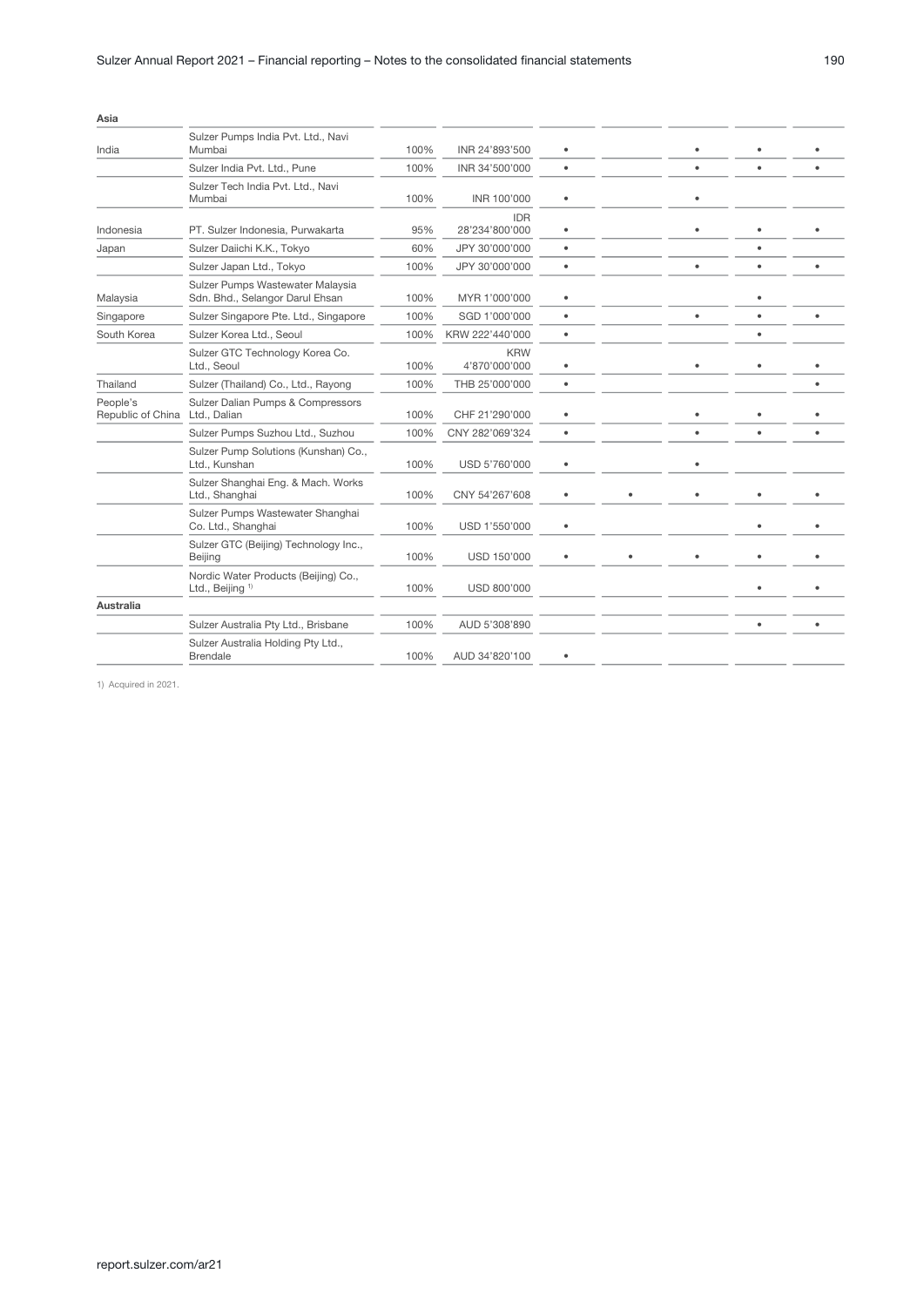| Asia                          |                                                                     |      |                              |           |   |           |  |
|-------------------------------|---------------------------------------------------------------------|------|------------------------------|-----------|---|-----------|--|
| India                         | Sulzer Pumps India Pvt. Ltd., Navi<br>Mumbai                        | 100% | INR 24'893'500               | $\bullet$ |   | ٠         |  |
|                               | Sulzer India Pvt. Ltd., Pune                                        | 100% | INR 34'500'000               | ٠         |   | ٠         |  |
|                               | Sulzer Tech India Pvt. Ltd., Navi<br>Mumbai                         | 100% | INR 100'000                  | ٠         | ٠ |           |  |
| Indonesia                     | PT. Sulzer Indonesia, Purwakarta                                    | 95%  | <b>IDR</b><br>28'234'800'000 | $\bullet$ |   | ٠         |  |
| Japan                         | Sulzer Daiichi K.K., Tokyo                                          | 60%  | JPY 30'000'000               | $\bullet$ |   | ٠         |  |
|                               | Sulzer Japan Ltd., Tokyo                                            | 100% | JPY 30'000'000               | ٠         |   | $\bullet$ |  |
| Malaysia                      | Sulzer Pumps Wastewater Malaysia<br>Sdn. Bhd., Selangor Darul Ehsan | 100% | MYR 1'000'000                | $\bullet$ |   | ٠         |  |
| Singapore                     | Sulzer Singapore Pte. Ltd., Singapore                               | 100% | SGD 1'000'000                | ٠         | ٠ | ٠         |  |
| South Korea                   | Sulzer Korea Ltd., Seoul                                            | 100% | KRW 222'440'000              | $\bullet$ |   | ٠         |  |
|                               | Sulzer GTC Technology Korea Co.<br>Ltd., Seoul                      | 100% | <b>KRW</b><br>4'870'000'000  | $\bullet$ |   | ٠         |  |
| Thailand                      | Sulzer (Thailand) Co., Ltd., Rayong                                 | 100% | THB 25'000'000               | $\bullet$ |   |           |  |
| People's<br>Republic of China | Sulzer Dalian Pumps & Compressors<br>Ltd., Dalian                   | 100% | CHF 21'290'000               | $\bullet$ | ٠ | ٠         |  |
|                               | Sulzer Pumps Suzhou Ltd., Suzhou                                    | 100% | CNY 282'069'324              | ٠         |   | ٠         |  |
|                               | Sulzer Pump Solutions (Kunshan) Co.,<br>Ltd., Kunshan               | 100% | USD 5'760'000                | $\bullet$ |   |           |  |
|                               | Sulzer Shanghai Eng. & Mach. Works<br>Ltd., Shanghai                | 100% | CNY 54'267'608               |           |   |           |  |
|                               | Sulzer Pumps Wastewater Shanghai<br>Co. Ltd., Shanghai              | 100% | USD 1'550'000                | ٠         |   | ٠         |  |
|                               | Sulzer GTC (Beijing) Technology Inc.,<br>Beijing                    | 100% | USD 150'000                  |           |   |           |  |
|                               | Nordic Water Products (Beijing) Co.,<br>Ltd., Beijing <sup>1)</sup> | 100% | USD 800'000                  |           |   | ٠         |  |
| Australia                     |                                                                     |      |                              |           |   |           |  |
|                               | Sulzer Australia Pty Ltd., Brisbane                                 | 100% | AUD 5'308'890                |           |   | ٠         |  |
|                               | Sulzer Australia Holding Pty Ltd.,<br><b>Brendale</b>               | 100% | AUD 34'820'100               |           |   |           |  |
|                               |                                                                     |      |                              |           |   |           |  |

1) Acquired in 2021.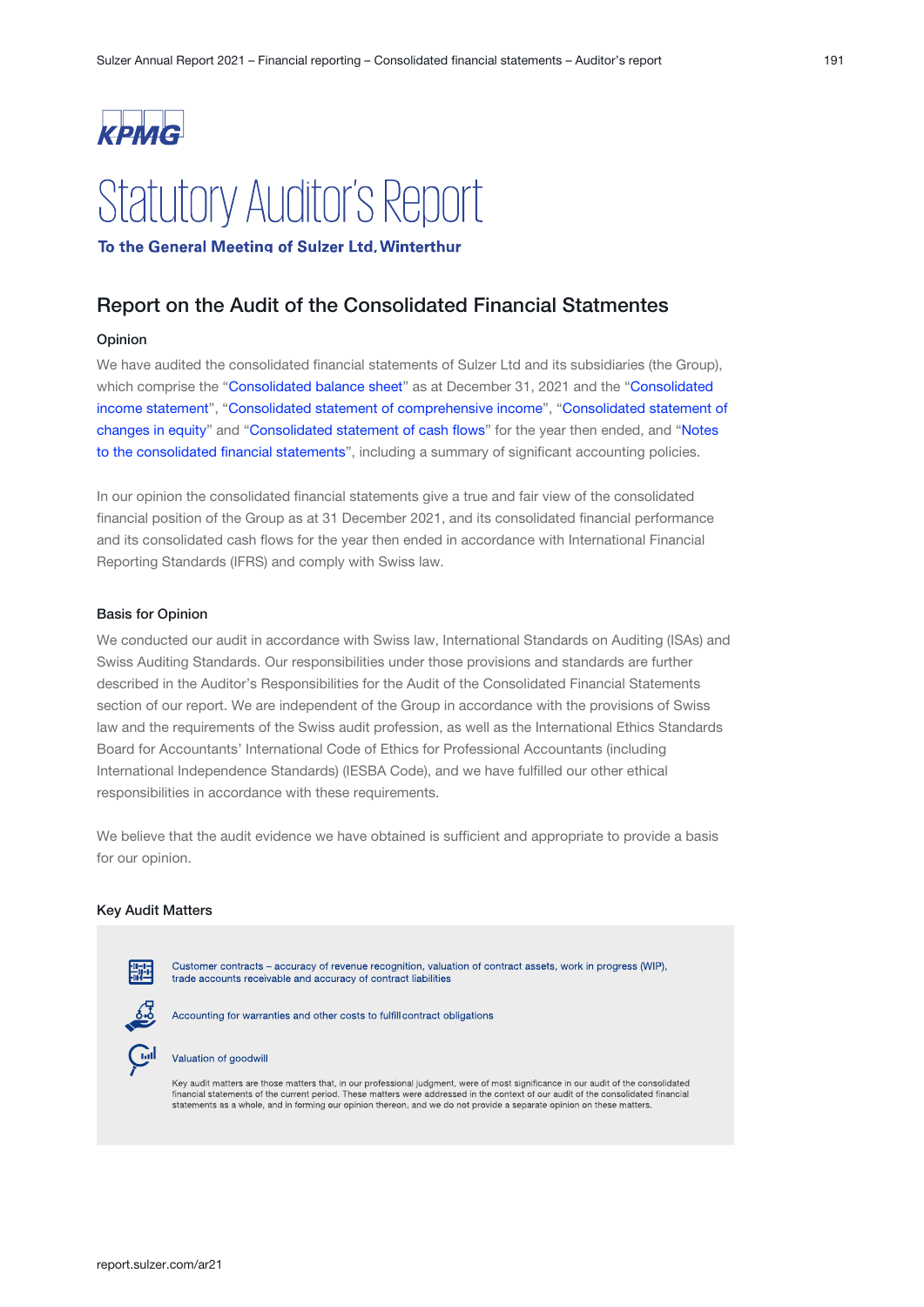# KPMG **Statutory Auditor's Report**

To the General Meeting of Sulzer Ltd, Winterthur

## Report on the Audit of the Consolidated Financial Statmentes

#### Opinion

We have audited the consolidated financial statements of Sulzer Ltd and its subsidiaries (the Group), which comprise the "[Consolidated balance sheet](#page-3-0)" as at December 31, 2021 and the "Consolidated [income statement](#page-1-0)", "Consolidated statement of comprehensive income", "Consolidated statement of [changes in equity](#page-4-0)" and "Consolidated statement of cash flows" for the year then ended, and "Notes to the consolidated financial statements", including a summary of significant accounting policies.

In our opinion the consolidated financial statements give a true and fair view of the consolidated financial position of the Group as at 31 December 2021, and its consolidated financial performance and its consolidated cash flows for the year then ended in accordance with International Financial Reporting Standards (IFRS) and comply with Swiss law.

#### Basis for Opinion

We conducted our audit in accordance with Swiss law, International Standards on Auditing (ISAs) and Swiss Auditing Standards. Our responsibilities under those provisions and standards are further described in the Auditor's Responsibilities for the Audit of the Consolidated Financial Statements section of our report. We are independent of the Group in accordance with the provisions of Swiss law and the requirements of the Swiss audit profession, as well as the International Ethics Standards Board for Accountants' International Code of Ethics for Professional Accountants (including International Independence Standards) (IESBA Code), and we have fulfilled our other ethical responsibilities in accordance with these requirements.

We believe that the audit evidence we have obtained is sufficient and appropriate to provide a basis for our opinion.

#### Key Audit Matters



statements as a whole, and in forming our opinion thereon, and we do not provide a separate opinion on these matters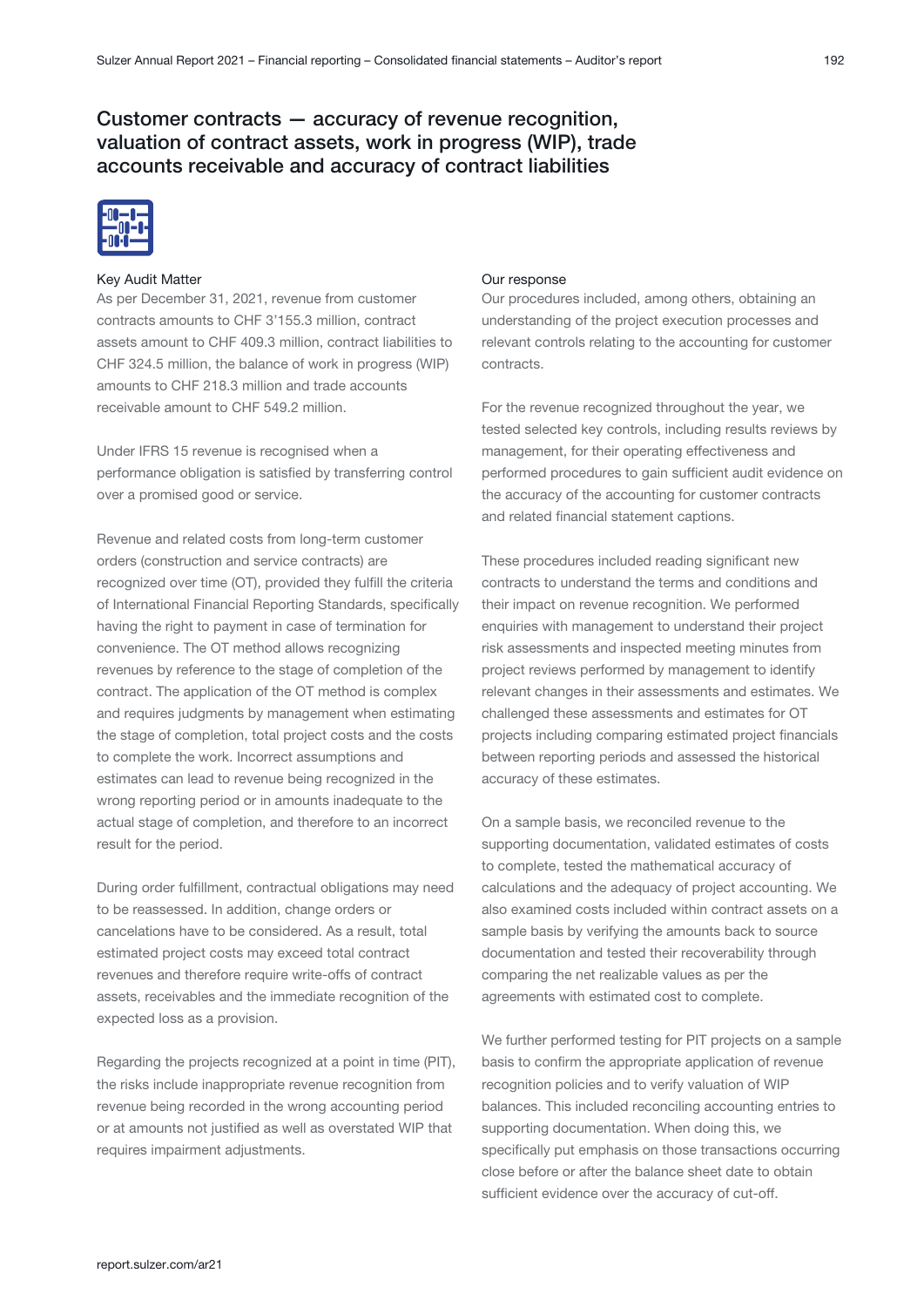# Customer contracts — accuracy of revenue recognition, valuation of contract assets, work in progress (WIP), trade accounts receivable and accuracy of contract liabilities



#### Key Audit Matter

As per December 31, 2021, revenue from customer contracts amounts to CHF 3'155.3 million, contract assets amount to CHF 409.3 million, contract liabilities to CHF 324.5 million, the balance of work in progress (WIP) amounts to CHF 218.3 million and trade accounts receivable amount to CHF 549.2 million.

Under IFRS 15 revenue is recognised when a performance obligation is satisfied by transferring control over a promised good or service.

Revenue and related costs from long-term customer orders (construction and service contracts) are recognized over time (OT), provided they fulfill the criteria of International Financial Reporting Standards, specifically having the right to payment in case of termination for convenience. The OT method allows recognizing revenues by reference to the stage of completion of the contract. The application of the OT method is complex and requires judgments by management when estimating the stage of completion, total project costs and the costs to complete the work. Incorrect assumptions and estimates can lead to revenue being recognized in the wrong reporting period or in amounts inadequate to the actual stage of completion, and therefore to an incorrect result for the period.

During order fulfillment, contractual obligations may need to be reassessed. In addition, change orders or cancelations have to be considered. As a result, total estimated project costs may exceed total contract revenues and therefore require write-offs of contract assets, receivables and the immediate recognition of the expected loss as a provision.

Regarding the projects recognized at a point in time (PIT), the risks include inappropriate revenue recognition from revenue being recorded in the wrong accounting period or at amounts not justified as well as overstated WIP that requires impairment adjustments.

#### Our response

Our procedures included, among others, obtaining an understanding of the project execution processes and relevant controls relating to the accounting for customer contracts.

For the revenue recognized throughout the year, we tested selected key controls, including results reviews by management, for their operating effectiveness and performed procedures to gain sufficient audit evidence on the accuracy of the accounting for customer contracts and related financial statement captions.

These procedures included reading significant new contracts to understand the terms and conditions and their impact on revenue recognition. We performed enquiries with management to understand their project risk assessments and inspected meeting minutes from project reviews performed by management to identify relevant changes in their assessments and estimates. We challenged these assessments and estimates for OT projects including comparing estimated project financials between reporting periods and assessed the historical accuracy of these estimates.

On a sample basis, we reconciled revenue to the supporting documentation, validated estimates of costs to complete, tested the mathematical accuracy of calculations and the adequacy of project accounting. We also examined costs included within contract assets on a sample basis by verifying the amounts back to source documentation and tested their recoverability through comparing the net realizable values as per the agreements with estimated cost to complete.

We further performed testing for PIT projects on a sample basis to confirm the appropriate application of revenue recognition policies and to verify valuation of WIP balances. This included reconciling accounting entries to supporting documentation. When doing this, we specifically put emphasis on those transactions occurring close before or after the balance sheet date to obtain sufficient evidence over the accuracy of cut-off.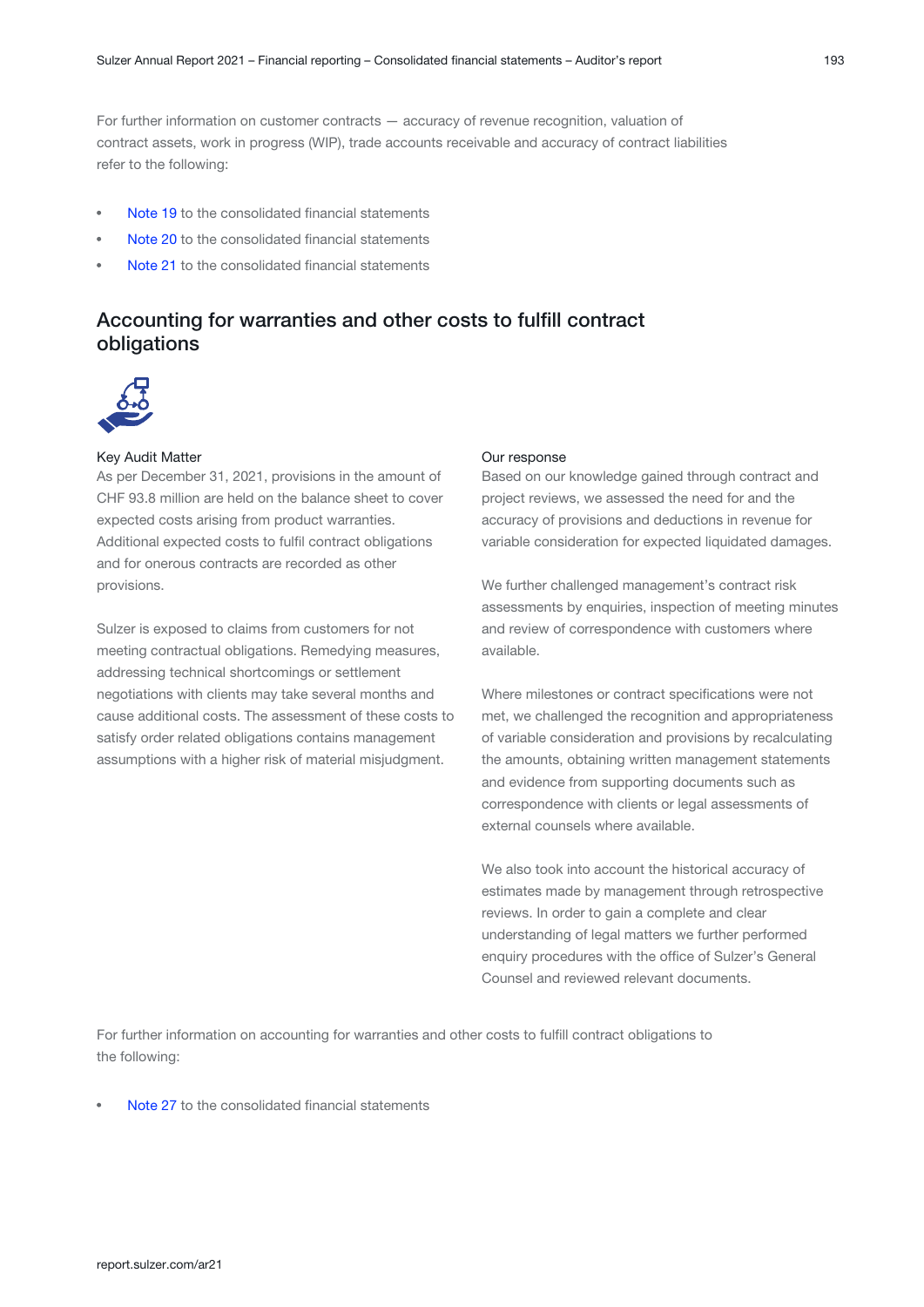For further information on customer contracts — accuracy of revenue recognition, valuation of contract assets, work in progress (WIP), trade accounts receivable and accuracy of contract liabilities refer to the following:

- [Note 19](#page-54-0) to the consolidated financial statements
- [Note 20](#page-55-0) to the consolidated financial statements
- [Note 21](#page-56-0) to the consolidated financial statements

# Accounting for warranties and other costs to fulfill contract obligations



#### Key Audit Matter

As per December 31, 2021, provisions in the amount of CHF 93.8 million are held on the balance sheet to cover expected costs arising from product warranties. Additional expected costs to fulfil contract obligations and for onerous contracts are recorded as other provisions.

Sulzer is exposed to claims from customers for not meeting contractual obligations. Remedying measures, addressing technical shortcomings or settlement negotiations with clients may take several months and cause additional costs. The assessment of these costs to satisfy order related obligations contains management assumptions with a higher risk of material misjudgment.

#### Our response

Based on our knowledge gained through contract and project reviews, we assessed the need for and the accuracy of provisions and deductions in revenue for variable consideration for expected liquidated damages.

We further challenged management's contract risk assessments by enquiries, inspection of meeting minutes and review of correspondence with customers where available.

Where milestones or contract specifications were not met, we challenged the recognition and appropriateness of variable consideration and provisions by recalculating the amounts, obtaining written management statements and evidence from supporting documents such as correspondence with clients or legal assessments of external counsels where available.

We also took into account the historical accuracy of estimates made by management through retrospective reviews. In order to gain a complete and clear understanding of legal matters we further performed enquiry procedures with the office of Sulzer's General Counsel and reviewed relevant documents.

For further information on accounting for warranties and other costs to fulfill contract obligations to the following:

[Note 27](#page-63-0) to the consolidated financial statements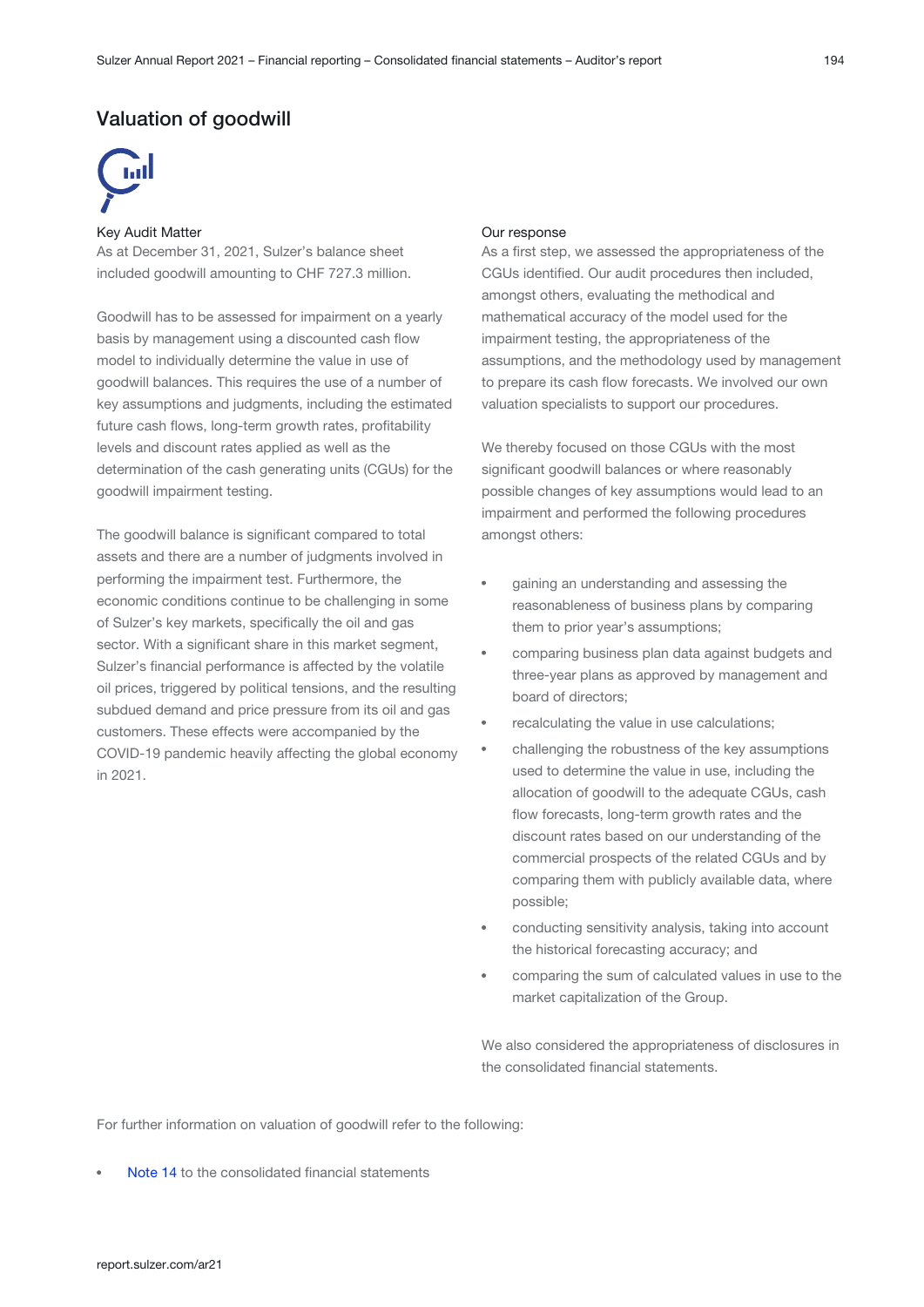## Valuation of goodwill



#### Key Audit Matter

As at December 31, 2021, Sulzer's balance sheet included goodwill amounting to CHF 727.3 million.

Goodwill has to be assessed for impairment on a yearly basis by management using a discounted cash flow model to individually determine the value in use of goodwill balances. This requires the use of a number of key assumptions and judgments, including the estimated future cash flows, long-term growth rates, profitability levels and discount rates applied as well as the determination of the cash generating units (CGUs) for the goodwill impairment testing.

The goodwill balance is significant compared to total assets and there are a number of judgments involved in performing the impairment test. Furthermore, the economic conditions continue to be challenging in some of Sulzer's key markets, specifically the oil and gas sector. With a significant share in this market segment, Sulzer's financial performance is affected by the volatile oil prices, triggered by political tensions, and the resulting subdued demand and price pressure from its oil and gas customers. These effects were accompanied by the COVID-19 pandemic heavily affecting the global economy in 2021.

#### Our response

As a first step, we assessed the appropriateness of the CGUs identified. Our audit procedures then included, amongst others, evaluating the methodical and mathematical accuracy of the model used for the impairment testing, the appropriateness of the assumptions, and the methodology used by management to prepare its cash flow forecasts. We involved our own valuation specialists to support our procedures.

We thereby focused on those CGUs with the most significant goodwill balances or where reasonably possible changes of key assumptions would lead to an impairment and performed the following procedures amongst others:

- gaining an understanding and assessing the reasonableness of business plans by comparing them to prior year's assumptions;
- comparing business plan data against budgets and three-year plans as approved by management and board of directors;
- recalculating the value in use calculations;
- challenging the robustness of the key assumptions used to determine the value in use, including the allocation of goodwill to the adequate CGUs, cash flow forecasts, long-term growth rates and the discount rates based on our understanding of the commercial prospects of the related CGUs and by comparing them with publicly available data, where possible;
- conducting sensitivity analysis, taking into account the historical forecasting accuracy; and
- comparing the sum of calculated values in use to the market capitalization of the Group.

We also considered the appropriateness of disclosures in the consolidated financial statements.

For further information on valuation of goodwill refer to the following:

[Note 14](#page-47-0) to the consolidated financial statements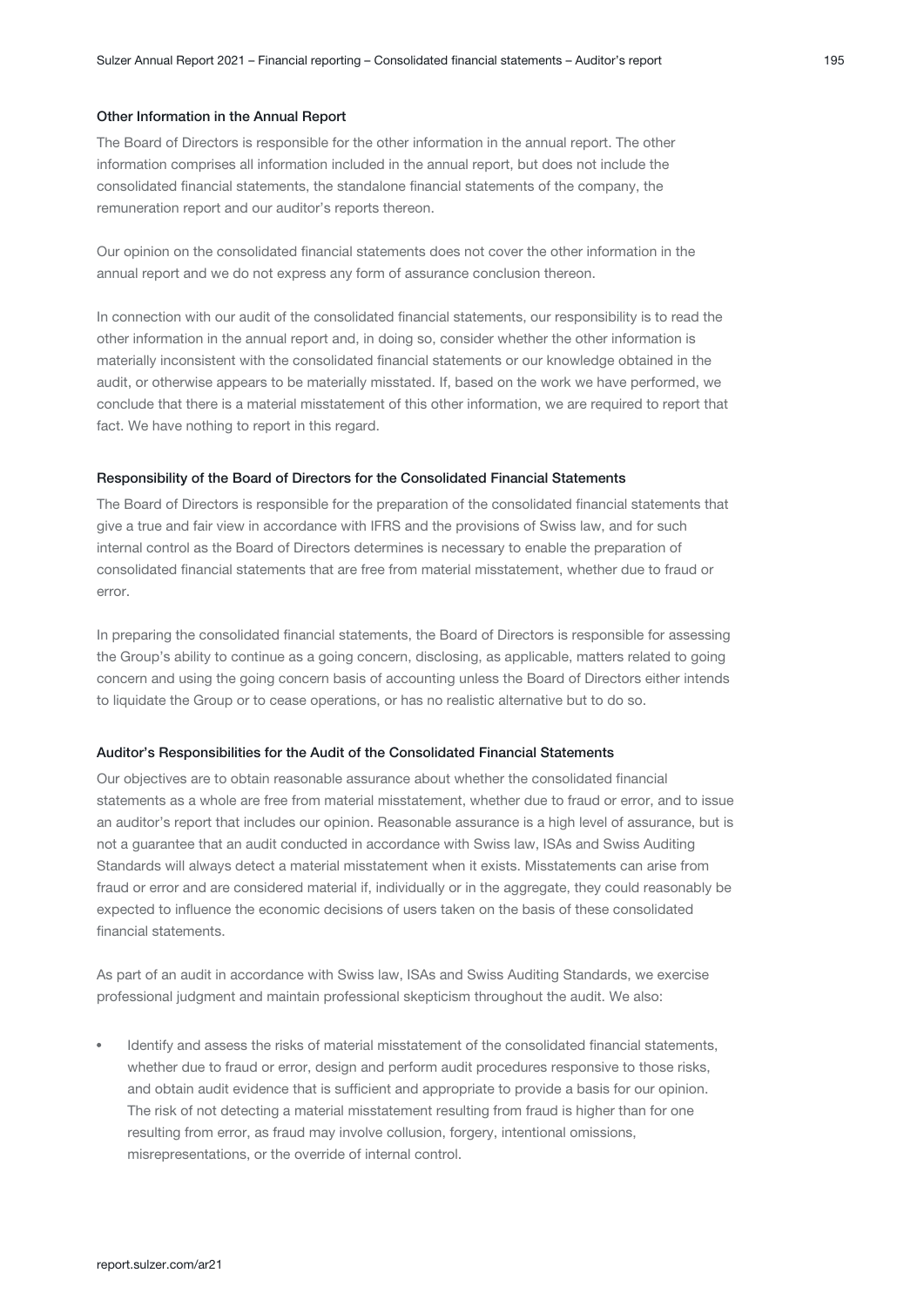#### Other Information in the Annual Report

The Board of Directors is responsible for the other information in the annual report. The other information comprises all information included in the annual report, but does not include the consolidated financial statements, the standalone financial statements of the company, the remuneration report and our auditor's reports thereon.

Our opinion on the consolidated financial statements does not cover the other information in the annual report and we do not express any form of assurance conclusion thereon.

In connection with our audit of the consolidated financial statements, our responsibility is to read the other information in the annual report and, in doing so, consider whether the other information is materially inconsistent with the consolidated financial statements or our knowledge obtained in the audit, or otherwise appears to be materially misstated. If, based on the work we have performed, we conclude that there is a material misstatement of this other information, we are required to report that fact. We have nothing to report in this regard.

#### Responsibility of the Board of Directors for the Consolidated Financial Statements

The Board of Directors is responsible for the preparation of the consolidated financial statements that give a true and fair view in accordance with IFRS and the provisions of Swiss law, and for such internal control as the Board of Directors determines is necessary to enable the preparation of consolidated financial statements that are free from material misstatement, whether due to fraud or error.

In preparing the consolidated financial statements, the Board of Directors is responsible for assessing the Group's ability to continue as a going concern, disclosing, as applicable, matters related to going concern and using the going concern basis of accounting unless the Board of Directors either intends to liquidate the Group or to cease operations, or has no realistic alternative but to do so.

#### Auditor's Responsibilities for the Audit of the Consolidated Financial Statements

Our objectives are to obtain reasonable assurance about whether the consolidated financial statements as a whole are free from material misstatement, whether due to fraud or error, and to issue an auditor's report that includes our opinion. Reasonable assurance is a high level of assurance, but is not a guarantee that an audit conducted in accordance with Swiss law, ISAs and Swiss Auditing Standards will always detect a material misstatement when it exists. Misstatements can arise from fraud or error and are considered material if, individually or in the aggregate, they could reasonably be expected to influence the economic decisions of users taken on the basis of these consolidated financial statements.

As part of an audit in accordance with Swiss law, ISAs and Swiss Auditing Standards, we exercise professional judgment and maintain professional skepticism throughout the audit. We also:

Identify and assess the risks of material misstatement of the consolidated financial statements, whether due to fraud or error, design and perform audit procedures responsive to those risks, and obtain audit evidence that is sufficient and appropriate to provide a basis for our opinion. The risk of not detecting a material misstatement resulting from fraud is higher than for one resulting from error, as fraud may involve collusion, forgery, intentional omissions, misrepresentations, or the override of internal control.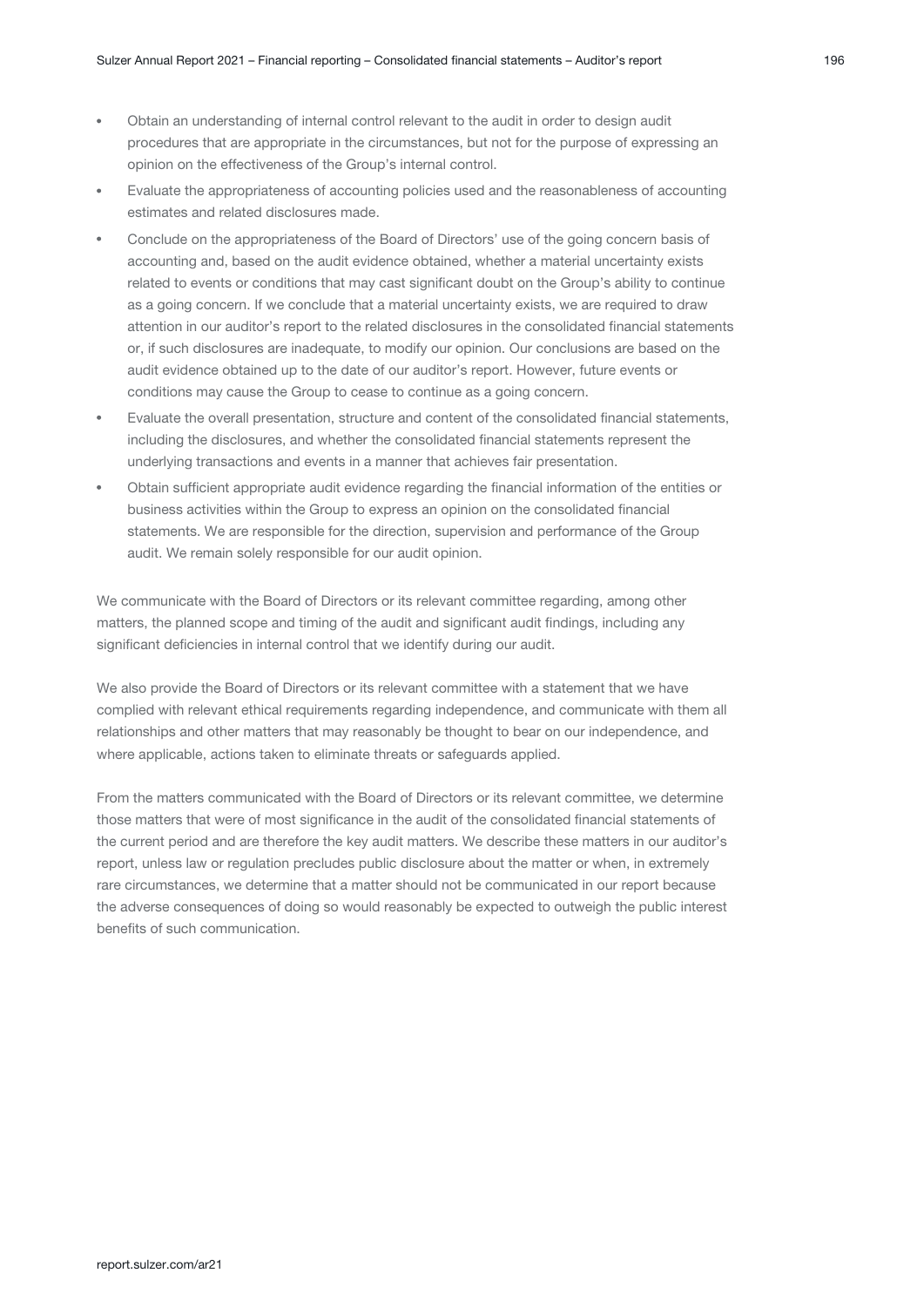- Obtain an understanding of internal control relevant to the audit in order to design audit procedures that are appropriate in the circumstances, but not for the purpose of expressing an opinion on the effectiveness of the Group's internal control.
- Evaluate the appropriateness of accounting policies used and the reasonableness of accounting estimates and related disclosures made.
- Conclude on the appropriateness of the Board of Directors' use of the going concern basis of accounting and, based on the audit evidence obtained, whether a material uncertainty exists related to events or conditions that may cast significant doubt on the Group's ability to continue as a going concern. If we conclude that a material uncertainty exists, we are required to draw attention in our auditor's report to the related disclosures in the consolidated financial statements or, if such disclosures are inadequate, to modify our opinion. Our conclusions are based on the audit evidence obtained up to the date of our auditor's report. However, future events or conditions may cause the Group to cease to continue as a going concern.
- Evaluate the overall presentation, structure and content of the consolidated financial statements, including the disclosures, and whether the consolidated financial statements represent the underlying transactions and events in a manner that achieves fair presentation.
- Obtain sufficient appropriate audit evidence regarding the financial information of the entities or business activities within the Group to express an opinion on the consolidated financial statements. We are responsible for the direction, supervision and performance of the Group audit. We remain solely responsible for our audit opinion.

We communicate with the Board of Directors or its relevant committee regarding, among other matters, the planned scope and timing of the audit and significant audit findings, including any significant deficiencies in internal control that we identify during our audit.

We also provide the Board of Directors or its relevant committee with a statement that we have complied with relevant ethical requirements regarding independence, and communicate with them all relationships and other matters that may reasonably be thought to bear on our independence, and where applicable, actions taken to eliminate threats or safeguards applied.

From the matters communicated with the Board of Directors or its relevant committee, we determine those matters that were of most significance in the audit of the consolidated financial statements of the current period and are therefore the key audit matters. We describe these matters in our auditor's report, unless law or regulation precludes public disclosure about the matter or when, in extremely rare circumstances, we determine that a matter should not be communicated in our report because the adverse consequences of doing so would reasonably be expected to outweigh the public interest benefits of such communication.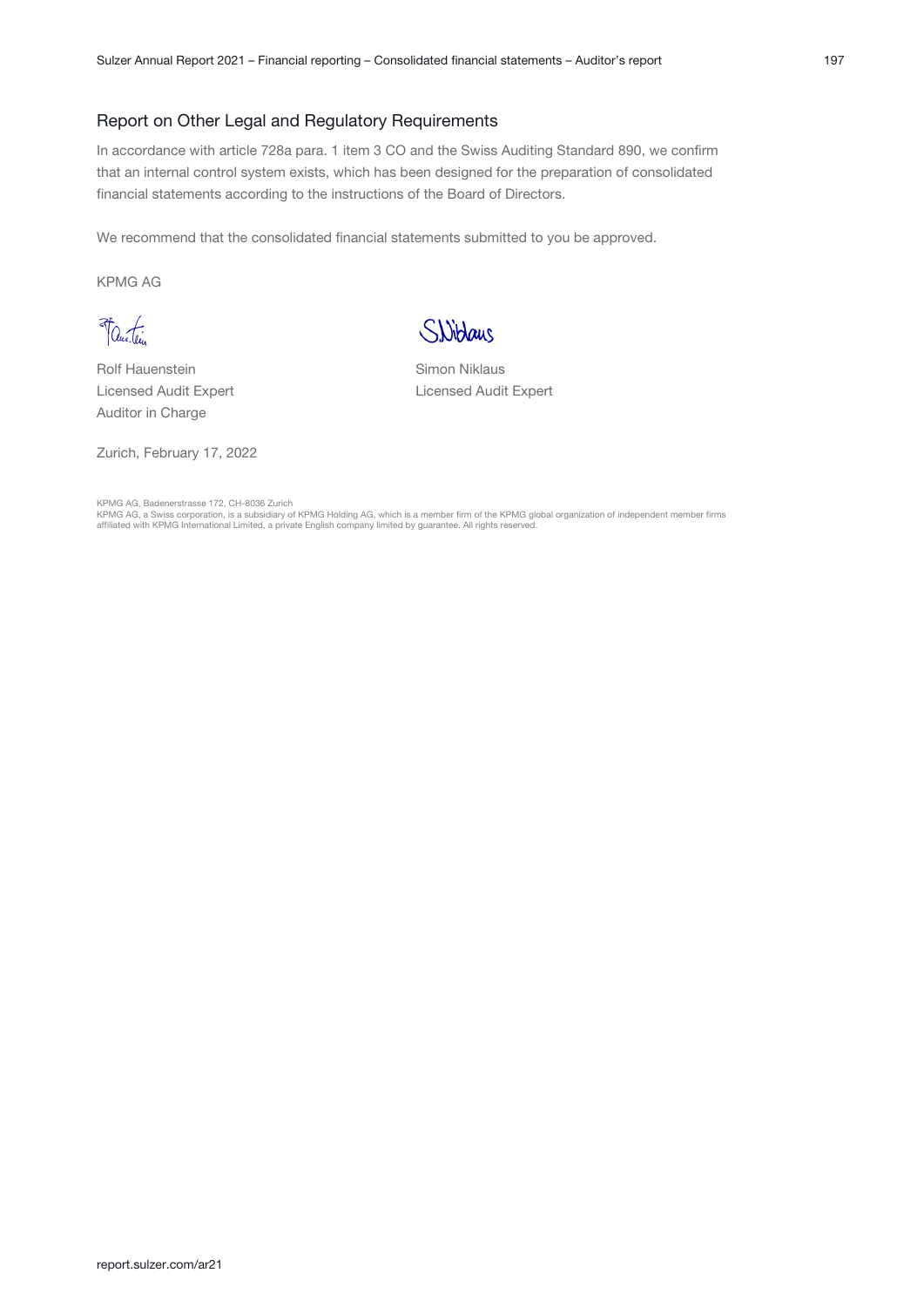#### Report on Other Legal and Regulatory Requirements

In accordance with article 728a para. 1 item 3 CO and the Swiss Auditing Standard 890, we confirm that an internal control system exists, which has been designed for the preparation of consolidated financial statements according to the instructions of the Board of Directors.

We recommend that the consolidated financial statements submitted to you be approved.

KPMG AG

Vantin

Rolf Hauenstein Licensed Audit Expert Auditor in Charge

Zurich, February 17, 2022



Simon Niklaus Licensed Audit Expert

KPMG AG, Badenerstrasse 172, CH-8036 Zurich<br>KPMG AG, a Swiss corporation, is a subsidiary of KPMG Holding AG, which is a member firm of the KPMG global organization of independent member firms<br>affiliated with KPMG Internat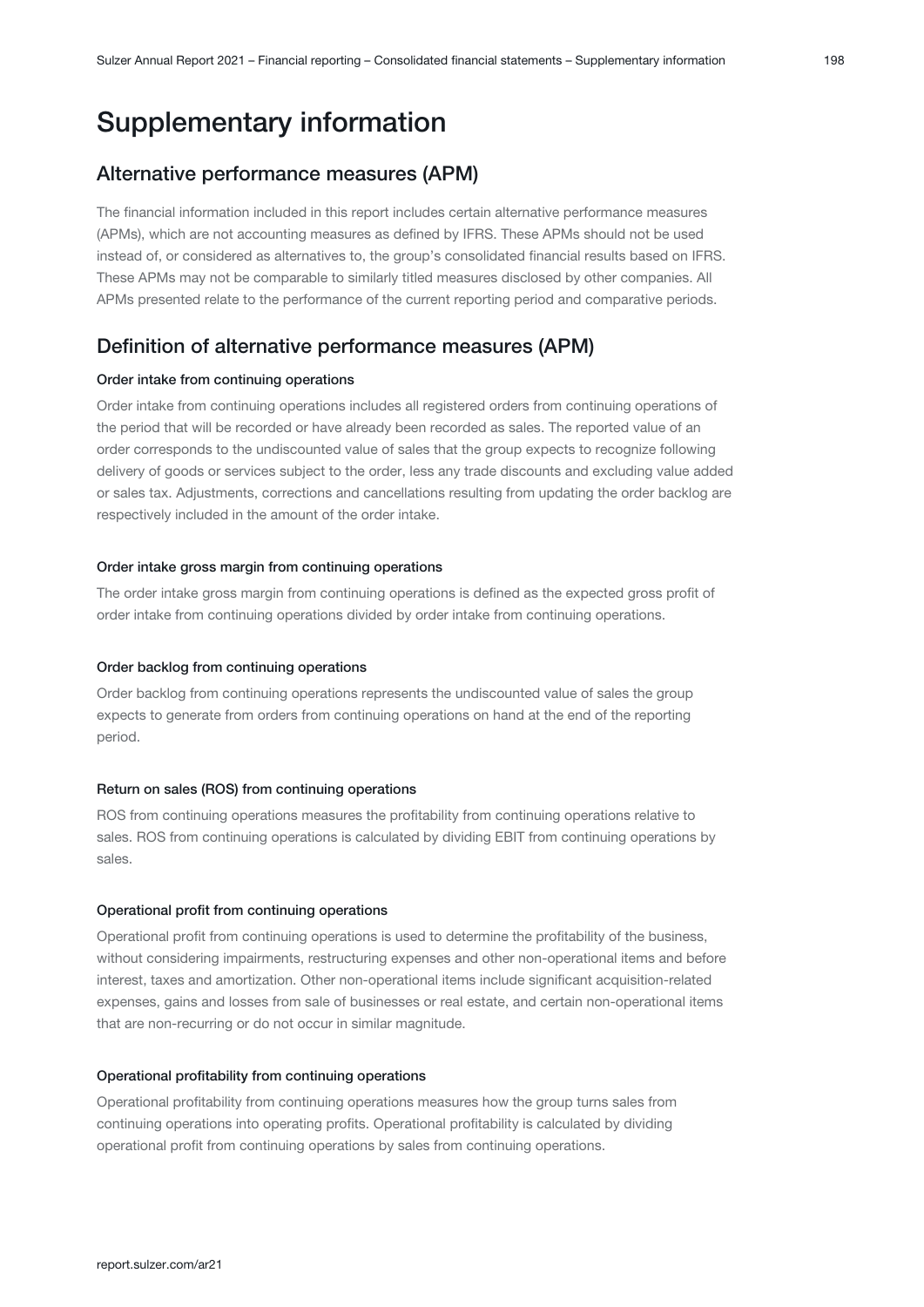# Supplementary information

# Alternative performance measures (APM)

The financial information included in this report includes certain alternative performance measures (APMs), which are not accounting measures as defined by IFRS. These APMs should not be used instead of, or considered as alternatives to, the group's consolidated financial results based on IFRS. These APMs may not be comparable to similarly titled measures disclosed by other companies. All APMs presented relate to the performance of the current reporting period and comparative periods.

# Definition of alternative performance measures (APM)

#### Order intake from continuing operations

Order intake from continuing operations includes all registered orders from continuing operations of the period that will be recorded or have already been recorded as sales. The reported value of an order corresponds to the undiscounted value of sales that the group expects to recognize following delivery of goods or services subject to the order, less any trade discounts and excluding value added or sales tax. Adjustments, corrections and cancellations resulting from updating the order backlog are respectively included in the amount of the order intake.

#### Order intake gross margin from continuing operations

The order intake gross margin from continuing operations is defined as the expected gross profit of order intake from continuing operations divided by order intake from continuing operations.

#### Order backlog from continuing operations

Order backlog from continuing operations represents the undiscounted value of sales the group expects to generate from orders from continuing operations on hand at the end of the reporting period.

#### Return on sales (ROS) from continuing operations

ROS from continuing operations measures the profitability from continuing operations relative to sales. ROS from continuing operations is calculated by dividing EBIT from continuing operations by sales.

#### Operational profit from continuing operations

Operational profit from continuing operations is used to determine the profitability of the business, without considering impairments, restructuring expenses and other non-operational items and before interest, taxes and amortization. Other non-operational items include significant acquisition-related expenses, gains and losses from sale of businesses or real estate, and certain non-operational items that are non-recurring or do not occur in similar magnitude.

#### Operational profitability from continuing operations

Operational profitability from continuing operations measures how the group turns sales from continuing operations into operating profits. Operational profitability is calculated by dividing operational profit from continuing operations by sales from continuing operations.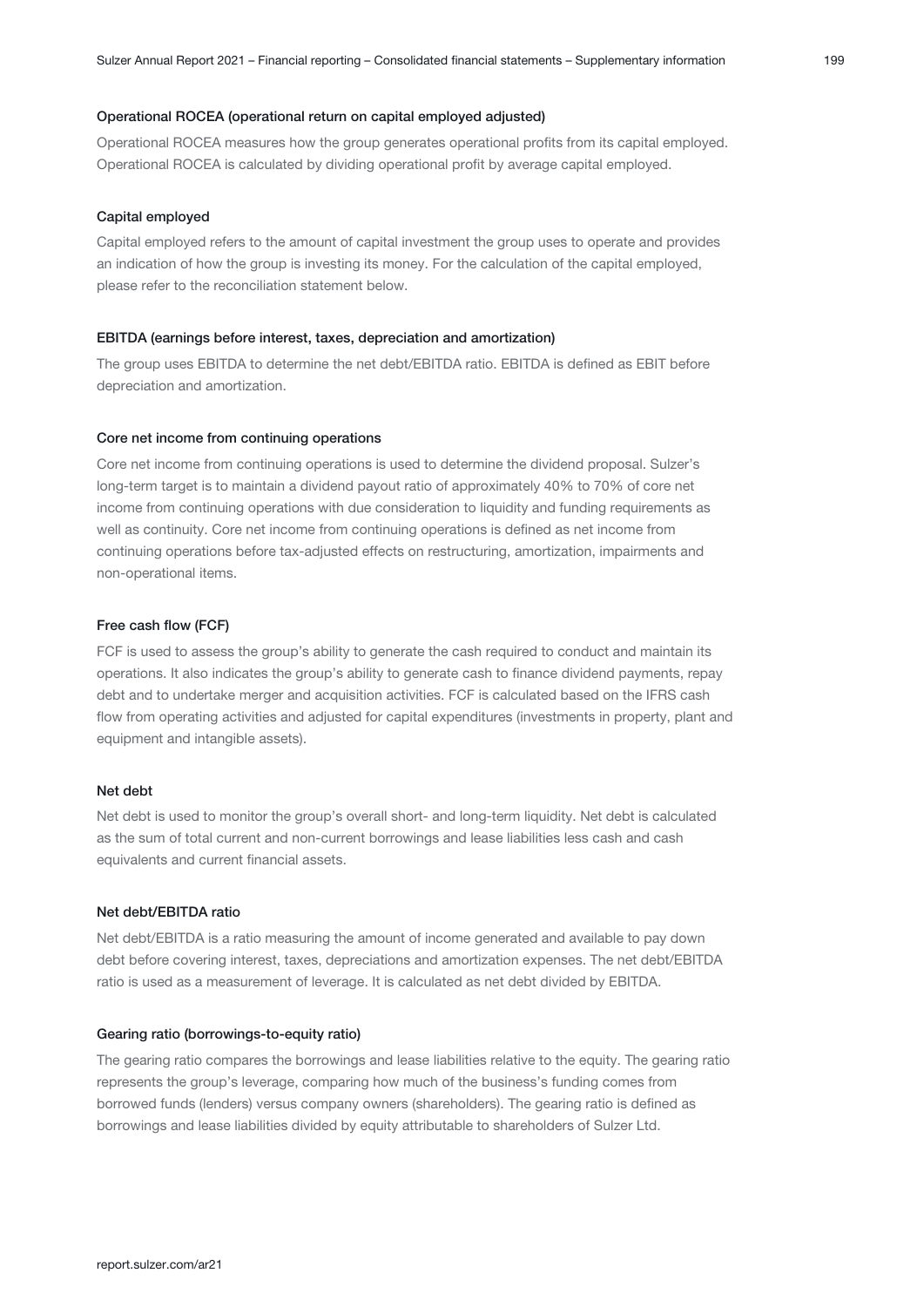#### Operational ROCEA (operational return on capital employed adjusted)

Operational ROCEA measures how the group generates operational profits from its capital employed. Operational ROCEA is calculated by dividing operational profit by average capital employed.

#### Capital employed

Capital employed refers to the amount of capital investment the group uses to operate and provides an indication of how the group is investing its money. For the calculation of the capital employed, please refer to the reconciliation statement below.

#### EBITDA (earnings before interest, taxes, depreciation and amortization)

The group uses EBITDA to determine the net debt/EBITDA ratio. EBITDA is defined as EBIT before depreciation and amortization.

#### Core net income from continuing operations

Core net income from continuing operations is used to determine the dividend proposal. Sulzer's long-term target is to maintain a dividend payout ratio of approximately 40% to 70% of core net income from continuing operations with due consideration to liquidity and funding requirements as well as continuity. Core net income from continuing operations is defined as net income from continuing operations before tax-adjusted effects on restructuring, amortization, impairments and non-operational items.

#### Free cash flow (FCF)

FCF is used to assess the group's ability to generate the cash required to conduct and maintain its operations. It also indicates the group's ability to generate cash to finance dividend payments, repay debt and to undertake merger and acquisition activities. FCF is calculated based on the IFRS cash flow from operating activities and adjusted for capital expenditures (investments in property, plant and equipment and intangible assets).

#### Net debt

Net debt is used to monitor the group's overall short- and long-term liquidity. Net debt is calculated as the sum of total current and non-current borrowings and lease liabilities less cash and cash equivalents and current financial assets.

#### Net debt/EBITDA ratio

Net debt/EBITDA is a ratio measuring the amount of income generated and available to pay down debt before covering interest, taxes, depreciations and amortization expenses. The net debt/EBITDA ratio is used as a measurement of leverage. It is calculated as net debt divided by EBITDA.

#### Gearing ratio (borrowings-to-equity ratio)

The gearing ratio compares the borrowings and lease liabilities relative to the equity. The gearing ratio represents the group's leverage, comparing how much of the business's funding comes from borrowed funds (lenders) versus company owners (shareholders). The gearing ratio is defined as borrowings and lease liabilities divided by equity attributable to shareholders of Sulzer Ltd.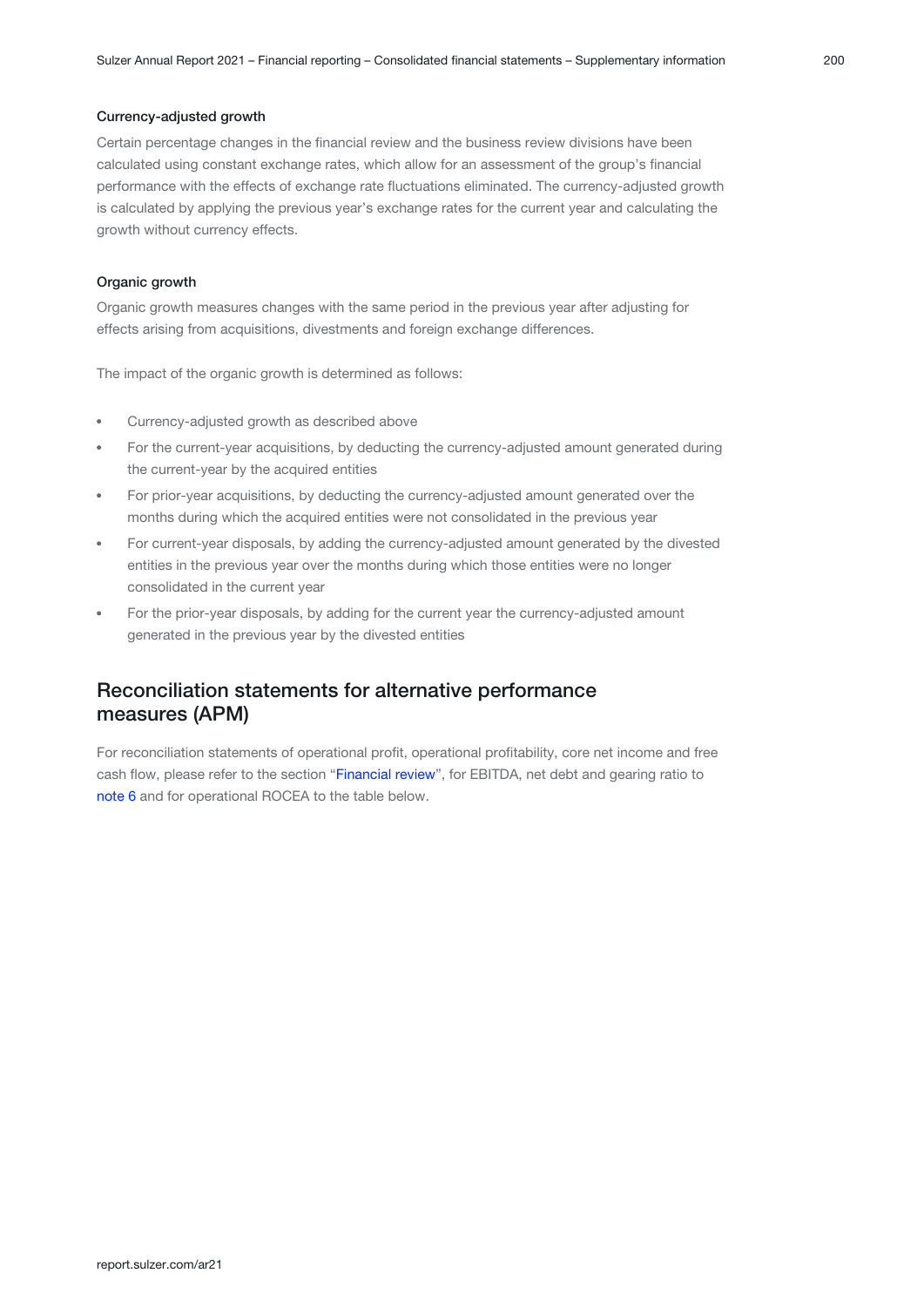#### Currency-adjusted growth

Certain percentage changes in the financial review and the business review divisions have been calculated using constant exchange rates, which allow for an assessment of the group's financial performance with the effects of exchange rate fluctuations eliminated. The currency-adjusted growth is calculated by applying the previous year's exchange rates for the current year and calculating the growth without currency effects.

#### Organic growth

Organic growth measures changes with the same period in the previous year after adjusting for effects arising from acquisitions, divestments and foreign exchange differences.

The impact of the organic growth is determined as follows:

- Currency-adjusted growth as described above
- For the current-year acquisitions, by deducting the currency-adjusted amount generated during the current-year by the acquired entities
- For prior-year acquisitions, by deducting the currency-adjusted amount generated over the months during which the acquired entities were not consolidated in the previous year
- For current-year disposals, by adding the currency-adjusted amount generated by the divested entities in the previous year over the months during which those entities were no longer consolidated in the current year
- For the prior-year disposals, by adding for the current year the currency-adjusted amount generated in the previous year by the divested entities

## Reconciliation statements for alternative performance measures (APM)

For reconciliation statements of operational profit, operational profitability, core net income and free cash flow, please refer to the section "Financial review", for EBITDA, net debt and gearing ratio to [note 6](#page-21-0) and for operational ROCEA to the table below.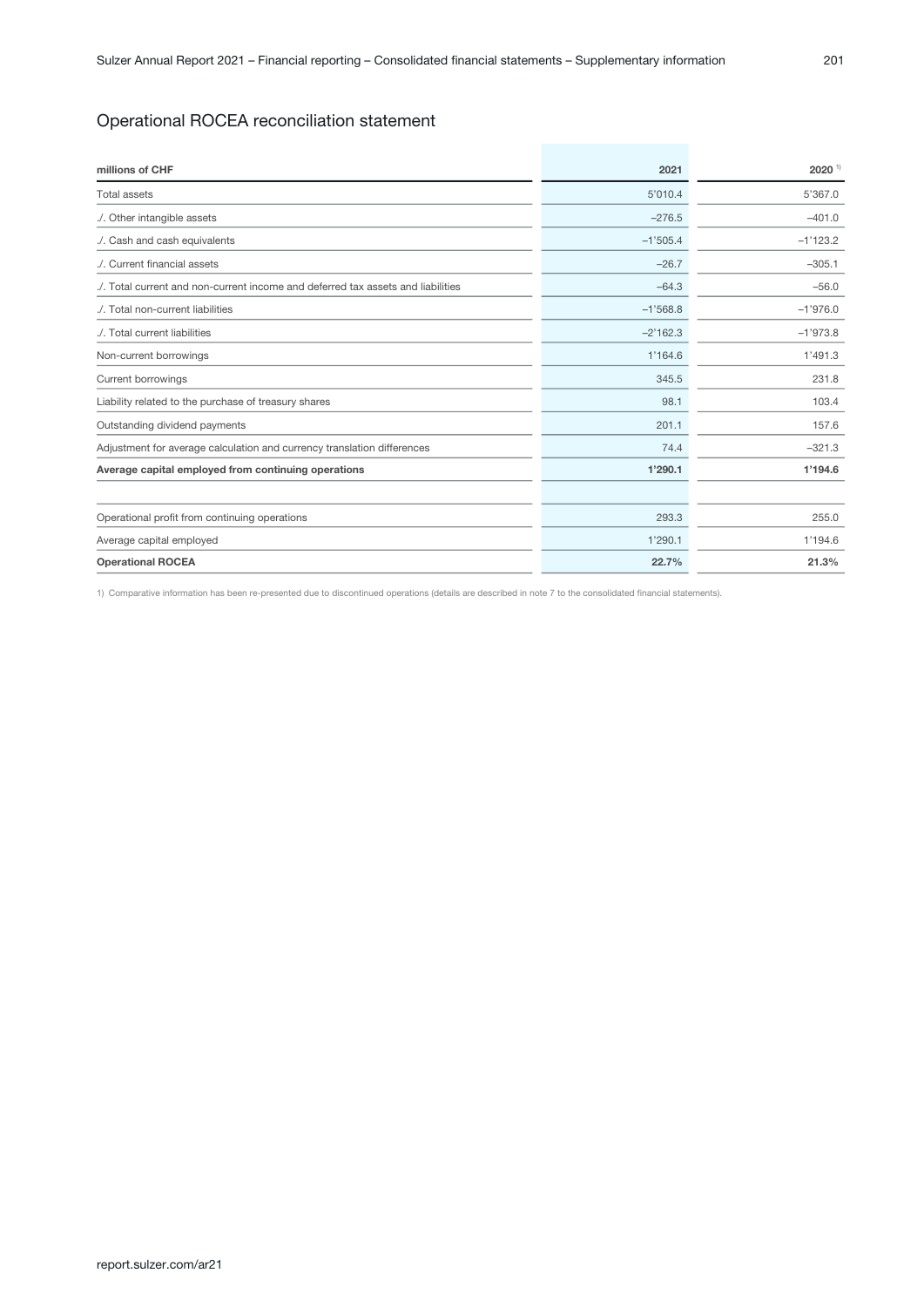## Operational ROCEA reconciliation statement

| millions of CHF                                                              | 2021       | $2020$ <sup>1)</sup> |
|------------------------------------------------------------------------------|------------|----------------------|
| <b>Total assets</b>                                                          | 5'010.4    | 5'367.0              |
| ./. Other intangible assets                                                  | $-276.5$   | $-401.0$             |
| ./. Cash and cash equivalents                                                | $-1'505.4$ | $-1'123.2$           |
| ./. Current financial assets                                                 | $-26.7$    | $-305.1$             |
| Total current and non-current income and deferred tax assets and liabilities | $-64.3$    | $-56.0$              |
| ./. Total non-current liabilities                                            | $-1'568.8$ | $-1'976.0$           |
| ./. Total current liabilities                                                | $-2'162.3$ | $-1'973.8$           |
| Non-current borrowings                                                       | 1'164.6    | 1'491.3              |
| Current borrowings                                                           | 345.5      | 231.8                |
| Liability related to the purchase of treasury shares                         | 98.1       | 103.4                |
| Outstanding dividend payments                                                | 201.1      | 157.6                |
| Adjustment for average calculation and currency translation differences      | 74.4       | $-321.3$             |
| Average capital employed from continuing operations                          | 1'290.1    | 1'194.6              |
|                                                                              |            |                      |
| Operational profit from continuing operations                                | 293.3      | 255.0                |
| Average capital employed                                                     | 1'290.1    | 1'194.6              |
| <b>Operational ROCEA</b>                                                     | 22.7%      | 21.3%                |

1) Comparative information has been re-presented due to discontinued operations (details are described in note 7 to the consolidated financial statements).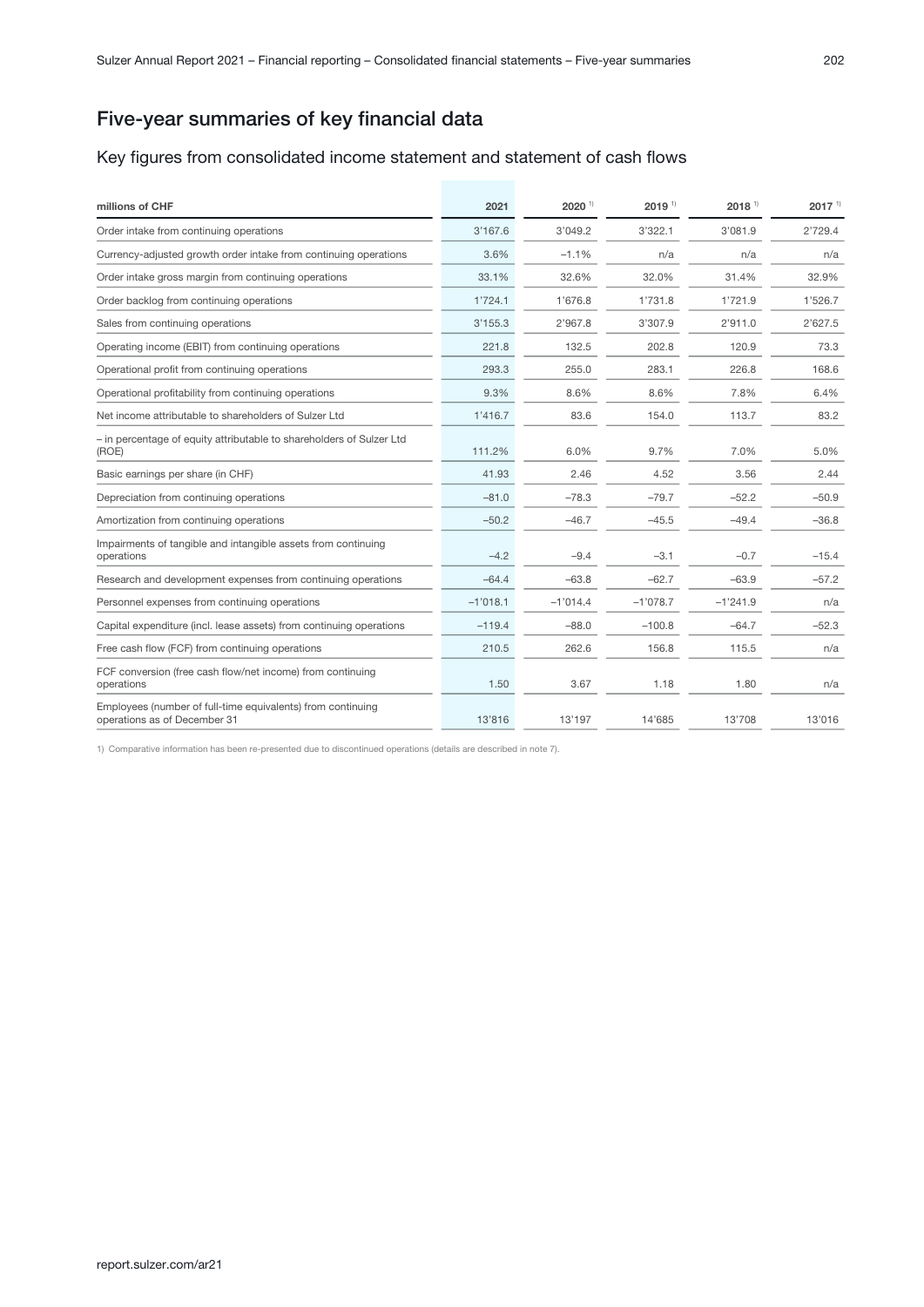# Five-year summaries of key financial data

#### Key figures from consolidated income statement and statement of cash flows

| millions of CHF                                                                             | 2021       | 2020 1)    | $2019$ <sup>1)</sup> | $2018$ <sup>1)</sup> | $2017$ <sup>1)</sup> |
|---------------------------------------------------------------------------------------------|------------|------------|----------------------|----------------------|----------------------|
| Order intake from continuing operations                                                     | 3'167.6    | 3'049.2    | 3'322.1              | 3'081.9              | 2'729.4              |
| Currency-adjusted growth order intake from continuing operations                            | 3.6%       | $-1.1%$    | n/a                  | n/a                  | n/a                  |
| Order intake gross margin from continuing operations                                        | 33.1%      | 32.6%      | 32.0%                | 31.4%                | 32.9%                |
| Order backlog from continuing operations                                                    | 1'724.1    | 1'676.8    | 1'731.8              | 1'721.9              | 1'526.7              |
| Sales from continuing operations                                                            | 3'155.3    | 2'967.8    | 3'307.9              | 2'911.0              | 2'627.5              |
| Operating income (EBIT) from continuing operations                                          | 221.8      | 132.5      | 202.8                | 120.9                | 73.3                 |
| Operational profit from continuing operations                                               | 293.3      | 255.0      | 283.1                | 226.8                | 168.6                |
| Operational profitability from continuing operations                                        | 9.3%       | 8.6%       | 8.6%                 | 7.8%                 | 6.4%                 |
| Net income attributable to shareholders of Sulzer Ltd                                       | 1'416.7    | 83.6       | 154.0                | 113.7                | 83.2                 |
| - in percentage of equity attributable to shareholders of Sulzer Ltd<br>(ROE)               | 111.2%     | 6.0%       | 9.7%                 | 7.0%                 | 5.0%                 |
| Basic earnings per share (in CHF)                                                           | 41.93      | 2.46       | 4.52                 | 3.56                 | 2.44                 |
| Depreciation from continuing operations                                                     | $-81.0$    | $-78.3$    | $-79.7$              | $-52.2$              | $-50.9$              |
| Amortization from continuing operations                                                     | $-50.2$    | $-46.7$    | $-45.5$              | $-49.4$              | $-36.8$              |
| Impairments of tangible and intangible assets from continuing<br>operations                 | $-4.2$     | $-9.4$     | $-3.1$               | $-0.7$               | $-15.4$              |
| Research and development expenses from continuing operations                                | $-64.4$    | $-63.8$    | $-62.7$              | $-63.9$              | $-57.2$              |
| Personnel expenses from continuing operations                                               | $-1'018.1$ | $-1'014.4$ | $-1'078.7$           | $-1'241.9$           | n/a                  |
| Capital expenditure (incl. lease assets) from continuing operations                         | $-119.4$   | $-88.0$    | $-100.8$             | $-64.7$              | $-52.3$              |
| Free cash flow (FCF) from continuing operations                                             | 210.5      | 262.6      | 156.8                | 115.5                | n/a                  |
| FCF conversion (free cash flow/net income) from continuing<br>operations                    | 1.50       | 3.67       | 1.18                 | 1.80                 | n/a                  |
| Employees (number of full-time equivalents) from continuing<br>operations as of December 31 | 13'816     | 13'197     | 14'685               | 13'708               | 13'016               |

1) Comparative information has been re-presented due to discontinued operations (details are described in note 7).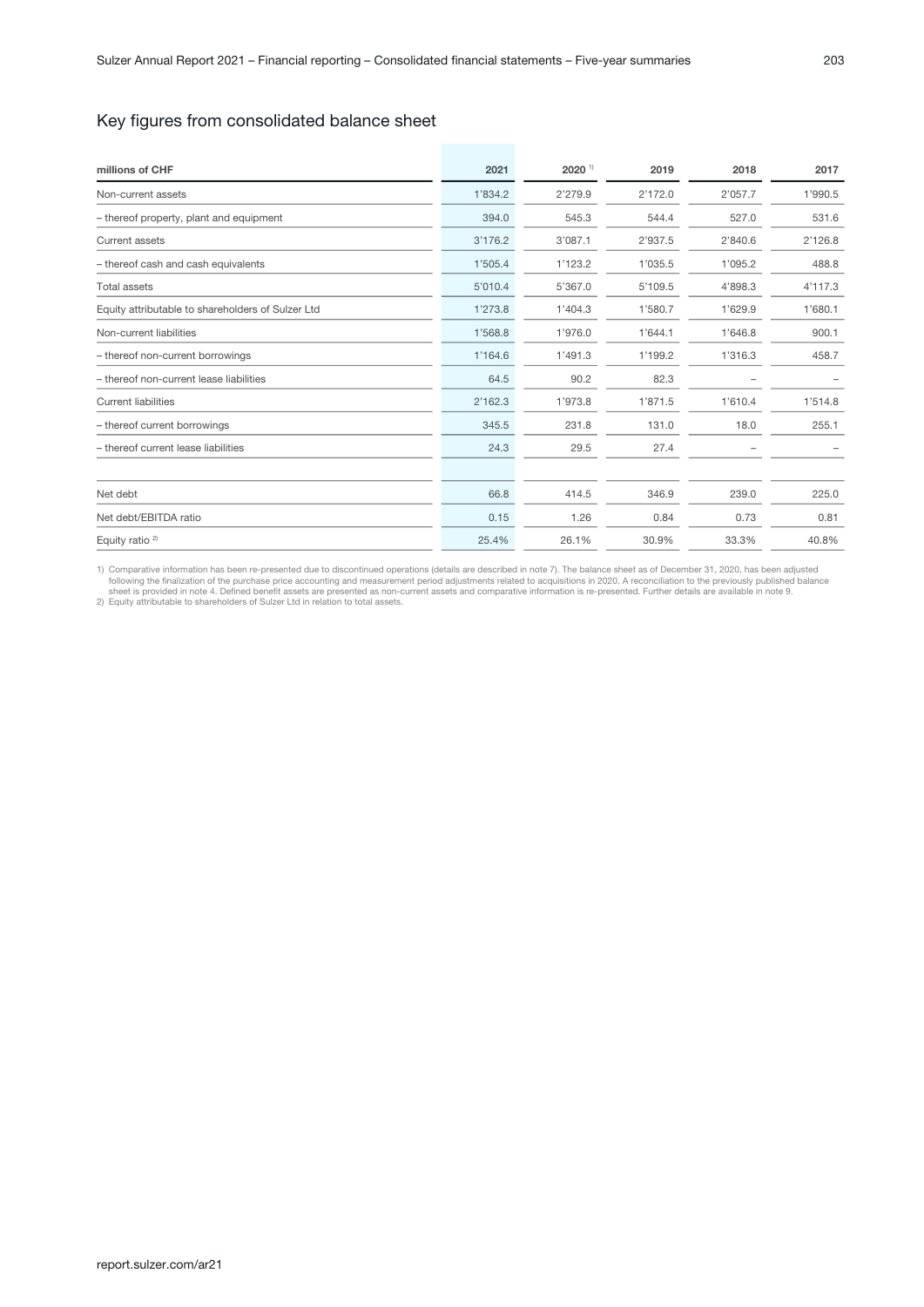## Key figures from consolidated balance sheet

| millions of CHF                                   | 2021    | 2020 1) | 2019    | 2018    | 2017    |
|---------------------------------------------------|---------|---------|---------|---------|---------|
| Non-current assets                                | 1'834.2 | 2'279.9 | 2'172.0 | 2'057.7 | 1'990.5 |
| - thereof property, plant and equipment           | 394.0   | 545.3   | 544.4   | 527.0   | 531.6   |
| <b>Current assets</b>                             | 3'176.2 | 3'087.1 | 2'937.5 | 2'840.6 | 2'126.8 |
| - thereof cash and cash equivalents               | 1'505.4 | 1'123.2 | 1'035.5 | 1'095.2 | 488.8   |
| <b>Total assets</b>                               | 5'010.4 | 5'367.0 | 5'109.5 | 4'898.3 | 4'117.3 |
| Equity attributable to shareholders of Sulzer Ltd | 1'273.8 | 1'404.3 | 1'580.7 | 1'629.9 | 1'680.1 |
| Non-current liabilities                           | 1'568.8 | 1'976.0 | 1'644.1 | 1'646.8 | 900.1   |
| - thereof non-current borrowings                  | 1'164.6 | 1'491.3 | 1'199.2 | 1'316.3 | 458.7   |
| - thereof non-current lease liabilities           | 64.5    | 90.2    | 82.3    |         |         |
| <b>Current liabilities</b>                        | 2'162.3 | 1'973.8 | 1'871.5 | 1'610.4 | 1'514.8 |
| - thereof current borrowings                      | 345.5   | 231.8   | 131.0   | 18.0    | 255.1   |
| - thereof current lease liabilities               | 24.3    | 29.5    | 27.4    |         |         |
|                                                   |         |         |         |         |         |
| Net debt                                          | 66.8    | 414.5   | 346.9   | 239.0   | 225.0   |
| Net debt/EBITDA ratio                             | 0.15    | 1.26    | 0.84    | 0.73    | 0.81    |
| Equity ratio <sup>2)</sup>                        | 25.4%   | 26.1%   | 30.9%   | 33.3%   | 40.8%   |

1) Comparative information has been re-presented due to discontinued operations (details are described in note 7). The balance sheet as of December 31, 2020, has been adjusted following the finalization of the purchase pri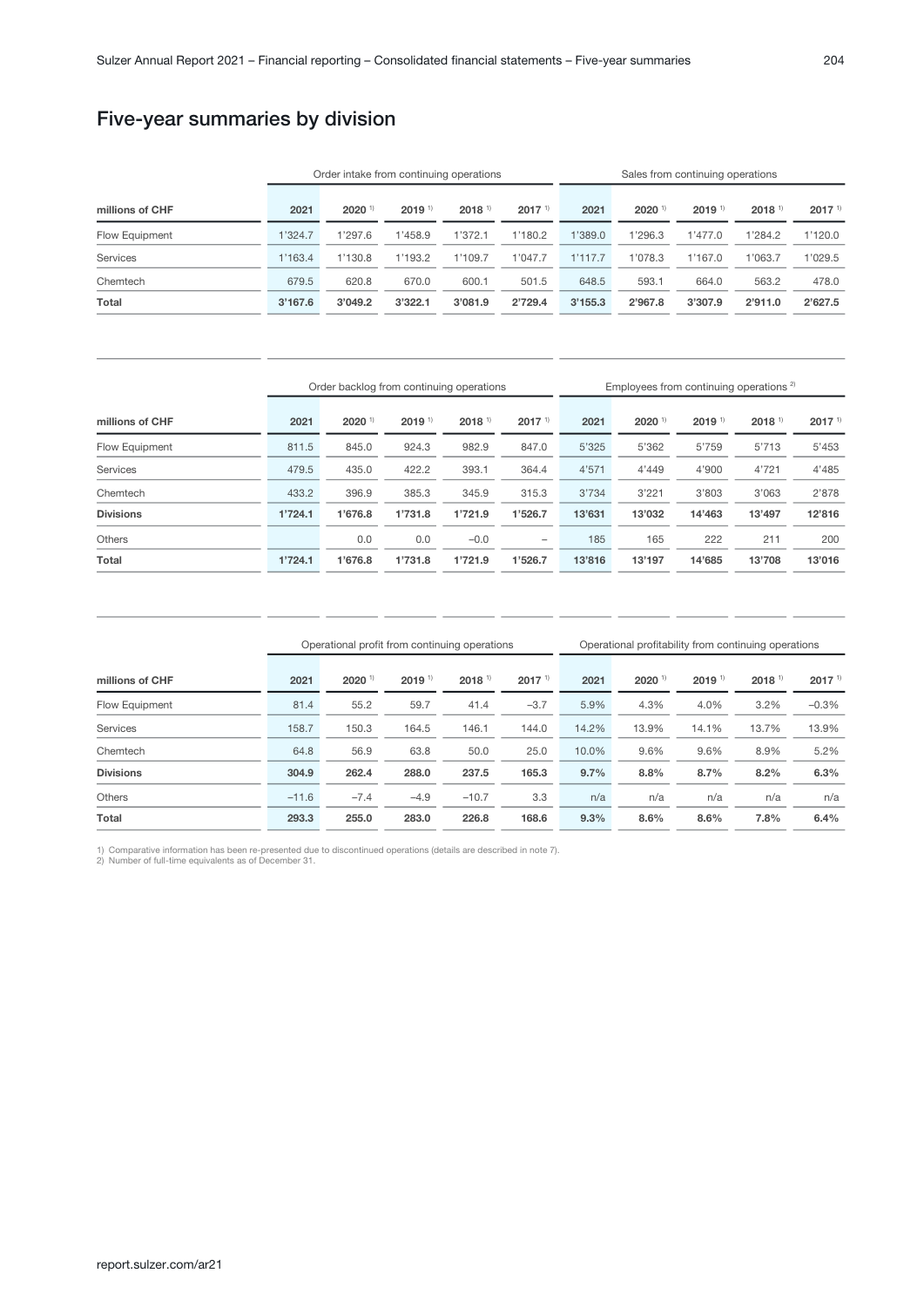# Five-year summaries by division

|                 |         | Order intake from continuing operations |                      |                      | Sales from continuing operations |         |                      |                      |                      |             |
|-----------------|---------|-----------------------------------------|----------------------|----------------------|----------------------------------|---------|----------------------|----------------------|----------------------|-------------|
| millions of CHF | 2021    | $2020$ <sup>1)</sup>                    | $2019$ <sup>1)</sup> | $2018$ <sup>1)</sup> | $2017$ <sup>1)</sup>             | 2021    | $2020$ <sup>1)</sup> | $2019$ <sup>1)</sup> | $2018$ <sup>1)</sup> | $2017^{11}$ |
| Flow Equipment  | 1'324.7 | 1'297.6                                 | 1'458.9              | 1'372.1              | 1'180.2                          | 1'389.0 | 1'296.3              | 1'477.0              | 1'284.2              | 1'120.0     |
| <b>Services</b> | 1'163.4 | 1'130.8                                 | 1'193.2              | 1'109.7              | 1'047.7                          | 1'117.7 | 1'078.3              | 1'167.0              | 1'063.7              | 1'029.5     |
| Chemtech        | 679.5   | 620.8                                   | 670.0                | 600.1                | 501.5                            | 648.5   | 593.1                | 664.0                | 563.2                | 478.0       |
| Total           | 3'167.6 | 3'049.2                                 | 3'322.1              | 3'081.9              | 2'729.4                          | 3'155.3 | 2'967.8              | 3'307.9              | 2'911.0              | 2'627.5     |

|                  | Order backlog from continuing operations |                      |                      |                      |                          |        | Employees from continuing operations <sup>2)</sup> |                      |                      |                   |
|------------------|------------------------------------------|----------------------|----------------------|----------------------|--------------------------|--------|----------------------------------------------------|----------------------|----------------------|-------------------|
| millions of CHF  | 2021                                     | $2020$ <sup>1)</sup> | $2019$ <sup>1)</sup> | $2018$ <sup>1)</sup> | $2017^{11}$              | 2021   | $2020$ <sup>1)</sup>                               | $2019$ <sup>1)</sup> | $2018$ <sup>1)</sup> | 2017 <sup>1</sup> |
| Flow Equipment   | 811.5                                    | 845.0                | 924.3                | 982.9                | 847.0                    | 5'325  | 5'362                                              | 5'759                | 5'713                | 5'453             |
| <b>Services</b>  | 479.5                                    | 435.0                | 422.2                | 393.1                | 364.4                    | 4'571  | 4'449                                              | 4'900                | 4'721                | 4'485             |
| Chemtech         | 433.2                                    | 396.9                | 385.3                | 345.9                | 315.3                    | 3'734  | 3'221                                              | 3'803                | 3'063                | 2'878             |
| <b>Divisions</b> | 1'724.1                                  | 1'676.8              | 1'731.8              | 1'721.9              | 1'526.7                  | 13'631 | 13'032                                             | 14'463               | 13'497               | 12'816            |
| <b>Others</b>    |                                          | 0.0                  | 0.0                  | $-0.0$               | $\overline{\phantom{0}}$ | 185    | 165                                                | 222                  | 211                  | 200               |
| Total            | 1'724.1                                  | 1'676.8              | 1'731.8              | 1'721.9              | 1'526.7                  | 13'816 | 13'197                                             | 14'685               | 13'708               | 13'016            |

|                  |         | Operational profit from continuing operations |                      | Operational profitability from continuing operations |             |       |                      |                      |                      |                      |
|------------------|---------|-----------------------------------------------|----------------------|------------------------------------------------------|-------------|-------|----------------------|----------------------|----------------------|----------------------|
| millions of CHF  | 2021    | $2020$ <sup>1)</sup>                          | $2019$ <sup>1)</sup> | $2018$ <sup>1)</sup>                                 | $2017^{11}$ | 2021  | $2020$ <sup>1)</sup> | $2019$ <sup>1)</sup> | $2018$ <sup>1)</sup> | $2017$ <sup>1)</sup> |
| Flow Equipment   | 81.4    | 55.2                                          | 59.7                 | 41.4                                                 | $-3.7$      | 5.9%  | 4.3%                 | 4.0%                 | 3.2%                 | $-0.3%$              |
| <b>Services</b>  | 158.7   | 150.3                                         | 164.5                | 146.1                                                | 144.0       | 14.2% | 13.9%                | 14.1%                | 13.7%                | 13.9%                |
| Chemtech         | 64.8    | 56.9                                          | 63.8                 | 50.0                                                 | 25.0        | 10.0% | 9.6%                 | 9.6%                 | 8.9%                 | 5.2%                 |
| <b>Divisions</b> | 304.9   | 262.4                                         | 288.0                | 237.5                                                | 165.3       | 9.7%  | 8.8%                 | 8.7%                 | 8.2%                 | 6.3%                 |
| <b>Others</b>    | $-11.6$ | $-7.4$                                        | $-4.9$               | $-10.7$                                              | 3.3         | n/a   | n/a                  | n/a                  | n/a                  | n/a                  |
| Total            | 293.3   | 255.0                                         | 283.0                | 226.8                                                | 168.6       | 9.3%  | 8.6%                 | 8.6%                 | 7.8%                 | 6.4%                 |

1) Comparative information has been re-presented due to discontinued operations (details are described in note 7). 2) Number of full-time equivalents as of December 31.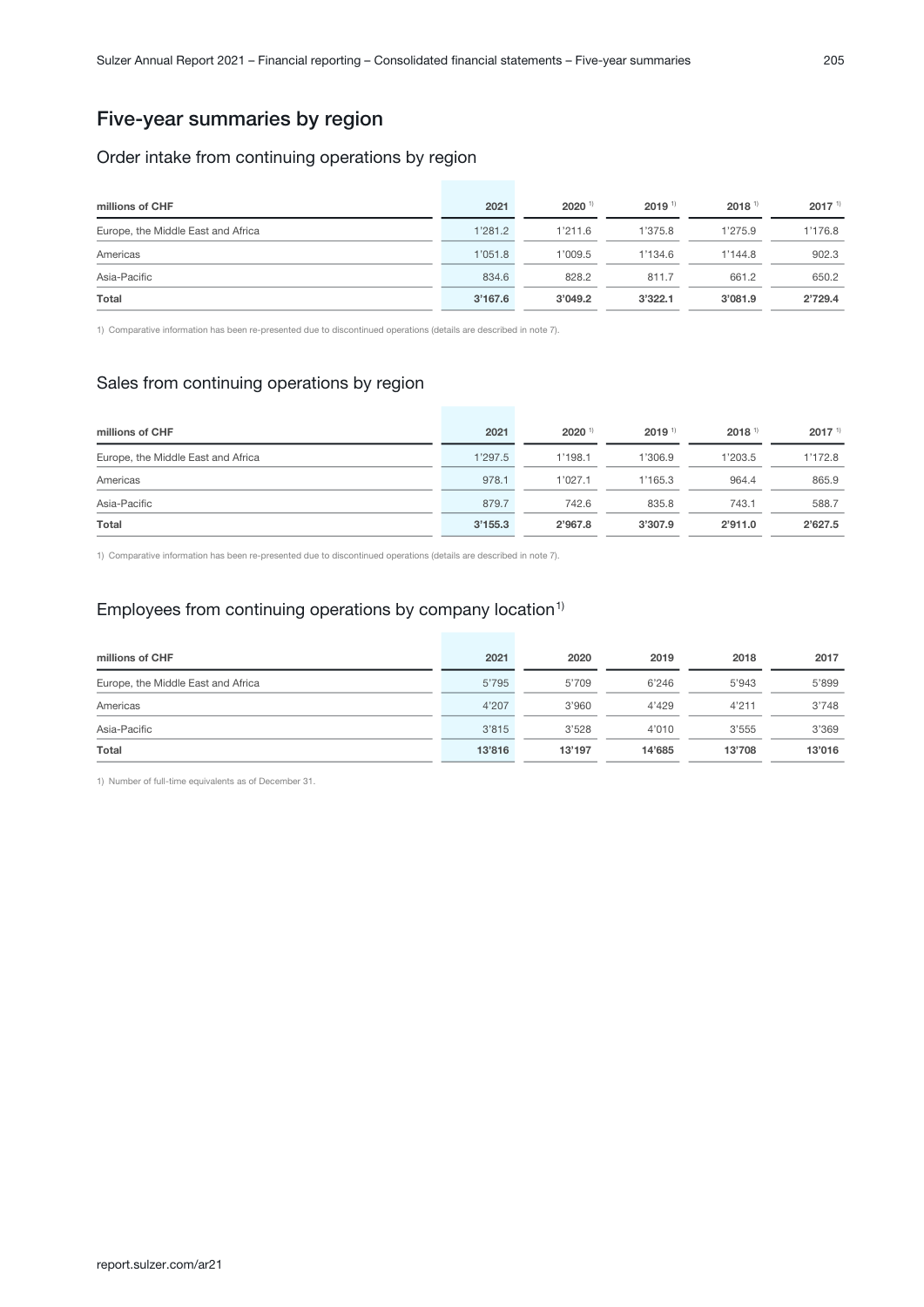# Five-year summaries by region

#### Order intake from continuing operations by region

| millions of CHF                    | 2021    | $2020$ <sup>1)</sup> | $2019$ <sup>1)</sup> | $2018$ <sup>1)</sup> | $2017$ <sup>1)</sup> |
|------------------------------------|---------|----------------------|----------------------|----------------------|----------------------|
| Europe, the Middle East and Africa | 1'281.2 | 1'211.6              | 1'375.8              | 1'275.9              | 1'176.8              |
| Americas                           | 1'051.8 | 1'009.5              | 1'134.6              | 1'144.8              | 902.3                |
| Asia-Pacific                       | 834.6   | 828.2                | 811.7                | 661.2                | 650.2                |
| Total                              | 3'167.6 | 3'049.2              | 3'322.1              | 3'081.9              | 2'729.4              |

1) Comparative information has been re-presented due to discontinued operations (details are described in note 7).

## Sales from continuing operations by region

| millions of CHF                    | 2021    | $2020$ <sup>1)</sup> | $2019$ <sup>1)</sup> | $2018$ <sup>1)</sup> | 2017 <sup>1</sup> |
|------------------------------------|---------|----------------------|----------------------|----------------------|-------------------|
| Europe, the Middle East and Africa | 1'297.5 | 1'198.1              | 1'306.9              | 1'203.5              | 1'172.8           |
| Americas                           | 978.1   | 1'027.1              | 1'165.3              | 964.4                | 865.9             |
| Asia-Pacific                       | 879.7   | 742.6                | 835.8                | 743.1                | 588.7             |
| Total                              | 3'155.3 | 2'967.8              | 3'307.9              | 2'911.0              | 2'627.5           |

1) Comparative information has been re-presented due to discontinued operations (details are described in note 7).

# Employees from continuing operations by company location<sup>1)</sup>

| millions of CHF                    | 2021   | 2020   | 2019   | 2018   | 2017   |
|------------------------------------|--------|--------|--------|--------|--------|
| Europe, the Middle East and Africa | 5'795  | 5'709  | 6'246  | 5'943  | 5'899  |
| Americas                           | 4'207  | 3'960  | 4'429  | 4'211  | 3'748  |
| Asia-Pacific                       | 3'815  | 3'528  | 4'010  | 3'555  | 3'369  |
| Total                              | 13'816 | 13'197 | 14'685 | 13'708 | 13'016 |

1) Number of full-time equivalents as of December 31.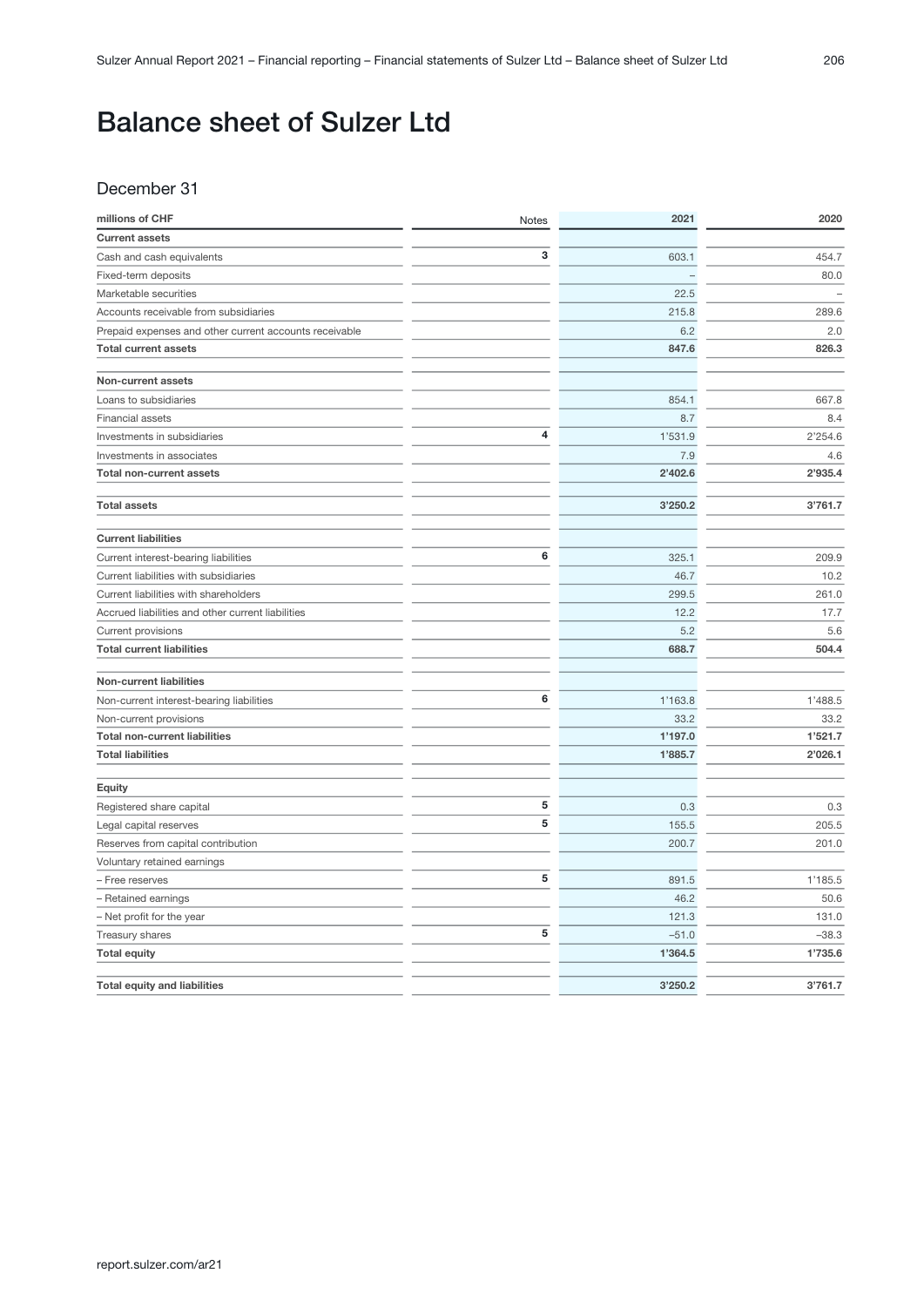# Balance sheet of Sulzer Ltd

#### December 31

| millions of CHF                                        | Notes | 2021    | 2020    |
|--------------------------------------------------------|-------|---------|---------|
| <b>Current assets</b>                                  |       |         |         |
| Cash and cash equivalents                              | 3     | 603.1   | 454.7   |
| Fixed-term deposits                                    |       |         | 80.0    |
| Marketable securities                                  |       | 22.5    |         |
| Accounts receivable from subsidiaries                  |       | 215.8   | 289.6   |
| Prepaid expenses and other current accounts receivable |       | 6.2     | 2.0     |
| <b>Total current assets</b>                            |       | 847.6   | 826.3   |
| Non-current assets                                     |       |         |         |
| Loans to subsidiaries                                  |       | 854.1   | 667.8   |
| <b>Financial assets</b>                                |       | 8.7     | 8.4     |
| Investments in subsidiaries                            | 4     | 1'531.9 | 2'254.6 |
| Investments in associates                              |       | 7.9     | 4.6     |
| <b>Total non-current assets</b>                        |       | 2'402.6 | 2'935.4 |
| <b>Total assets</b>                                    |       | 3'250.2 | 3'761.7 |
| <b>Current liabilities</b>                             |       |         |         |
| Current interest-bearing liabilities                   | 6     | 325.1   | 209.9   |
| Current liabilities with subsidiaries                  |       | 46.7    | 10.2    |
| Current liabilities with shareholders                  |       | 299.5   | 261.0   |
| Accrued liabilities and other current liabilities      |       | 12.2    | 17.7    |
| Current provisions                                     |       | 5.2     | 5.6     |
| <b>Total current liabilities</b>                       |       | 688.7   | 504.4   |
| <b>Non-current liabilities</b>                         |       |         |         |
| Non-current interest-bearing liabilities               | 6     | 1'163.8 | 1'488.5 |
| Non-current provisions                                 |       | 33.2    | 33.2    |
| <b>Total non-current liabilities</b>                   |       | 1'197.0 | 1'521.7 |
| <b>Total liabilities</b>                               |       | 1'885.7 | 2'026.1 |
| Equity                                                 |       |         |         |
| Registered share capital                               | 5     | 0.3     | 0.3     |
| Legal capital reserves                                 | 5     | 155.5   | 205.5   |
| Reserves from capital contribution                     |       | 200.7   | 201.0   |
| Voluntary retained earnings                            |       |         |         |
| - Free reserves                                        | 5     | 891.5   | 1'185.5 |
| - Retained earnings                                    |       | 46.2    | 50.6    |
| - Net profit for the year                              |       | 121.3   | 131.0   |
| Treasury shares                                        | 5     | $-51.0$ | $-38.3$ |
| <b>Total equity</b>                                    |       | 1'364.5 | 1'735.6 |
| <b>Total equity and liabilities</b>                    |       | 3'250.2 | 3'761.7 |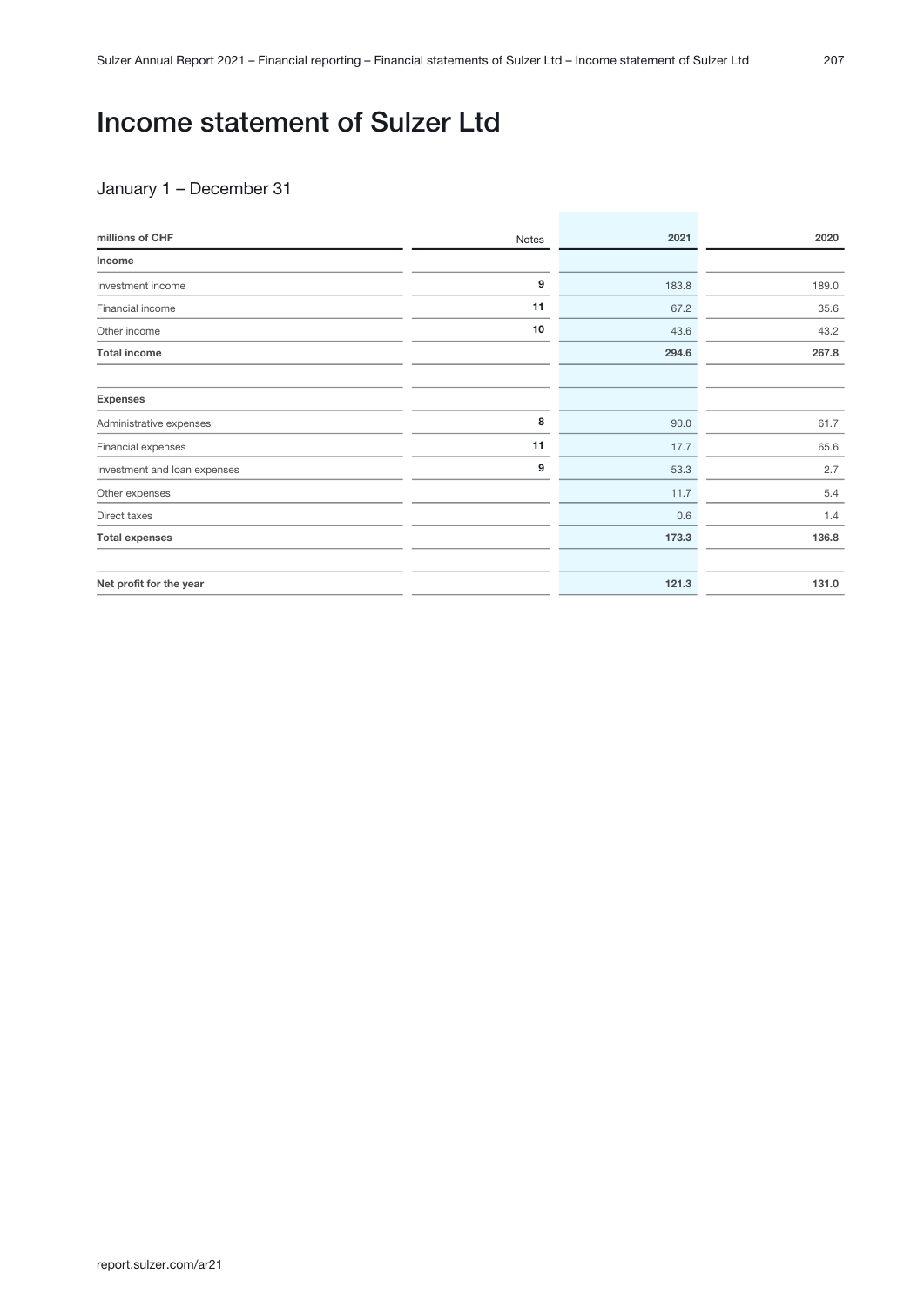# Income statement of Sulzer Ltd

#### January 1 – December 31

| millions of CHF              | Notes | 2021  | 2020  |
|------------------------------|-------|-------|-------|
| Income                       |       |       |       |
| Investment income            | 9     | 183.8 | 189.0 |
| Financial income             | 11    | 67.2  | 35.6  |
| Other income                 | 10    | 43.6  | 43.2  |
| <b>Total income</b>          |       | 294.6 | 267.8 |
|                              |       |       |       |
| <b>Expenses</b>              |       |       |       |
| Administrative expenses      | 8     | 90.0  | 61.7  |
| Financial expenses           | 11    | 17.7  | 65.6  |
| Investment and loan expenses | 9     | 53.3  | 2.7   |
| Other expenses               |       | 11.7  | 5.4   |
| Direct taxes                 |       | 0.6   | 1.4   |
| <b>Total expenses</b>        |       | 173.3 | 136.8 |
|                              |       |       |       |
| Net profit for the year      |       | 121.3 | 131.0 |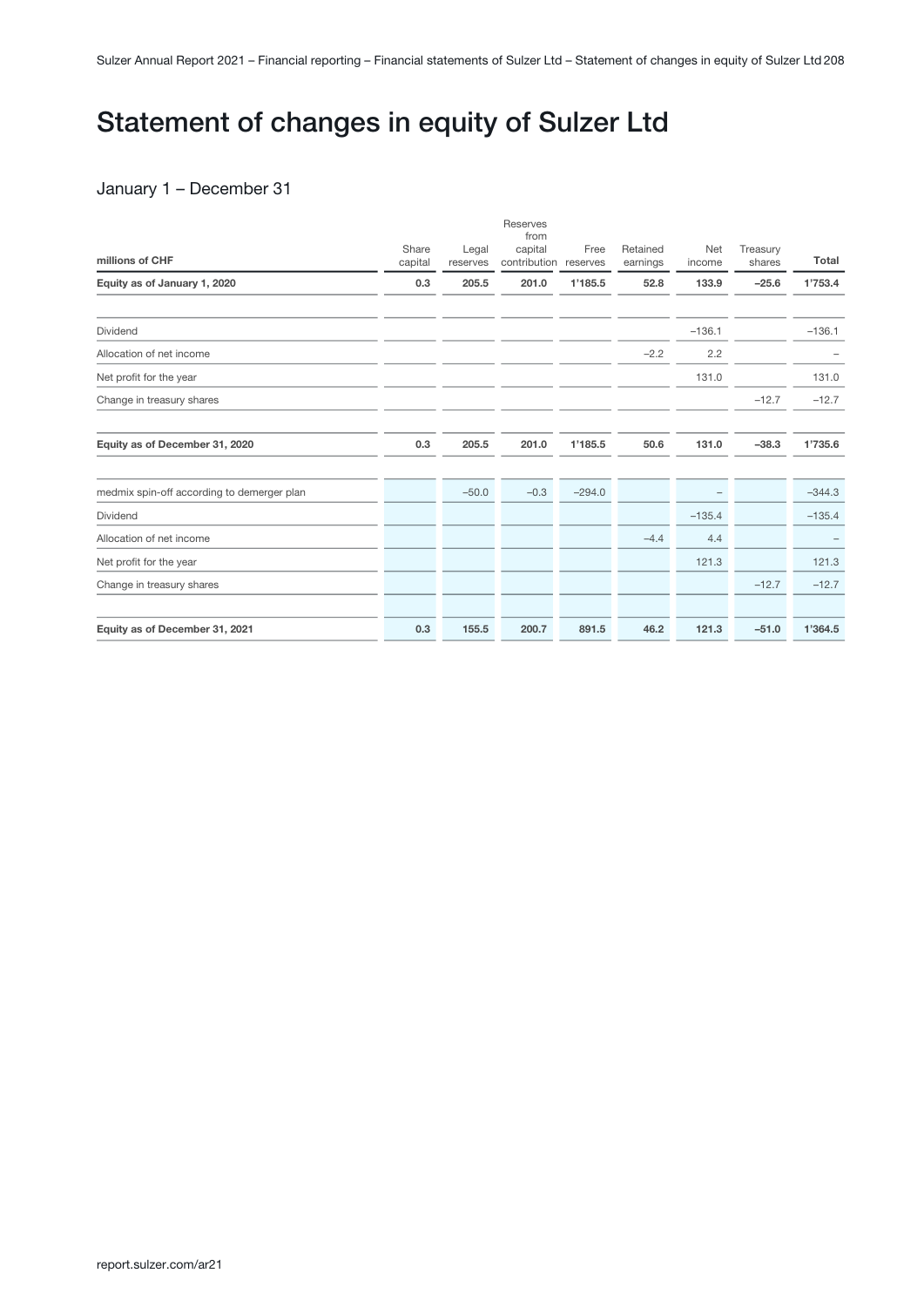# Statement of changes in equity of Sulzer Ltd

#### January 1 – December 31

| millions of CHF                            | Share<br>capital | Legal<br>reserves | Reserves<br>from<br>capital<br>contribution | Free<br>reserves | Retained<br>earnings | Net<br>income | Treasury<br>shares | Total    |
|--------------------------------------------|------------------|-------------------|---------------------------------------------|------------------|----------------------|---------------|--------------------|----------|
| Equity as of January 1, 2020               | 0.3              | 205.5             | 201.0                                       | 1'185.5          | 52.8                 | 133.9         | $-25.6$            | 1'753.4  |
| Dividend                                   |                  |                   |                                             |                  |                      | $-136.1$      |                    | $-136.1$ |
| Allocation of net income                   |                  |                   |                                             |                  | $-2.2$               | 2.2           |                    |          |
| Net profit for the year                    |                  |                   |                                             |                  |                      | 131.0         |                    | 131.0    |
| Change in treasury shares                  |                  |                   |                                             |                  |                      |               | $-12.7$            | $-12.7$  |
| Equity as of December 31, 2020             | 0.3              | 205.5             | 201.0                                       | 1'185.5          | 50.6                 | 131.0         | $-38.3$            | 1'735.6  |
| medmix spin-off according to demerger plan |                  | $-50.0$           | $-0.3$                                      | $-294.0$         |                      |               |                    | $-344.3$ |
| Dividend                                   |                  |                   |                                             |                  |                      | $-135.4$      |                    | $-135.4$ |
| Allocation of net income                   |                  |                   |                                             |                  | $-4.4$               | 4.4           |                    |          |
| Net profit for the year                    |                  |                   |                                             |                  |                      | 121.3         |                    | 121.3    |
| Change in treasury shares                  |                  |                   |                                             |                  |                      |               | $-12.7$            | $-12.7$  |
| Equity as of December 31, 2021             | 0.3              | 155.5             | 200.7                                       | 891.5            | 46.2                 | 121.3         | $-51.0$            | 1'364.5  |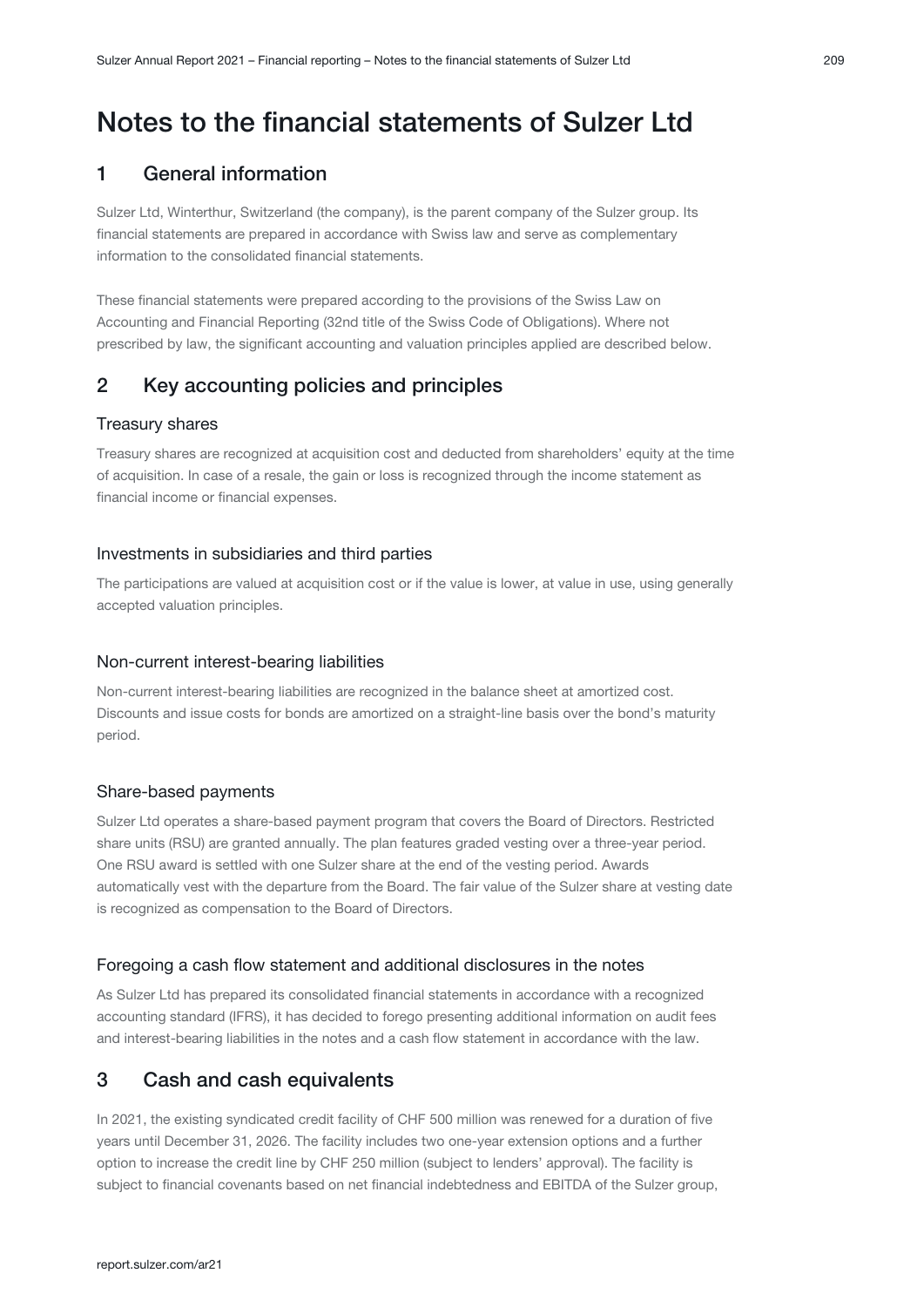## <span id="page-108-0"></span>Notes to the financial statements of Sulzer Ltd

## 1 General information

Sulzer Ltd, Winterthur, Switzerland (the company), is the parent company of the Sulzer group. Its financial statements are prepared in accordance with Swiss law and serve as complementary information to the consolidated financial statements.

These financial statements were prepared according to the provisions of the Swiss Law on Accounting and Financial Reporting (32nd title of the Swiss Code of Obligations). Where not prescribed by law, the significant accounting and valuation principles applied are described below.

## 2 Key accounting policies and principles

#### Treasury shares

Treasury shares are recognized at acquisition cost and deducted from shareholders' equity at the time of acquisition. In case of a resale, the gain or loss is recognized through the income statement as financial income or financial expenses.

#### Investments in subsidiaries and third parties

The participations are valued at acquisition cost or if the value is lower, at value in use, using generally accepted valuation principles.

#### Non-current interest-bearing liabilities

Non-current interest-bearing liabilities are recognized in the balance sheet at amortized cost. Discounts and issue costs for bonds are amortized on a straight-line basis over the bond's maturity period.

#### Share-based payments

Sulzer Ltd operates a share-based payment program that covers the Board of Directors. Restricted share units (RSU) are granted annually. The plan features graded vesting over a three-year period. One RSU award is settled with one Sulzer share at the end of the vesting period. Awards automatically vest with the departure from the Board. The fair value of the Sulzer share at vesting date is recognized as compensation to the Board of Directors.

#### Foregoing a cash flow statement and additional disclosures in the notes

As Sulzer Ltd has prepared its consolidated financial statements in accordance with a recognized accounting standard (IFRS), it has decided to forego presenting additional information on audit fees and interest-bearing liabilities in the notes and a cash flow statement in accordance with the law.

## 3 Cash and cash equivalents

In 2021, the existing syndicated credit facility of CHF 500 million was renewed for a duration of five years until December 31, 2026. The facility includes two one-year extension options and a further option to increase the credit line by CHF 250 million (subject to lenders' approval). The facility is subject to financial covenants based on net financial indebtedness and EBITDA of the Sulzer group,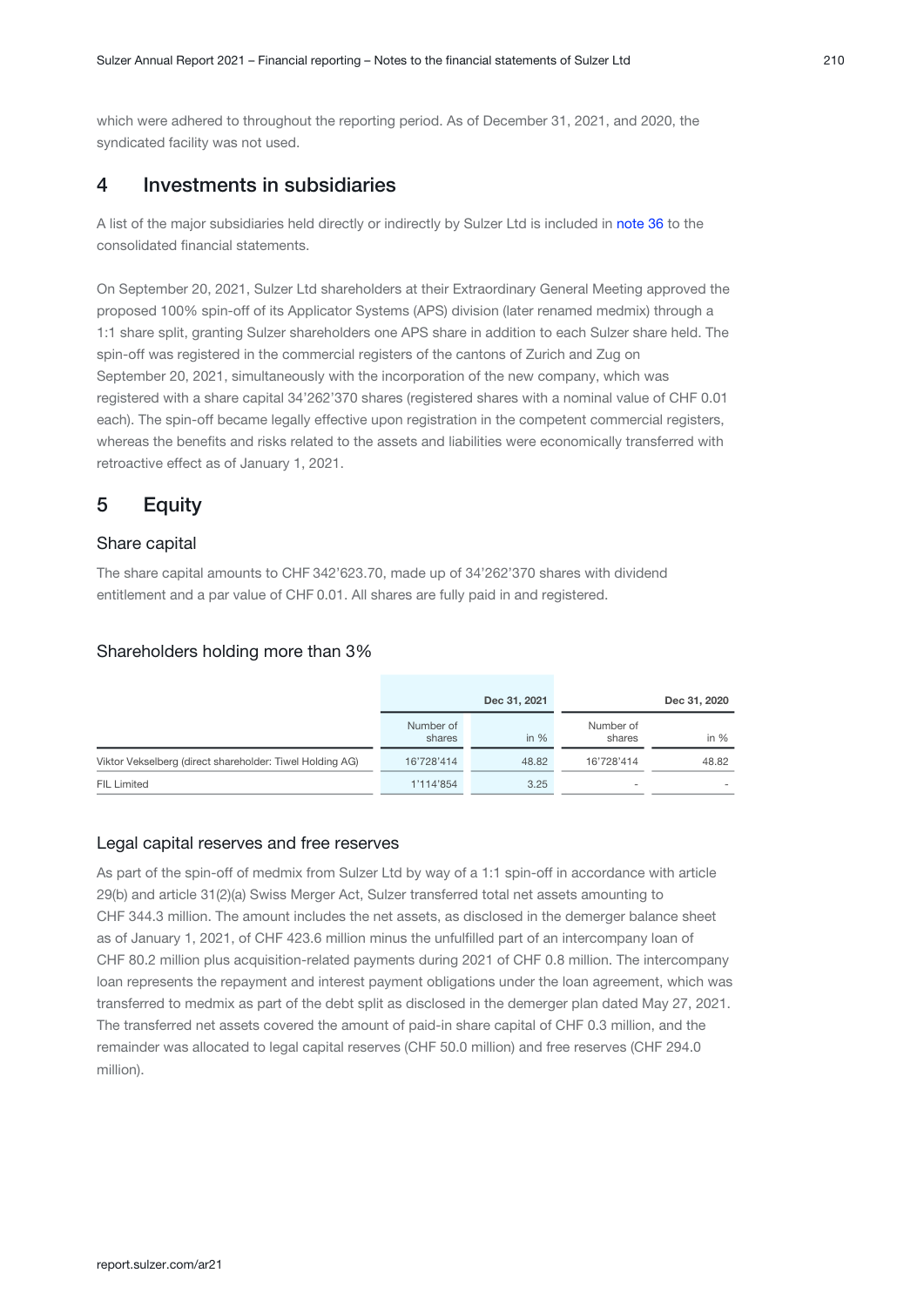which were adhered to throughout the reporting period. As of December 31, 2021, and 2020, the syndicated facility was not used.

## 4 Investments in subsidiaries

Alist of the major subsidiaries held directly or indirectly by Sulzer Ltd is included in note 36 to the consolidated financial statements.

On September 20, 2021, Sulzer Ltd shareholders at their Extraordinary General Meeting approved the proposed 100% spin-off of its Applicator Systems (APS) division (later renamed medmix) through a 1:1 share split, granting Sulzer shareholders one APS share in addition to each Sulzer share held. The spin-off was registered in the commercial registers of the cantons of Zurich and Zug on September 20, 2021, simultaneously with the incorporation of the new company, which was registered with a share capital 34'262'370 shares (registered shares with a nominal value of CHF 0.01 each). The spin-off became legally effective upon registration in the competent commercial registers, whereas the benefits and risks related to the assets and liabilities were economically transferred with retroactive effect as of January 1, 2021.

## 5 Equity

#### Share capital

The share capital amounts to CHF 342'623.70, made up of 34'262'370 shares with dividend entitlement and a par value of CHF 0.01. All shares are fully paid in and registered.

#### Shareholders holding more than 3%

|                                                          | Dec 31, 2021        |        | Dec 31, 2020        |        |
|----------------------------------------------------------|---------------------|--------|---------------------|--------|
|                                                          | Number of<br>shares | in $%$ | Number of<br>shares | in $%$ |
| Viktor Vekselberg (direct shareholder: Tiwel Holding AG) | 16'728'414          | 48.82  | 16'728'414          | 48.82  |
| <b>FIL Limited</b>                                       | 1'114'854           | 3.25   |                     |        |

#### Legal capital reserves and free reserves

As part of the spin-off of medmix from Sulzer Ltd by way of a 1:1 spin-off in accordance with article 29(b) and article 31(2)(a) Swiss Merger Act, Sulzer transferred total net assets amounting to CHF 344.3 million. The amount includes the net assets, as disclosed in the demerger balance sheet as of January 1, 2021, of CHF 423.6 million minus the unfulfilled part of an intercompany loan of CHF 80.2 million plus acquisition-related payments during 2021 of CHF 0.8 million. The intercompany loan represents the repayment and interest payment obligations under the loan agreement, which was transferred to medmix as part of the debt split as disclosed in the demerger plan dated May 27, 2021. The transferred net assets covered the amount of paid-in share capital of CHF 0.3 million, and the remainder was allocated to legal capital reserves (CHF 50.0 million) and free reserves (CHF 294.0 million).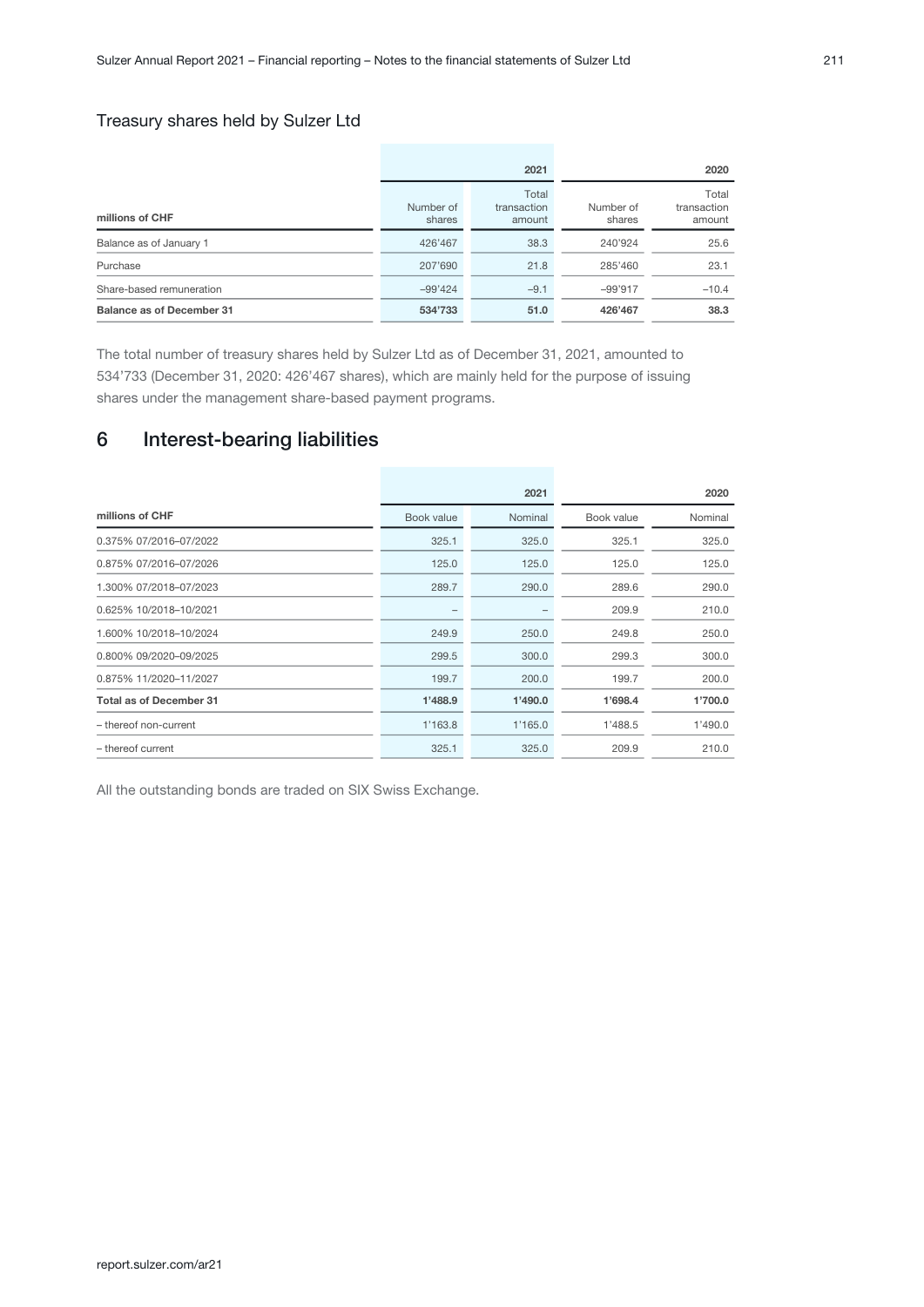## Treasury shares held by Sulzer Ltd

|                           |                     | 2021                           | 2020                |                                |  |
|---------------------------|---------------------|--------------------------------|---------------------|--------------------------------|--|
| millions of CHF           | Number of<br>shares | Total<br>transaction<br>amount | Number of<br>shares | Total<br>transaction<br>amount |  |
| Balance as of January 1   | 426'467             | 38.3                           | 240'924             | 25.6                           |  |
| Purchase                  | 207'690             | 21.8                           | 285'460             | 23.1                           |  |
| Share-based remuneration  | $-99'424$           | $-9.1$                         | $-99'917$           | $-10.4$                        |  |
| Balance as of December 31 | 534'733             | 51.0                           | 426'467             | 38.3                           |  |

The total number of treasury shares held by Sulzer Ltd as of December 31, 2021, amounted to 534'733 (December 31, 2020: 426'467 shares), which are mainly held for the purpose of issuing shares under the management share-based payment programs.

## 6 Interest-bearing liabilities

|                                |            | 2021    | 2020       |         |  |
|--------------------------------|------------|---------|------------|---------|--|
| millions of CHF                | Book value | Nominal | Book value | Nominal |  |
| 0.375% 07/2016-07/2022         | 325.1      | 325.0   | 325.1      | 325.0   |  |
| 0.875% 07/2016-07/2026         | 125.0      | 125.0   | 125.0      | 125.0   |  |
| 1.300% 07/2018-07/2023         | 289.7      | 290.0   | 289.6      | 290.0   |  |
| 0.625% 10/2018-10/2021         |            |         | 209.9      | 210.0   |  |
| 1.600% 10/2018-10/2024         | 249.9      | 250.0   | 249.8      | 250.0   |  |
| 0.800% 09/2020-09/2025         | 299.5      | 300.0   | 299.3      | 300.0   |  |
| 0.875% 11/2020-11/2027         | 199.7      | 200.0   | 199.7      | 200.0   |  |
| <b>Total as of December 31</b> | 1'488.9    | 1'490.0 | 1'698.4    | 1'700.0 |  |
| - thereof non-current          | 1'163.8    | 1'165.0 | 1'488.5    | 1'490.0 |  |
| - thereof current              | 325.1      | 325.0   | 209.9      | 210.0   |  |

All the outstanding bonds are traded on SIX Swiss Exchange.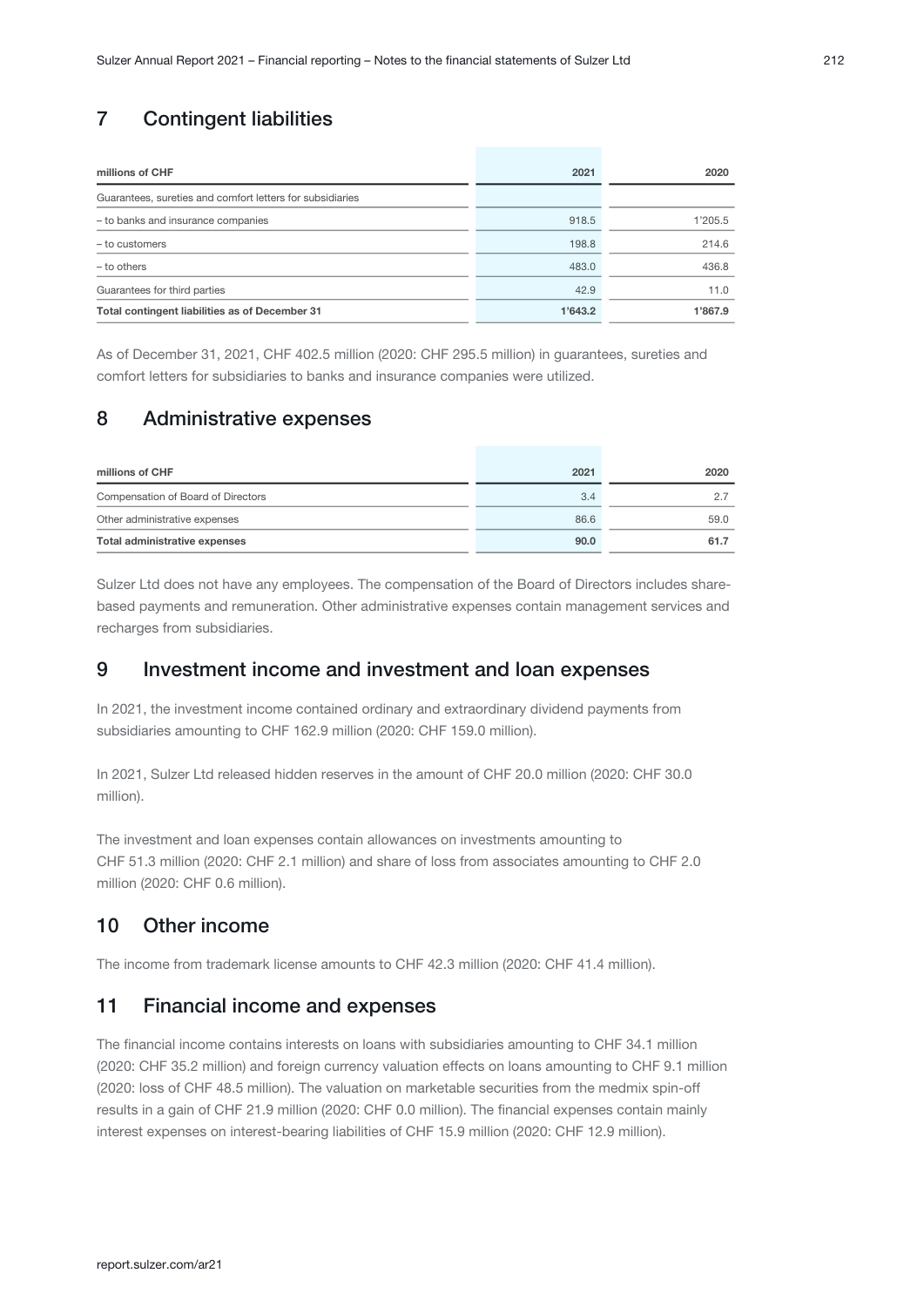## 7 Contingent liabilities

| millions of CHF                                           | 2021    | 2020    |
|-----------------------------------------------------------|---------|---------|
| Guarantees, sureties and comfort letters for subsidiaries |         |         |
| - to banks and insurance companies                        | 918.5   | 1'205.5 |
| - to customers                                            | 198.8   | 214.6   |
| - to others                                               | 483.0   | 436.8   |
| Guarantees for third parties                              | 42.9    | 11.0    |
| Total contingent liabilities as of December 31            | 1'643.2 | 1'867.9 |

As of December 31, 2021, CHF 402.5 million (2020: CHF 295.5 million) in guarantees, sureties and comfort letters for subsidiaries to banks and insurance companies were utilized.

## 8 Administrative expenses

| millions of CHF                    | 2021 | 2020 |
|------------------------------------|------|------|
| Compensation of Board of Directors | 3.4  |      |
| Other administrative expenses      | 86.6 | 59.0 |
| Total administrative expenses      | 90.0 | 61.7 |

Sulzer Ltd does not have any employees. The compensation of the Board of Directors includes sharebased payments and remuneration. Other administrative expenses contain management services and recharges from subsidiaries.

## 9 Investment income and investment and loan expenses

In 2021, the investment income contained ordinary and extraordinary dividend payments from subsidiaries amounting to CHF 162.9 million (2020: CHF 159.0 million).

In 2021, Sulzer Ltd released hidden reserves in the amount of CHF 20.0 million (2020: CHF 30.0 million).

The investment and loan expenses contain allowances on investments amounting to CHF 51.3 million (2020: CHF 2.1 million) and share of loss from associates amounting to CHF 2.0 million (2020: CHF 0.6 million).

## 10 Other income

The income from trademark license amounts to CHF 42.3 million (2020: CHF 41.4 million).

## 11 Financial income and expenses

The financial income contains interests on loans with subsidiaries amounting to CHF 34.1 million (2020: CHF 35.2 million) and foreign currency valuation effects on loans amounting to CHF 9.1 million (2020: loss of CHF 48.5 million). The valuation on marketable securities from the medmix spin-off results in a gain of CHF 21.9 million (2020: CHF 0.0 million). The financial expenses contain mainly interest expenses on interest-bearing liabilities of CHF 15.9 million (2020: CHF 12.9 million).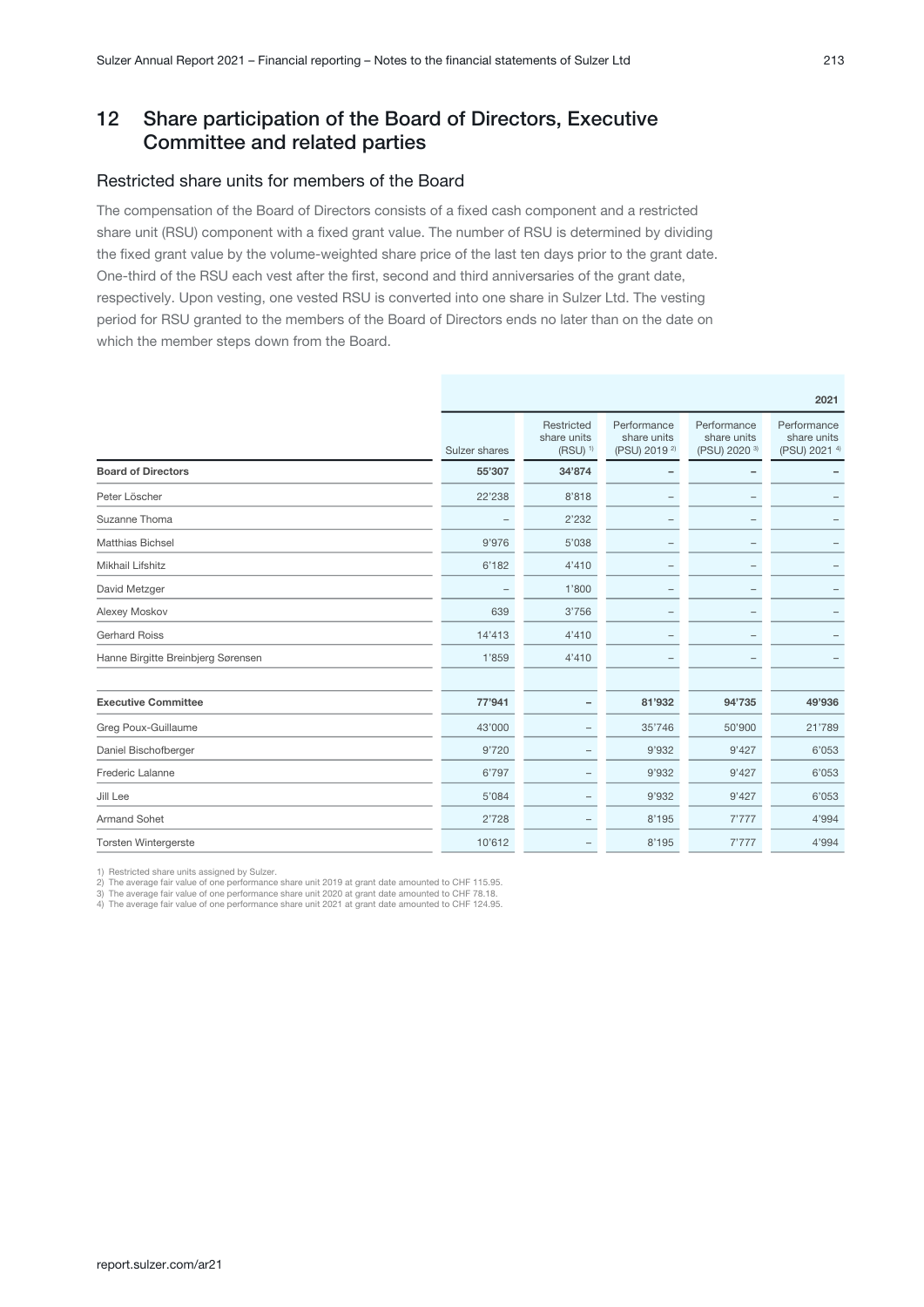## 12 Share participation of the Board of Directors, Executive Committee and related parties

### Restricted share units for members of the Board

The compensation of the Board of Directors consists of a fixed cash component and a restricted share unit (RSU) component with a fixed grant value. The number of RSU is determined by dividing the fixed grant value by the volume-weighted share price of the last ten days prior to the grant date. One-third of the RSU each vest after the first, second and third anniversaries of the grant date, respectively. Upon vesting, one vested RSU is converted into one share in Sulzer Ltd. The vesting period for RSU granted to the members of the Board of Directors ends no later than on the date on which the member steps down from the Board.

|                                    |               |                                                    |                                                        |                                                        | 2021                                        |
|------------------------------------|---------------|----------------------------------------------------|--------------------------------------------------------|--------------------------------------------------------|---------------------------------------------|
|                                    | Sulzer shares | Restricted<br>share units<br>$(RSU)$ <sup>1)</sup> | Performance<br>share units<br>(PSU) 2019 <sup>2)</sup> | Performance<br>share units<br>(PSU) 2020 <sup>3)</sup> | Performance<br>share units<br>(PSU) 2021 4) |
| <b>Board of Directors</b>          | 55'307        | 34'874                                             |                                                        |                                                        |                                             |
| Peter Löscher                      | 22'238        | 8'818                                              |                                                        |                                                        |                                             |
| Suzanne Thoma                      |               | 2'232                                              |                                                        |                                                        |                                             |
| <b>Matthias Bichsel</b>            | 9'976         | 5'038                                              |                                                        |                                                        |                                             |
| Mikhail Lifshitz                   | 6'182         | 4'410                                              |                                                        |                                                        |                                             |
| David Metzger                      |               | 1'800                                              |                                                        |                                                        |                                             |
| Alexey Moskov                      | 639           | 3'756                                              | $\overline{\phantom{0}}$                               |                                                        |                                             |
| <b>Gerhard Roiss</b>               | 14'413        | 4'410                                              | $\overline{\phantom{0}}$                               |                                                        |                                             |
| Hanne Birgitte Breinbjerg Sørensen | 1'859         | 4'410                                              |                                                        |                                                        |                                             |
|                                    |               |                                                    |                                                        |                                                        |                                             |
| <b>Executive Committee</b>         | 77'941        |                                                    | 81'932                                                 | 94'735                                                 | 49'936                                      |
| Greg Poux-Guillaume                | 43'000        |                                                    | 35'746                                                 | 50'900                                                 | 21'789                                      |
| Daniel Bischofberger               | 9'720         |                                                    | 9'932                                                  | 9'427                                                  | 6'053                                       |
| Frederic Lalanne                   | 6'797         | -                                                  | 9'932                                                  | 9'427                                                  | 6'053                                       |
| Jill Lee                           | 5'084         |                                                    | 9'932                                                  | 9'427                                                  | 6'053                                       |
| <b>Armand Sohet</b>                | 2'728         |                                                    | 8'195                                                  | 7'777                                                  | 4'994                                       |
| <b>Torsten Wintergerste</b>        | 10'612        |                                                    | 8'195                                                  | 7'777                                                  | 4'994                                       |

1) Restricted share units assigned by Sulzer.

2) The average fair value of one performance share unit 2019 at grant date amounted to CHF 115.95. 3) The average fair value of one performance share unit 2020 at grant date amounted to CHF 78.18.

4) The average fair value of one performance share unit 2021 at grant date amounted to CHF 124.95.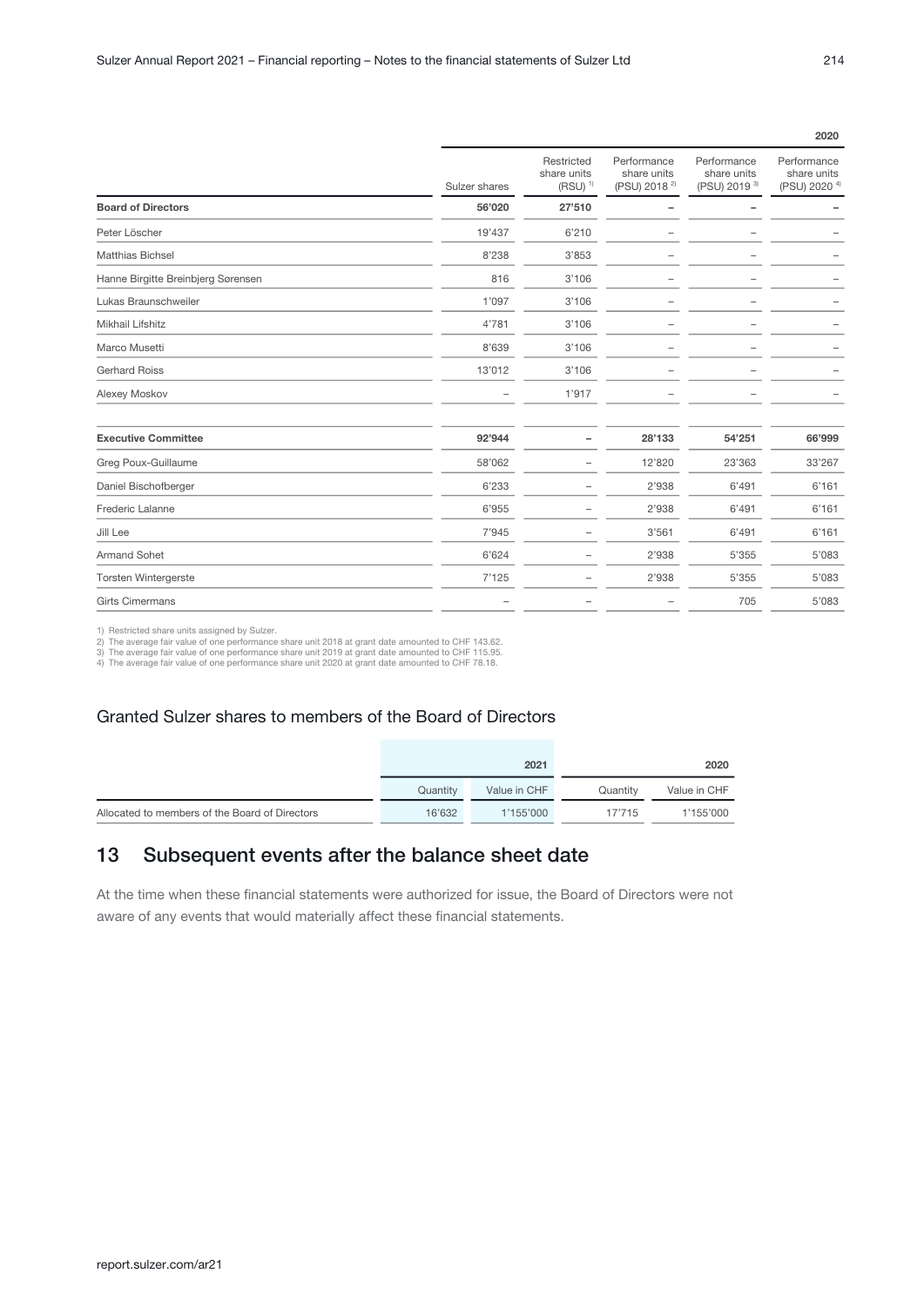|                                    |               |                                                    |                                                        |                                                        | 2020                                                   |
|------------------------------------|---------------|----------------------------------------------------|--------------------------------------------------------|--------------------------------------------------------|--------------------------------------------------------|
|                                    | Sulzer shares | Restricted<br>share units<br>$(RSU)$ <sup>1)</sup> | Performance<br>share units<br>(PSU) 2018 <sup>2)</sup> | Performance<br>share units<br>(PSU) 2019 <sup>3)</sup> | Performance<br>share units<br>(PSU) 2020 <sup>4)</sup> |
| <b>Board of Directors</b>          | 56'020        | 27'510                                             |                                                        |                                                        |                                                        |
| Peter Löscher                      | 19'437        | 6'210                                              |                                                        |                                                        |                                                        |
| <b>Matthias Bichsel</b>            | 8'238         | 3'853                                              |                                                        |                                                        |                                                        |
| Hanne Birgitte Breinbjerg Sørensen | 816           | 3'106                                              |                                                        |                                                        |                                                        |
| Lukas Braunschweiler               | 1'097         | 3'106                                              |                                                        |                                                        |                                                        |
| Mikhail Lifshitz                   | 4'781         | 3'106                                              | -                                                      | -                                                      |                                                        |
| Marco Musetti                      | 8'639         | 3'106                                              |                                                        |                                                        |                                                        |
| <b>Gerhard Roiss</b>               | 13'012        | 3'106                                              |                                                        |                                                        |                                                        |
| Alexey Moskov                      |               | 1'917                                              |                                                        |                                                        |                                                        |
| <b>Executive Committee</b>         | 92'944        |                                                    | 28'133                                                 | 54'251                                                 | 66'999                                                 |
| Greg Poux-Guillaume                | 58'062        | -                                                  | 12'820                                                 | 23'363                                                 | 33'267                                                 |
| Daniel Bischofberger               | 6'233         |                                                    | 2'938                                                  | 6'491                                                  | 6'161                                                  |
| Frederic Lalanne                   | 6'955         |                                                    | 2'938                                                  | 6'491                                                  | 6'161                                                  |
| Jill Lee                           | 7'945         |                                                    | 3'561                                                  | 6'491                                                  | 6'161                                                  |
| <b>Armand Sohet</b>                | 6'624         |                                                    | 2'938                                                  | 5'355                                                  | 5'083                                                  |
| <b>Torsten Wintergerste</b>        | 7'125         | $\overline{\phantom{0}}$                           | 2'938                                                  | 5'355                                                  | 5'083                                                  |
| <b>Girts Cimermans</b>             | -             |                                                    |                                                        | 705                                                    | 5'083                                                  |

1) Restricted share units assigned by Sulzer.<br>2) The average fair value of one performance share unit 2018 at grant date amounted to CHF 143.62.<br>3) The average fair value of one performance share unit 2019 at grant date am

#### Granted Sulzer shares to members of the Board of Directors

|                                                |          | 2021         |          | 2020         |
|------------------------------------------------|----------|--------------|----------|--------------|
|                                                | Quantity | Value in CHF | Quantity | Value in CHF |
| Allocated to members of the Board of Directors | 16'632   | 1'155'000    | 17'715   | 1'155'000    |

## 13 Subsequent events after the balance sheet date

At the time when these financial statements were authorized for issue, the Board of Directors were not aware of any events that would materially affect these financial statements.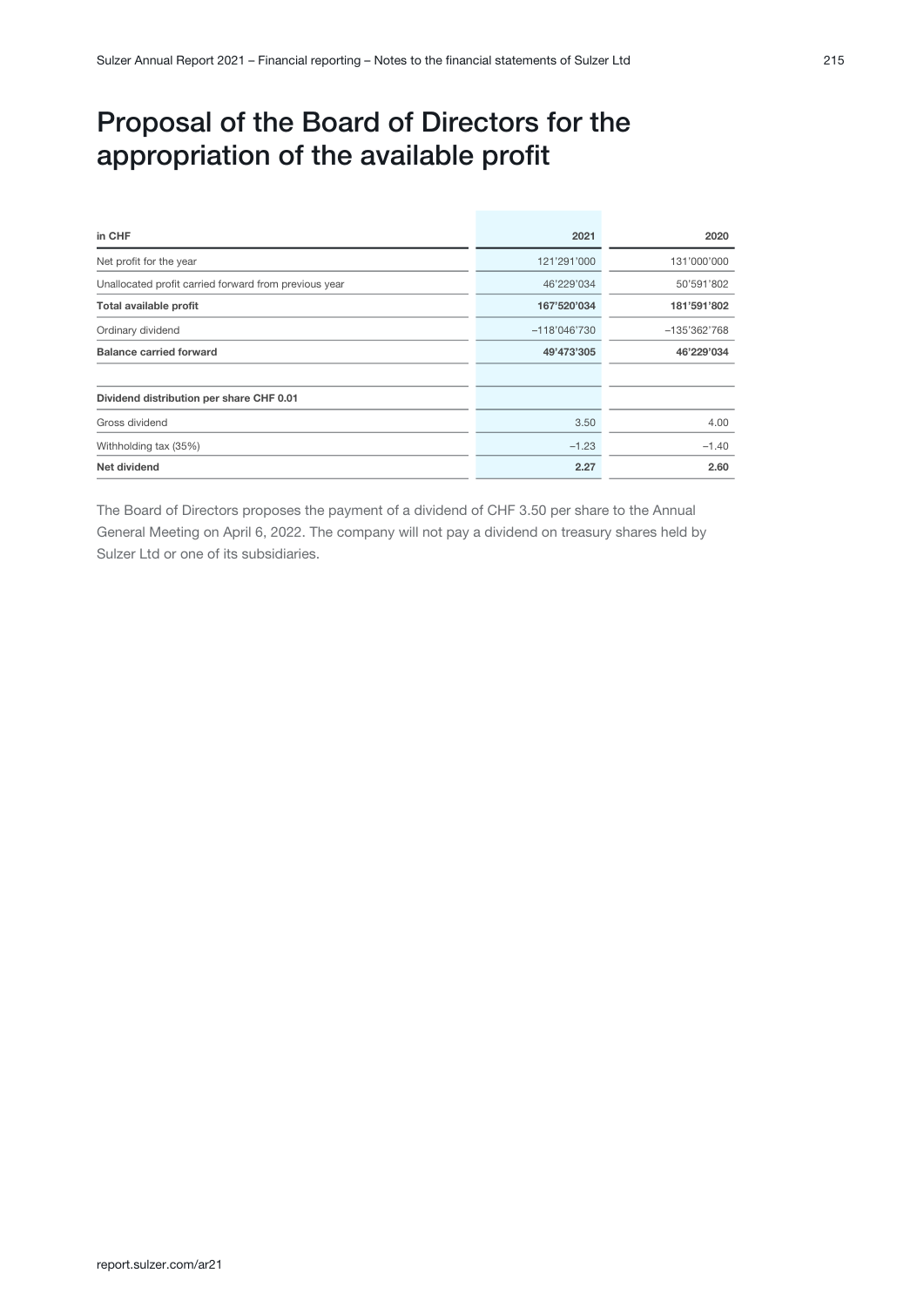# Proposal of the Board of Directors for the appropriation of the available profit

| in CHF                                                | 2021           | 2020         |
|-------------------------------------------------------|----------------|--------------|
| Net profit for the year                               | 121'291'000    | 131'000'000  |
| Unallocated profit carried forward from previous year | 46'229'034     | 50'591'802   |
| Total available profit                                | 167'520'034    | 181'591'802  |
| Ordinary dividend                                     | $-118'046'730$ | -135'362'768 |
| <b>Balance carried forward</b>                        | 49'473'305     | 46'229'034   |
| Dividend distribution per share CHF 0.01              |                |              |
| Gross dividend                                        | 3.50           | 4.00         |
| Withholding tax (35%)                                 | $-1.23$        | $-1.40$      |
| Net dividend                                          | 2.27           | 2.60         |

The Board of Directors proposes the payment of a dividend of CHF 3.50 per share to the Annual General Meeting on April 6, 2022. The company will not pay a dividend on treasury shares held by Sulzer Ltd or one of its subsidiaries.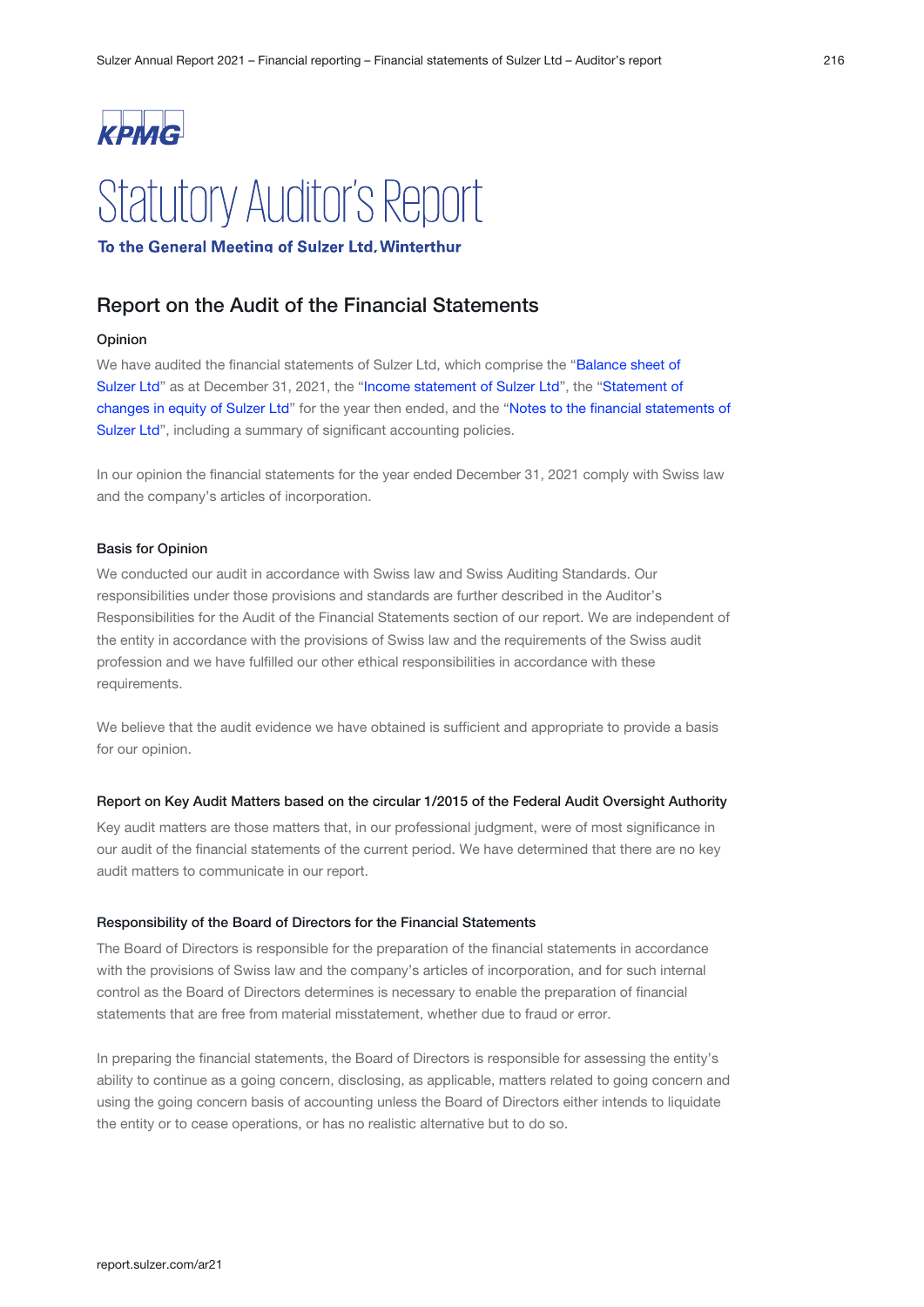

# **Statutory Auditor's Report**

To the General Meeting of Sulzer Ltd. Winterthur

## Report on the Audit of the Financial Statements

#### Opinion

We have audited the financial statements of Sulzer Ltd, which comprise the "Balance sheet of [Sulzer Ltd](#page-105-0)" as at December 31, 2021, the "[Income statement of Sulzer Ltd](#page-106-0)", the "Statement of [changes in equity of Sulzer Ltd](#page-107-0)" for the year then ended, and the "Notes to the financial statements of [Sulzer Ltd](#page-108-0)", including a summary of significant accounting policies.

In our opinion the financial statements for the year ended December 31, 2021 comply with Swiss law and the company's articles of incorporation.

#### Basis for Opinion

We conducted our audit in accordance with Swiss law and Swiss Auditing Standards. Our responsibilities under those provisions and standards are further described in the Auditor's Responsibilities for the Audit of the Financial Statements section of our report. We are independent of the entity in accordance with the provisions of Swiss law and the requirements of the Swiss audit profession and we have fulfilled our other ethical responsibilities in accordance with these requirements.

We believe that the audit evidence we have obtained is sufficient and appropriate to provide a basis for our opinion.

#### Report on Key Audit Matters based on the circular 1/2015 of the Federal Audit Oversight Authority

Key audit matters are those matters that, in our professional judgment, were of most significance in our audit of the financial statements of the current period. We have determined that there are no key audit matters to communicate in our report.

#### Responsibility of the Board of Directors for the Financial Statements

The Board of Directors is responsible for the preparation of the financial statements in accordance with the provisions of Swiss law and the company's articles of incorporation, and for such internal control as the Board of Directors determines is necessary to enable the preparation of financial statements that are free from material misstatement, whether due to fraud or error.

In preparing the financial statements, the Board of Directors is responsible for assessing the entity's ability to continue as a going concern, disclosing, as applicable, matters related to going concern and using the going concern basis of accounting unless the Board of Directors either intends to liquidate the entity or to cease operations, or has no realistic alternative but to do so.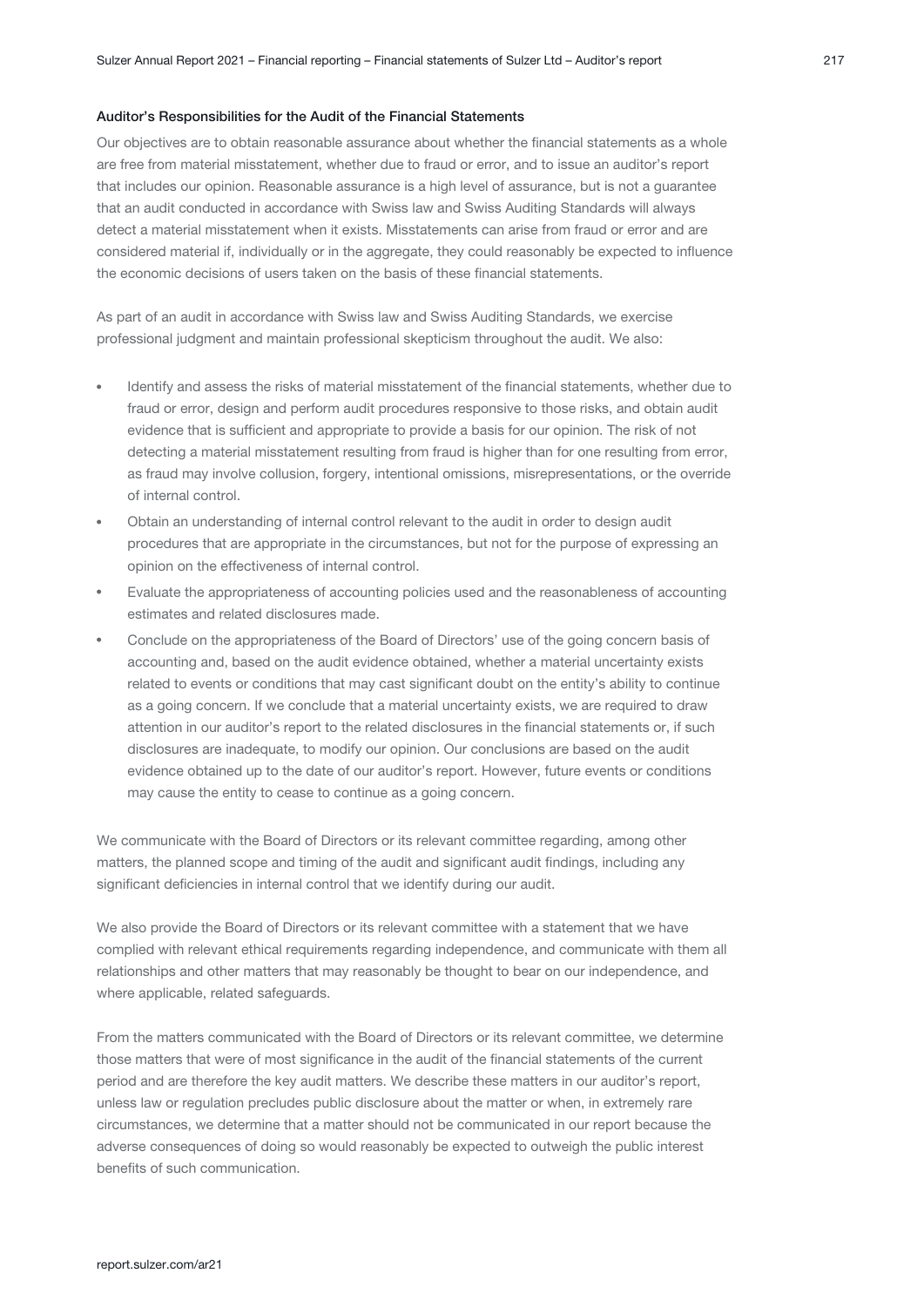#### Auditor's Responsibilities for the Audit of the Financial Statements

Our objectives are to obtain reasonable assurance about whether the financial statements as a whole are free from material misstatement, whether due to fraud or error, and to issue an auditor's report that includes our opinion. Reasonable assurance is a high level of assurance, but is not a guarantee that an audit conducted in accordance with Swiss law and Swiss Auditing Standards will always detect a material misstatement when it exists. Misstatements can arise from fraud or error and are considered material if, individually or in the aggregate, they could reasonably be expected to influence the economic decisions of users taken on the basis of these financial statements.

As part of an audit in accordance with Swiss law and Swiss Auditing Standards, we exercise professional judgment and maintain professional skepticism throughout the audit. We also:

- Identify and assess the risks of material misstatement of the financial statements, whether due to fraud or error, design and perform audit procedures responsive to those risks, and obtain audit evidence that is sufficient and appropriate to provide a basis for our opinion. The risk of not detecting a material misstatement resulting from fraud is higher than for one resulting from error, as fraud may involve collusion, forgery, intentional omissions, misrepresentations, or the override of internal control.
- Obtain an understanding of internal control relevant to the audit in order to design audit procedures that are appropriate in the circumstances, but not for the purpose of expressing an opinion on the effectiveness of internal control.
- Evaluate the appropriateness of accounting policies used and the reasonableness of accounting estimates and related disclosures made.
- Conclude on the appropriateness of the Board of Directors' use of the going concern basis of accounting and, based on the audit evidence obtained, whether a material uncertainty exists related to events or conditions that may cast significant doubt on the entity's ability to continue as a going concern. If we conclude that a material uncertainty exists, we are required to draw attention in our auditor's report to the related disclosures in the financial statements or, if such disclosures are inadequate, to modify our opinion. Our conclusions are based on the audit evidence obtained up to the date of our auditor's report. However, future events or conditions may cause the entity to cease to continue as a going concern.

We communicate with the Board of Directors or its relevant committee regarding, among other matters, the planned scope and timing of the audit and significant audit findings, including any significant deficiencies in internal control that we identify during our audit.

We also provide the Board of Directors or its relevant committee with a statement that we have complied with relevant ethical requirements regarding independence, and communicate with them all relationships and other matters that may reasonably be thought to bear on our independence, and where applicable, related safeguards.

From the matters communicated with the Board of Directors or its relevant committee, we determine those matters that were of most significance in the audit of the financial statements of the current period and are therefore the key audit matters. We describe these matters in our auditor's report, unless law or regulation precludes public disclosure about the matter or when, in extremely rare circumstances, we determine that a matter should not be communicated in our report because the adverse consequences of doing so would reasonably be expected to outweigh the public interest benefits of such communication.